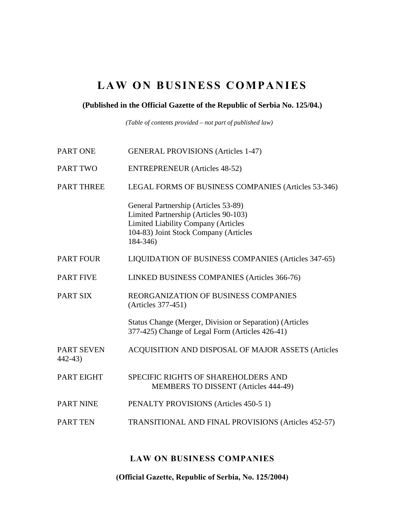# LAW ON BUSINESS COMPANIES

### **(Published in the Official Gazette of the Republic of Serbia No. 125/04.)**

*(Table of contents provided – not part of published law)* 

| PART ONE                        | <b>GENERAL PROVISIONS (Articles 1-47)</b>                                                                                                                                        |
|---------------------------------|----------------------------------------------------------------------------------------------------------------------------------------------------------------------------------|
| <b>PART TWO</b>                 | <b>ENTREPRENEUR</b> (Articles 48-52)                                                                                                                                             |
| <b>PART THREE</b>               | LEGAL FORMS OF BUSINESS COMPANIES (Articles 53-346)                                                                                                                              |
|                                 | General Partnership (Articles 53-89)<br>Limited Partnership (Articles 90-103)<br><b>Limited Liability Company (Articles</b><br>104-83) Joint Stock Company (Articles<br>184-346) |
| <b>PART FOUR</b>                | LIQUIDATION OF BUSINESS COMPANIES (Articles 347-65)                                                                                                                              |
| <b>PART FIVE</b>                | LINKED BUSINESS COMPANIES (Articles 366-76)                                                                                                                                      |
| <b>PART SIX</b>                 | REORGANIZATION OF BUSINESS COMPANIES<br>(Articles 377-451)                                                                                                                       |
|                                 | Status Change (Merger, Division or Separation) (Articles<br>377-425) Change of Legal Form (Articles 426-41)                                                                      |
| <b>PART SEVEN</b><br>$442 - 43$ | ACQUISITION AND DISPOSAL OF MAJOR ASSETS (Articles                                                                                                                               |
| <b>PART EIGHT</b>               | <b>SPECIFIC RIGHTS OF SHAREHOLDERS AND</b><br>MEMBERS TO DISSENT (Articles 444-49)                                                                                               |
| <b>PART NINE</b>                | PENALTY PROVISIONS (Articles 450-5 1)                                                                                                                                            |
| <b>PART TEN</b>                 | <b>TRANSITIONAL AND FINAL PROVISIONS (Articles 452-57)</b>                                                                                                                       |
|                                 |                                                                                                                                                                                  |

## LAW ON BUSINESS COMPANIES

(Official Gazette, Republic of Serbia, No. 125/2004)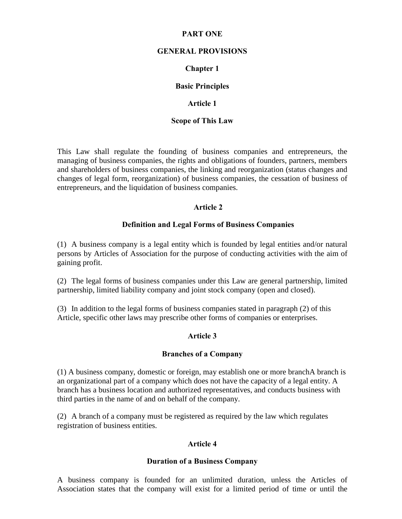### PART ONE

#### GENERAL PROVISIONS

### Chapter 1

### Basic Principles

#### Article 1

#### Scope of This Law

This Law shall regulate the founding of business companies and entrepreneurs, the managing of business companies, the rights and obligations of founders, partners, members and shareholders of business companies, the linking and reorganization (status changes and changes of legal form, reorganization) of business companies, the cessation of business of entrepreneurs, and the liquidation of business companies.

### Article 2

#### Definition and Legal Forms of Business Companies

(1) A business company is a legal entity which is founded by legal entities and/or natural persons by Articles of Association for the purpose of conducting activities with the aim of gaining profit.

(2) The legal forms of business companies under this Law are general partnership, limited partnership, limited liability company and joint stock company (open and closed).

(3) In addition to the legal forms of business companies stated in paragraph (2) of this Article, specific other laws may prescribe other forms of companies or enterprises.

### Article 3

#### Branches of a Company

(1) A business company, domestic or foreign, may establish one or more branchA branch is an organizational part of a company which does not have the capacity of a legal entity. A branch has a business location and authorized representatives, and conducts business with third parties in the name of and on behalf of the company.

(2) A branch of a company must be registered as required by the law which regulates registration of business entities.

### Article 4

#### Duration of a Business Company

A business company is founded for an unlimited duration, unless the Articles of Association states that the company will exist for a limited period of time or until the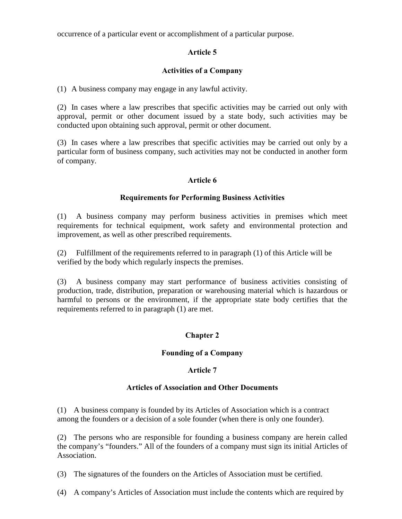occurrence of a particular event or accomplishment of a particular purpose.

## Article 5

### Activities of a Company

(1) A business company may engage in any lawful activity.

(2) In cases where a law prescribes that specific activities may be carried out only with approval, permit or other document issued by a state body, such activities may be conducted upon obtaining such approval, permit or other document.

(3) In cases where a law prescribes that specific activities may be carried out only by a particular form of business company, such activities may not be conducted in another form of company.

### Article 6

### Requirements for Performing Business Activities

(1) A business company may perform business activities in premises which meet requirements for technical equipment, work safety and environmental protection and improvement, as well as other prescribed requirements.

(2) Fulfillment of the requirements referred to in paragraph (1) of this Article will be verified by the body which regularly inspects the premises.

(3) A business company may start performance of business activities consisting of production, trade, distribution, preparation or warehousing material which is hazardous or harmful to persons or the environment, if the appropriate state body certifies that the requirements referred to in paragraph (1) are met.

## Chapter 2

### Founding of a Company

### Article 7

### Articles of Association and Other Documents

(1) A business company is founded by its Articles of Association which is a contract among the founders or a decision of a sole founder (when there is only one founder).

(2) The persons who are responsible for founding a business company are herein called the company's "founders." All of the founders of a company must sign its initial Articles of Association.

(3) The signatures of the founders on the Articles of Association must be certified.

(4) A company's Articles of Association must include the contents which are required by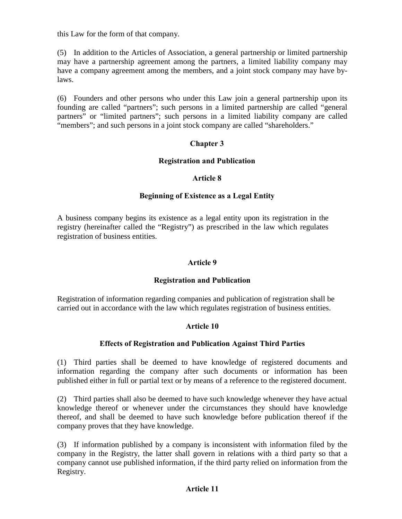this Law for the form of that company.

(5) In addition to the Articles of Association, a general partnership or limited partnership may have a partnership agreement among the partners, a limited liability company may have a company agreement among the members, and a joint stock company may have bylaws.

(6) Founders and other persons who under this Law join a general partnership upon its founding are called "partners"; such persons in a limited partnership are called "general partners" or "limited partners"; such persons in a limited liability company are called "members"; and such persons in a joint stock company are called "shareholders."

### Chapter 3

### Registration and Publication

#### Article 8

### Beginning of Existence as a Legal Entity

A business company begins its existence as a legal entity upon its registration in the registry (hereinafter called the "Registry") as prescribed in the law which regulates registration of business entities.

### Article 9

#### Registration and Publication

Registration of information regarding companies and publication of registration shall be carried out in accordance with the law which regulates registration of business entities.

### Article 10

### Effects of Registration and Publication Against Third Parties

(1) Third parties shall be deemed to have knowledge of registered documents and information regarding the company after such documents or information has been published either in full or partial text or by means of a reference to the registered document.

(2) Third parties shall also be deemed to have such knowledge whenever they have actual knowledge thereof or whenever under the circumstances they should have knowledge thereof, and shall be deemed to have such knowledge before publication thereof if the company proves that they have knowledge.

(3) If information published by a company is inconsistent with information filed by the company in the Registry, the latter shall govern in relations with a third party so that a company cannot use published information, if the third party relied on information from the Registry.

### Article 11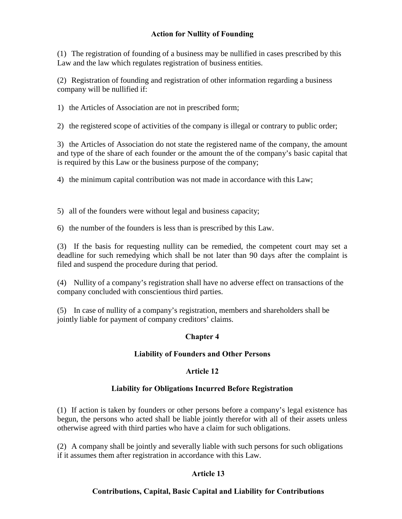## Action for Nullity of Founding

(1) The registration of founding of a business may be nullified in cases prescribed by this Law and the law which regulates registration of business entities.

(2) Registration of founding and registration of other information regarding a business company will be nullified if:

1) the Articles of Association are not in prescribed form;

2) the registered scope of activities of the company is illegal or contrary to public order;

3) the Articles of Association do not state the registered name of the company, the amount and type of the share of each founder or the amount the of the company's basic capital that is required by this Law or the business purpose of the company;

4) the minimum capital contribution was not made in accordance with this Law;

5) all of the founders were without legal and business capacity;

6) the number of the founders is less than is prescribed by this Law.

(3) If the basis for requesting nullity can be remedied, the competent court may set a deadline for such remedying which shall be not later than 90 days after the complaint is filed and suspend the procedure during that period.

(4) Nullity of a company's registration shall have no adverse effect on transactions of the company concluded with conscientious third parties.

(5) In case of nullity of a company's registration, members and shareholders shall be jointly liable for payment of company creditors' claims.

## Chapter 4

## Liability of Founders and Other Persons

## Article 12

### Liability for Obligations Incurred Before Registration

(1) If action is taken by founders or other persons before a company's legal existence has begun, the persons who acted shall be liable jointly therefor with all of their assets unless otherwise agreed with third parties who have a claim for such obligations.

(2) A company shall be jointly and severally liable with such persons for such obligations if it assumes them after registration in accordance with this Law.

## Article 13

## Contributions, Capital, Basic Capital and Liability for Contributions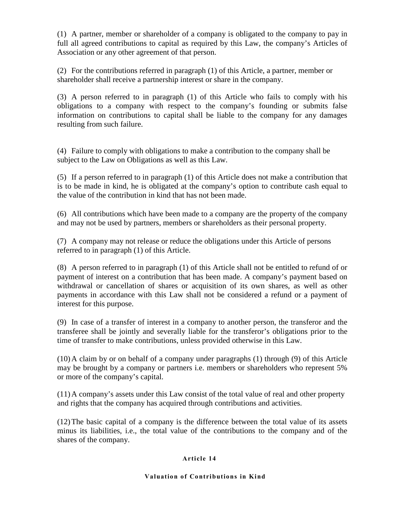(1) A partner, member or shareholder of a company is obligated to the company to pay in full all agreed contributions to capital as required by this Law, the company's Articles of Association or any other agreement of that person.

(2) For the contributions referred in paragraph (1) of this Article, a partner, member or shareholder shall receive a partnership interest or share in the company.

(3) A person referred to in paragraph (1) of this Article who fails to comply with his obligations to a company with respect to the company's founding or submits false information on contributions to capital shall be liable to the company for any damages resulting from such failure.

(4) Failure to comply with obligations to make a contribution to the company shall be subject to the Law on Obligations as well as this Law.

(5) If a person referred to in paragraph (1) of this Article does not make a contribution that is to be made in kind, he is obligated at the company's option to contribute cash equal to the value of the contribution in kind that has not been made.

(6) All contributions which have been made to a company are the property of the company and may not be used by partners, members or shareholders as their personal property.

(7) A company may not release or reduce the obligations under this Article of persons referred to in paragraph (1) of this Article.

(8) A person referred to in paragraph (1) of this Article shall not be entitled to refund of or payment of interest on a contribution that has been made. A company's payment based on withdrawal or cancellation of shares or acquisition of its own shares, as well as other payments in accordance with this Law shall not be considered a refund or a payment of interest for this purpose.

(9) In case of a transfer of interest in a company to another person, the transferor and the transferee shall be jointly and severally liable for the transferor's obligations prior to the time of transfer to make contributions, unless provided otherwise in this Law.

(10)A claim by or on behalf of a company under paragraphs (1) through (9) of this Article may be brought by a company or partners i.e. members or shareholders who represent 5% or more of the company's capital.

(11)A company's assets under this Law consist of the total value of real and other property and rights that the company has acquired through contributions and activities.

(12)The basic capital of a company is the difference between the total value of its assets minus its liabilities, i.e., the total value of the contributions to the company and of the shares of the company.

### Article 14

#### Valuation of Contributions in Kind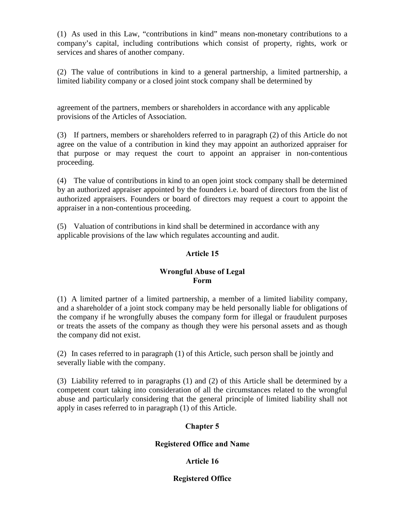(1) As used in this Law, "contributions in kind" means non-monetary contributions to a company's capital, including contributions which consist of property, rights, work or services and shares of another company.

(2) The value of contributions in kind to a general partnership, a limited partnership, a limited liability company or a closed joint stock company shall be determined by

agreement of the partners, members or shareholders in accordance with any applicable provisions of the Articles of Association.

(3) If partners, members or shareholders referred to in paragraph (2) of this Article do not agree on the value of a contribution in kind they may appoint an authorized appraiser for that purpose or may request the court to appoint an appraiser in non-contentious proceeding.

(4) The value of contributions in kind to an open joint stock company shall be determined by an authorized appraiser appointed by the founders i.e. board of directors from the list of authorized appraisers. Founders or board of directors may request a court to appoint the appraiser in a non-contentious proceeding.

(5) Valuation of contributions in kind shall be determined in accordance with any applicable provisions of the law which regulates accounting and audit.

## Article 15

### Wrongful Abuse of Legal Form

(1) A limited partner of a limited partnership, a member of a limited liability company, and a shareholder of a joint stock company may be held personally liable for obligations of the company if he wrongfully abuses the company form for illegal or fraudulent purposes or treats the assets of the company as though they were his personal assets and as though the company did not exist.

(2) In cases referred to in paragraph (1) of this Article, such person shall be jointly and severally liable with the company.

(3) Liability referred to in paragraphs (1) and (2) of this Article shall be determined by a competent court taking into consideration of all the circumstances related to the wrongful abuse and particularly considering that the general principle of limited liability shall not apply in cases referred to in paragraph (1) of this Article.

## Chapter 5

## Registered Office and Name

## Article 16

## Registered Office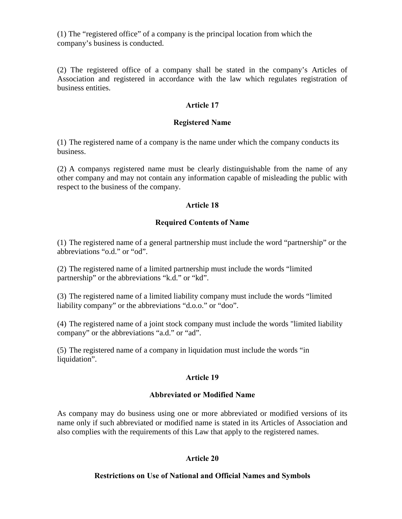(1) The "registered office" of a company is the principal location from which the company's business is conducted.

(2) The registered office of a company shall be stated in the company's Articles of Association and registered in accordance with the law which regulates registration of business entities.

### Article 17

### Registered Name

(1) The registered name of a company is the name under which the company conducts its business.

(2) A companys registered name must be clearly distinguishable from the name of any other company and may not contain any information capable of misleading the public with respect to the business of the company.

### Article 18

### Required Contents of Name

(1) The registered name of a general partnership must include the word "partnership" or the abbreviations "o.d." or "od".

(2) The registered name of a limited partnership must include the words "limited partnership" or the abbreviations "k.d." or "kd".

(3) The registered name of a limited liability company must include the words "limited liability company" or the abbreviations "d.o.o." or "doo".

(4) The registered name of a joint stock company must include the words "limited liability company" or the abbreviations "a.d." or "ad".

(5) The registered name of a company in liquidation must include the words "in liquidation".

### Article 19

### Abbreviated or Modified Name

As company may do business using one or more abbreviated or modified versions of its name only if such abbreviated or modified name is stated in its Articles of Association and also complies with the requirements of this Law that apply to the registered names.

### Article 20

### Restrictions on Use of National and Official Names and Symbols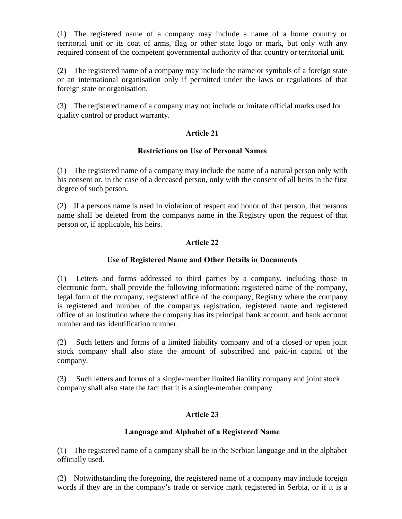(1) The registered name of a company may include a name of a home country or territorial unit or its coat of arms, flag or other state logo or mark, but only with any required consent of the competent governmental authority of that country or territorial unit.

(2) The registered name of a company may include the name or symbols of a foreign state or an international organisation only if permitted under the laws or regulations of that foreign state or organisation.

(3) The registered name of a company may not include or imitate official marks used for quality control or product warranty.

### Article 21

### Restrictions on Use of Personal Names

(1) The registered name of a company may include the name of a natural person only with his consent or, in the case of a deceased person, only with the consent of all heirs in the first degree of such person.

(2) If a persons name is used in violation of respect and honor of that person, that persons name shall be deleted from the companys name in the Registry upon the request of that person or, if applicable, his heirs.

## Article 22

### Use of Registered Name and Other Details in Documents

(1) Letters and forms addressed to third parties by a company, including those in electronic form, shall provide the following information: registered name of the company, legal form of the company, registered office of the company, Registry where the company is registered and number of the companys registration, registered name and registered office of an institution where the company has its principal bank account, and bank account number and tax identification number.

(2) Such letters and forms of a limited liability company and of a closed or open joint stock company shall also state the amount of subscribed and paid-in capital of the company.

(3) Such letters and forms of a single-member limited liability company and joint stock company shall also state the fact that it is a single-member company.

## Article 23

### Language and Alphabet of a Registered Name

(1) The registered name of a company shall be in the Serbian language and in the alphabet officially used.

(2) Notwithstanding the foregoing, the registered name of a company may include foreign words if they are in the company's trade or service mark registered in Serbia, or if it is a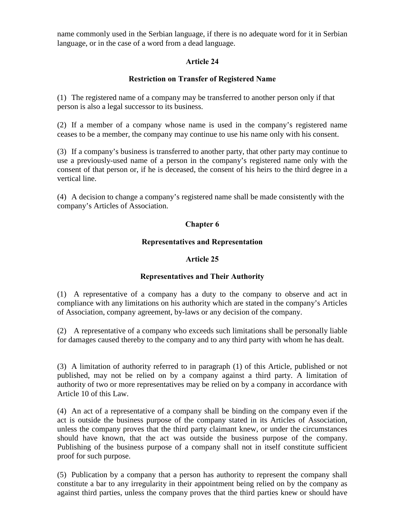name commonly used in the Serbian language, if there is no adequate word for it in Serbian language, or in the case of a word from a dead language.

## Article 24

## Restriction on Transfer of Registered Name

(1) The registered name of a company may be transferred to another person only if that person is also a legal successor to its business.

(2) If a member of a company whose name is used in the company's registered name ceases to be a member, the company may continue to use his name only with his consent.

(3) If a company's business is transferred to another party, that other party may continue to use a previously-used name of a person in the company's registered name only with the consent of that person or, if he is deceased, the consent of his heirs to the third degree in a vertical line.

(4) A decision to change a company's registered name shall be made consistently with the company's Articles of Association.

## Chapter 6

### Representatives and Representation

### Article 25

## Representatives and Their Authority

(1) A representative of a company has a duty to the company to observe and act in compliance with any limitations on his authority which are stated in the company's Articles of Association, company agreement, by-laws or any decision of the company.

(2) A representative of a company who exceeds such limitations shall be personally liable for damages caused thereby to the company and to any third party with whom he has dealt.

(3) A limitation of authority referred to in paragraph (1) of this Article, published or not published, may not be relied on by a company against a third party. A limitation of authority of two or more representatives may be relied on by a company in accordance with Article 10 of this Law.

(4) An act of a representative of a company shall be binding on the company even if the act is outside the business purpose of the company stated in its Articles of Association, unless the company proves that the third party claimant knew, or under the circumstances should have known, that the act was outside the business purpose of the company. Publishing of the business purpose of a company shall not in itself constitute sufficient proof for such purpose.

(5) Publication by a company that a person has authority to represent the company shall constitute a bar to any irregularity in their appointment being relied on by the company as against third parties, unless the company proves that the third parties knew or should have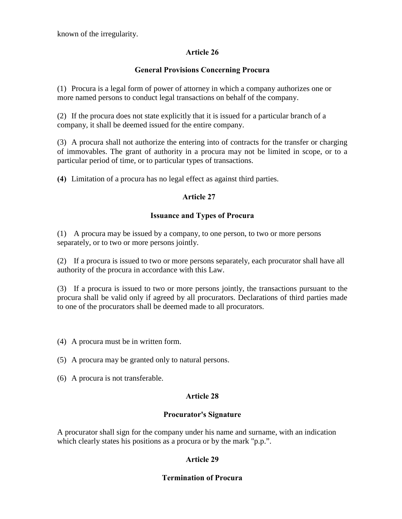known of the irregularity.

## Article 26

## General Provisions Concerning Procura

(1) Procura is a legal form of power of attorney in which a company authorizes one or more named persons to conduct legal transactions on behalf of the company.

(2) If the procura does not state explicitly that it is issued for a particular branch of a company, it shall be deemed issued for the entire company.

(3) A procura shall not authorize the entering into of contracts for the transfer or charging of immovables. The grant of authority in a procura may not be limited in scope, or to a particular period of time, or to particular types of transactions.

(4) Limitation of a procura has no legal effect as against third parties.

## Article 27

## Issuance and Types of Procura

(1) A procura may be issued by a company, to one person, to two or more persons separately, or to two or more persons jointly.

(2) If a procura is issued to two or more persons separately, each procurator shall have all authority of the procura in accordance with this Law.

(3) If a procura is issued to two or more persons jointly, the transactions pursuant to the procura shall be valid only if agreed by all procurators. Declarations of third parties made to one of the procurators shall be deemed made to all procurators.

(4) A procura must be in written form.

(5) A procura may be granted only to natural persons.

(6) A procura is not transferable.

## Article 28

## Procurator's Signature

A procurator shall sign for the company under his name and surname, with an indication which clearly states his positions as a procura or by the mark "p.p.".

## Article 29

## Termination of Procura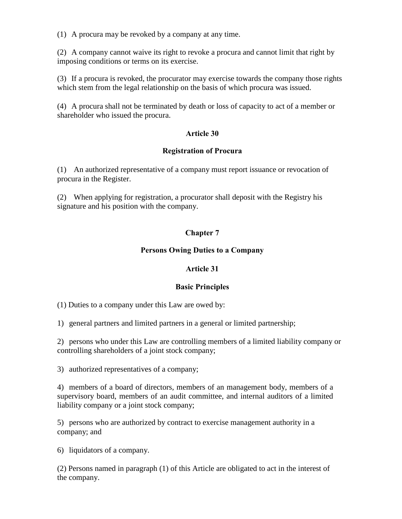(1) A procura may be revoked by a company at any time.

(2) A company cannot waive its right to revoke a procura and cannot limit that right by imposing conditions or terms on its exercise.

(3) If a procura is revoked, the procurator may exercise towards the company those rights which stem from the legal relationship on the basis of which procura was issued.

(4) A procura shall not be terminated by death or loss of capacity to act of a member or shareholder who issued the procura.

## Article 30

## Registration of Procura

(1) An authorized representative of a company must report issuance or revocation of procura in the Register.

(2) When applying for registration, a procurator shall deposit with the Registry his signature and his position with the company.

## Chapter 7

### Persons Owing Duties to a Company

### Article 31

### Basic Principles

(1) Duties to a company under this Law are owed by:

1) general partners and limited partners in a general or limited partnership;

2) persons who under this Law are controlling members of a limited liability company or controlling shareholders of a joint stock company;

3) authorized representatives of a company;

4) members of a board of directors, members of an management body, members of a supervisory board, members of an audit committee, and internal auditors of a limited liability company or a joint stock company;

5) persons who are authorized by contract to exercise management authority in a company; and

6) liquidators of a company.

(2) Persons named in paragraph (1) of this Article are obligated to act in the interest of the company.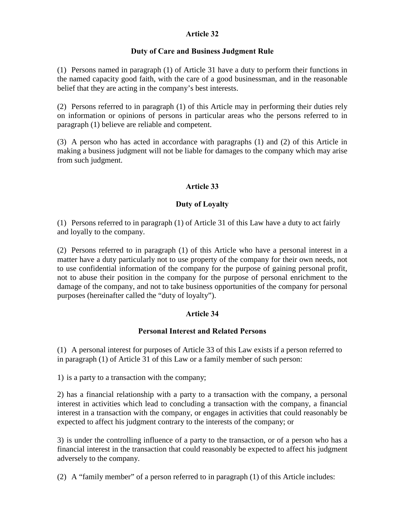### Article 32

### Duty of Care and Business Judgment Rule

(1) Persons named in paragraph (1) of Article 31 have a duty to perform their functions in the named capacity good faith, with the care of a good businessman, and in the reasonable belief that they are acting in the company's best interests.

(2) Persons referred to in paragraph (1) of this Article may in performing their duties rely on information or opinions of persons in particular areas who the persons referred to in paragraph (1) believe are reliable and competent.

(3) A person who has acted in accordance with paragraphs (1) and (2) of this Article in making a business judgment will not be liable for damages to the company which may arise from such judgment.

## Article 33

## Duty of Loyalty

(1) Persons referred to in paragraph (1) of Article 31 of this Law have a duty to act fairly and loyally to the company.

(2) Persons referred to in paragraph (1) of this Article who have a personal interest in a matter have a duty particularly not to use property of the company for their own needs, not to use confidential information of the company for the purpose of gaining personal profit, not to abuse their position in the company for the purpose of personal enrichment to the damage of the company, and not to take business opportunities of the company for personal purposes (hereinafter called the "duty of loyalty").

## Article 34

### Personal Interest and Related Persons

(1) A personal interest for purposes of Article 33 of this Law exists if a person referred to in paragraph (1) of Article 31 of this Law or a family member of such person:

1) is a party to a transaction with the company;

2) has a financial relationship with a party to a transaction with the company, a personal interest in activities which lead to concluding a transaction with the company, a financial interest in a transaction with the company, or engages in activities that could reasonably be expected to affect his judgment contrary to the interests of the company; or

3) is under the controlling influence of a party to the transaction, or of a person who has a financial interest in the transaction that could reasonably be expected to affect his judgment adversely to the company.

(2) A "family member" of a person referred to in paragraph (1) of this Article includes: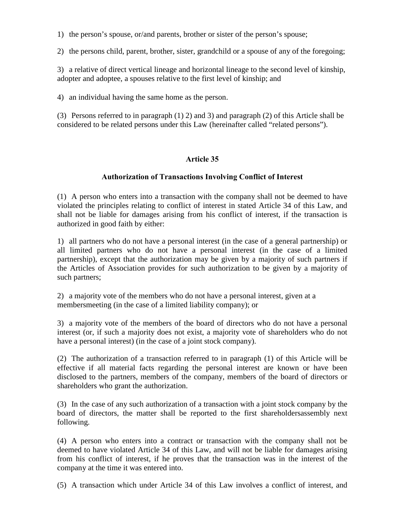1) the person's spouse, or/and parents, brother or sister of the person's spouse;

2) the persons child, parent, brother, sister, grandchild or a spouse of any of the foregoing;

3) a relative of direct vertical lineage and horizontal lineage to the second level of kinship, adopter and adoptee, a spouses relative to the first level of kinship; and

4) an individual having the same home as the person.

(3) Persons referred to in paragraph (1) 2) and 3) and paragraph (2) of this Article shall be considered to be related persons under this Law (hereinafter called "related persons").

## Article 35

### Authorization of Transactions Involving Conflict of Interest

(1) A person who enters into a transaction with the company shall not be deemed to have violated the principles relating to conflict of interest in stated Article 34 of this Law, and shall not be liable for damages arising from his conflict of interest, if the transaction is authorized in good faith by either:

1) all partners who do not have a personal interest (in the case of a general partnership) or all limited partners who do not have a personal interest (in the case of a limited partnership), except that the authorization may be given by a majority of such partners if the Articles of Association provides for such authorization to be given by a majority of such partners;

2) a majority vote of the members who do not have a personal interest, given at a membersmeeting (in the case of a limited liability company); or

3) a majority vote of the members of the board of directors who do not have a personal interest (or, if such a majority does not exist, a majority vote of shareholders who do not have a personal interest) (in the case of a joint stock company).

(2) The authorization of a transaction referred to in paragraph (1) of this Article will be effective if all material facts regarding the personal interest are known or have been disclosed to the partners, members of the company, members of the board of directors or shareholders who grant the authorization.

(3) In the case of any such authorization of a transaction with a joint stock company by the board of directors, the matter shall be reported to the first shareholdersassembly next following.

(4) A person who enters into a contract or transaction with the company shall not be deemed to have violated Article 34 of this Law, and will not be liable for damages arising from his conflict of interest, if he proves that the transaction was in the interest of the company at the time it was entered into.

(5) A transaction which under Article 34 of this Law involves a conflict of interest, and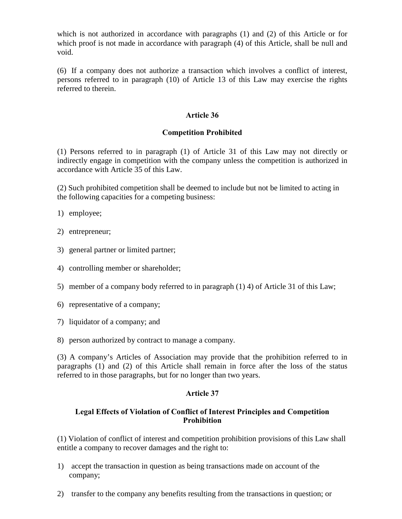which is not authorized in accordance with paragraphs (1) and (2) of this Article or for which proof is not made in accordance with paragraph (4) of this Article, shall be null and void.

(6) If a company does not authorize a transaction which involves a conflict of interest, persons referred to in paragraph (10) of Article 13 of this Law may exercise the rights referred to therein.

### Article 36

### Competition Prohibited

(1) Persons referred to in paragraph (1) of Article 31 of this Law may not directly or indirectly engage in competition with the company unless the competition is authorized in accordance with Article 35 of this Law.

(2) Such prohibited competition shall be deemed to include but not be limited to acting in the following capacities for a competing business:

- 1) employee;
- 2) entrepreneur;
- 3) general partner or limited partner;
- 4) controlling member or shareholder;
- 5) member of a company body referred to in paragraph (1) 4) of Article 31 of this Law;
- 6) representative of a company;
- 7) liquidator of a company; and
- 8) person authorized by contract to manage a company.

(3) A company's Articles of Association may provide that the prohibition referred to in paragraphs (1) and (2) of this Article shall remain in force after the loss of the status referred to in those paragraphs, but for no longer than two years.

### Article 37

### Legal Effects of Violation of Conflict of Interest Principles and Competition Prohibition

(1) Violation of conflict of interest and competition prohibition provisions of this Law shall entitle a company to recover damages and the right to:

- 1) accept the transaction in question as being transactions made on account of the company;
- 2) transfer to the company any benefits resulting from the transactions in question; or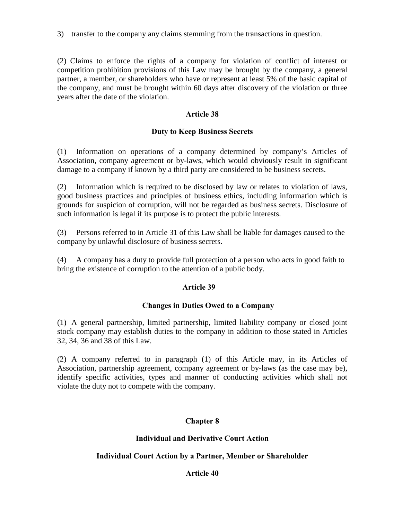3) transfer to the company any claims stemming from the transactions in question.

(2) Claims to enforce the rights of a company for violation of conflict of interest or competition prohibition provisions of this Law may be brought by the company, a general partner, a member, or shareholders who have or represent at least 5% of the basic capital of the company, and must be brought within 60 days after discovery of the violation or three years after the date of the violation.

### Article 38

### Duty to Keep Business Secrets

(1) Information on operations of a company determined by company's Articles of Association, company agreement or by-laws, which would obviously result in significant damage to a company if known by a third party are considered to be business secrets.

(2) Information which is required to be disclosed by law or relates to violation of laws, good business practices and principles of business ethics, including information which is grounds for suspicion of corruption, will not be regarded as business secrets. Disclosure of such information is legal if its purpose is to protect the public interests.

(3) Persons referred to in Article 31 of this Law shall be liable for damages caused to the company by unlawful disclosure of business secrets.

(4) A company has a duty to provide full protection of a person who acts in good faith to bring the existence of corruption to the attention of a public body.

### Article 39

### Changes in Duties Owed to a Company

(1) A general partnership, limited partnership, limited liability company or closed joint stock company may establish duties to the company in addition to those stated in Articles 32, 34, 36 and 38 of this Law.

(2) A company referred to in paragraph (1) of this Article may, in its Articles of Association, partnership agreement, company agreement or by-laws (as the case may be), identify specific activities, types and manner of conducting activities which shall not violate the duty not to compete with the company.

## Chapter 8

### Individual and Derivative Court Action

## Individual Court Action by a Partner, Member or Shareholder

### Article 40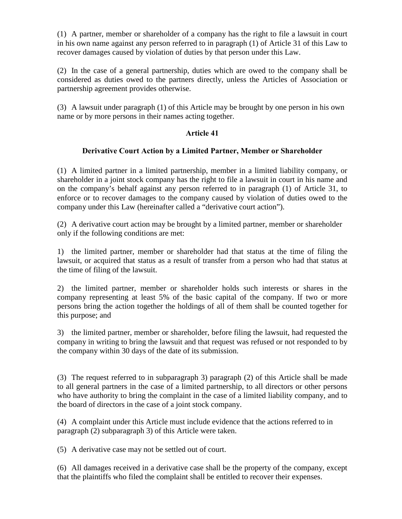(1) A partner, member or shareholder of a company has the right to file a lawsuit in court in his own name against any person referred to in paragraph (1) of Article 31 of this Law to recover damages caused by violation of duties by that person under this Law.

(2) In the case of a general partnership, duties which are owed to the company shall be considered as duties owed to the partners directly, unless the Articles of Association or partnership agreement provides otherwise.

(3) A lawsuit under paragraph (1) of this Article may be brought by one person in his own name or by more persons in their names acting together.

### Article 41

### Derivative Court Action by a Limited Partner, Member or Shareholder

(1) A limited partner in a limited partnership, member in a limited liability company, or shareholder in a joint stock company has the right to file a lawsuit in court in his name and on the company's behalf against any person referred to in paragraph (1) of Article 31, to enforce or to recover damages to the company caused by violation of duties owed to the company under this Law (hereinafter called a "derivative court action").

(2) A derivative court action may be brought by a limited partner, member or shareholder only if the following conditions are met:

1) the limited partner, member or shareholder had that status at the time of filing the lawsuit, or acquired that status as a result of transfer from a person who had that status at the time of filing of the lawsuit.

2) the limited partner, member or shareholder holds such interests or shares in the company representing at least 5% of the basic capital of the company. If two or more persons bring the action together the holdings of all of them shall be counted together for this purpose; and

3) the limited partner, member or shareholder, before filing the lawsuit, had requested the company in writing to bring the lawsuit and that request was refused or not responded to by the company within 30 days of the date of its submission.

(3) The request referred to in subparagraph 3) paragraph (2) of this Article shall be made to all general partners in the case of a limited partnership, to all directors or other persons who have authority to bring the complaint in the case of a limited liability company, and to the board of directors in the case of a joint stock company.

(4) A complaint under this Article must include evidence that the actions referred to in paragraph (2) subparagraph 3) of this Article were taken.

(5) A derivative case may not be settled out of court.

(6) All damages received in a derivative case shall be the property of the company, except that the plaintiffs who filed the complaint shall be entitled to recover their expenses.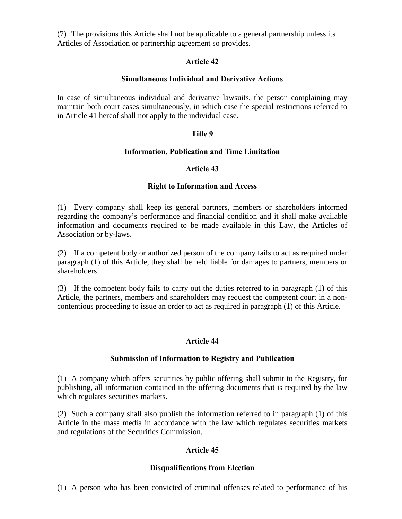(7) The provisions this Article shall not be applicable to a general partnership unless its Articles of Association or partnership agreement so provides.

### Article 42

### Simultaneous Individual and Derivative Actions

In case of simultaneous individual and derivative lawsuits, the person complaining may maintain both court cases simultaneously, in which case the special restrictions referred to in Article 41 hereof shall not apply to the individual case.

### Title 9

### Information, Publication and Time Limitation

### Article 43

### Right to Information and Access

(1) Every company shall keep its general partners, members or shareholders informed regarding the company's performance and financial condition and it shall make available information and documents required to be made available in this Law, the Articles of Association or by-laws.

(2) If a competent body or authorized person of the company fails to act as required under paragraph (1) of this Article, they shall be held liable for damages to partners, members or shareholders.

(3) If the competent body fails to carry out the duties referred to in paragraph (1) of this Article, the partners, members and shareholders may request the competent court in a noncontentious proceeding to issue an order to act as required in paragraph (1) of this Article.

## Article 44

### Submission of Information to Registry and Publication

(1) A company which offers securities by public offering shall submit to the Registry, for publishing, all information contained in the offering documents that is required by the law which regulates securities markets.

(2) Such a company shall also publish the information referred to in paragraph (1) of this Article in the mass media in accordance with the law which regulates securities markets and regulations of the Securities Commission.

## Article 45

### Disqualifications from Election

(1) A person who has been convicted of criminal offenses related to performance of his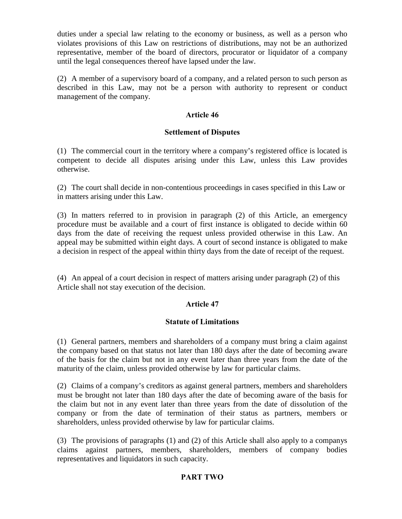duties under a special law relating to the economy or business, as well as a person who violates provisions of this Law on restrictions of distributions, may not be an authorized representative, member of the board of directors, procurator or liquidator of a company until the legal consequences thereof have lapsed under the law.

(2) A member of a supervisory board of a company, and a related person to such person as described in this Law, may not be a person with authority to represent or conduct management of the company.

### Article 46

### Settlement of Disputes

(1) The commercial court in the territory where a company's registered office is located is competent to decide all disputes arising under this Law, unless this Law provides otherwise.

(2) The court shall decide in non-contentious proceedings in cases specified in this Law or in matters arising under this Law.

(3) In matters referred to in provision in paragraph (2) of this Article, an emergency procedure must be available and a court of first instance is obligated to decide within 60 days from the date of receiving the request unless provided otherwise in this Law. An appeal may be submitted within eight days. A court of second instance is obligated to make a decision in respect of the appeal within thirty days from the date of receipt of the request.

(4) An appeal of a court decision in respect of matters arising under paragraph (2) of this Article shall not stay execution of the decision.

### Article 47

### Statute of Limitations

(1) General partners, members and shareholders of a company must bring a claim against the company based on that status not later than 180 days after the date of becoming aware of the basis for the claim but not in any event later than three years from the date of the maturity of the claim, unless provided otherwise by law for particular claims.

(2) Claims of a company's creditors as against general partners, members and shareholders must be brought not later than 180 days after the date of becoming aware of the basis for the claim but not in any event later than three years from the date of dissolution of the company or from the date of termination of their status as partners, members or shareholders, unless provided otherwise by law for particular claims.

(3) The provisions of paragraphs (1) and (2) of this Article shall also apply to a companys claims against partners, members, shareholders, members of company bodies representatives and liquidators in such capacity.

## PART TWO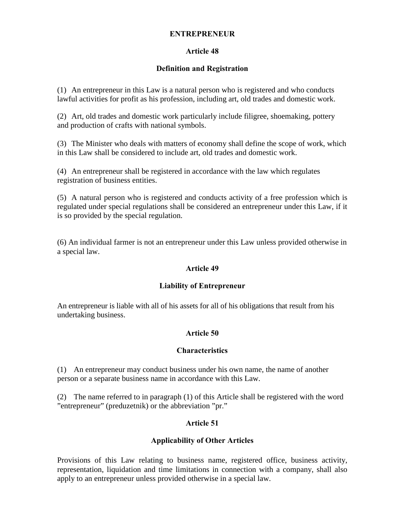#### ENTREPRENEUR

### Article 48

### Definition and Registration

(1) An entrepreneur in this Law is a natural person who is registered and who conducts lawful activities for profit as his profession, including art, old trades and domestic work.

(2) Art, old trades and domestic work particularly include filigree, shoemaking, pottery and production of crafts with national symbols.

(3) The Minister who deals with matters of economy shall define the scope of work, which in this Law shall be considered to include art, old trades and domestic work.

(4) An entrepreneur shall be registered in accordance with the law which regulates registration of business entities.

(5) A natural person who is registered and conducts activity of a free profession which is regulated under special regulations shall be considered an entrepreneur under this Law, if it is so provided by the special regulation.

(6) An individual farmer is not an entrepreneur under this Law unless provided otherwise in a special law.

### Article 49

### Liability of Entrepreneur

An entrepreneur is liable with all of his assets for all of his obligations that result from his undertaking business.

### Article 50

#### Characteristics

(1) An entrepreneur may conduct business under his own name, the name of another person or a separate business name in accordance with this Law.

(2) The name referred to in paragraph (1) of this Article shall be registered with the word "entrepreneur" (preduzetnik) or the abbreviation "pr."

### Article 51

### Applicability of Other Articles

Provisions of this Law relating to business name, registered office, business activity, representation, liquidation and time limitations in connection with a company, shall also apply to an entrepreneur unless provided otherwise in a special law.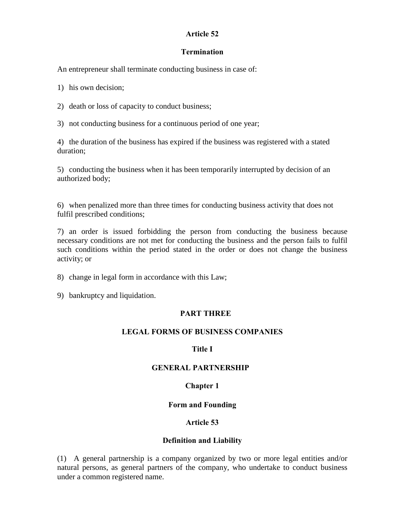### Article 52

### **Termination**

An entrepreneur shall terminate conducting business in case of:

1) his own decision;

2) death or loss of capacity to conduct business;

3) not conducting business for a continuous period of one year;

4) the duration of the business has expired if the business was registered with a stated duration;

5) conducting the business when it has been temporarily interrupted by decision of an authorized body;

6) when penalized more than three times for conducting business activity that does not fulfil prescribed conditions;

7) an order is issued forbidding the person from conducting the business because necessary conditions are not met for conducting the business and the person fails to fulfil such conditions within the period stated in the order or does not change the business activity; or

8) change in legal form in accordance with this Law;

9) bankruptcy and liquidation.

## PART THREE

## LEGAL FORMS OF BUSINESS COMPANIES

## Title I

## GENERAL PARTNERSHIP

## Chapter 1

### Form and Founding

## Article 53

### Definition and Liability

(1) A general partnership is a company organized by two or more legal entities and/or natural persons, as general partners of the company, who undertake to conduct business under a common registered name.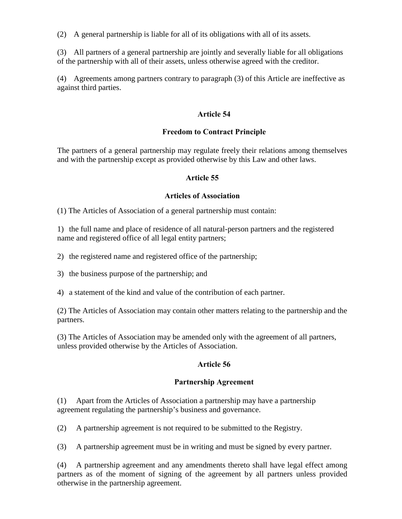(2) A general partnership is liable for all of its obligations with all of its assets.

(3) All partners of a general partnership are jointly and severally liable for all obligations of the partnership with all of their assets, unless otherwise agreed with the creditor.

(4) Agreements among partners contrary to paragraph (3) of this Article are ineffective as against third parties.

### Article 54

### Freedom to Contract Principle

The partners of a general partnership may regulate freely their relations among themselves and with the partnership except as provided otherwise by this Law and other laws.

### Article 55

### Articles of Association

(1) The Articles of Association of a general partnership must contain:

1) the full name and place of residence of all natural-person partners and the registered name and registered office of all legal entity partners;

2) the registered name and registered office of the partnership;

3) the business purpose of the partnership; and

4) a statement of the kind and value of the contribution of each partner.

(2) The Articles of Association may contain other matters relating to the partnership and the partners.

(3) The Articles of Association may be amended only with the agreement of all partners, unless provided otherwise by the Articles of Association.

### Article 56

## Partnership Agreement

(1) Apart from the Articles of Association a partnership may have a partnership agreement regulating the partnership's business and governance.

(2) A partnership agreement is not required to be submitted to the Registry.

(3) A partnership agreement must be in writing and must be signed by every partner.

(4) A partnership agreement and any amendments thereto shall have legal effect among partners as of the moment of signing of the agreement by all partners unless provided otherwise in the partnership agreement.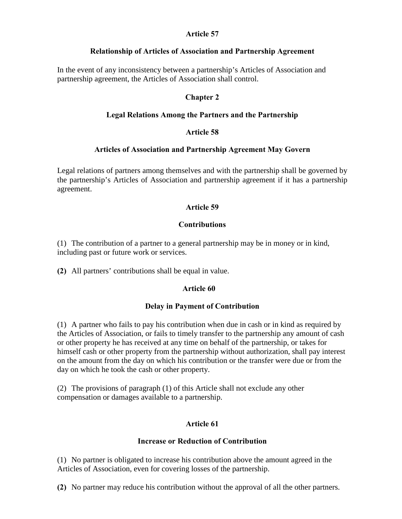### Article 57

### Relationship of Articles of Association and Partnership Agreement

In the event of any inconsistency between a partnership's Articles of Association and partnership agreement, the Articles of Association shall control.

## Chapter 2

## Legal Relations Among the Partners and the Partnership

## Article 58

## Articles of Association and Partnership Agreement May Govern

Legal relations of partners among themselves and with the partnership shall be governed by the partnership's Articles of Association and partnership agreement if it has a partnership agreement.

## Article 59

### Contributions

(1) The contribution of a partner to a general partnership may be in money or in kind, including past or future work or services.

(2) All partners' contributions shall be equal in value.

## Article 60

## Delay in Payment of Contribution

(1) A partner who fails to pay his contribution when due in cash or in kind as required by the Articles of Association, or fails to timely transfer to the partnership any amount of cash or other property he has received at any time on behalf of the partnership, or takes for himself cash or other property from the partnership without authorization, shall pay interest on the amount from the day on which his contribution or the transfer were due or from the day on which he took the cash or other property.

(2) The provisions of paragraph (1) of this Article shall not exclude any other compensation or damages available to a partnership.

## Article 61

### Increase or Reduction of Contribution

(1) No partner is obligated to increase his contribution above the amount agreed in the Articles of Association, even for covering losses of the partnership.

(2) No partner may reduce his contribution without the approval of all the other partners.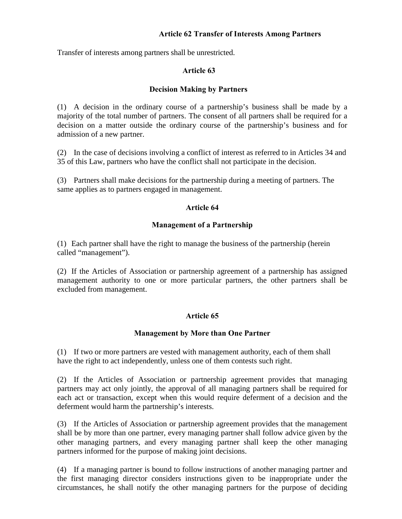### Article 62 Transfer of Interests Among Partners

Transfer of interests among partners shall be unrestricted.

### Article 63

### Decision Making by Partners

(1) A decision in the ordinary course of a partnership's business shall be made by a majority of the total number of partners. The consent of all partners shall be required for a decision on a matter outside the ordinary course of the partnership's business and for admission of a new partner.

(2) In the case of decisions involving a conflict of interest as referred to in Articles 34 and 35 of this Law, partners who have the conflict shall not participate in the decision.

(3) Partners shall make decisions for the partnership during a meeting of partners. The same applies as to partners engaged in management.

### Article 64

### Management of a Partnership

(1) Each partner shall have the right to manage the business of the partnership (herein called "management").

(2) If the Articles of Association or partnership agreement of a partnership has assigned management authority to one or more particular partners, the other partners shall be excluded from management.

## Article 65

## Management by More than One Partner

(1) If two or more partners are vested with management authority, each of them shall have the right to act independently, unless one of them contests such right.

(2) If the Articles of Association or partnership agreement provides that managing partners may act only jointly, the approval of all managing partners shall be required for each act or transaction, except when this would require deferment of a decision and the deferment would harm the partnership's interests.

(3) If the Articles of Association or partnership agreement provides that the management shall be by more than one partner, every managing partner shall follow advice given by the other managing partners, and every managing partner shall keep the other managing partners informed for the purpose of making joint decisions.

(4) If a managing partner is bound to follow instructions of another managing partner and the first managing director considers instructions given to be inappropriate under the circumstances, he shall notify the other managing partners for the purpose of deciding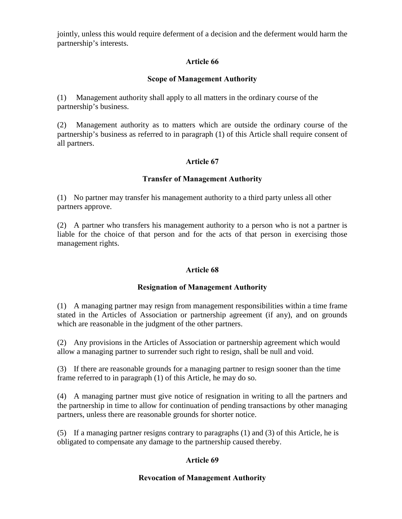jointly, unless this would require deferment of a decision and the deferment would harm the partnership's interests.

## Article 66

### Scope of Management Authority

(1) Management authority shall apply to all matters in the ordinary course of the partnership's business.

(2) Management authority as to matters which are outside the ordinary course of the partnership's business as referred to in paragraph (1) of this Article shall require consent of all partners.

## Article 67

### Transfer of Management Authority

(1) No partner may transfer his management authority to a third party unless all other partners approve.

(2) A partner who transfers his management authority to a person who is not a partner is liable for the choice of that person and for the acts of that person in exercising those management rights.

### Article 68

### Resignation of Management Authority

(1) A managing partner may resign from management responsibilities within a time frame stated in the Articles of Association or partnership agreement (if any), and on grounds which are reasonable in the judgment of the other partners.

(2) Any provisions in the Articles of Association or partnership agreement which would allow a managing partner to surrender such right to resign, shall be null and void.

(3) If there are reasonable grounds for a managing partner to resign sooner than the time frame referred to in paragraph (1) of this Article, he may do so.

(4) A managing partner must give notice of resignation in writing to all the partners and the partnership in time to allow for continuation of pending transactions by other managing partners, unless there are reasonable grounds for shorter notice.

(5) If a managing partner resigns contrary to paragraphs (1) and (3) of this Article, he is obligated to compensate any damage to the partnership caused thereby.

## Article 69

### Revocation of Management Authority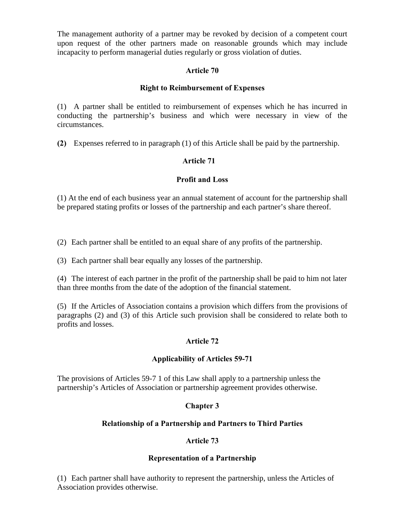The management authority of a partner may be revoked by decision of a competent court upon request of the other partners made on reasonable grounds which may include incapacity to perform managerial duties regularly or gross violation of duties.

## Article 70

## Right to Reimbursement of Expenses

(1) A partner shall be entitled to reimbursement of expenses which he has incurred in conducting the partnership's business and which were necessary in view of the circumstances.

(2) Expenses referred to in paragraph (1) of this Article shall be paid by the partnership.

## Article 71

## Profit and Loss

(1) At the end of each business year an annual statement of account for the partnership shall be prepared stating profits or losses of the partnership and each partner's share thereof.

(2) Each partner shall be entitled to an equal share of any profits of the partnership.

(3) Each partner shall bear equally any losses of the partnership.

(4) The interest of each partner in the profit of the partnership shall be paid to him not later than three months from the date of the adoption of the financial statement.

(5) If the Articles of Association contains a provision which differs from the provisions of paragraphs (2) and (3) of this Article such provision shall be considered to relate both to profits and losses.

## Article 72

## Applicability of Articles 59-71

The provisions of Articles 59-7 1 of this Law shall apply to a partnership unless the partnership's Articles of Association or partnership agreement provides otherwise.

## Chapter 3

## Relationship of a Partnership and Partners to Third Parties

## Article 73

## Representation of a Partnership

(1) Each partner shall have authority to represent the partnership, unless the Articles of Association provides otherwise.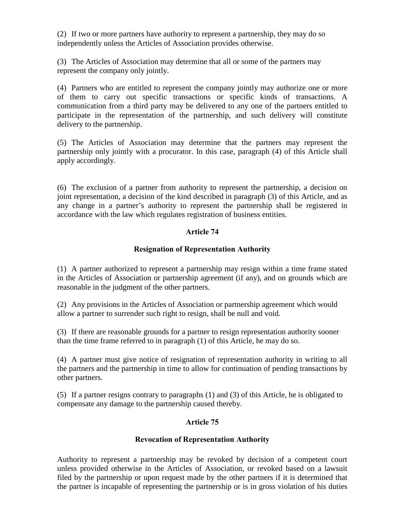(2) If two or more partners have authority to represent a partnership, they may do so independently unless the Articles of Association provides otherwise.

(3) The Articles of Association may determine that all or some of the partners may represent the company only jointly.

(4) Partners who are entitled to represent the company jointly may authorize one or more of them to carry out specific transactions or specific kinds of transactions. A communication from a third party may be delivered to any one of the partners entitled to participate in the representation of the partnership, and such delivery will constitute delivery to the partnership.

(5) The Articles of Association may determine that the partners may represent the partnership only jointly with a procurator. In this case, paragraph (4) of this Article shall apply accordingly.

(6) The exclusion of a partner from authority to represent the partnership, a decision on joint representation, a decision of the kind described in paragraph (3) of this Article, and as any change in a partner's authority to represent the partnership shall be registered in accordance with the law which regulates registration of business entities.

## Article 74

### Resignation of Representation Authority

(1) A partner authorized to represent a partnership may resign within a time frame stated in the Articles of Association or partnership agreement (if any), and on grounds which are reasonable in the judgment of the other partners.

(2) Any provisions in the Articles of Association or partnership agreement which would allow a partner to surrender such right to resign, shall be null and void.

(3) If there are reasonable grounds for a partner to resign representation authority sooner than the time frame referred to in paragraph (1) of this Article, he may do so.

(4) A partner must give notice of resignation of representation authority in writing to all the partners and the partnership in time to allow for continuation of pending transactions by other partners.

(5) If a partner resigns contrary to paragraphs (1) and (3) of this Article, he is obligated to compensate any damage to the partnership caused thereby.

## Article 75

### Revocation of Representation Authority

Authority to represent a partnership may be revoked by decision of a competent court unless provided otherwise in the Articles of Association, or revoked based on a lawsuit filed by the partnership or upon request made by the other partners if it is determined that the partner is incapable of representing the partnership or is in gross violation of his duties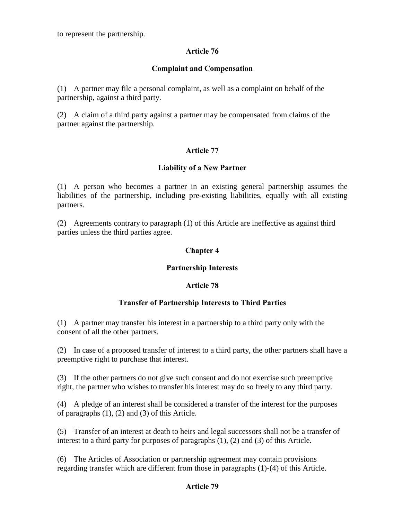to represent the partnership.

### Article 76

### Complaint and Compensation

(1) A partner may file a personal complaint, as well as a complaint on behalf of the partnership, against a third party.

(2) A claim of a third party against a partner may be compensated from claims of the partner against the partnership.

## Article 77

### Liability of a New Partner

(1) A person who becomes a partner in an existing general partnership assumes the liabilities of the partnership, including pre-existing liabilities, equally with all existing partners.

(2) Agreements contrary to paragraph (1) of this Article are ineffective as against third parties unless the third parties agree.

## Chapter 4

### Partnership Interests

### Article 78

### Transfer of Partnership Interests to Third Parties

(1) A partner may transfer his interest in a partnership to a third party only with the consent of all the other partners.

(2) In case of a proposed transfer of interest to a third party, the other partners shall have a preemptive right to purchase that interest.

(3) If the other partners do not give such consent and do not exercise such preemptive right, the partner who wishes to transfer his interest may do so freely to any third party.

(4) A pledge of an interest shall be considered a transfer of the interest for the purposes of paragraphs (1), (2) and (3) of this Article.

(5) Transfer of an interest at death to heirs and legal successors shall not be a transfer of interest to a third party for purposes of paragraphs (1), (2) and (3) of this Article.

(6) The Articles of Association or partnership agreement may contain provisions regarding transfer which are different from those in paragraphs (1)-(4) of this Article.

### Article 79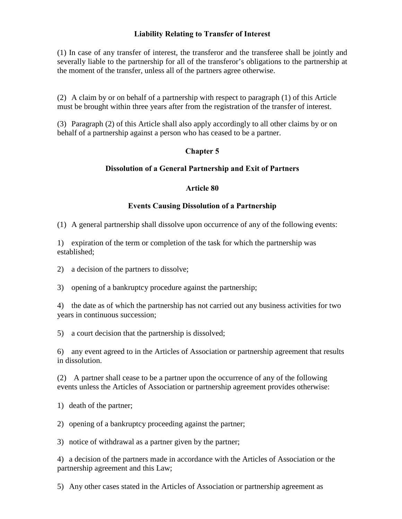### Liability Relating to Transfer of Interest

(1) In case of any transfer of interest, the transferor and the transferee shall be jointly and severally liable to the partnership for all of the transferor's obligations to the partnership at the moment of the transfer, unless all of the partners agree otherwise.

(2) A claim by or on behalf of a partnership with respect to paragraph (1) of this Article must be brought within three years after from the registration of the transfer of interest.

(3) Paragraph (2) of this Article shall also apply accordingly to all other claims by or on behalf of a partnership against a person who has ceased to be a partner.

## Chapter 5

### Dissolution of a General Partnership and Exit of Partners

### Article 80

### Events Causing Dissolution of a Partnership

(1) A general partnership shall dissolve upon occurrence of any of the following events:

1) expiration of the term or completion of the task for which the partnership was established;

2) a decision of the partners to dissolve;

3) opening of a bankruptcy procedure against the partnership;

4) the date as of which the partnership has not carried out any business activities for two years in continuous succession;

5) a court decision that the partnership is dissolved;

6) any event agreed to in the Articles of Association or partnership agreement that results in dissolution.

(2) A partner shall cease to be a partner upon the occurrence of any of the following events unless the Articles of Association or partnership agreement provides otherwise:

1) death of the partner;

2) opening of a bankruptcy proceeding against the partner;

3) notice of withdrawal as a partner given by the partner;

4) a decision of the partners made in accordance with the Articles of Association or the partnership agreement and this Law;

5) Any other cases stated in the Articles of Association or partnership agreement as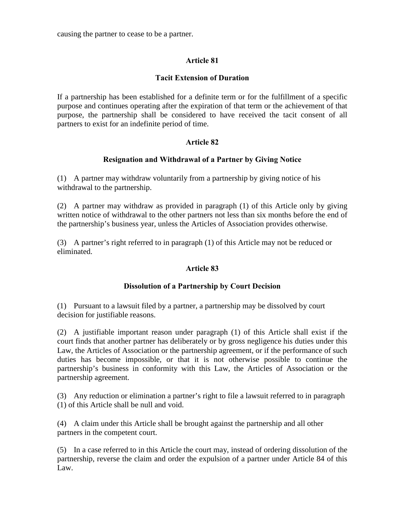causing the partner to cease to be a partner.

## Article 81

## Tacit Extension of Duration

If a partnership has been established for a definite term or for the fulfillment of a specific purpose and continues operating after the expiration of that term or the achievement of that purpose, the partnership shall be considered to have received the tacit consent of all partners to exist for an indefinite period of time.

## Article 82

## Resignation and Withdrawal of a Partner by Giving Notice

(1) A partner may withdraw voluntarily from a partnership by giving notice of his withdrawal to the partnership.

(2) A partner may withdraw as provided in paragraph (1) of this Article only by giving written notice of withdrawal to the other partners not less than six months before the end of the partnership's business year, unless the Articles of Association provides otherwise.

(3) A partner's right referred to in paragraph (1) of this Article may not be reduced or eliminated.

## Article 83

## Dissolution of a Partnership by Court Decision

(1) Pursuant to a lawsuit filed by a partner, a partnership may be dissolved by court decision for justifiable reasons.

(2) A justifiable important reason under paragraph (1) of this Article shall exist if the court finds that another partner has deliberately or by gross negligence his duties under this Law, the Articles of Association or the partnership agreement, or if the performance of such duties has become impossible, or that it is not otherwise possible to continue the partnership's business in conformity with this Law, the Articles of Association or the partnership agreement.

(3) Any reduction or elimination a partner's right to file a lawsuit referred to in paragraph (1) of this Article shall be null and void.

(4) A claim under this Article shall be brought against the partnership and all other partners in the competent court.

(5) In a case referred to in this Article the court may, instead of ordering dissolution of the partnership, reverse the claim and order the expulsion of a partner under Article 84 of this Law.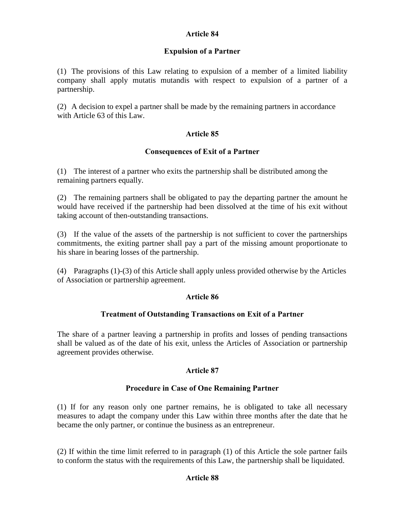### Article 84

### Expulsion of a Partner

(1) The provisions of this Law relating to expulsion of a member of a limited liability company shall apply mutatis mutandis with respect to expulsion of a partner of a partnership.

(2) A decision to expel a partner shall be made by the remaining partners in accordance with Article 63 of this Law.

### Article 85

### Consequences of Exit of a Partner

(1) The interest of a partner who exits the partnership shall be distributed among the remaining partners equally.

(2) The remaining partners shall be obligated to pay the departing partner the amount he would have received if the partnership had been dissolved at the time of his exit without taking account of then-outstanding transactions.

(3) If the value of the assets of the partnership is not sufficient to cover the partnerships commitments, the exiting partner shall pay a part of the missing amount proportionate to his share in bearing losses of the partnership.

(4) Paragraphs (1)-(3) of this Article shall apply unless provided otherwise by the Articles of Association or partnership agreement.

### Article 86

### Treatment of Outstanding Transactions on Exit of a Partner

The share of a partner leaving a partnership in profits and losses of pending transactions shall be valued as of the date of his exit, unless the Articles of Association or partnership agreement provides otherwise.

### Article 87

### Procedure in Case of One Remaining Partner

(1) If for any reason only one partner remains, he is obligated to take all necessary measures to adapt the company under this Law within three months after the date that he became the only partner, or continue the business as an entrepreneur.

(2) If within the time limit referred to in paragraph (1) of this Article the sole partner fails to conform the status with the requirements of this Law, the partnership shall be liquidated.

### Article 88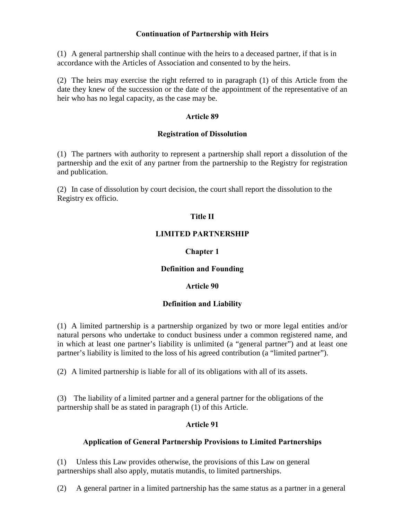### Continuation of Partnership with Heirs

(1) A general partnership shall continue with the heirs to a deceased partner, if that is in accordance with the Articles of Association and consented to by the heirs.

(2) The heirs may exercise the right referred to in paragraph (1) of this Article from the date they knew of the succession or the date of the appointment of the representative of an heir who has no legal capacity, as the case may be.

### Article 89

#### Registration of Dissolution

(1) The partners with authority to represent a partnership shall report a dissolution of the partnership and the exit of any partner from the partnership to the Registry for registration and publication.

(2) In case of dissolution by court decision, the court shall report the dissolution to the Registry ex officio.

### Title II

#### LIMITED PARTNERSHIP

### Chapter 1

### Definition and Founding

### Article 90

#### Definition and Liability

(1) A limited partnership is a partnership organized by two or more legal entities and/or natural persons who undertake to conduct business under a common registered name, and in which at least one partner's liability is unlimited (a "general partner") and at least one partner's liability is limited to the loss of his agreed contribution (a "limited partner").

(2) A limited partnership is liable for all of its obligations with all of its assets.

(3) The liability of a limited partner and a general partner for the obligations of the partnership shall be as stated in paragraph (1) of this Article.

### Article 91

### Application of General Partnership Provisions to Limited Partnerships

(1) Unless this Law provides otherwise, the provisions of this Law on general partnerships shall also apply, mutatis mutandis, to limited partnerships.

(2) A general partner in a limited partnership has the same status as a partner in a general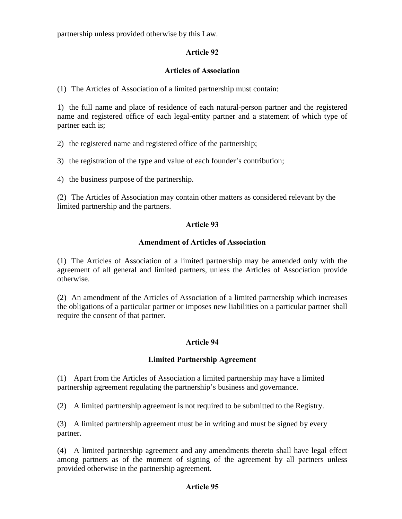partnership unless provided otherwise by this Law.

## Article 92

### Articles of Association

(1) The Articles of Association of a limited partnership must contain:

1) the full name and place of residence of each natural-person partner and the registered name and registered office of each legal-entity partner and a statement of which type of partner each is;

2) the registered name and registered office of the partnership;

3) the registration of the type and value of each founder's contribution;

4) the business purpose of the partnership.

(2) The Articles of Association may contain other matters as considered relevant by the limited partnership and the partners.

### Article 93

### Amendment of Articles of Association

(1) The Articles of Association of a limited partnership may be amended only with the agreement of all general and limited partners, unless the Articles of Association provide otherwise.

(2) An amendment of the Articles of Association of a limited partnership which increases the obligations of a particular partner or imposes new liabilities on a particular partner shall require the consent of that partner.

## Article 94

## Limited Partnership Agreement

(1) Apart from the Articles of Association a limited partnership may have a limited partnership agreement regulating the partnership's business and governance.

(2) A limited partnership agreement is not required to be submitted to the Registry.

(3) A limited partnership agreement must be in writing and must be signed by every partner.

(4) A limited partnership agreement and any amendments thereto shall have legal effect among partners as of the moment of signing of the agreement by all partners unless provided otherwise in the partnership agreement.

### Article 95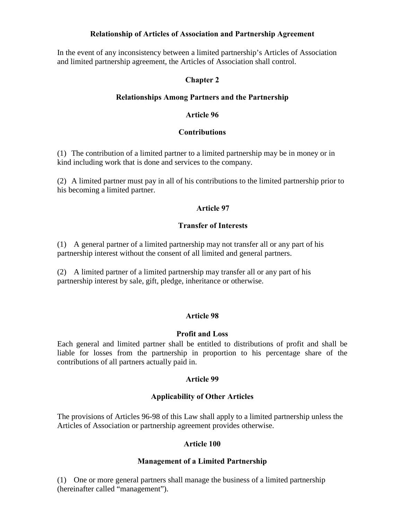### Relationship of Articles of Association and Partnership Agreement

In the event of any inconsistency between a limited partnership's Articles of Association and limited partnership agreement, the Articles of Association shall control.

## Chapter 2

### Relationships Among Partners and the Partnership

### Article 96

### **Contributions**

(1) The contribution of a limited partner to a limited partnership may be in money or in kind including work that is done and services to the company.

(2) A limited partner must pay in all of his contributions to the limited partnership prior to his becoming a limited partner.

### Article 97

### Transfer of Interests

(1) A general partner of a limited partnership may not transfer all or any part of his partnership interest without the consent of all limited and general partners.

(2) A limited partner of a limited partnership may transfer all or any part of his partnership interest by sale, gift, pledge, inheritance or otherwise.

## Article 98

### Profit and Loss

Each general and limited partner shall be entitled to distributions of profit and shall be liable for losses from the partnership in proportion to his percentage share of the contributions of all partners actually paid in.

## Article 99

## Applicability of Other Articles

The provisions of Articles 96-98 of this Law shall apply to a limited partnership unless the Articles of Association or partnership agreement provides otherwise.

### Article 100

### Management of a Limited Partnership

(1) One or more general partners shall manage the business of a limited partnership (hereinafter called "management").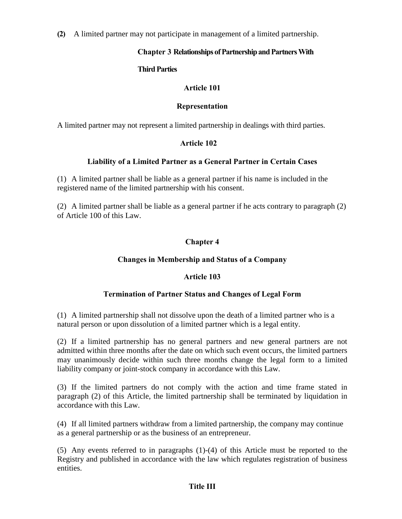(2) A limited partner may not participate in management of a limited partnership.

## Chapter 3 Relationships of Partnership and Partners With

## Third Parties

## Article 101

## Representation

A limited partner may not represent a limited partnership in dealings with third parties.

## Article 102

## Liability of a Limited Partner as a General Partner in Certain Cases

(1) A limited partner shall be liable as a general partner if his name is included in the registered name of the limited partnership with his consent.

(2) A limited partner shall be liable as a general partner if he acts contrary to paragraph (2) of Article 100 of this Law.

## Chapter 4

## Changes in Membership and Status of a Company

## Article 103

## Termination of Partner Status and Changes of Legal Form

(1) A limited partnership shall not dissolve upon the death of a limited partner who is a natural person or upon dissolution of a limited partner which is a legal entity.

(2) If a limited partnership has no general partners and new general partners are not admitted within three months after the date on which such event occurs, the limited partners may unanimously decide within such three months change the legal form to a limited liability company or joint-stock company in accordance with this Law.

(3) If the limited partners do not comply with the action and time frame stated in paragraph (2) of this Article, the limited partnership shall be terminated by liquidation in accordance with this Law.

(4) If all limited partners withdraw from a limited partnership, the company may continue as a general partnership or as the business of an entrepreneur.

(5) Any events referred to in paragraphs (1)-(4) of this Article must be reported to the Registry and published in accordance with the law which regulates registration of business entities.

## Title III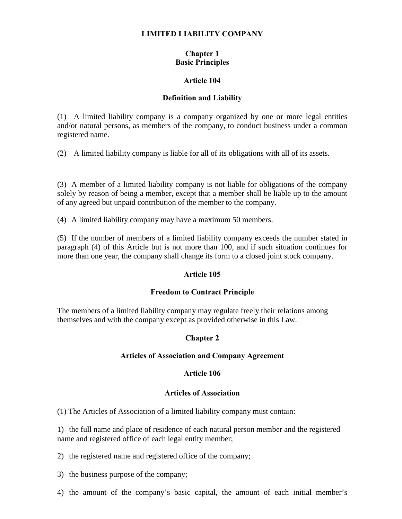### LIMITED LIABILITY COMPANY

## Chapter 1 Basic Principles

#### Article 104

#### Definition and Liability

(1) A limited liability company is a company organized by one or more legal entities and/or natural persons, as members of the company, to conduct business under a common registered name.

(2) A limited liability company is liable for all of its obligations with all of its assets.

(3) A member of a limited liability company is not liable for obligations of the company solely by reason of being a member, except that a member shall be liable up to the amount of any agreed but unpaid contribution of the member to the company.

(4) A limited liability company may have a maximum 50 members.

(5) If the number of members of a limited liability company exceeds the number stated in paragraph (4) of this Article but is not more than 100, and if such situation continues for more than one year, the company shall change its form to a closed joint stock company.

### Article 105

### Freedom to Contract Principle

The members of a limited liability company may regulate freely their relations among themselves and with the company except as provided otherwise in this Law.

### Chapter 2

#### Articles of Association and Company Agreement

#### Article 106

#### Articles of Association

(1) The Articles of Association of a limited liability company must contain:

1) the full name and place of residence of each natural person member and the registered name and registered office of each legal entity member;

2) the registered name and registered office of the company;

3) the business purpose of the company;

4) the amount of the company's basic capital, the amount of each initial member's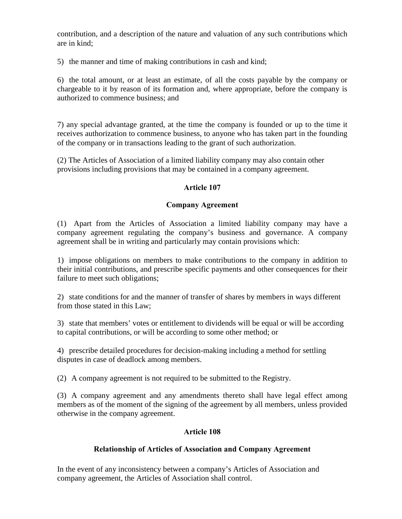contribution, and a description of the nature and valuation of any such contributions which are in kind;

5) the manner and time of making contributions in cash and kind;

6) the total amount, or at least an estimate, of all the costs payable by the company or chargeable to it by reason of its formation and, where appropriate, before the company is authorized to commence business; and

7) any special advantage granted, at the time the company is founded or up to the time it receives authorization to commence business, to anyone who has taken part in the founding of the company or in transactions leading to the grant of such authorization.

(2) The Articles of Association of a limited liability company may also contain other provisions including provisions that may be contained in a company agreement.

# Article 107

### Company Agreement

(1) Apart from the Articles of Association a limited liability company may have a company agreement regulating the company's business and governance. A company agreement shall be in writing and particularly may contain provisions which:

1) impose obligations on members to make contributions to the company in addition to their initial contributions, and prescribe specific payments and other consequences for their failure to meet such obligations;

2) state conditions for and the manner of transfer of shares by members in ways different from those stated in this Law;

3) state that members' votes or entitlement to dividends will be equal or will be according to capital contributions, or will be according to some other method; or

4) prescribe detailed procedures for decision-making including a method for settling disputes in case of deadlock among members.

(2) A company agreement is not required to be submitted to the Registry.

(3) A company agreement and any amendments thereto shall have legal effect among members as of the moment of the signing of the agreement by all members, unless provided otherwise in the company agreement.

# Article 108

# Relationship of Articles of Association and Company Agreement

In the event of any inconsistency between a company's Articles of Association and company agreement, the Articles of Association shall control.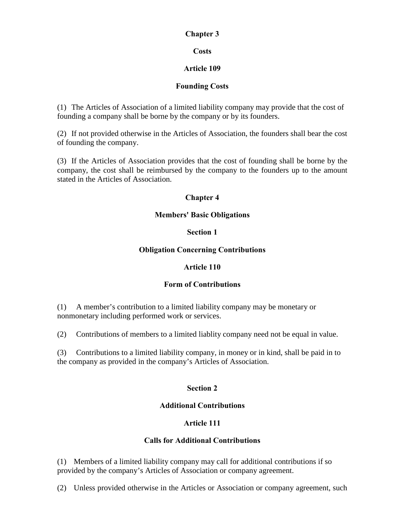### Chapter 3

# **Costs**

# Article 109

# Founding Costs

(1) The Articles of Association of a limited liability company may provide that the cost of founding a company shall be borne by the company or by its founders.

(2) If not provided otherwise in the Articles of Association, the founders shall bear the cost of founding the company.

(3) If the Articles of Association provides that the cost of founding shall be borne by the company, the cost shall be reimbursed by the company to the founders up to the amount stated in the Articles of Association.

# Chapter 4

# Members' Basic Obligations

# Section 1

# Obligation Concerning Contributions

# Article 110

# Form of Contributions

(1) A member's contribution to a limited liability company may be monetary or nonmonetary including performed work or services.

(2) Contributions of members to a limited liablity company need not be equal in value.

(3) Contributions to a limited liability company, in money or in kind, shall be paid in to the company as provided in the company's Articles of Association.

# Section 2

# Additional Contributions

# Article 111

# Calls for Additional Contributions

(1) Members of a limited liability company may call for additional contributions if so provided by the company's Articles of Association or company agreement.

(2) Unless provided otherwise in the Articles or Association or company agreement, such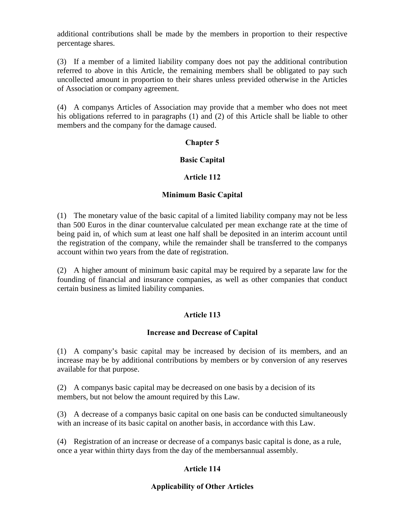additional contributions shall be made by the members in proportion to their respective percentage shares.

(3) If a member of a limited liability company does not pay the additional contribution referred to above in this Article, the remaining members shall be obligated to pay such uncollected amount in proportion to their shares unless previded otherwise in the Articles of Association or company agreement.

(4) A companys Articles of Association may provide that a member who does not meet his obligations referred to in paragraphs (1) and (2) of this Article shall be liable to other members and the company for the damage caused.

# Chapter 5

### Basic Capital

#### Article 112

#### Minimum Basic Capital

(1) The monetary value of the basic capital of a limited liability company may not be less than 500 Euros in the dinar countervalue calculated per mean exchange rate at the time of being paid in, of which sum at least one half shall be deposited in an interim account until the registration of the company, while the remainder shall be transferred to the companys account within two years from the date of registration.

(2) A higher amount of minimum basic capital may be required by a separate law for the founding of financial and insurance companies, as well as other companies that conduct certain business as limited liability companies.

### Article 113

#### Increase and Decrease of Capital

(1) A company's basic capital may be increased by decision of its members, and an increase may be by additional contributions by members or by conversion of any reserves available for that purpose.

(2) A companys basic capital may be decreased on one basis by a decision of its members, but not below the amount required by this Law.

(3) A decrease of a companys basic capital on one basis can be conducted simultaneously with an increase of its basic capital on another basis, in accordance with this Law.

(4) Registration of an increase or decrease of a companys basic capital is done, as a rule, once a year within thirty days from the day of the membersannual assembly.

# Article 114

### Applicability of Other Articles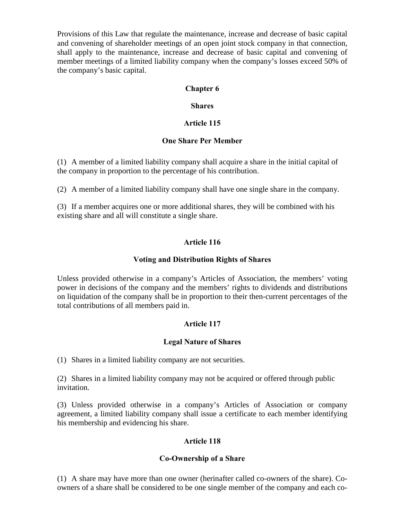Provisions of this Law that regulate the maintenance, increase and decrease of basic capital and convening of shareholder meetings of an open joint stock company in that connection, shall apply to the maintenance, increase and decrease of basic capital and convening of member meetings of a limited liability company when the company's losses exceed 50% of the company's basic capital.

# Chapter 6

### Shares

### Article 115

### One Share Per Member

(1) A member of a limited liability company shall acquire a share in the initial capital of the company in proportion to the percentage of his contribution.

(2) A member of a limited liability company shall have one single share in the company.

(3) If a member acquires one or more additional shares, they will be combined with his existing share and all will constitute a single share.

# Article 116

### Voting and Distribution Rights of Shares

Unless provided otherwise in a company's Articles of Association, the members' voting power in decisions of the company and the members' rights to dividends and distributions on liquidation of the company shall be in proportion to their then-current percentages of the total contributions of all members paid in.

# Article 117

### Legal Nature of Shares

(1) Shares in a limited liability company are not securities.

(2) Shares in a limited liability company may not be acquired or offered through public invitation.

(3) Unless provided otherwise in a company's Articles of Association or company agreement, a limited liability company shall issue a certificate to each member identifying his membership and evidencing his share.

# Article 118

### Co-Ownership of a Share

(1) A share may have more than one owner (herinafter called co-owners of the share). Coowners of a share shall be considered to be one single member of the company and each co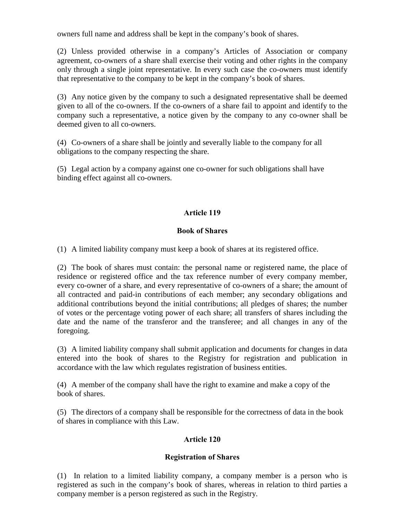owners full name and address shall be kept in the company's book of shares.

(2) Unless provided otherwise in a company's Articles of Association or company agreement, co-owners of a share shall exercise their voting and other rights in the company only through a single joint representative. In every such case the co-owners must identify that representative to the company to be kept in the company's book of shares.

(3) Any notice given by the company to such a designated representative shall be deemed given to all of the co-owners. If the co-owners of a share fail to appoint and identify to the company such a representative, a notice given by the company to any co-owner shall be deemed given to all co-owners.

(4) Co-owners of a share shall be jointly and severally liable to the company for all obligations to the company respecting the share.

(5) Legal action by a company against one co-owner for such obligations shall have binding effect against all co-owners.

# Article 119

### Book of Shares

(1) A limited liability company must keep a book of shares at its registered office.

(2) The book of shares must contain: the personal name or registered name, the place of residence or registered office and the tax reference number of every company member, every co-owner of a share, and every representative of co-owners of a share; the amount of all contracted and paid-in contributions of each member; any secondary obligations and additional contributions beyond the initial contributions; all pledges of shares; the number of votes or the percentage voting power of each share; all transfers of shares including the date and the name of the transferor and the transferee; and all changes in any of the foregoing.

(3) A limited liability company shall submit application and documents for changes in data entered into the book of shares to the Registry for registration and publication in accordance with the law which regulates registration of business entities.

(4) A member of the company shall have the right to examine and make a copy of the book of shares.

(5) The directors of a company shall be responsible for the correctness of data in the book of shares in compliance with this Law.

# Article 120

# Registration of Shares

(1) In relation to a limited liability company, a company member is a person who is registered as such in the company's book of shares, whereas in relation to third parties a company member is a person registered as such in the Registry.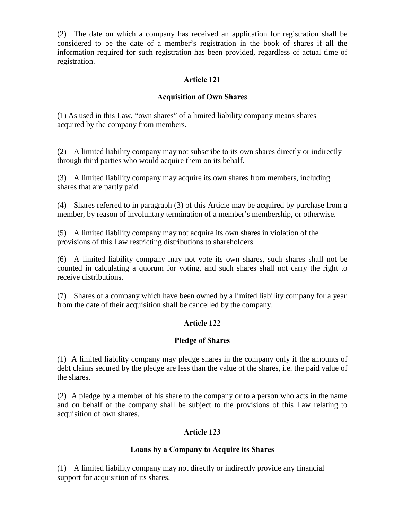(2) The date on which a company has received an application for registration shall be considered to be the date of a member's registration in the book of shares if all the information required for such registration has been provided, regardless of actual time of registration.

### Article 121

### Acquisition of Own Shares

(1) As used in this Law, "own shares" of a limited liability company means shares acquired by the company from members.

(2) A limited liability company may not subscribe to its own shares directly or indirectly through third parties who would acquire them on its behalf.

(3) A limited liability company may acquire its own shares from members, including shares that are partly paid.

(4) Shares referred to in paragraph (3) of this Article may be acquired by purchase from a member, by reason of involuntary termination of a member's membership, or otherwise.

(5) A limited liability company may not acquire its own shares in violation of the provisions of this Law restricting distributions to shareholders.

(6) A limited liability company may not vote its own shares, such shares shall not be counted in calculating a quorum for voting, and such shares shall not carry the right to receive distributions.

(7) Shares of a company which have been owned by a limited liability company for a year from the date of their acquisition shall be cancelled by the company.

### Article 122

### Pledge of Shares

(1) A limited liability company may pledge shares in the company only if the amounts of debt claims secured by the pledge are less than the value of the shares, i.e. the paid value of the shares.

(2) A pledge by a member of his share to the company or to a person who acts in the name and on behalf of the company shall be subject to the provisions of this Law relating to acquisition of own shares.

### Article 123

### Loans by a Company to Acquire its Shares

(1) A limited liability company may not directly or indirectly provide any financial support for acquisition of its shares.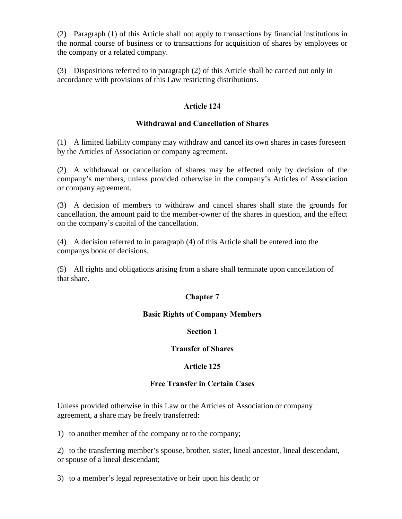(2) Paragraph (1) of this Article shall not apply to transactions by financial institutions in the normal course of business or to transactions for acquisition of shares by employees or the company or a related company.

(3) Dispositions referred to in paragraph (2) of this Article shall be carried out only in accordance with provisions of this Law restricting distributions.

### Article 124

### Withdrawal and Cancellation of Shares

(1) A limited liability company may withdraw and cancel its own shares in cases foreseen by the Articles of Association or company agreement.

(2) A withdrawal or cancellation of shares may be effected only by decision of the company's members, unless provided otherwise in the company's Articles of Association or company agreement.

(3) A decision of members to withdraw and cancel shares shall state the grounds for cancellation, the amount paid to the member-owner of the shares in question, and the effect on the company's capital of the cancellation.

(4) A decision referred to in paragraph (4) of this Article shall be entered into the companys book of decisions.

(5) All rights and obligations arising from a share shall terminate upon cancellation of that share.

# Chapter 7

### Basic Rights of Company Members

### Section 1

### Transfer of Shares

### Article 125

### Free Transfer in Certain Cases

Unless provided otherwise in this Law or the Articles of Association or company agreement, a share may be freely transferred:

1) to another member of the company or to the company;

2) to the transferring member's spouse, brother, sister, lineal ancestor, lineal descendant, or spouse of a lineal descendant;

3) to a member's legal representative or heir upon his death; or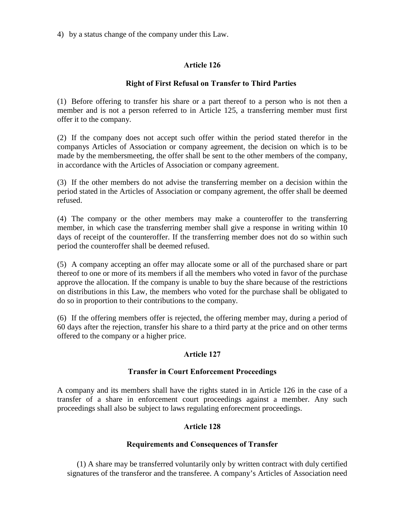4) by a status change of the company under this Law.

### Article 126

### Right of First Refusal on Transfer to Third Parties

(1) Before offering to transfer his share or a part thereof to a person who is not then a member and is not a person referred to in Article 125, a transferring member must first offer it to the company.

(2) If the company does not accept such offer within the period stated therefor in the companys Articles of Association or company agreement, the decision on which is to be made by the membersmeeting, the offer shall be sent to the other members of the company, in accordance with the Articles of Association or company agreement.

(3) If the other members do not advise the transferring member on a decision within the period stated in the Articles of Association or company agrement, the offer shall be deemed refused.

(4) The company or the other members may make a counteroffer to the transferring member, in which case the transferring member shall give a response in writing within 10 days of receipt of the counteroffer. If the transferring member does not do so within such period the counteroffer shall be deemed refused.

(5) A company accepting an offer may allocate some or all of the purchased share or part thereof to one or more of its members if all the members who voted in favor of the purchase approve the allocation. If the company is unable to buy the share because of the restrictions on distributions in this Law, the members who voted for the purchase shall be obligated to do so in proportion to their contributions to the company.

(6) If the offering members offer is rejected, the offering member may, during a period of 60 days after the rejection, transfer his share to a third party at the price and on other terms offered to the company or a higher price.

### Article 127

### Transfer in Court Enforcement Proceedings

A company and its members shall have the rights stated in in Article 126 in the case of a transfer of a share in enforcement court proceedings against a member. Any such proceedings shall also be subject to laws regulating enforecment proceedings.

### Article 128

#### Requirements and Consequences of Transfer

(1) A share may be transferred voluntarily only by written contract with duly certified signatures of the transferor and the transferee. A company's Articles of Association need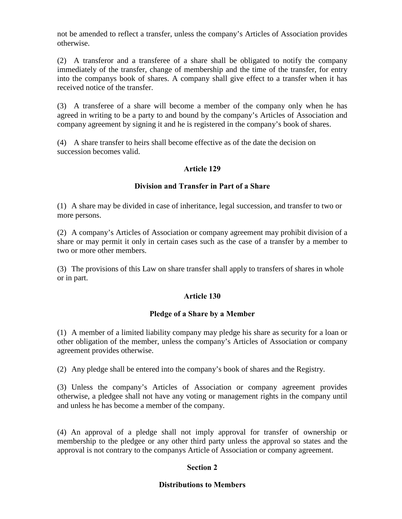not be amended to reflect a transfer, unless the company's Articles of Association provides otherwise.

(2) A transferor and a transferee of a share shall be obligated to notify the company immediately of the transfer, change of membership and the time of the transfer, for entry into the companys book of shares. A company shall give effect to a transfer when it has received notice of the transfer.

(3) A transferee of a share will become a member of the company only when he has agreed in writing to be a party to and bound by the company's Articles of Association and company agreement by signing it and he is registered in the company's book of shares.

(4) A share transfer to heirs shall become effective as of the date the decision on succession becomes valid.

# Article 129

### Division and Transfer in Part of a Share

(1) A share may be divided in case of inheritance, legal succession, and transfer to two or more persons.

(2) A company's Articles of Association or company agreement may prohibit division of a share or may permit it only in certain cases such as the case of a transfer by a member to two or more other members.

(3) The provisions of this Law on share transfer shall apply to transfers of shares in whole or in part.

### Article 130

### Pledge of a Share by a Member

(1) A member of a limited liability company may pledge his share as security for a loan or other obligation of the member, unless the company's Articles of Association or company agreement provides otherwise.

(2) Any pledge shall be entered into the company's book of shares and the Registry.

(3) Unless the company's Articles of Association or company agreement provides otherwise, a pledgee shall not have any voting or management rights in the company until and unless he has become a member of the company.

(4) An approval of a pledge shall not imply approval for transfer of ownership or membership to the pledgee or any other third party unless the approval so states and the approval is not contrary to the companys Article of Association or company agreement.

# Section 2

### Distributions to Members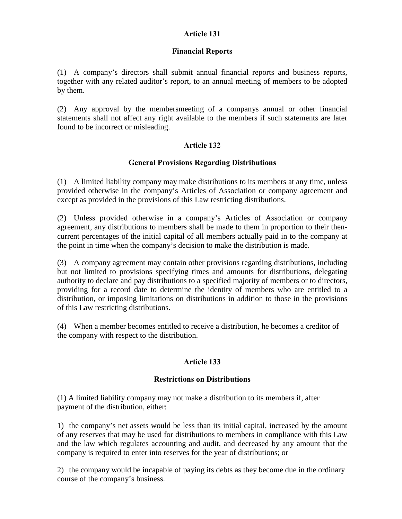# Article 131

### Financial Reports

(1) A company's directors shall submit annual financial reports and business reports, together with any related auditor's report, to an annual meeting of members to be adopted by them.

(2) Any approval by the membersmeeting of a companys annual or other financial statements shall not affect any right available to the members if such statements are later found to be incorrect or misleading.

### Article 132

### General Provisions Regarding Distributions

(1) A limited liability company may make distributions to its members at any time, unless provided otherwise in the company's Articles of Association or company agreement and except as provided in the provisions of this Law restricting distributions.

(2) Unless provided otherwise in a company's Articles of Association or company agreement, any distributions to members shall be made to them in proportion to their thencurrent percentages of the initial capital of all members actually paid in to the company at the point in time when the company's decision to make the distribution is made.

(3) A company agreement may contain other provisions regarding distributions, including but not limited to provisions specifying times and amounts for distributions, delegating authority to declare and pay distributions to a specified majority of members or to directors, providing for a record date to determine the identity of members who are entitled to a distribution, or imposing limitations on distributions in addition to those in the provisions of this Law restricting distributions.

(4) When a member becomes entitled to receive a distribution, he becomes a creditor of the company with respect to the distribution.

# Article 133

### Restrictions on Distributions

(1) A limited liability company may not make a distribution to its members if, after payment of the distribution, either:

1) the company's net assets would be less than its initial capital, increased by the amount of any reserves that may be used for distributions to members in compliance with this Law and the law which regulates accounting and audit, and decreased by any amount that the company is required to enter into reserves for the year of distributions; or

2) the company would be incapable of paying its debts as they become due in the ordinary course of the company's business.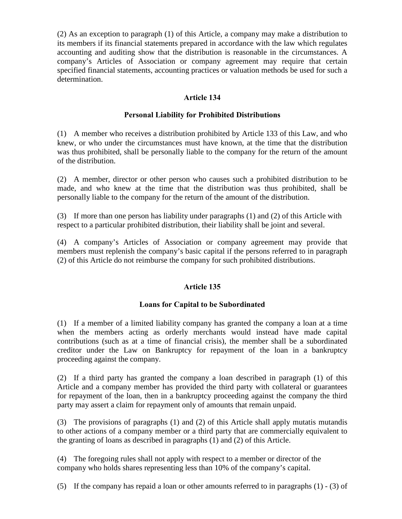(2) As an exception to paragraph (1) of this Article, a company may make a distribution to its members if its financial statements prepared in accordance with the law which regulates accounting and auditing show that the distribution is reasonable in the circumstances. A company's Articles of Association or company agreement may require that certain specified financial statements, accounting practices or valuation methods be used for such a determination.

# Article 134

# Personal Liability for Prohibited Distributions

(1) A member who receives a distribution prohibited by Article 133 of this Law, and who knew, or who under the circumstances must have known, at the time that the distribution was thus prohibited, shall be personally liable to the company for the return of the amount of the distribution.

(2) A member, director or other person who causes such a prohibited distribution to be made, and who knew at the time that the distribution was thus prohibited, shall be personally liable to the company for the return of the amount of the distribution.

(3) If more than one person has liability under paragraphs (1) and (2) of this Article with respect to a particular prohibited distribution, their liability shall be joint and several.

(4) A company's Articles of Association or company agreement may provide that members must replenish the company's basic capital if the persons referred to in paragraph (2) of this Article do not reimburse the company for such prohibited distributions.

# Article 135

# Loans for Capital to be Subordinated

(1) If a member of a limited liability company has granted the company a loan at a time when the members acting as orderly merchants would instead have made capital contributions (such as at a time of financial crisis), the member shall be a subordinated creditor under the Law on Bankruptcy for repayment of the loan in a bankruptcy proceeding against the company.

(2) If a third party has granted the company a loan described in paragraph (1) of this Article and a company member has provided the third party with collateral or guarantees for repayment of the loan, then in a bankruptcy proceeding against the company the third party may assert a claim for repayment only of amounts that remain unpaid.

(3) The provisions of paragraphs (1) and (2) of this Article shall apply mutatis mutandis to other actions of a company member or a third party that are commercially equivalent to the granting of loans as described in paragraphs (1) and (2) of this Article.

(4) The foregoing rules shall not apply with respect to a member or director of the company who holds shares representing less than 10% of the company's capital.

(5) If the company has repaid a loan or other amounts referred to in paragraphs (1) - (3) of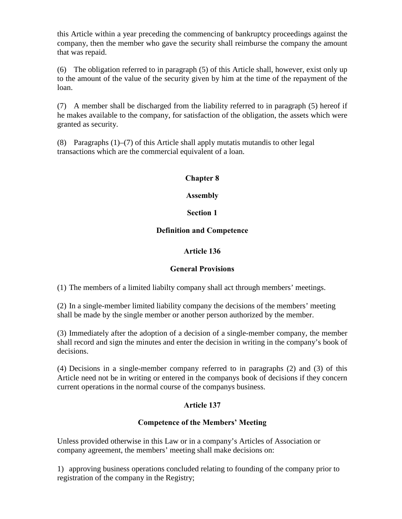this Article within a year preceding the commencing of bankruptcy proceedings against the company, then the member who gave the security shall reimburse the company the amount that was repaid.

(6) The obligation referred to in paragraph (5) of this Article shall, however, exist only up to the amount of the value of the security given by him at the time of the repayment of the loan.

(7) A member shall be discharged from the liability referred to in paragraph (5) hereof if he makes available to the company, for satisfaction of the obligation, the assets which were granted as security.

(8) Paragraphs (1)–(7) of this Article shall apply mutatis mutandis to other legal transactions which are the commercial equivalent of a loan.

# Chapter 8

### Assembly

# Section 1

# Definition and Competence

# Article 136

# General Provisions

(1) The members of a limited liabilty company shall act through members' meetings.

(2) In a single-member limited liability company the decisions of the members' meeting shall be made by the single member or another person authorized by the member.

(3) Immediately after the adoption of a decision of a single-member company, the member shall record and sign the minutes and enter the decision in writing in the company's book of decisions.

(4) Decisions in a single-member company referred to in paragraphs (2) and (3) of this Article need not be in writing or entered in the companys book of decisions if they concern current operations in the normal course of the companys business.

# Article 137

# Competence of the Members' Meeting

Unless provided otherwise in this Law or in a company's Articles of Association or company agreement, the members' meeting shall make decisions on:

1) approving business operations concluded relating to founding of the company prior to registration of the company in the Registry;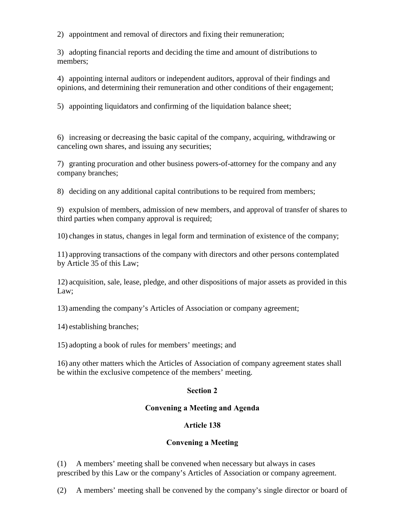2) appointment and removal of directors and fixing their remuneration;

3) adopting financial reports and deciding the time and amount of distributions to members;

4) appointing internal auditors or independent auditors, approval of their findings and opinions, and determining their remuneration and other conditions of their engagement;

5) appointing liquidators and confirming of the liquidation balance sheet;

6) increasing or decreasing the basic capital of the company, acquiring, withdrawing or canceling own shares, and issuing any securities;

7) granting procuration and other business powers-of-attorney for the company and any company branches;

8) deciding on any additional capital contributions to be required from members;

9) expulsion of members, admission of new members, and approval of transfer of shares to third parties when company approval is required;

10) changes in status, changes in legal form and termination of existence of the company;

11) approving transactions of the company with directors and other persons contemplated by Article 35 of this Law;

12) acquisition, sale, lease, pledge, and other dispositions of major assets as provided in this Law;

13) amending the company's Articles of Association or company agreement;

14) establishing branches;

15) adopting a book of rules for members' meetings; and

16) any other matters which the Articles of Association of company agreement states shall be within the exclusive competence of the members' meeting.

### Section 2

# Convening a Meeting and Agenda

# Article 138

# Convening a Meeting

(1) A members' meeting shall be convened when necessary but always in cases prescribed by this Law or the company's Articles of Association or company agreement.

(2) A members' meeting shall be convened by the company's single director or board of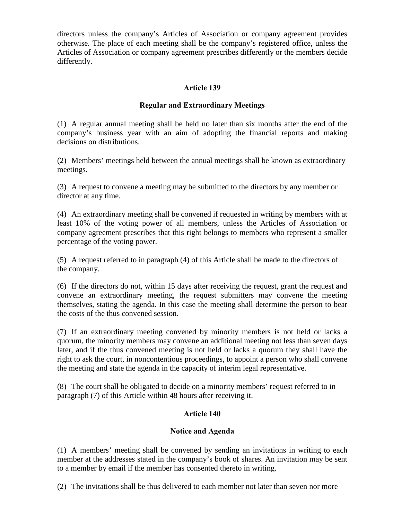directors unless the company's Articles of Association or company agreement provides otherwise. The place of each meeting shall be the company's registered office, unless the Articles of Association or company agreement prescribes differently or the members decide differently.

# Article 139

### Regular and Extraordinary Meetings

(1) A regular annual meeting shall be held no later than six months after the end of the company's business year with an aim of adopting the financial reports and making decisions on distributions.

(2) Members' meetings held between the annual meetings shall be known as extraordinary meetings.

(3) A request to convene a meeting may be submitted to the directors by any member or director at any time.

(4) An extraordinary meeting shall be convened if requested in writing by members with at least 10% of the voting power of all members, unless the Articles of Association or company agreement prescribes that this right belongs to members who represent a smaller percentage of the voting power.

(5) A request referred to in paragraph (4) of this Article shall be made to the directors of the company.

(6) If the directors do not, within 15 days after receiving the request, grant the request and convene an extraordinary meeting, the request submitters may convene the meeting themselves, stating the agenda. In this case the meeting shall determine the person to bear the costs of the thus convened session.

(7) If an extraordinary meeting convened by minority members is not held or lacks a quorum, the minority members may convene an additional meeting not less than seven days later, and if the thus convened meeting is not held or lacks a quorum they shall have the right to ask the court, in noncontentious proceedings, to appoint a person who shall convene the meeting and state the agenda in the capacity of interim legal representative.

(8) The court shall be obligated to decide on a minority members' request referred to in paragraph (7) of this Article within 48 hours after receiving it.

# Article 140

### Notice and Agenda

(1) A members' meeting shall be convened by sending an invitations in writing to each member at the addresses stated in the company's book of shares. An invitation may be sent to a member by email if the member has consented thereto in writing.

(2) The invitations shall be thus delivered to each member not later than seven nor more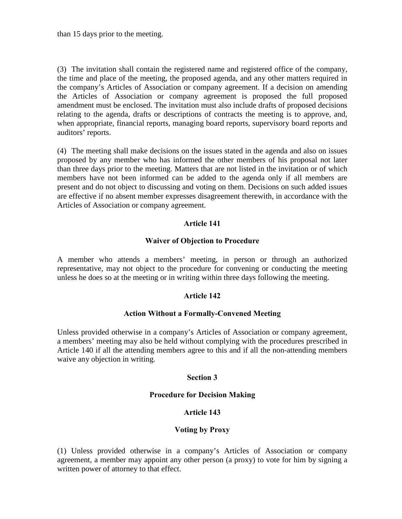than 15 days prior to the meeting.

(3) The invitation shall contain the registered name and registered office of the company, the time and place of the meeting, the proposed agenda, and any other matters required in the company's Articles of Association or company agreement. If a decision on amending the Articles of Association or company agreement is proposed the full proposed amendment must be enclosed. The invitation must also include drafts of proposed decisions relating to the agenda, drafts or descriptions of contracts the meeting is to approve, and, when appropriate, financial reports, managing board reports, supervisory board reports and auditors' reports.

(4) The meeting shall make decisions on the issues stated in the agenda and also on issues proposed by any member who has informed the other members of his proposal not later than three days prior to the meeting. Matters that are not listed in the invitation or of which members have not been informed can be added to the agenda only if all members are present and do not object to discussing and voting on them. Decisions on such added issues are effective if no absent member expresses disagreement therewith, in accordance with the Articles of Association or company agreement.

# Article 141

### Waiver of Objection to Procedure

A member who attends a members' meeting, in person or through an authorized representative, may not object to the procedure for convening or conducting the meeting unless he does so at the meeting or in writing within three days following the meeting.

# Article 142

### Action Without a Formally-Convened Meeting

Unless provided otherwise in a company's Articles of Association or company agreement, a members' meeting may also be held without complying with the procedures prescribed in Article 140 if all the attending members agree to this and if all the non-attending members waive any objection in writing.

### Section 3

### Procedure for Decision Making

### Article 143

### Voting by Proxy

(1) Unless provided otherwise in a company's Articles of Association or company agreement, a member may appoint any other person (a proxy) to vote for him by signing a written power of attorney to that effect.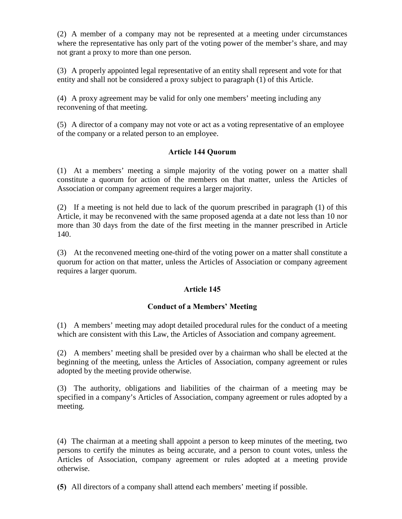(2) A member of a company may not be represented at a meeting under circumstances where the representative has only part of the voting power of the member's share, and may not grant a proxy to more than one person.

(3) A properly appointed legal representative of an entity shall represent and vote for that entity and shall not be considered a proxy subject to paragraph (1) of this Article.

(4) A proxy agreement may be valid for only one members' meeting including any reconvening of that meeting.

(5) A director of a company may not vote or act as a voting representative of an employee of the company or a related person to an employee.

### Article 144 Quorum

(1) At a members' meeting a simple majority of the voting power on a matter shall constitute a quorum for action of the members on that matter, unless the Articles of Association or company agreement requires a larger majority.

(2) If a meeting is not held due to lack of the quorum prescribed in paragraph (1) of this Article, it may be reconvened with the same proposed agenda at a date not less than 10 nor more than 30 days from the date of the first meeting in the manner prescribed in Article 140.

(3) At the reconvened meeting one-third of the voting power on a matter shall constitute a quorum for action on that matter, unless the Articles of Association or company agreement requires a larger quorum.

# Article 145

# Conduct of a Members' Meeting

(1) A members' meeting may adopt detailed procedural rules for the conduct of a meeting which are consistent with this Law, the Articles of Association and company agreement.

(2) A members' meeting shall be presided over by a chairman who shall be elected at the beginning of the meeting, unless the Articles of Association, company agreement or rules adopted by the meeting provide otherwise.

(3) The authority, obligations and liabilities of the chairman of a meeting may be specified in a company's Articles of Association, company agreement or rules adopted by a meeting.

(4) The chairman at a meeting shall appoint a person to keep minutes of the meeting, two persons to certify the minutes as being accurate, and a person to count votes, unless the Articles of Association, company agreement or rules adopted at a meeting provide otherwise.

(5) All directors of a company shall attend each members' meeting if possible.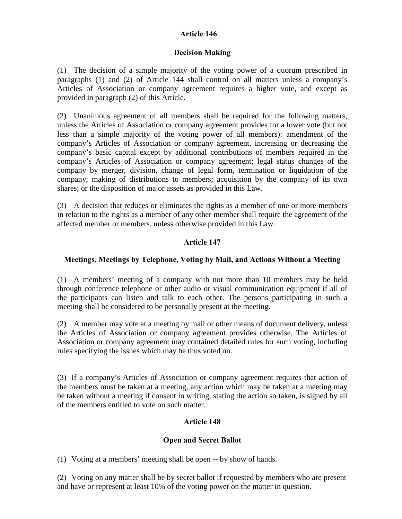# Article 146

### Decision Making

(1) The decision of a simple majority of the voting power of a quorum prescribed in paragraphs (1) and (2) of Article 144 shall control on all matters unless a company's Articles of Association or company agreement requires a higher vote, and except as provided in paragraph (2) of this Article.

(2) Unanimous agreement of all members shall be required for the following matters, unless the Articles of Association or company agreement provides for a lower vote (but not less than a simple majority of the voting power of all members): amendment of the company's Articles of Association or company agreement, increasing or decreasing the company's basic capital except by additional contributions of members required in the company's Articles of Association or company agreement; legal status changes of the company by merger, division, change of legal form, termination or liquidation of the company; making of distributions to members; acquisition by the company of its own shares; or the disposition of major assets as provided in this Law.

(3) A decision that reduces or eliminates the rights as a member of one or more members in relation to the rights as a member of any other member shall require the agreement of the affected member or members, unless otherwise provided in this Law.

# Article 147

# Meetings, Meetings by Telephone, Voting by Mail, and Actions Without a Meeting

(1) A members' meeting of a company with not more than 10 members may be held through conference telephone or other audio or visual communication equipment if all of the participants can listen and talk to each other. The persons participating in such a meeting shall be considered to be personally present at the meeting.

(2) A member may vote at a meeting by mail or other means of document delivery, unless the Articles of Association or company agreement provides otherwise. The Articles of Association or company agreement may contained detailed rules for such voting, including rules specifying the issues which may be thus voted on.

(3) If a company's Articles of Association or company agreement requires that action of the members must be taken at a meeting, any action which may be taken at a meeting may be taken without a meeting if consent in writing, stating the action so taken, is signed by all of the members entitled to vote on such matter.

# Article 148

### Open and Secret Ballot

(1) Voting at a members' meeting shall be open -- by show of hands.

(2) Voting on any matter shall be by secret ballot if requested by members who are present and have or represent at least 10% of the voting power on the matter in question.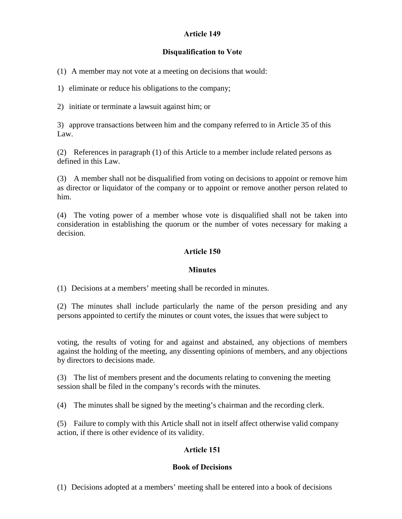# Article 149

# Disqualification to Vote

(1) A member may not vote at a meeting on decisions that would:

1) eliminate or reduce his obligations to the company;

2) initiate or terminate a lawsuit against him; or

3) approve transactions between him and the company referred to in Article 35 of this Law.

(2) References in paragraph (1) of this Article to a member include related persons as defined in this Law.

(3) A member shall not be disqualified from voting on decisions to appoint or remove him as director or liquidator of the company or to appoint or remove another person related to him.

(4) The voting power of a member whose vote is disqualified shall not be taken into consideration in establishing the quorum or the number of votes necessary for making a decision.

### Article 150

### **Minutes**

(1) Decisions at a members' meeting shall be recorded in minutes.

(2) The minutes shall include particularly the name of the person presiding and any persons appointed to certify the minutes or count votes, the issues that were subject to

voting, the results of voting for and against and abstained, any objections of members against the holding of the meeting, any dissenting opinions of members, and any objections by directors to decisions made.

(3) The list of members present and the documents relating to convening the meeting session shall be filed in the company's records with the minutes.

(4) The minutes shall be signed by the meeting's chairman and the recording clerk.

(5) Failure to comply with this Article shall not in itself affect otherwise valid company action, if there is other evidence of its validity.

# Article 151

# Book of Decisions

(1) Decisions adopted at a members' meeting shall be entered into a book of decisions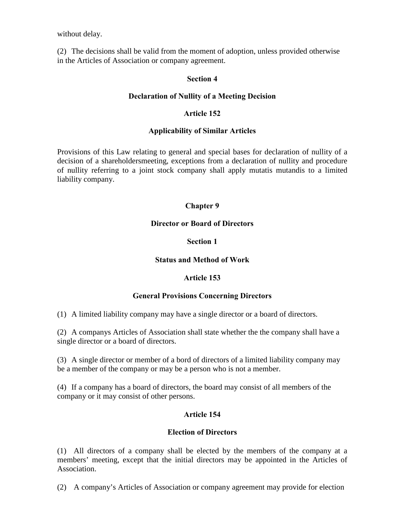without delay.

(2) The decisions shall be valid from the moment of adoption, unless provided otherwise in the Articles of Association or company agreement.

### Section 4

### Declaration of Nullity of a Meeting Decision

### Article 152

### Applicability of Similar Articles

Provisions of this Law relating to general and special bases for declaration of nullity of a decision of a shareholdersmeeting, exceptions from a declaration of nullity and procedure of nullity referring to a joint stock company shall apply mutatis mutandis to a limited liability company.

# Chapter 9

### Director or Board of Directors

### Section 1

### Status and Method of Work

# Article 153

### General Provisions Concerning Directors

(1) A limited liability company may have a single director or a board of directors.

(2) A companys Articles of Association shall state whether the the company shall have a single director or a board of directors.

(3) A single director or member of a bord of directors of a limited liability company may be a member of the company or may be a person who is not a member.

(4) If a company has a board of directors, the board may consist of all members of the company or it may consist of other persons.

# Article 154

### Election of Directors

(1) All directors of a company shall be elected by the members of the company at a members' meeting, except that the initial directors may be appointed in the Articles of Association.

(2) A company's Articles of Association or company agreement may provide for election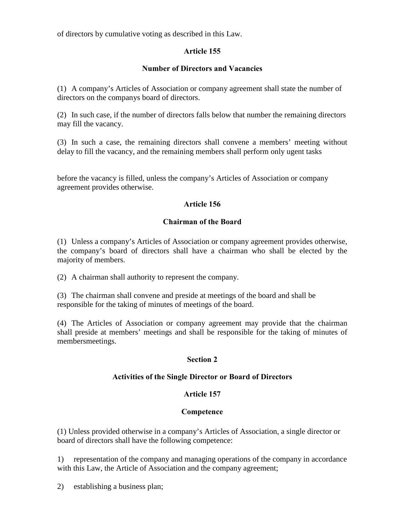of directors by cumulative voting as described in this Law.

# Article 155

# Number of Directors and Vacancies

(1) A company's Articles of Association or company agreement shall state the number of directors on the companys board of directors.

(2) In such case, if the number of directors falls below that number the remaining directors may fill the vacancy.

(3) In such a case, the remaining directors shall convene a members' meeting without delay to fill the vacancy, and the remaining members shall perform only ugent tasks

before the vacancy is filled, unless the company's Articles of Association or company agreement provides otherwise.

# Article 156

# Chairman of the Board

(1) Unless a company's Articles of Association or company agreement provides otherwise, the company's board of directors shall have a chairman who shall be elected by the majority of members.

(2) A chairman shall authority to represent the company.

(3) The chairman shall convene and preside at meetings of the board and shall be responsible for the taking of minutes of meetings of the board.

(4) The Articles of Association or company agreement may provide that the chairman shall preside at members' meetings and shall be responsible for the taking of minutes of membersmeetings.

# Section 2

# Activities of the Single Director or Board of Directors

# Article 157

# Competence

(1) Unless provided otherwise in a company's Articles of Association, a single director or board of directors shall have the following competence:

1) representation of the company and managing operations of the company in accordance with this Law, the Article of Association and the company agreement;

2) establishing a business plan;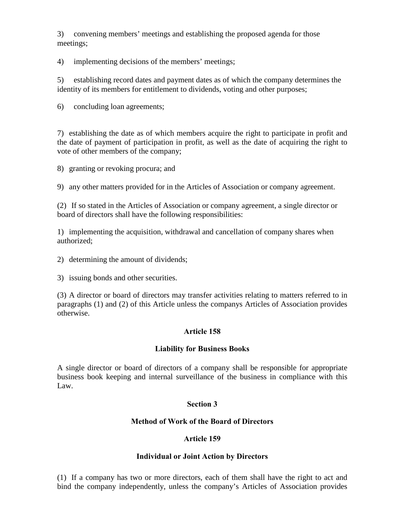3) convening members' meetings and establishing the proposed agenda for those meetings;

4) implementing decisions of the members' meetings;

5) establishing record dates and payment dates as of which the company determines the identity of its members for entitlement to dividends, voting and other purposes;

6) concluding loan agreements;

7) establishing the date as of which members acquire the right to participate in profit and the date of payment of participation in profit, as well as the date of acquiring the right to vote of other members of the company;

8) granting or revoking procura; and

9) any other matters provided for in the Articles of Association or company agreement.

(2) If so stated in the Articles of Association or company agreement, a single director or board of directors shall have the following responsibilities:

1) implementing the acquisition, withdrawal and cancellation of company shares when authorized;

2) determining the amount of dividends;

3) issuing bonds and other securities.

(3) A director or board of directors may transfer activities relating to matters referred to in paragraphs (1) and (2) of this Article unless the companys Articles of Association provides otherwise.

# Article 158

### Liability for Business Books

A single director or board of directors of a company shall be responsible for appropriate business book keeping and internal surveillance of the business in compliance with this Law.

### Section 3

### Method of Work of the Board of Directors

### Article 159

### Individual or Joint Action by Directors

(1) If a company has two or more directors, each of them shall have the right to act and bind the company independently, unless the company's Articles of Association provides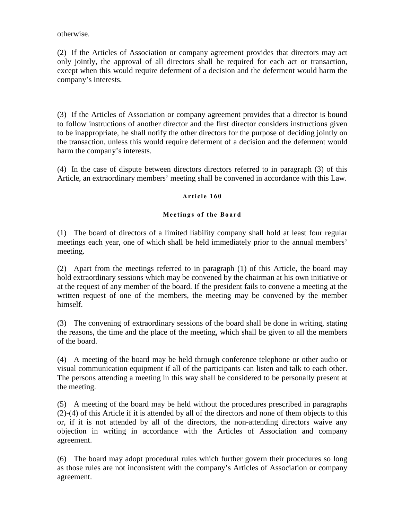otherwise.

(2) If the Articles of Association or company agreement provides that directors may act only jointly, the approval of all directors shall be required for each act or transaction, except when this would require deferment of a decision and the deferment would harm the company's interests.

(3) If the Articles of Association or company agreement provides that a director is bound to follow instructions of another director and the first director considers instructions given to be inappropriate, he shall notify the other directors for the purpose of deciding jointly on the transaction, unless this would require deferment of a decision and the deferment would harm the company's interests.

(4) In the case of dispute between directors directors referred to in paragraph (3) of this Article, an extraordinary members' meeting shall be convened in accordance with this Law.

#### Article 160

#### Meetings of the Board

(1) The board of directors of a limited liability company shall hold at least four regular meetings each year, one of which shall be held immediately prior to the annual members' meeting.

(2) Apart from the meetings referred to in paragraph (1) of this Article, the board may hold extraordinary sessions which may be convened by the chairman at his own initiative or at the request of any member of the board. If the president fails to convene a meeting at the written request of one of the members, the meeting may be convened by the member himself.

(3) The convening of extraordinary sessions of the board shall be done in writing, stating the reasons, the time and the place of the meeting, which shall be given to all the members of the board.

(4) A meeting of the board may be held through conference telephone or other audio or visual communication equipment if all of the participants can listen and talk to each other. The persons attending a meeting in this way shall be considered to be personally present at the meeting.

(5) A meeting of the board may be held without the procedures prescribed in paragraphs (2)-(4) of this Article if it is attended by all of the directors and none of them objects to this or, if it is not attended by all of the directors, the non-attending directors waive any objection in writing in accordance with the Articles of Association and company agreement.

(6) The board may adopt procedural rules which further govern their procedures so long as those rules are not inconsistent with the company's Articles of Association or company agreement.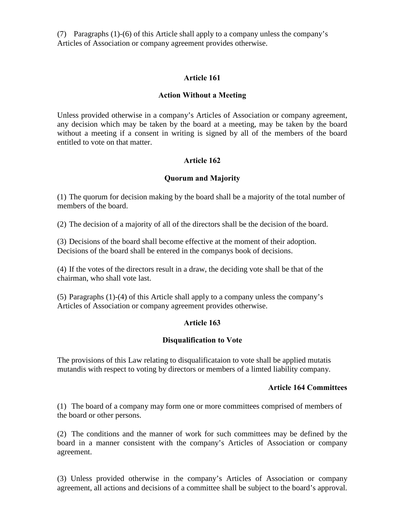(7) Paragraphs (1)-(6) of this Article shall apply to a company unless the company's Articles of Association or company agreement provides otherwise.

### Article 161

### Action Without a Meeting

Unless provided otherwise in a company's Articles of Association or company agreement, any decision which may be taken by the board at a meeting, may be taken by the board without a meeting if a consent in writing is signed by all of the members of the board entitled to vote on that matter.

### Article 162

### Quorum and Majority

(1) The quorum for decision making by the board shall be a majority of the total number of members of the board.

(2) The decision of a majority of all of the directors shall be the decision of the board.

(3) Decisions of the board shall become effective at the moment of their adoption. Decisions of the board shall be entered in the companys book of decisions.

(4) If the votes of the directors result in a draw, the deciding vote shall be that of the chairman, who shall vote last.

(5) Paragraphs (1)-(4) of this Article shall apply to a company unless the company's Articles of Association or company agreement provides otherwise.

### Article 163

### Disqualification to Vote

The provisions of this Law relating to disqualificataion to vote shall be applied mutatis mutandis with respect to voting by directors or members of a limted liability company.

#### Article 164 Committees

(1) The board of a company may form one or more committees comprised of members of the board or other persons.

(2) The conditions and the manner of work for such committees may be defined by the board in a manner consistent with the company's Articles of Association or company agreement.

(3) Unless provided otherwise in the company's Articles of Association or company agreement, all actions and decisions of a committee shall be subject to the board's approval.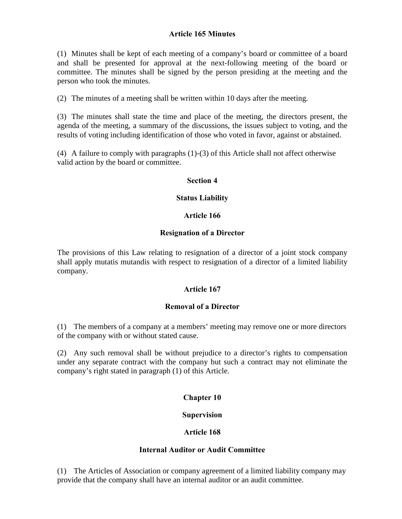### Article 165 Minutes

(1) Minutes shall be kept of each meeting of a company's board or committee of a board and shall be presented for approval at the next-following meeting of the board or committee. The minutes shall be signed by the person presiding at the meeting and the person who took the minutes.

(2) The minutes of a meeting shall be written within 10 days after the meeting.

(3) The minutes shall state the time and place of the meeting, the directors present, the agenda of the meeting, a summary of the discussions, the issues subject to voting, and the results of voting including identification of those who voted in favor, against or abstained.

(4) A failure to comply with paragraphs (1)-(3) of this Article shall not affect otherwise valid action by the board or committee.

#### Section 4

#### Status Liability

#### Article 166

#### Resignation of a Director

The provisions of this Law relating to resignation of a director of a joint stock company shall apply mutatis mutandis with respect to resignation of a director of a limited liability company.

### Article 167

### Removal of a Director

(1) The members of a company at a members' meeting may remove one or more directors of the company with or without stated cause.

(2) Any such removal shall be without prejudice to a director's rights to compensation under any separate contract with the company but such a contract may not eliminate the company's right stated in paragraph (1) of this Article.

### Chapter 10

### Supervision

### Article 168

#### Internal Auditor or Audit Committee

(1) The Articles of Association or company agreement of a limited liability company may provide that the company shall have an internal auditor or an audit committee.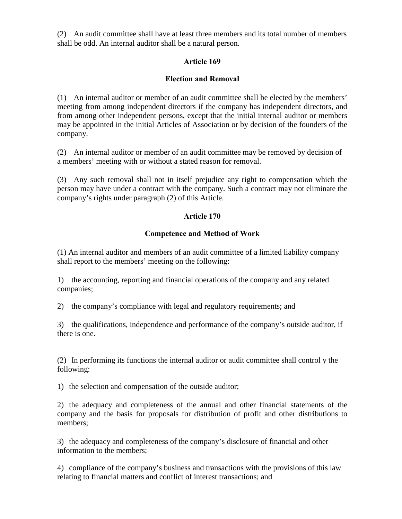(2) An audit committee shall have at least three members and its total number of members shall be odd. An internal auditor shall be a natural person.

# Article 169

### Election and Removal

(1) An internal auditor or member of an audit committee shall be elected by the members' meeting from among independent directors if the company has independent directors, and from among other independent persons, except that the initial internal auditor or members may be appointed in the initial Articles of Association or by decision of the founders of the company.

(2) An internal auditor or member of an audit committee may be removed by decision of a members' meeting with or without a stated reason for removal.

(3) Any such removal shall not in itself prejudice any right to compensation which the person may have under a contract with the company. Such a contract may not eliminate the company's rights under paragraph (2) of this Article.

### Article 170

#### Competence and Method of Work

(1) An internal auditor and members of an audit committee of a limited liability company shall report to the members' meeting on the following:

1) the accounting, reporting and financial operations of the company and any related companies;

2) the company's compliance with legal and regulatory requirements; and

3) the qualifications, independence and performance of the company's outside auditor, if there is one.

(2) In performing its functions the internal auditor or audit committee shall control y the following:

1) the selection and compensation of the outside auditor;

2) the adequacy and completeness of the annual and other financial statements of the company and the basis for proposals for distribution of profit and other distributions to members;

3) the adequacy and completeness of the company's disclosure of financial and other information to the members;

4) compliance of the company's business and transactions with the provisions of this law relating to financial matters and conflict of interest transactions; and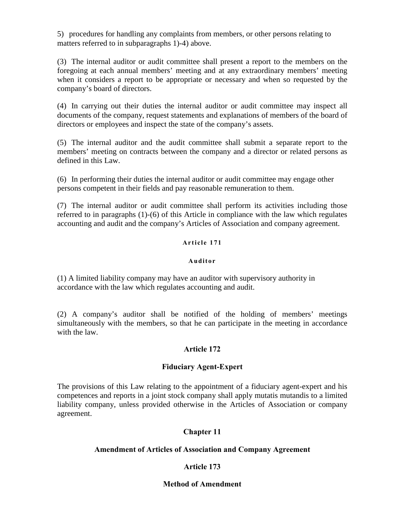5) procedures for handling any complaints from members, or other persons relating to matters referred to in subparagraphs 1)-4) above.

(3) The internal auditor or audit committee shall present a report to the members on the foregoing at each annual members' meeting and at any extraordinary members' meeting when it considers a report to be appropriate or necessary and when so requested by the company's board of directors.

(4) In carrying out their duties the internal auditor or audit committee may inspect all documents of the company, request statements and explanations of members of the board of directors or employees and inspect the state of the company's assets.

(5) The internal auditor and the audit committee shall submit a separate report to the members' meeting on contracts between the company and a director or related persons as defined in this Law.

(6) In performing their duties the internal auditor or audit committee may engage other persons competent in their fields and pay reasonable remuneration to them.

(7) The internal auditor or audit committee shall perform its activities including those referred to in paragraphs (1)-(6) of this Article in compliance with the law which regulates accounting and audit and the company's Articles of Association and company agreement.

### Article 171

#### **Auditor**

(1) A limited liability company may have an auditor with supervisory authority in accordance with the law which regulates accounting and audit.

(2) A company's auditor shall be notified of the holding of members' meetings simultaneously with the members, so that he can participate in the meeting in accordance with the law.

### Article 172

### Fiduciary Agent-Expert

The provisions of this Law relating to the appointment of a fiduciary agent-expert and his competences and reports in a joint stock company shall apply mutatis mutandis to a limited liability company, unless provided otherwise in the Articles of Association or company agreement.

### Chapter 11

#### Amendment of Articles of Association and Company Agreement

### Article 173

### Method of Amendment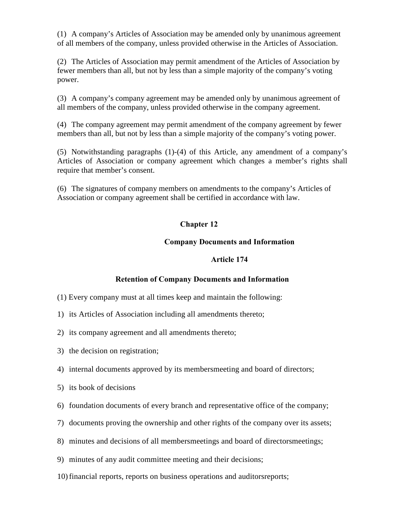(1) A company's Articles of Association may be amended only by unanimous agreement of all members of the company, unless provided otherwise in the Articles of Association.

(2) The Articles of Association may permit amendment of the Articles of Association by fewer members than all, but not by less than a simple majority of the company's voting power.

(3) A company's company agreement may be amended only by unanimous agreement of all members of the company, unless provided otherwise in the company agreement.

(4) The company agreement may permit amendment of the company agreement by fewer members than all, but not by less than a simple majority of the company's voting power.

(5) Notwithstanding paragraphs (1)-(4) of this Article, any amendment of a company's Articles of Association or company agreement which changes a member's rights shall require that member's consent.

(6) The signatures of company members on amendments to the company's Articles of Association or company agreement shall be certified in accordance with law.

# Chapter 12

### Company Documents and Information

#### Article 174

### Retention of Company Documents and Information

- (1) Every company must at all times keep and maintain the following:
- 1) its Articles of Association including all amendments thereto;
- 2) its company agreement and all amendments thereto;
- 3) the decision on registration;
- 4) internal documents approved by its membersmeeting and board of directors;
- 5) its book of decisions
- 6) foundation documents of every branch and representative office of the company;
- 7) documents proving the ownership and other rights of the company over its assets;
- 8) minutes and decisions of all membersmeetings and board of directorsmeetings;
- 9) minutes of any audit committee meeting and their decisions;
- 10)financial reports, reports on business operations and auditorsreports;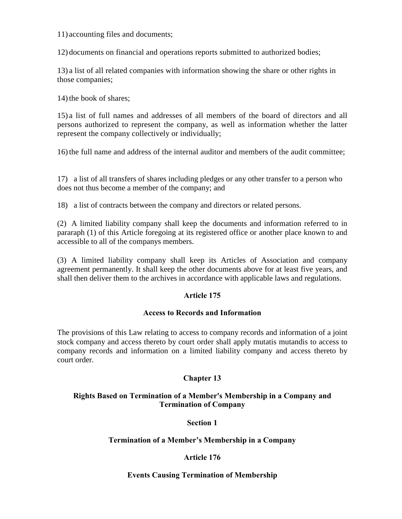11) accounting files and documents;

12) documents on financial and operations reports submitted to authorized bodies;

13) a list of all related companies with information showing the share or other rights in those companies;

14) the book of shares:

15) a list of full names and addresses of all members of the board of directors and all persons authorized to represent the company, as well as information whether the latter represent the company collectively or individually;

16)the full name and address of the internal auditor and members of the audit committee;

17) a list of all transfers of shares including pledges or any other transfer to a person who does not thus become a member of the company; and

18) a list of contracts between the company and directors or related persons.

(2) A limited liability company shall keep the documents and information referred to in pararaph (1) of this Article foregoing at its registered office or another place known to and accessible to all of the companys members.

(3) A limited liability company shall keep its Articles of Association and company agreement permanently. It shall keep the other documents above for at least five years, and shall then deliver them to the archives in accordance with applicable laws and regulations.

# Article 175

### Access to Records and Information

The provisions of this Law relating to access to company records and information of a joint stock company and access thereto by court order shall apply mutatis mutandis to access to company records and information on a limited liability company and access thereto by court order.

# Chapter 13

### Rights Based on Termination of a Member's Membership in a Company and Termination of Company

### Section 1

### Termination of a Member's Membership in a Company

# Article 176

### Events Causing Termination of Membership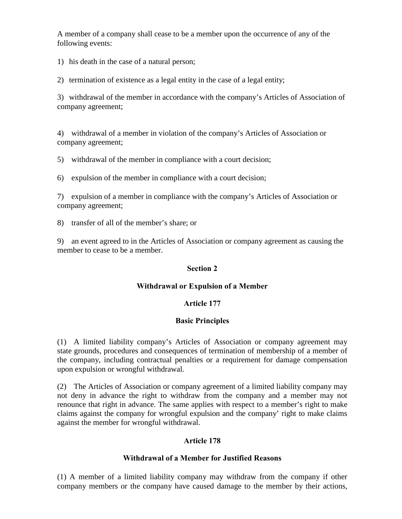A member of a company shall cease to be a member upon the occurrence of any of the following events:

1) his death in the case of a natural person;

2) termination of existence as a legal entity in the case of a legal entity;

3) withdrawal of the member in accordance with the company's Articles of Association of company agreement;

4) withdrawal of a member in violation of the company's Articles of Association or company agreement;

5) withdrawal of the member in compliance with a court decision;

6) expulsion of the member in compliance with a court decision;

7) expulsion of a member in compliance with the company's Articles of Association or company agreement;

8) transfer of all of the member's share; or

9) an event agreed to in the Articles of Association or company agreement as causing the member to cease to be a member.

### Section 2

### Withdrawal or Expulsion of a Member

# Article 177

# Basic Principles

(1) A limited liability company's Articles of Association or company agreement may state grounds, procedures and consequences of termination of membership of a member of the company, including contractual penalties or a requirement for damage compensation upon expulsion or wrongful withdrawal.

(2) The Articles of Association or company agreement of a limited liability company may not deny in advance the right to withdraw from the company and a member may not renounce that right in advance. The same applies with respect to a member's right to make claims against the company for wrongful expulsion and the company' right to make claims against the member for wrongful withdrawal.

# Article 178

### Withdrawal of a Member for Justified Reasons

(1) A member of a limited liability company may withdraw from the company if other company members or the company have caused damage to the member by their actions,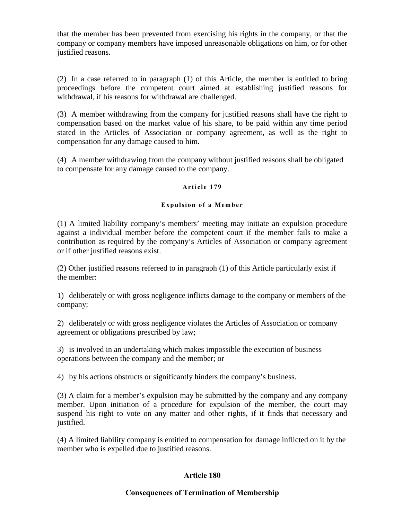that the member has been prevented from exercising his rights in the company, or that the company or company members have imposed unreasonable obligations on him, or for other justified reasons.

(2) In a case referred to in paragraph (1) of this Article, the member is entitled to bring proceedings before the competent court aimed at establishing justified reasons for withdrawal, if his reasons for withdrawal are challenged.

(3) A member withdrawing from the company for justified reasons shall have the right to compensation based on the market value of his share, to be paid within any time period stated in the Articles of Association or company agreement, as well as the right to compensation for any damage caused to him.

(4) A member withdrawing from the company without justified reasons shall be obligated to compensate for any damage caused to the company.

### Article 179

#### Expulsion of a Member

(1) A limited liability company's members' meeting may initiate an expulsion procedure against a individual member before the competent court if the member fails to make a contribution as required by the company's Articles of Association or company agreement or if other justified reasons exist.

(2) Other justified reasons refereed to in paragraph (1) of this Article particularly exist if the member:

1) deliberately or with gross negligence inflicts damage to the company or members of the company;

2) deliberately or with gross negligence violates the Articles of Association or company agreement or obligations prescribed by law;

3) is involved in an undertaking which makes impossible the execution of business operations between the company and the member; or

4) by his actions obstructs or significantly hinders the company's business.

(3) A claim for a member's expulsion may be submitted by the company and any company member. Upon initiation of a procedure for expulsion of the member, the court may suspend his right to vote on any matter and other rights, if it finds that necessary and justified.

(4) A limited liability company is entitled to compensation for damage inflicted on it by the member who is expelled due to justified reasons.

### Article 180

#### Consequences of Termination of Membership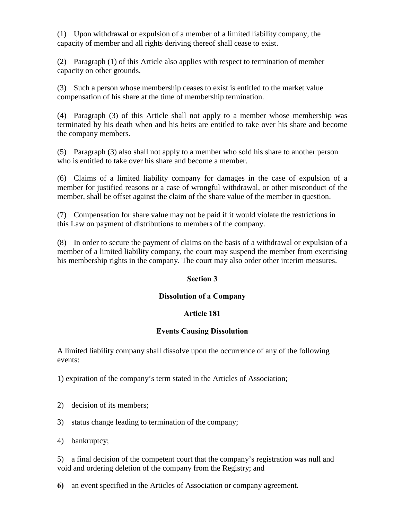(1) Upon withdrawal or expulsion of a member of a limited liability company, the capacity of member and all rights deriving thereof shall cease to exist.

(2) Paragraph (1) of this Article also applies with respect to termination of member capacity on other grounds.

(3) Such a person whose membership ceases to exist is entitled to the market value compensation of his share at the time of membership termination.

(4) Paragraph (3) of this Article shall not apply to a member whose membership was terminated by his death when and his heirs are entitled to take over his share and become the company members.

(5) Paragraph (3) also shall not apply to a member who sold his share to another person who is entitled to take over his share and become a member.

(6) Claims of a limited liability company for damages in the case of expulsion of a member for justified reasons or a case of wrongful withdrawal, or other misconduct of the member, shall be offset against the claim of the share value of the member in question.

(7) Compensation for share value may not be paid if it would violate the restrictions in this Law on payment of distributions to members of the company.

(8) In order to secure the payment of claims on the basis of a withdrawal or expulsion of a member of a limited liability company, the court may suspend the member from exercising his membership rights in the company. The court may also order other interim measures.

# Section 3

# Dissolution of a Company

# Article 181

# Events Causing Dissolution

A limited liability company shall dissolve upon the occurrence of any of the following events:

1) expiration of the company's term stated in the Articles of Association;

- 2) decision of its members;
- 3) status change leading to termination of the company;
- 4) bankruptcy;

5) a final decision of the competent court that the company's registration was null and void and ordering deletion of the company from the Registry; and

6) an event specified in the Articles of Association or company agreement.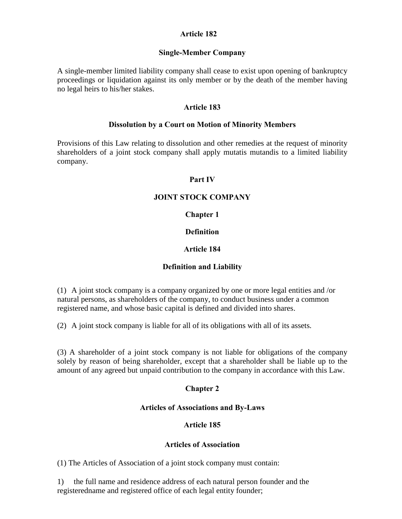### Article 182

### Single-Member Company

A single-member limited liability company shall cease to exist upon opening of bankruptcy proceedings or liquidation against its only member or by the death of the member having no legal heirs to his/her stakes.

#### Article 183

#### Dissolution by a Court on Motion of Minority Members

Provisions of this Law relating to dissolution and other remedies at the request of minority shareholders of a joint stock company shall apply mutatis mutandis to a limited liability company.

#### Part IV

### JOINT STOCK COMPANY

#### Chapter 1

### **Definition**

### Article 184

### Definition and Liability

(1) A joint stock company is a company organized by one or more legal entities and /or natural persons, as shareholders of the company, to conduct business under a common registered name, and whose basic capital is defined and divided into shares.

(2) A joint stock company is liable for all of its obligations with all of its assets.

(3) A shareholder of a joint stock company is not liable for obligations of the company solely by reason of being shareholder, except that a shareholder shall be liable up to the amount of any agreed but unpaid contribution to the company in accordance with this Law.

### Chapter 2

#### Articles of Associations and By-Laws

### Article 185

#### Articles of Association

(1) The Articles of Association of a joint stock company must contain:

1) the full name and residence address of each natural person founder and the registeredname and registered office of each legal entity founder;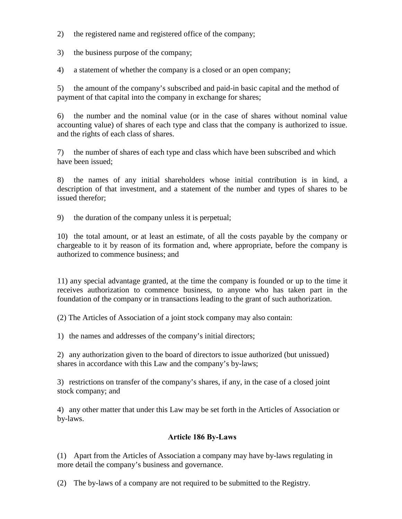- 2) the registered name and registered office of the company;
- 3) the business purpose of the company;
- 4) a statement of whether the company is a closed or an open company;

5) the amount of the company's subscribed and paid-in basic capital and the method of payment of that capital into the company in exchange for shares;

6) the number and the nominal value (or in the case of shares without nominal value accounting value) of shares of each type and class that the company is authorized to issue. and the rights of each class of shares.

7) the number of shares of each type and class which have been subscribed and which have been issued;

8) the names of any initial shareholders whose initial contribution is in kind, a description of that investment, and a statement of the number and types of shares to be issued therefor;

9) the duration of the company unless it is perpetual;

10) the total amount, or at least an estimate, of all the costs payable by the company or chargeable to it by reason of its formation and, where appropriate, before the company is authorized to commence business; and

11) any special advantage granted, at the time the company is founded or up to the time it receives authorization to commence business, to anyone who has taken part in the foundation of the company or in transactions leading to the grant of such authorization.

(2) The Articles of Association of a joint stock company may also contain:

1) the names and addresses of the company's initial directors;

2) any authorization given to the board of directors to issue authorized (but unissued) shares in accordance with this Law and the company's by-laws;

3) restrictions on transfer of the company's shares, if any, in the case of a closed joint stock company; and

4) any other matter that under this Law may be set forth in the Articles of Association or by-laws.

### Article 186 By-Laws

(1) Apart from the Articles of Association a company may have by-laws regulating in more detail the company's business and governance.

(2) The by-laws of a company are not required to be submitted to the Registry.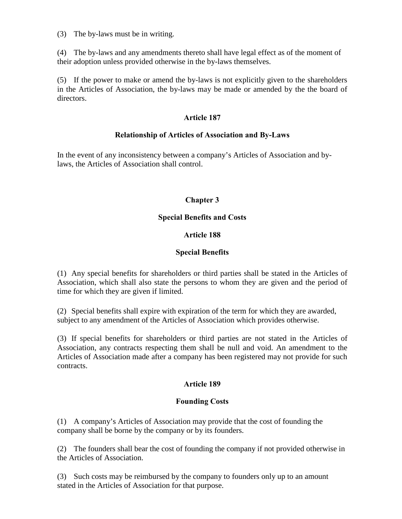(3) The by-laws must be in writing.

(4) The by-laws and any amendments thereto shall have legal effect as of the moment of their adoption unless provided otherwise in the by-laws themselves.

(5) If the power to make or amend the by-laws is not explicitly given to the shareholders in the Articles of Association, the by-laws may be made or amended by the the board of directors.

#### Article 187

#### Relationship of Articles of Association and By-Laws

In the event of any inconsistency between a company's Articles of Association and bylaws, the Articles of Association shall control.

### Chapter 3

#### Special Benefits and Costs

### Article 188

### Special Benefits

(1) Any special benefits for shareholders or third parties shall be stated in the Articles of Association, which shall also state the persons to whom they are given and the period of time for which they are given if limited.

(2) Special benefits shall expire with expiration of the term for which they are awarded, subject to any amendment of the Articles of Association which provides otherwise.

(3) If special benefits for shareholders or third parties are not stated in the Articles of Association, any contracts respecting them shall be null and void. An amendment to the Articles of Association made after a company has been registered may not provide for such contracts.

### Article 189

### Founding Costs

(1) A company's Articles of Association may provide that the cost of founding the company shall be borne by the company or by its founders.

(2) The founders shall bear the cost of founding the company if not provided otherwise in the Articles of Association.

(3) Such costs may be reimbursed by the company to founders only up to an amount stated in the Articles of Association for that purpose.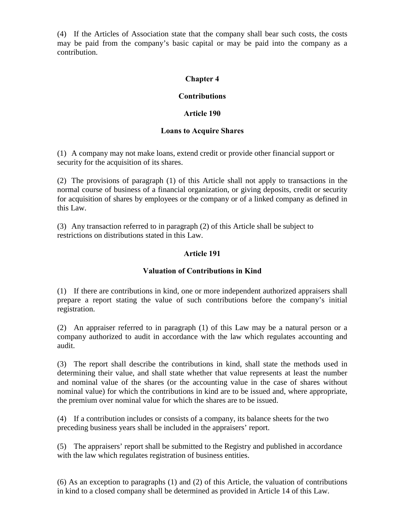(4) If the Articles of Association state that the company shall bear such costs, the costs may be paid from the company's basic capital or may be paid into the company as a contribution.

### Chapter 4

### **Contributions**

### Article 190

### Loans to Acquire Shares

(1) A company may not make loans, extend credit or provide other financial support or security for the acquisition of its shares.

(2) The provisions of paragraph (1) of this Article shall not apply to transactions in the normal course of business of a financial organization, or giving deposits, credit or security for acquisition of shares by employees or the company or of a linked company as defined in this Law.

(3) Any transaction referred to in paragraph (2) of this Article shall be subject to restrictions on distributions stated in this Law.

### Article 191

### Valuation of Contributions in Kind

(1) If there are contributions in kind, one or more independent authorized appraisers shall prepare a report stating the value of such contributions before the company's initial registration.

(2) An appraiser referred to in paragraph (1) of this Law may be a natural person or a company authorized to audit in accordance with the law which regulates accounting and audit.

(3) The report shall describe the contributions in kind, shall state the methods used in determining their value, and shall state whether that value represents at least the number and nominal value of the shares (or the accounting value in the case of shares without nominal value) for which the contributions in kind are to be issued and, where appropriate, the premium over nominal value for which the shares are to be issued.

(4) If a contribution includes or consists of a company, its balance sheets for the two preceding business years shall be included in the appraisers' report.

(5) The appraisers' report shall be submitted to the Registry and published in accordance with the law which regulates registration of business entities.

(6) As an exception to paragraphs (1) and (2) of this Article, the valuation of contributions in kind to a closed company shall be determined as provided in Article 14 of this Law.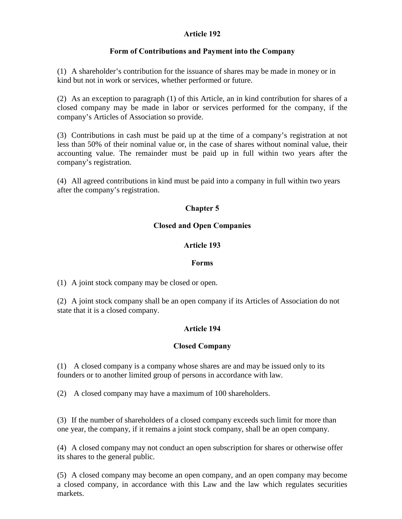### Article 192

### Form of Contributions and Payment into the Company

(1) A shareholder's contribution for the issuance of shares may be made in money or in kind but not in work or services, whether performed or future.

(2) As an exception to paragraph (1) of this Article, an in kind contribution for shares of a closed company may be made in labor or services performed for the company, if the company's Articles of Association so provide.

(3) Contributions in cash must be paid up at the time of a company's registration at not less than 50% of their nominal value or, in the case of shares without nominal value, their accounting value. The remainder must be paid up in full within two years after the company's registration.

(4) All agreed contributions in kind must be paid into a company in full within two years after the company's registration.

# Chapter 5

### Closed and Open Companies

### Article 193

### Forms

(1) A joint stock company may be closed or open.

(2) A joint stock company shall be an open company if its Articles of Association do not state that it is a closed company.

# Article 194

### Closed Company

(1) A closed company is a company whose shares are and may be issued only to its founders or to another limited group of persons in accordance with law.

(2) A closed company may have a maximum of 100 shareholders.

(3) If the number of shareholders of a closed company exceeds such limit for more than one year, the company, if it remains a joint stock company, shall be an open company.

(4) A closed company may not conduct an open subscription for shares or otherwise offer its shares to the general public.

(5) A closed company may become an open company, and an open company may become a closed company, in accordance with this Law and the law which regulates securities markets.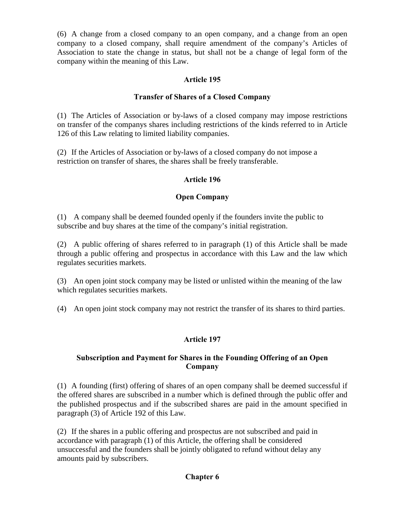(6) A change from a closed company to an open company, and a change from an open company to a closed company, shall require amendment of the company's Articles of Association to state the change in status, but shall not be a change of legal form of the company within the meaning of this Law.

### Article 195

### Transfer of Shares of a Closed Company

(1) The Articles of Association or by-laws of a closed company may impose restrictions on transfer of the companys shares including restrictions of the kinds referred to in Article 126 of this Law relating to limited liability companies.

(2) If the Articles of Association or by-laws of a closed company do not impose a restriction on transfer of shares, the shares shall be freely transferable.

#### Article 196

#### Open Company

(1) A company shall be deemed founded openly if the founders invite the public to subscribe and buy shares at the time of the company's initial registration.

(2) A public offering of shares referred to in paragraph (1) of this Article shall be made through a public offering and prospectus in accordance with this Law and the law which regulates securities markets.

(3) An open joint stock company may be listed or unlisted within the meaning of the law which regulates securities markets.

(4) An open joint stock company may not restrict the transfer of its shares to third parties.

#### Article 197

#### Subscription and Payment for Shares in the Founding Offering of an Open Company

(1) A founding (first) offering of shares of an open company shall be deemed successful if the offered shares are subscribed in a number which is defined through the public offer and the published prospectus and if the subscribed shares are paid in the amount specified in paragraph (3) of Article 192 of this Law.

(2) If the shares in a public offering and prospectus are not subscribed and paid in accordance with paragraph (1) of this Article, the offering shall be considered unsuccessful and the founders shall be jointly obligated to refund without delay any amounts paid by subscribers.

#### Chapter 6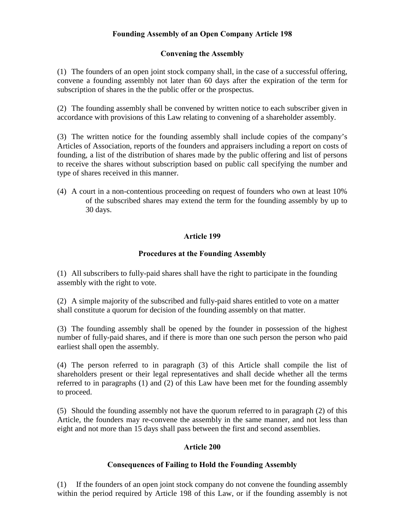# Founding Assembly of an Open Company Article 198

### Convening the Assembly

(1) The founders of an open joint stock company shall, in the case of a successful offering, convene a founding assembly not later than 60 days after the expiration of the term for subscription of shares in the the public offer or the prospectus.

(2) The founding assembly shall be convened by written notice to each subscriber given in accordance with provisions of this Law relating to convening of a shareholder assembly.

(3) The written notice for the founding assembly shall include copies of the company's Articles of Association, reports of the founders and appraisers including a report on costs of founding, a list of the distribution of shares made by the public offering and list of persons to receive the shares without subscription based on public call specifying the number and type of shares received in this manner.

(4) A court in a non-contentious proceeding on request of founders who own at least 10% of the subscribed shares may extend the term for the founding assembly by up to 30 days.

### Article 199

#### Procedures at the Founding Assembly

(1) All subscribers to fully-paid shares shall have the right to participate in the founding assembly with the right to vote.

(2) A simple majority of the subscribed and fully-paid shares entitled to vote on a matter shall constitute a quorum for decision of the founding assembly on that matter.

(3) The founding assembly shall be opened by the founder in possession of the highest number of fully-paid shares, and if there is more than one such person the person who paid earliest shall open the assembly.

(4) The person referred to in paragraph (3) of this Article shall compile the list of shareholders present or their legal representatives and shall decide whether all the terms referred to in paragraphs (1) and (2) of this Law have been met for the founding assembly to proceed.

(5) Should the founding assembly not have the quorum referred to in paragraph (2) of this Article, the founders may re-convene the assembly in the same manner, and not less than eight and not more than 15 days shall pass between the first and second assemblies.

#### Article 200

#### Consequences of Failing to Hold the Founding Assembly

(1) If the founders of an open joint stock company do not convene the founding assembly within the period required by Article 198 of this Law, or if the founding assembly is not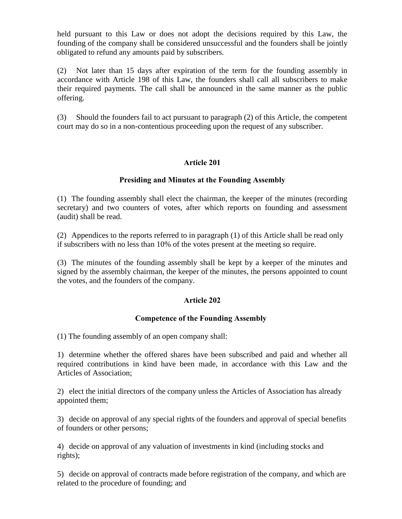held pursuant to this Law or does not adopt the decisions required by this Law, the founding of the company shall be considered unsuccessful and the founders shall be jointly obligated to refund any amounts paid by subscribers.

(2) Not later than 15 days after expiration of the term for the founding assembly in accordance with Article 198 of this Law, the founders shall call all subscribers to make their required payments. The call shall be announced in the same manner as the public offering.

(3) Should the founders fail to act pursuant to paragraph (2) of this Article, the competent court may do so in a non-contentious proceeding upon the request of any subscriber.

### Article 201

#### Presiding and Minutes at the Founding Assembly

(1) The founding assembly shall elect the chairman, the keeper of the minutes (recording secretary) and two counters of votes, after which reports on founding and assessment (audit) shall be read.

(2) Appendices to the reports referred to in paragraph (1) of this Article shall be read only if subscribers with no less than 10% of the votes present at the meeting so require.

(3) The minutes of the founding assembly shall be kept by a keeper of the minutes and signed by the assembly chairman, the keeper of the minutes, the persons appointed to count the votes, and the founders of the company.

#### Article 202

#### Competence of the Founding Assembly

(1) The founding assembly of an open company shall:

1) determine whether the offered shares have been subscribed and paid and whether all required contributions in kind have been made, in accordance with this Law and the Articles of Association;

2) elect the initial directors of the company unless the Articles of Association has already appointed them;

3) decide on approval of any special rights of the founders and approval of special benefits of founders or other persons;

4) decide on approval of any valuation of investments in kind (including stocks and rights);

5) decide on approval of contracts made before registration of the company, and which are related to the procedure of founding; and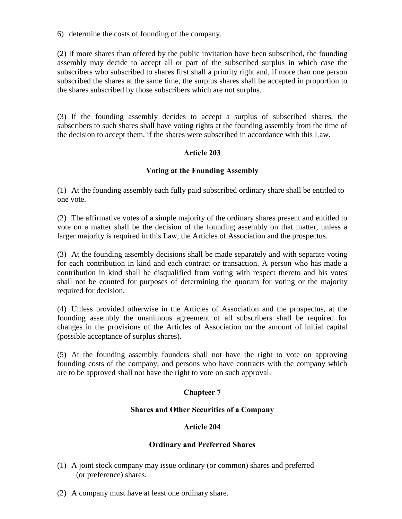6) determine the costs of founding of the company.

(2) If more shares than offered by the public invitation have been subscribed, the founding assembly may decide to accept all or part of the subscribed surplus in which case the subscribers who subscribed to shares first shall a priority right and, if more than one person subscribed the shares at the same time, the surplus shares shall be accepted in proportion to the shares subscribed by those subscribers which are not surplus.

(3) If the founding assembly decides to accept a surplus of subscribed shares, the subscribers to such shares shall have voting rights at the founding assembly from the time of the decision to accept them, if the shares were subscribed in accordance with this Law.

### Article 203

#### Voting at the Founding Assembly

(1) At the founding assembly each fully paid subscribed ordinary share shall be entitled to one vote.

(2) The affirmative votes of a simple majority of the ordinary shares present and entitled to vote on a matter shall be the decision of the founding assembly on that matter, unless a larger majority is required in this Law, the Articles of Association and the prospectus.

(3) At the founding assembly decisions shall be made separately and with separate voting for each contribution in kind and each contract or transaction. A person who has made a contribution in kind shall be disqualified from voting with respect thereto and his votes shall not be counted for purposes of determining the quorum for voting or the majority required for decision.

(4) Unless provided otherwise in the Articles of Association and the prospectus, at the founding assembly the unanimous agreement of all subscribers shall be required for changes in the provisions of the Articles of Association on the amount of initial capital (possible acceptance of surplus shares).

(5) At the founding assembly founders shall not have the right to vote on approving founding costs of the company, and persons who have contracts with the company which are to be approved shall not have the right to vote on such approval.

#### Chapteer 7

#### Shares and Other Securities of a Company

#### Article 204

#### Ordinary and Preferred Shares

- (1) A joint stock company may issue ordinary (or common) shares and preferred (or preference) shares.
- (2) A company must have at least one ordinary share.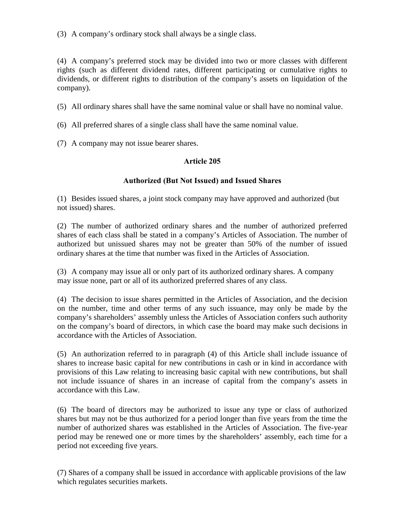(3) A company's ordinary stock shall always be a single class.

(4) A company's preferred stock may be divided into two or more classes with different rights (such as different dividend rates, different participating or cumulative rights to dividends, or different rights to distribution of the company's assets on liquidation of the company).

- (5) All ordinary shares shall have the same nominal value or shall have no nominal value.
- (6) All preferred shares of a single class shall have the same nominal value.
- (7) A company may not issue bearer shares.

### Article 205

#### Authorized (But Not Issued) and Issued Shares

(1) Besides issued shares, a joint stock company may have approved and authorized (but not issued) shares.

(2) The number of authorized ordinary shares and the number of authorized preferred shares of each class shall be stated in a company's Articles of Association. The number of authorized but unissued shares may not be greater than 50% of the number of issued ordinary shares at the time that number was fixed in the Articles of Association.

(3) A company may issue all or only part of its authorized ordinary shares. A company may issue none, part or all of its authorized preferred shares of any class.

(4) The decision to issue shares permitted in the Articles of Association, and the decision on the number, time and other terms of any such issuance, may only be made by the company's shareholders' assembly unless the Articles of Association confers such authority on the company's board of directors, in which case the board may make such decisions in accordance with the Articles of Association.

(5) An authorization referred to in paragraph (4) of this Article shall include issuance of shares to increase basic capital for new contributions in cash or in kind in accordance with provisions of this Law relating to increasing basic capital with new contributions, but shall not include issuance of shares in an increase of capital from the company's assets in accordance with this Law.

(6) The board of directors may be authorized to issue any type or class of authorized shares but may not be thus authorized for a period longer than five years from the time the number of authorized shares was established in the Articles of Association. The five-year period may be renewed one or more times by the shareholders' assembly, each time for a period not exceeding five years.

(7) Shares of a company shall be issued in accordance with applicable provisions of the law which regulates securities markets.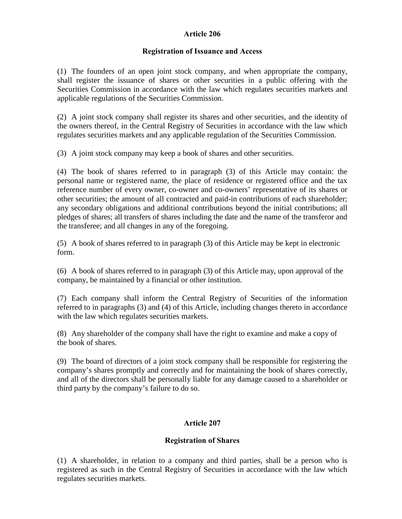### Article 206

### Registration of Issuance and Access

(1) The founders of an open joint stock company, and when appropriate the company, shall register the issuance of shares or other securities in a public offering with the Securities Commission in accordance with the law which regulates securities markets and applicable regulations of the Securities Commission.

(2) A joint stock company shall register its shares and other securities, and the identity of the owners thereof, in the Central Registry of Securities in accordance with the law which regulates securities markets and any applicable regulation of the Securities Commission.

(3) A joint stock company may keep a book of shares and other securities.

(4) The book of shares referred to in paragraph (3) of this Article may contain: the personal name or registered name, the place of residence or registered office and the tax reference number of every owner, co-owner and co-owners' representative of its shares or other securities; the amount of all contracted and paid-in contributions of each shareholder; any secondary obligations and additional contributions beyond the initial contributions; all pledges of shares; all transfers of shares including the date and the name of the transferor and the transferee; and all changes in any of the foregoing.

(5) A book of shares referred to in paragraph (3) of this Article may be kept in electronic form.

(6) A book of shares referred to in paragraph (3) of this Article may, upon approval of the company, be maintained by a financial or other institution.

(7) Each company shall inform the Central Registry of Securities of the information referred to in paragraphs (3) and (4) of this Article, including changes thereto in accordance with the law which regulates securities markets.

(8) Any shareholder of the company shall have the right to examine and make a copy of the book of shares.

(9) The board of directors of a joint stock company shall be responsible for registering the company's shares promptly and correctly and for maintaining the book of shares correctly, and all of the directors shall be personally liable for any damage caused to a shareholder or third party by the company's failure to do so.

## Article 207

## Registration of Shares

(1) A shareholder, in relation to a company and third parties, shall be a person who is registered as such in the Central Registry of Securities in accordance with the law which regulates securities markets.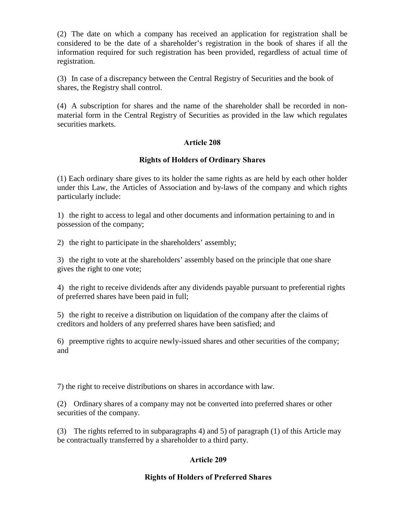(2) The date on which a company has received an application for registration shall be considered to be the date of a shareholder's registration in the book of shares if all the information required for such registration has been provided, regardless of actual time of registration.

(3) In case of a discrepancy between the Central Registry of Securities and the book of shares, the Registry shall control.

(4) A subscription for shares and the name of the shareholder shall be recorded in nonmaterial form in the Central Registry of Securities as provided in the law which regulates securities markets.

## Article 208

#### Rights of Holders of Ordinary Shares

(1) Each ordinary share gives to its holder the same rights as are held by each other holder under this Law, the Articles of Association and by-laws of the company and which rights particularly include:

1) the right to access to legal and other documents and information pertaining to and in possession of the company;

2) the right to participate in the shareholders' assembly;

3) the right to vote at the shareholders' assembly based on the principle that one share gives the right to one vote;

4) the right to receive dividends after any dividends payable pursuant to preferential rights of preferred shares have been paid in full;

5) the right to receive a distribution on liquidation of the company after the claims of creditors and holders of any preferred shares have been satisfied; and

6) preemptive rights to acquire newly-issued shares and other securities of the company; and

7) the right to receive distributions on shares in accordance with law.

(2) Ordinary shares of a company may not be converted into preferred shares or other securities of the company.

(3) The rights referred to in subparagraphs 4) and 5) of paragraph (1) of this Article may be contractually transferred by a shareholder to a third party.

## Article 209

#### Rights of Holders of Preferred Shares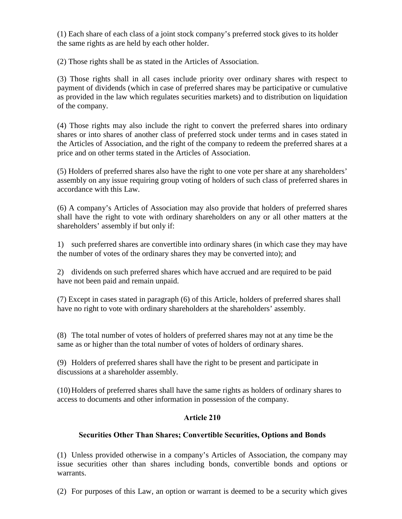(1) Each share of each class of a joint stock company's preferred stock gives to its holder the same rights as are held by each other holder.

(2) Those rights shall be as stated in the Articles of Association.

(3) Those rights shall in all cases include priority over ordinary shares with respect to payment of dividends (which in case of preferred shares may be participative or cumulative as provided in the law which regulates securities markets) and to distribution on liquidation of the company.

(4) Those rights may also include the right to convert the preferred shares into ordinary shares or into shares of another class of preferred stock under terms and in cases stated in the Articles of Association, and the right of the company to redeem the preferred shares at a price and on other terms stated in the Articles of Association.

(5) Holders of preferred shares also have the right to one vote per share at any shareholders' assembly on any issue requiring group voting of holders of such class of preferred shares in accordance with this Law.

(6) A company's Articles of Association may also provide that holders of preferred shares shall have the right to vote with ordinary shareholders on any or all other matters at the shareholders' assembly if but only if:

1) such preferred shares are convertible into ordinary shares (in which case they may have the number of votes of the ordinary shares they may be converted into); and

2) dividends on such preferred shares which have accrued and are required to be paid have not been paid and remain unpaid.

(7) Except in cases stated in paragraph (6) of this Article, holders of preferred shares shall have no right to vote with ordinary shareholders at the shareholders' assembly.

(8) The total number of votes of holders of preferred shares may not at any time be the same as or higher than the total number of votes of holders of ordinary shares.

(9) Holders of preferred shares shall have the right to be present and participate in discussions at a shareholder assembly.

(10)Holders of preferred shares shall have the same rights as holders of ordinary shares to access to documents and other information in possession of the company.

# Article 210

## Securities Other Than Shares; Convertible Securities, Options and Bonds

(1) Unless provided otherwise in a company's Articles of Association, the company may issue securities other than shares including bonds, convertible bonds and options or warrants.

(2) For purposes of this Law, an option or warrant is deemed to be a security which gives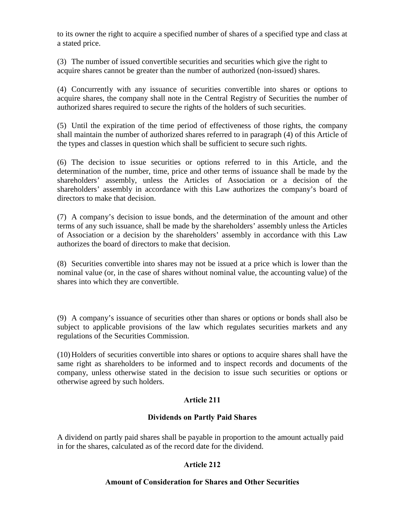to its owner the right to acquire a specified number of shares of a specified type and class at a stated price.

(3) The number of issued convertible securities and securities which give the right to acquire shares cannot be greater than the number of authorized (non-issued) shares.

(4) Concurrently with any issuance of securities convertible into shares or options to acquire shares, the company shall note in the Central Registry of Securities the number of authorized shares required to secure the rights of the holders of such securities.

(5) Until the expiration of the time period of effectiveness of those rights, the company shall maintain the number of authorized shares referred to in paragraph (4) of this Article of the types and classes in question which shall be sufficient to secure such rights.

(6) The decision to issue securities or options referred to in this Article, and the determination of the number, time, price and other terms of issuance shall be made by the shareholders' assembly, unless the Articles of Association or a decision of the shareholders' assembly in accordance with this Law authorizes the company's board of directors to make that decision.

(7) A company's decision to issue bonds, and the determination of the amount and other terms of any such issuance, shall be made by the shareholders' assembly unless the Articles of Association or a decision by the shareholders' assembly in accordance with this Law authorizes the board of directors to make that decision.

(8) Securities convertible into shares may not be issued at a price which is lower than the nominal value (or, in the case of shares without nominal value, the accounting value) of the shares into which they are convertible.

(9) A company's issuance of securities other than shares or options or bonds shall also be subject to applicable provisions of the law which regulates securities markets and any regulations of the Securities Commission.

(10)Holders of securities convertible into shares or options to acquire shares shall have the same right as shareholders to be informed and to inspect records and documents of the company, unless otherwise stated in the decision to issue such securities or options or otherwise agreed by such holders.

## Article 211

#### Dividends on Partly Paid Shares

A dividend on partly paid shares shall be payable in proportion to the amount actually paid in for the shares, calculated as of the record date for the dividend.

#### Article 212

#### Amount of Consideration for Shares and Other Securities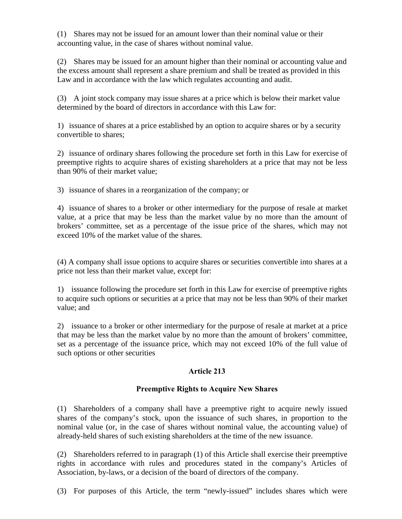(1) Shares may not be issued for an amount lower than their nominal value or their accounting value, in the case of shares without nominal value.

(2) Shares may be issued for an amount higher than their nominal or accounting value and the excess amount shall represent a share premium and shall be treated as provided in this Law and in accordance with the law which regulates accounting and audit.

(3) A joint stock company may issue shares at a price which is below their market value determined by the board of directors in accordance with this Law for:

1) issuance of shares at a price established by an option to acquire shares or by a security convertible to shares;

2) issuance of ordinary shares following the procedure set forth in this Law for exercise of preemptive rights to acquire shares of existing shareholders at a price that may not be less than 90% of their market value;

3) issuance of shares in a reorganization of the company; or

4) issuance of shares to a broker or other intermediary for the purpose of resale at market value, at a price that may be less than the market value by no more than the amount of brokers' committee, set as a percentage of the issue price of the shares, which may not exceed 10% of the market value of the shares.

(4) A company shall issue options to acquire shares or securities convertible into shares at a price not less than their market value, except for:

1) issuance following the procedure set forth in this Law for exercise of preemptive rights to acquire such options or securities at a price that may not be less than 90% of their market value; and

2) issuance to a broker or other intermediary for the purpose of resale at market at a price that may be less than the market value by no more than the amount of brokers' committee, set as a percentage of the issuance price, which may not exceed 10% of the full value of such options or other securities

## Article 213

## Preemptive Rights to Acquire New Shares

(1) Shareholders of a company shall have a preemptive right to acquire newly issued shares of the company's stock, upon the issuance of such shares, in proportion to the nominal value (or, in the case of shares without nominal value, the accounting value) of already-held shares of such existing shareholders at the time of the new issuance.

(2) Shareholders referred to in paragraph (1) of this Article shall exercise their preemptive rights in accordance with rules and procedures stated in the company's Articles of Association, by-laws, or a decision of the board of directors of the company.

(3) For purposes of this Article, the term "newly-issued" includes shares which were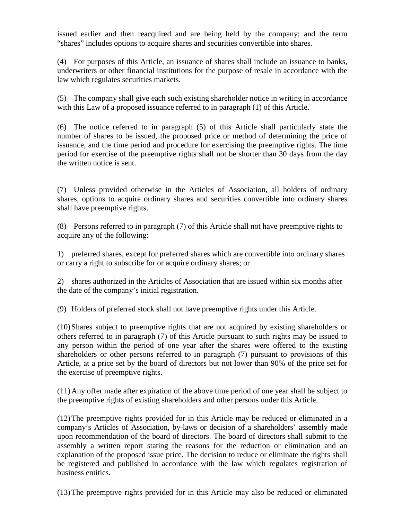issued earlier and then reacquired and are being held by the company; and the term "shares" includes options to acquire shares and securities convertible into shares.

(4) For purposes of this Article, an issuance of shares shall include an issuance to banks, underwriters or other financial institutions for the purpose of resale in accordance with the law which regulates securities markets.

(5) The company shall give each such existing shareholder notice in writing in accordance with this Law of a proposed issuance referred to in paragraph (1) of this Article.

(6) The notice referred to in paragraph (5) of this Article shall particularly state the number of shares to be issued, the proposed price or method of determining the price of issuance, and the time period and procedure for exercising the preemptive rights. The time period for exercise of the preemptive rights shall not be shorter than 30 days from the day the written notice is sent.

(7) Unless provided otherwise in the Articles of Association, all holders of ordinary shares, options to acquire ordinary shares and securities convertible into ordinary shares shall have preemptive rights.

(8) Persons referred to in paragraph (7) of this Article shall not have preemptive rights to acquire any of the following:

1) preferred shares, except for preferred shares which are convertible into ordinary shares or carry a right to subscribe for or acquire ordinary shares; or

2) shares authorized in the Articles of Association that are issued within six months after the date of the company's initial registration.

(9) Holders of preferred stock shall not have preemptive rights under this Article.

(10)Shares subject to preemptive rights that are not acquired by existing shareholders or others referred to in paragraph (7) of this Article pursuant to such rights may be issued to any person within the period of one year after the shares were offered to the existing shareholders or other persons referred to in paragraph (7) pursuant to provisions of this Article, at a price set by the board of directors but not lower than 90% of the price set for the exercise of preemptive rights.

(11)Any offer made after expiration of the above time period of one year shall be subject to the preemptive rights of existing shareholders and other persons under this Article.

(12)The preemptive rights provided for in this Article may be reduced or eliminated in a company's Articles of Association, by-laws or decision of a shareholders' assembly made upon recommendation of the board of directors. The board of directors shall submit to the assembly a written report stating the reasons for the reduction or elimination and an explanation of the proposed issue price. The decision to reduce or eliminate the rights shall be registered and published in accordance with the law which regulates registration of business entities.

(13)The preemptive rights provided for in this Article may also be reduced or eliminated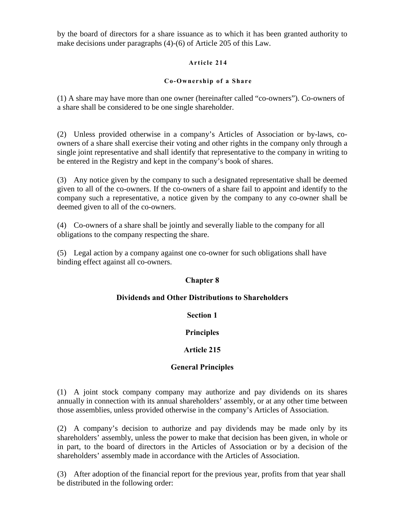by the board of directors for a share issuance as to which it has been granted authority to make decisions under paragraphs (4)-(6) of Article 205 of this Law.

#### Article 214

#### Co-Ownership of a Share

(1) A share may have more than one owner (hereinafter called "co-owners"). Co-owners of a share shall be considered to be one single shareholder.

(2) Unless provided otherwise in a company's Articles of Association or by-laws, coowners of a share shall exercise their voting and other rights in the company only through a single joint representative and shall identify that representative to the company in writing to be entered in the Registry and kept in the company's book of shares.

(3) Any notice given by the company to such a designated representative shall be deemed given to all of the co-owners. If the co-owners of a share fail to appoint and identify to the company such a representative, a notice given by the company to any co-owner shall be deemed given to all of the co-owners.

(4) Co-owners of a share shall be jointly and severally liable to the company for all obligations to the company respecting the share.

(5) Legal action by a company against one co-owner for such obligations shall have binding effect against all co-owners.

## Chapter 8

#### Dividends and Other Distributions to Shareholders

Section 1

Principles

#### Article 215

#### General Principles

(1) A joint stock company company may authorize and pay dividends on its shares annually in connection with its annual shareholders' assembly, or at any other time between those assemblies, unless provided otherwise in the company's Articles of Association.

(2) A company's decision to authorize and pay dividends may be made only by its shareholders' assembly, unless the power to make that decision has been given, in whole or in part, to the board of directors in the Articles of Association or by a decision of the shareholders' assembly made in accordance with the Articles of Association.

(3) After adoption of the financial report for the previous year, profits from that year shall be distributed in the following order: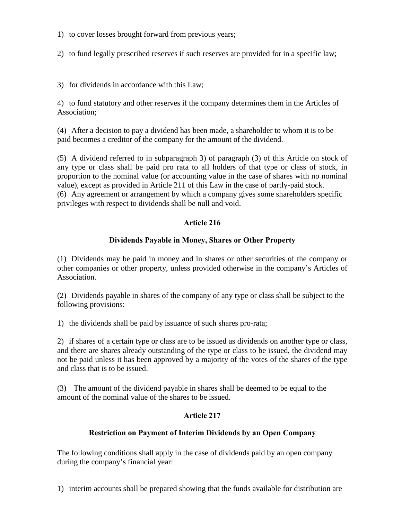- 1) to cover losses brought forward from previous years;
- 2) to fund legally prescribed reserves if such reserves are provided for in a specific law;
- 3) for dividends in accordance with this Law;

4) to fund statutory and other reserves if the company determines them in the Articles of Association;

(4) After a decision to pay a dividend has been made, a shareholder to whom it is to be paid becomes a creditor of the company for the amount of the dividend.

(5) A dividend referred to in subparagraph 3) of paragraph (3) of this Article on stock of any type or class shall be paid pro rata to all holders of that type or class of stock, in proportion to the nominal value (or accounting value in the case of shares with no nominal value), except as provided in Article 211 of this Law in the case of partly-paid stock. (6) Any agreement or arrangement by which a company gives some shareholders specific privileges with respect to dividends shall be null and void.

# Article 216

## Dividends Payable in Money, Shares or Other Property

(1) Dividends may be paid in money and in shares or other securities of the company or other companies or other property, unless provided otherwise in the company's Articles of Association.

(2) Dividends payable in shares of the company of any type or class shall be subject to the following provisions:

1) the dividends shall be paid by issuance of such shares pro-rata;

2) if shares of a certain type or class are to be issued as dividends on another type or class, and there are shares already outstanding of the type or class to be issued, the dividend may not be paid unless it has been approved by a majority of the votes of the shares of the type and class that is to be issued.

(3) The amount of the dividend payable in shares shall be deemed to be equal to the amount of the nominal value of the shares to be issued.

## Article 217

## Restriction on Payment of Interim Dividends by an Open Company

The following conditions shall apply in the case of dividends paid by an open company during the company's financial year:

1) interim accounts shall be prepared showing that the funds available for distribution are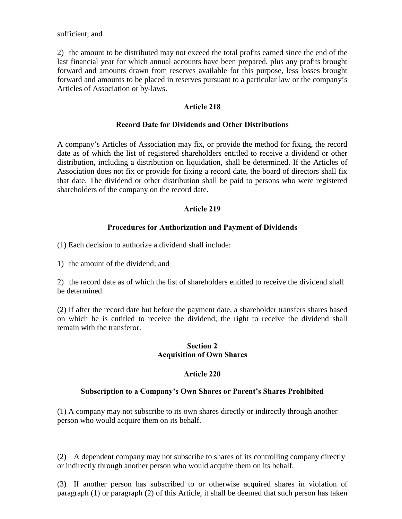sufficient; and

2) the amount to be distributed may not exceed the total profits earned since the end of the last financial year for which annual accounts have been prepared, plus any profits brought forward and amounts drawn from reserves available for this purpose, less losses brought forward and amounts to be placed in reserves pursuant to a particular law or the company's Articles of Association or by-laws.

#### Article 218

#### Record Date for Dividends and Other Distributions

A company's Articles of Association may fix, or provide the method for fixing, the record date as of which the list of registered shareholders entitled to receive a dividend or other distribution, including a distribution on liquidation, shall be determined. If the Articles of Association does not fix or provide for fixing a record date, the board of directors shall fix that date. The dividend or other distribution shall be paid to persons who were registered shareholders of the company on the record date.

#### Article 219

#### Procedures for Authorization and Payment of Dividends

(1) Each decision to authorize a dividend shall include:

1) the amount of the dividend; and

2) the record date as of which the list of shareholders entitled to receive the dividend shall be determined.

(2) If after the record date but before the payment date, a shareholder transfers shares based on which he is entitled to receive the dividend, the right to receive the dividend shall remain with the transferor.

#### Section 2 Acquisition of Own Shares

#### Article 220

#### Subscription to a Company's Own Shares or Parent's Shares Prohibited

(1) A company may not subscribe to its own shares directly or indirectly through another person who would acquire them on its behalf.

(2) A dependent company may not subscribe to shares of its controlling company directly or indirectly through another person who would acquire them on its behalf.

(3) If another person has subscribed to or otherwise acquired shares in violation of paragraph (1) or paragraph (2) of this Article, it shall be deemed that such person has taken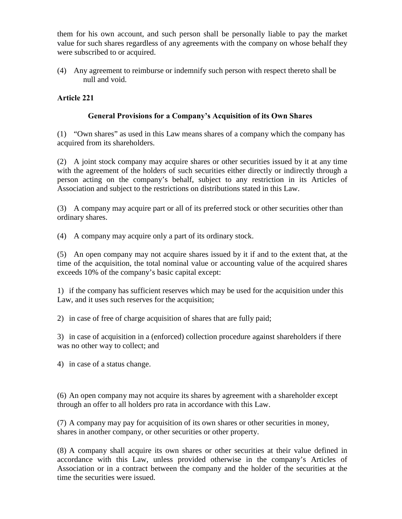them for his own account, and such person shall be personally liable to pay the market value for such shares regardless of any agreements with the company on whose behalf they were subscribed to or acquired.

(4) Any agreement to reimburse or indemnify such person with respect thereto shall be null and void.

### Article 221

### General Provisions for a Company's Acquisition of its Own Shares

(1) "Own shares" as used in this Law means shares of a company which the company has acquired from its shareholders.

(2) A joint stock company may acquire shares or other securities issued by it at any time with the agreement of the holders of such securities either directly or indirectly through a person acting on the company's behalf, subject to any restriction in its Articles of Association and subject to the restrictions on distributions stated in this Law.

(3) A company may acquire part or all of its preferred stock or other securities other than ordinary shares.

(4) A company may acquire only a part of its ordinary stock.

(5) An open company may not acquire shares issued by it if and to the extent that, at the time of the acquisition, the total nominal value or accounting value of the acquired shares exceeds 10% of the company's basic capital except:

1) if the company has sufficient reserves which may be used for the acquisition under this Law, and it uses such reserves for the acquisition;

2) in case of free of charge acquisition of shares that are fully paid;

3) in case of acquisition in a (enforced) collection procedure against shareholders if there was no other way to collect; and

4) in case of a status change.

(6) An open company may not acquire its shares by agreement with a shareholder except through an offer to all holders pro rata in accordance with this Law.

(7) A company may pay for acquisition of its own shares or other securities in money, shares in another company, or other securities or other property.

(8) A company shall acquire its own shares or other securities at their value defined in accordance with this Law, unless provided otherwise in the company's Articles of Association or in a contract between the company and the holder of the securities at the time the securities were issued.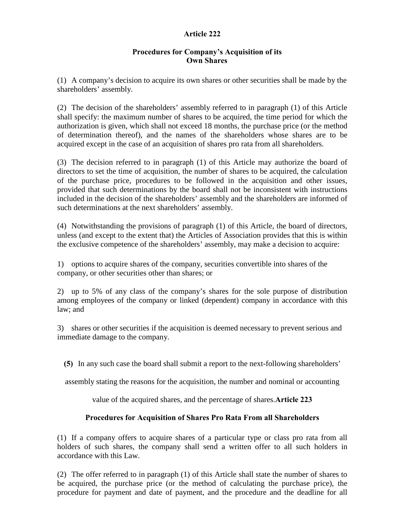### Article 222

### Procedures for Company's Acquisition of its Own Shares

(1) A company's decision to acquire its own shares or other securities shall be made by the shareholders' assembly.

(2) The decision of the shareholders' assembly referred to in paragraph (1) of this Article shall specify: the maximum number of shares to be acquired, the time period for which the authorization is given, which shall not exceed 18 months, the purchase price (or the method of determination thereof), and the names of the shareholders whose shares are to be acquired except in the case of an acquisition of shares pro rata from all shareholders.

(3) The decision referred to in paragraph (1) of this Article may authorize the board of directors to set the time of acquisition, the number of shares to be acquired, the calculation of the purchase price, procedures to be followed in the acquisition and other issues, provided that such determinations by the board shall not be inconsistent with instructions included in the decision of the shareholders' assembly and the shareholders are informed of such determinations at the next shareholders' assembly.

(4) Notwithstanding the provisions of paragraph (1) of this Article, the board of directors, unless (and except to the extent that) the Articles of Association provides that this is within the exclusive competence of the shareholders' assembly, may make a decision to acquire:

1) options to acquire shares of the company, securities convertible into shares of the company, or other securities other than shares; or

2) up to 5% of any class of the company's shares for the sole purpose of distribution among employees of the company or linked (dependent) company in accordance with this law; and

3) shares or other securities if the acquisition is deemed necessary to prevent serious and immediate damage to the company.

(5) In any such case the board shall submit a report to the next-following shareholders'

assembly stating the reasons for the acquisition, the number and nominal or accounting

value of the acquired shares, and the percentage of shares.Article 223

## Procedures for Acquisition of Shares Pro Rata From all Shareholders

(1) If a company offers to acquire shares of a particular type or class pro rata from all holders of such shares, the company shall send a written offer to all such holders in accordance with this Law.

(2) The offer referred to in paragraph (1) of this Article shall state the number of shares to be acquired, the purchase price (or the method of calculating the purchase price), the procedure for payment and date of payment, and the procedure and the deadline for all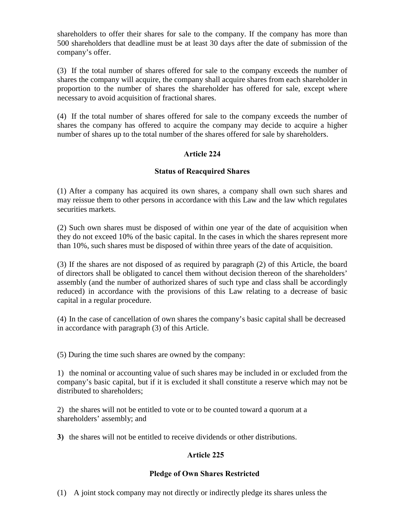shareholders to offer their shares for sale to the company. If the company has more than 500 shareholders that deadline must be at least 30 days after the date of submission of the company's offer.

(3) If the total number of shares offered for sale to the company exceeds the number of shares the company will acquire, the company shall acquire shares from each shareholder in proportion to the number of shares the shareholder has offered for sale, except where necessary to avoid acquisition of fractional shares.

(4) If the total number of shares offered for sale to the company exceeds the number of shares the company has offered to acquire the company may decide to acquire a higher number of shares up to the total number of the shares offered for sale by shareholders.

### Article 224

### Status of Reacquired Shares

(1) After a company has acquired its own shares, a company shall own such shares and may reissue them to other persons in accordance with this Law and the law which regulates securities markets.

(2) Such own shares must be disposed of within one year of the date of acquisition when they do not exceed 10% of the basic capital. In the cases in which the shares represent more than 10%, such shares must be disposed of within three years of the date of acquisition.

(3) If the shares are not disposed of as required by paragraph (2) of this Article, the board of directors shall be obligated to cancel them without decision thereon of the shareholders' assembly (and the number of authorized shares of such type and class shall be accordingly reduced) in accordance with the provisions of this Law relating to a decrease of basic capital in a regular procedure.

(4) In the case of cancellation of own shares the company's basic capital shall be decreased in accordance with paragraph (3) of this Article.

(5) During the time such shares are owned by the company:

1) the nominal or accounting value of such shares may be included in or excluded from the company's basic capital, but if it is excluded it shall constitute a reserve which may not be distributed to shareholders;

2) the shares will not be entitled to vote or to be counted toward a quorum at a shareholders' assembly; and

3) the shares will not be entitled to receive dividends or other distributions.

#### Article 225

#### Pledge of Own Shares Restricted

(1) A joint stock company may not directly or indirectly pledge its shares unless the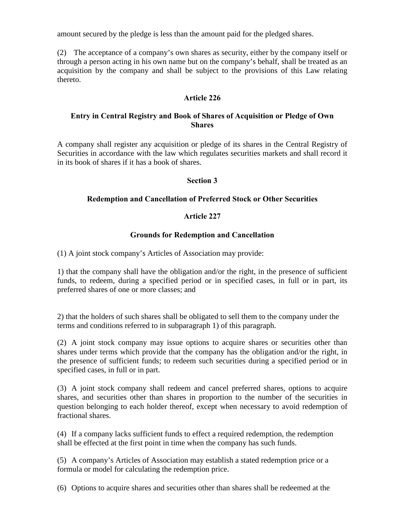amount secured by the pledge is less than the amount paid for the pledged shares.

(2) The acceptance of a company's own shares as security, either by the company itself or through a person acting in his own name but on the company's behalf, shall be treated as an acquisition by the company and shall be subject to the provisions of this Law relating thereto.

### Article 226

### Entry in Central Registry and Book of Shares of Acquisition or Pledge of Own **Shares**

A company shall register any acquisition or pledge of its shares in the Central Registry of Securities in accordance with the law which regulates securities markets and shall record it in its book of shares if it has a book of shares.

### Section 3

### Redemption and Cancellation of Preferred Stock or Other Securities

### Article 227

### Grounds for Redemption and Cancellation

(1) A joint stock company's Articles of Association may provide:

1) that the company shall have the obligation and/or the right, in the presence of sufficient funds, to redeem, during a specified period or in specified cases, in full or in part, its preferred shares of one or more classes; and

2) that the holders of such shares shall be obligated to sell them to the company under the terms and conditions referred to in subparagraph 1) of this paragraph.

(2) A joint stock company may issue options to acquire shares or securities other than shares under terms which provide that the company has the obligation and/or the right, in the presence of sufficient funds; to redeem such securities during a specified period or in specified cases, in full or in part.

(3) A joint stock company shall redeem and cancel preferred shares, options to acquire shares, and securities other than shares in proportion to the number of the securities in question belonging to each holder thereof, except when necessary to avoid redemption of fractional shares.

(4) If a company lacks sufficient funds to effect a required redemption, the redemption shall be effected at the first point in time when the company has such funds.

(5) A company's Articles of Association may establish a stated redemption price or a formula or model for calculating the redemption price.

(6) Options to acquire shares and securities other than shares shall be redeemed at the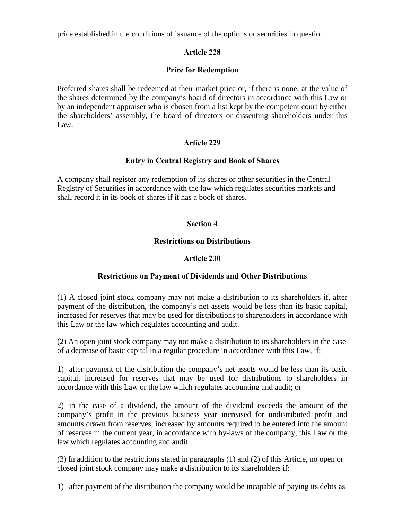price established in the conditions of issuance of the options or securities in question.

# Article 228

## Price for Redemption

Preferred shares shall be redeemed at their market price or, if there is none, at the value of the shares determined by the company's board of directors in accordance with this Law or by an independent appraiser who is chosen from a list kept by the competent court by either the shareholders' assembly, the board of directors or dissenting shareholders under this Law.

# Article 229

## Entry in Central Registry and Book of Shares

A company shall register any redemption of its shares or other securities in the Central Registry of Securities in accordance with the law which regulates securities markets and shall record it in its book of shares if it has a book of shares.

## Section 4

# Restrictions on Distributions

## Article 230

# Restrictions on Payment of Dividends and Other Distributions

(1) A closed joint stock company may not make a distribution to its shareholders if, after payment of the distribution, the company's net assets would be less than its basic capital, increased for reserves that may be used for distributions to shareholders in accordance with this Law or the law which regulates accounting and audit.

(2) An open joint stock company may not make a distribution to its shareholders in the case of a decrease of basic capital in a regular procedure in accordance with this Law, if:

1) after payment of the distribution the company's net assets would be less than its basic capital, increased for reserves that may be used for distributions to shareholders in accordance with this Law or the law which regulates accounting and audit; or

2) in the case of a dividend, the amount of the dividend exceeds the amount of the company's profit in the previous business year increased for undistributed profit and amounts drawn from reserves, increased by amounts required to be entered into the amount of reserves in the current year, in accordance with by-laws of the company, this Law or the law which regulates accounting and audit.

(3) In addition to the restrictions stated in paragraphs (1) and (2) of this Article, no open or closed joint stock company may make a distribution to its shareholders if:

1) after payment of the distribution the company would be incapable of paying its debts as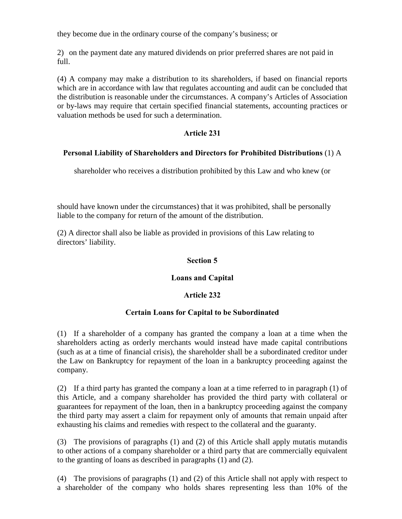they become due in the ordinary course of the company's business; or

2) on the payment date any matured dividends on prior preferred shares are not paid in full.

(4) A company may make a distribution to its shareholders, if based on financial reports which are in accordance with law that regulates accounting and audit can be concluded that the distribution is reasonable under the circumstances. A company's Articles of Association or by-laws may require that certain specified financial statements, accounting practices or valuation methods be used for such a determination.

## Article 231

### Personal Liability of Shareholders and Directors for Prohibited Distributions (1) A

shareholder who receives a distribution prohibited by this Law and who knew (or

should have known under the circumstances) that it was prohibited, shall be personally liable to the company for return of the amount of the distribution.

(2) A director shall also be liable as provided in provisions of this Law relating to directors' liability.

### Section 5

## Loans and Capital

## Article 232

## Certain Loans for Capital to be Subordinated

(1) If a shareholder of a company has granted the company a loan at a time when the shareholders acting as orderly merchants would instead have made capital contributions (such as at a time of financial crisis), the shareholder shall be a subordinated creditor under the Law on Bankruptcy for repayment of the loan in a bankruptcy proceeding against the company.

(2) If a third party has granted the company a loan at a time referred to in paragraph (1) of this Article, and a company shareholder has provided the third party with collateral or guarantees for repayment of the loan, then in a bankruptcy proceeding against the company the third party may assert a claim for repayment only of amounts that remain unpaid after exhausting his claims and remedies with respect to the collateral and the guaranty.

(3) The provisions of paragraphs (1) and (2) of this Article shall apply mutatis mutandis to other actions of a company shareholder or a third party that are commercially equivalent to the granting of loans as described in paragraphs (1) and (2).

(4) The provisions of paragraphs (1) and (2) of this Article shall not apply with respect to a shareholder of the company who holds shares representing less than 10% of the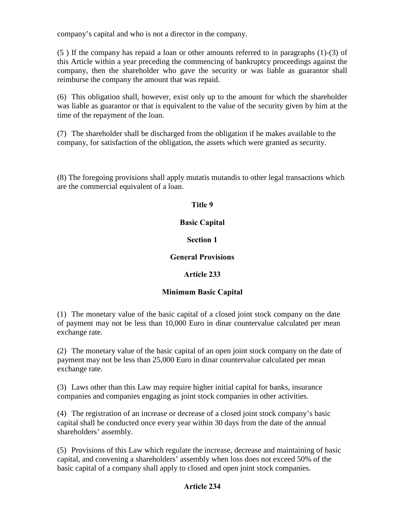company's capital and who is not a director in the company.

(5 ) If the company has repaid a loan or other amounts referred to in paragraphs (1)-(3) of this Article within a year preceding the commencing of bankruptcy proceedings against the company, then the shareholder who gave the security or was liable as guarantor shall reimburse the company the amount that was repaid.

(6) This obligation shall, however, exist only up to the amount for which the shareholder was liable as guarantor or that is equivalent to the value of the security given by him at the time of the repayment of the loan.

(7) The shareholder shall be discharged from the obligation if he makes available to the company, for satisfaction of the obligation, the assets which were granted as security.

(8) The foregoing provisions shall apply mutatis mutandis to other legal transactions which are the commercial equivalent of a loan.

## Title 9

### Basic Capital

### Section 1

### General Provisions

## Article 233

## Minimum Basic Capital

(1) The monetary value of the basic capital of a closed joint stock company on the date of payment may not be less than 10,000 Euro in dinar countervalue calculated per mean exchange rate.

(2) The monetary value of the basic capital of an open joint stock company on the date of payment may not be less than 25,000 Euro in dinar countervalue calculated per mean exchange rate.

(3) Laws other than this Law may require higher initial capital for banks, insurance companies and companies engaging as joint stock companies in other activities.

(4) The registration of an increase or decrease of a closed joint stock company's basic capital shall be conducted once every year within 30 days from the date of the annual shareholders' assembly.

(5) Provisions of this Law which regulate the increase, decrease and maintaining of basic capital, and convening a shareholders' assembly when loss does not exceed 50% of the basic capital of a company shall apply to closed and open joint stock companies.

## Article 234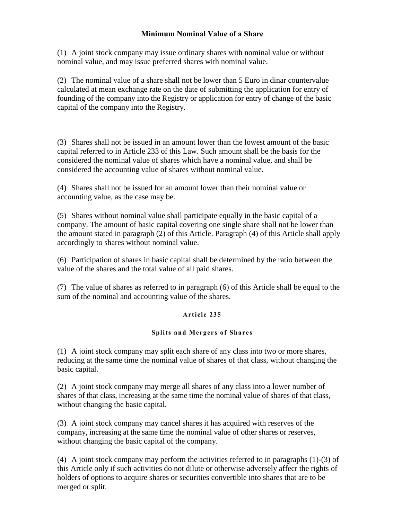### Minimum Nominal Value of a Share

(1) A joint stock company may issue ordinary shares with nominal value or without nominal value, and may issue preferred shares with nominal value.

(2) The nominal value of a share shall not be lower than 5 Euro in dinar countervalue calculated at mean exchange rate on the date of submitting the application for entry of founding of the company into the Registry or application for entry of change of the basic capital of the company into the Registry.

(3) Shares shall not be issued in an amount lower than the lowest amount of the basic capital referred to in Article 233 of this Law. Such amount shall be the basis for the considered the nominal value of shares which have a nominal value, and shall be considered the accounting value of shares without nominal value.

(4) Shares shall not be issued for an amount lower than their nominal value or accounting value, as the case may be.

(5) Shares without nominal value shall participate equally in the basic capital of a company. The amount of basic capital covering one single share shall not be lower than the amount stated in paragraph (2) of this Article. Paragraph (4) of this Article shall apply accordingly to shares without nominal value.

(6) Participation of shares in basic capital shall be determined by the ratio between the value of the shares and the total value of all paid shares.

(7) The value of shares as referred to in paragraph (6) of this Article shall be equal to the sum of the nominal and accounting value of the shares.

#### Article 235

#### Splits a nd Mergers of Shares

(1) A joint stock company may split each share of any class into two or more shares, reducing at the same time the nominal value of shares of that class, without changing the basic capital.

(2) A joint stock company may merge all shares of any class into a lower number of shares of that class, increasing at the same time the nominal value of shares of that class, without changing the basic capital.

(3) A joint stock company may cancel shares it has acquired with reserves of the company, increasing at the same time the nominal value of other shares or reserves, without changing the basic capital of the company.

(4) A joint stock company may perform the activities referred to in paragraphs (1)-(3) of this Article only if such activities do not dilute or otherwise adversely affecr the rights of holders of options to acquire shares or securities convertible into shares that are to be merged or split.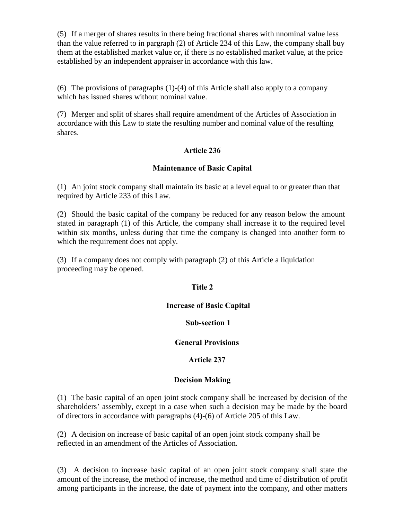(5) If a merger of shares results in there being fractional shares with nnominal value less than the value referred to in pargraph (2) of Article 234 of this Law, the company shall buy them at the established market value or, if there is no established market value, at the price established by an independent appraiser in accordance with this law.

(6) The provisions of paragraphs (1)-(4) of this Article shall also apply to a company which has issued shares without nominal value.

(7) Merger and split of shares shall require amendment of the Articles of Association in accordance with this Law to state the resulting number and nominal value of the resulting shares.

### Article 236

#### Maintenance of Basic Capital

(1) An joint stock company shall maintain its basic at a level equal to or greater than that required by Article 233 of this Law.

(2) Should the basic capital of the company be reduced for any reason below the amount stated in paragraph (1) of this Article, the company shall increase it to the required level within six months, unless during that time the company is changed into another form to which the requirement does not apply.

(3) If a company does not comply with paragraph (2) of this Article a liquidation proceeding may be opened.

#### Title 2

#### Increase of Basic Capital

#### Sub-section 1

#### General Provisions

#### Article 237

#### Decision Making

(1) The basic capital of an open joint stock company shall be increased by decision of the shareholders' assembly, except in a case when such a decision may be made by the board of directors in accordance with paragraphs (4)-(6) of Article 205 of this Law.

(2) A decision on increase of basic capital of an open joint stock company shall be reflected in an amendment of the Articles of Association.

(3) A decision to increase basic capital of an open joint stock company shall state the amount of the increase, the method of increase, the method and time of distribution of profit among participants in the increase, the date of payment into the company, and other matters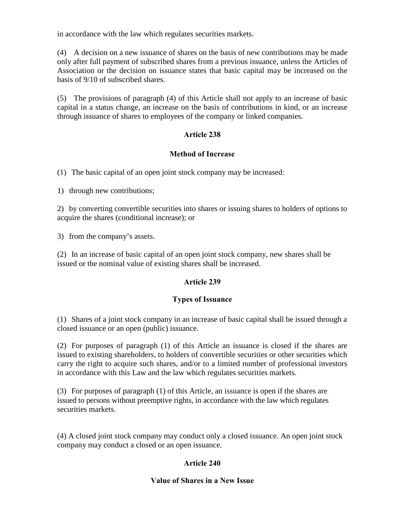in accordance with the law which regulates securities markets.

(4) A decision on a new issuance of shares on the basis of new contributions may be made only after full payment of subscribed shares from a previous issuance, unless the Articles of Association or the decision on issuance states that basic capital may be increased on the basis of 9/10 of subscribed shares.

(5) The provisions of paragraph (4) of this Article shall not apply to an increase of basic capital in a status change, an increase on the basis of contributions in kind, or an increase through issuance of shares to employees of the company or linked companies.

## Article 238

#### Method of Increase

(1) The basic capital of an open joint stock company may be increased:

1) through new contributions;

2) by converting convertible securities into shares or issuing shares to holders of options to acquire the shares (conditional increase); or

3) from the company's assets.

(2) In an increase of basic capital of an open joint stock company, new shares shall be issued or the nominal value of existing shares shall be increased.

#### Article 239

#### Types of Issuance

(1) Shares of a joint stock company in an increase of basic capital shall be issued through a closed issuance or an open (public) issuance.

(2) For purposes of paragraph (1) of this Article an issuance is closed if the shares are issued to existing shareholders, to holders of convertible securities or other securities which carry the right to acquire such shares, and/or to a limited number of professional investors in accordance with this Law and the law which regulates securities markets.

(3) For purposes of paragraph (1) of this Article, an issuance is open if the shares are issued to persons without preemptive rights, in accordance with the law which regulates securities markets.

(4) A closed joint stock company may conduct only a closed issuance. An open joint stock company may conduct a closed or an open issuance.

#### Article 240

#### Value of Shares in a New Issue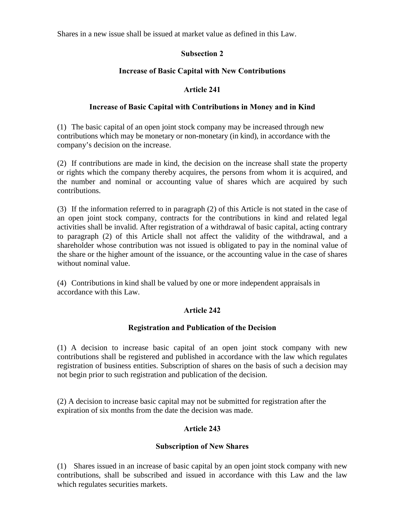Shares in a new issue shall be issued at market value as defined in this Law.

## Subsection 2

### Increase of Basic Capital with New Contributions

### Article 241

#### Increase of Basic Capital with Contributions in Money and in Kind

(1) The basic capital of an open joint stock company may be increased through new contributions which may be monetary or non-monetary (in kind), in accordance with the company's decision on the increase.

(2) If contributions are made in kind, the decision on the increase shall state the property or rights which the company thereby acquires, the persons from whom it is acquired, and the number and nominal or accounting value of shares which are acquired by such contributions.

(3) If the information referred to in paragraph (2) of this Article is not stated in the case of an open joint stock company, contracts for the contributions in kind and related legal activities shall be invalid. After registration of a withdrawal of basic capital, acting contrary to paragraph (2) of this Article shall not affect the validity of the withdrawal, and a shareholder whose contribution was not issued is obligated to pay in the nominal value of the share or the higher amount of the issuance, or the accounting value in the case of shares without nominal value.

(4) Contributions in kind shall be valued by one or more independent appraisals in accordance with this Law.

#### Article 242

#### Registration and Publication of the Decision

(1) A decision to increase basic capital of an open joint stock company with new contributions shall be registered and published in accordance with the law which regulates registration of business entities. Subscription of shares on the basis of such a decision may not begin prior to such registration and publication of the decision.

(2) A decision to increase basic capital may not be submitted for registration after the expiration of six months from the date the decision was made.

## Article 243

#### Subscription of New Shares

(1) Shares issued in an increase of basic capital by an open joint stock company with new contributions, shall be subscribed and issued in accordance with this Law and the law which regulates securities markets.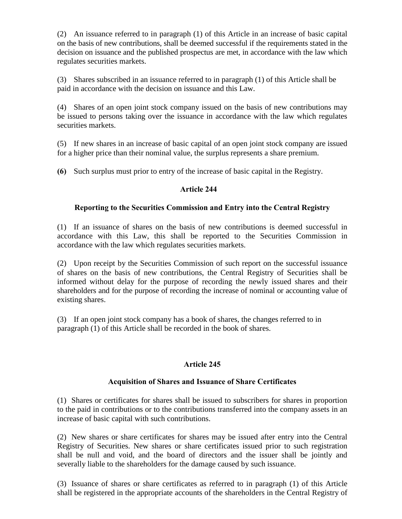(2) An issuance referred to in paragraph (1) of this Article in an increase of basic capital on the basis of new contributions, shall be deemed successful if the requirements stated in the decision on issuance and the published prospectus are met, in accordance with the law which regulates securities markets.

(3) Shares subscribed in an issuance referred to in paragraph (1) of this Article shall be paid in accordance with the decision on issuance and this Law.

(4) Shares of an open joint stock company issued on the basis of new contributions may be issued to persons taking over the issuance in accordance with the law which regulates securities markets.

(5) If new shares in an increase of basic capital of an open joint stock company are issued for a higher price than their nominal value, the surplus represents a share premium.

(6) Such surplus must prior to entry of the increase of basic capital in the Registry.

## Article 244

## Reporting to the Securities Commission and Entry into the Central Registry

(1) If an issuance of shares on the basis of new contributions is deemed successful in accordance with this Law, this shall be reported to the Securities Commission in accordance with the law which regulates securities markets.

(2) Upon receipt by the Securities Commission of such report on the successful issuance of shares on the basis of new contributions, the Central Registry of Securities shall be informed without delay for the purpose of recording the newly issued shares and their shareholders and for the purpose of recording the increase of nominal or accounting value of existing shares.

(3) If an open joint stock company has a book of shares, the changes referred to in paragraph (1) of this Article shall be recorded in the book of shares.

## Article 245

## Acquisition of Shares and Issuance of Share Certificates

(1) Shares or certificates for shares shall be issued to subscribers for shares in proportion to the paid in contributions or to the contributions transferred into the company assets in an increase of basic capital with such contributions.

(2) New shares or share certificates for shares may be issued after entry into the Central Registry of Securities. New shares or share certificates issued prior to such registration shall be null and void, and the board of directors and the issuer shall be jointly and severally liable to the shareholders for the damage caused by such issuance.

(3) Issuance of shares or share certificates as referred to in paragraph (1) of this Article shall be registered in the appropriate accounts of the shareholders in the Central Registry of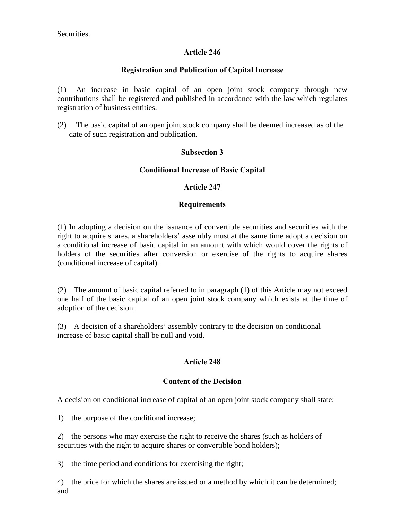Securities.

### Article 246

### Registration and Publication of Capital Increase

(1) An increase in basic capital of an open joint stock company through new contributions shall be registered and published in accordance with the law which regulates registration of business entities.

(2) The basic capital of an open joint stock company shall be deemed increased as of the date of such registration and publication.

### Subsection 3

### Conditional Increase of Basic Capital

#### Article 247

#### Requirements

(1) In adopting a decision on the issuance of convertible securities and securities with the right to acquire shares, a shareholders' assembly must at the same time adopt a decision on a conditional increase of basic capital in an amount with which would cover the rights of holders of the securities after conversion or exercise of the rights to acquire shares (conditional increase of capital).

(2) The amount of basic capital referred to in paragraph (1) of this Article may not exceed one half of the basic capital of an open joint stock company which exists at the time of adoption of the decision.

(3) A decision of a shareholders' assembly contrary to the decision on conditional increase of basic capital shall be null and void.

## Article 248

#### Content of the Decision

A decision on conditional increase of capital of an open joint stock company shall state:

1) the purpose of the conditional increase;

2) the persons who may exercise the right to receive the shares (such as holders of securities with the right to acquire shares or convertible bond holders);

3) the time period and conditions for exercising the right;

4) the price for which the shares are issued or a method by which it can be determined; and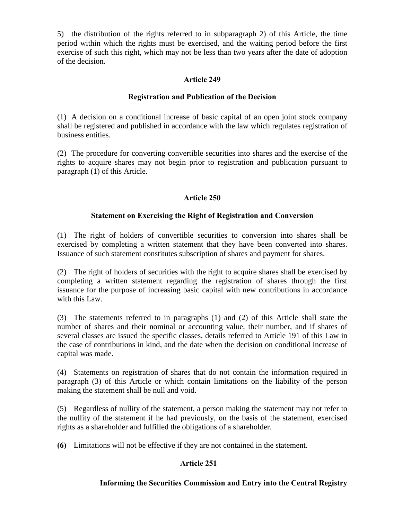5) the distribution of the rights referred to in subparagraph 2) of this Article, the time period within which the rights must be exercised, and the waiting period before the first exercise of such this right, which may not be less than two years after the date of adoption of the decision.

### Article 249

### Registration and Publication of the Decision

(1) A decision on a conditional increase of basic capital of an open joint stock company shall be registered and published in accordance with the law which regulates registration of business entities.

(2) The procedure for converting convertible securities into shares and the exercise of the rights to acquire shares may not begin prior to registration and publication pursuant to paragraph (1) of this Article.

### Article 250

### Statement on Exercising the Right of Registration and Conversion

(1) The right of holders of convertible securities to conversion into shares shall be exercised by completing a written statement that they have been converted into shares. Issuance of such statement constitutes subscription of shares and payment for shares.

(2) The right of holders of securities with the right to acquire shares shall be exercised by completing a written statement regarding the registration of shares through the first issuance for the purpose of increasing basic capital with new contributions in accordance with this Law.

(3) The statements referred to in paragraphs (1) and (2) of this Article shall state the number of shares and their nominal or accounting value, their number, and if shares of several classes are issued the specific classes, details referred to Article 191 of this Law in the case of contributions in kind, and the date when the decision on conditional increase of capital was made.

(4) Statements on registration of shares that do not contain the information required in paragraph (3) of this Article or which contain limitations on the liability of the person making the statement shall be null and void.

(5) Regardless of nullity of the statement, a person making the statement may not refer to the nullity of the statement if he had previously, on the basis of the statement, exercised rights as a shareholder and fulfilled the obligations of a shareholder.

(6) Limitations will not be effective if they are not contained in the statement.

## Article 251

## Informing the Securities Commission and Entry into the Central Registry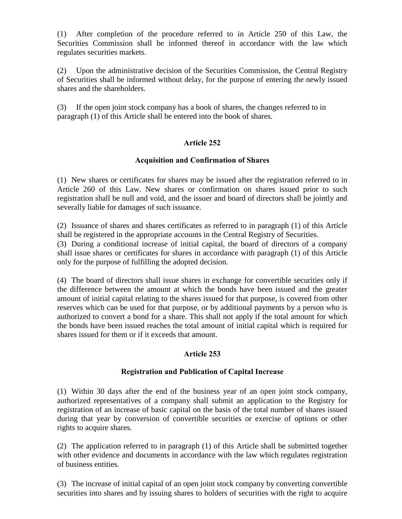(1) After completion of the procedure referred to in Article 250 of this Law, the Securities Commission shall be informed thereof in accordance with the law which regulates securities markets.

(2) Upon the administrative decision of the Securities Commission, the Central Registry of Securities shall be informed without delay, for the purpose of entering the newly issued shares and the shareholders.

(3) If the open joint stock company has a book of shares, the changes referred to in paragraph (1) of this Article shall be entered into the book of shares.

## Article 252

## Acquisition and Confirmation of Shares

(1) New shares or certificates for shares may be issued after the registration referred to in Article 260 of this Law. New shares or confirmation on shares issued prior to such registration shall be null and void, and the issuer and board of directors shall be jointly and severally liable for damages of such issuance.

(2) Issuance of shares and shares certificates as referred to in paragraph (1) of this Article shall be registered in the appropriate accounts in the Central Registry of Securities.

(3) During a conditional increase of initial capital, the board of directors of a company shall issue shares or certificates for shares in accordance with paragraph (1) of this Article only for the purpose of fulfilling the adopted decision.

(4) The board of directors shall issue shares in exchange for convertible securities only if the difference between the amount at which the bonds have been issued and the greater amount of initial capital relating to the shares issued for that purpose, is covered from other reserves which can be used for that purpose, or by additional payments by a person who is authorized to convert a bond for a share. This shall not apply if the total amount for which the bonds have been issued reaches the total amount of initial capital which is required for shares issued for them or if it exceeds that amount.

## Article 253

#### Registration and Publication of Capital Increase

(1) Within 30 days after the end of the business year of an open joint stock company, authorized representatives of a company shall submit an application to the Registry for registration of an increase of basic capital on the basis of the total number of shares issued during that year by conversion of convertible securities or exercise of options or other rights to acquire shares.

(2) The application referred to in paragraph (1) of this Article shall be submitted together with other evidence and documents in accordance with the law which regulates registration of business entities.

(3) The increase of initial capital of an open joint stock company by converting convertible securities into shares and by issuing shares to holders of securities with the right to acquire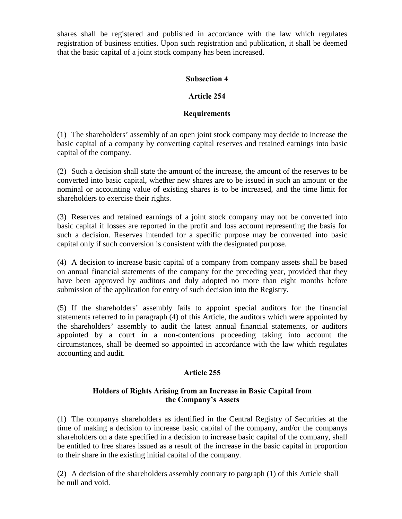shares shall be registered and published in accordance with the law which regulates registration of business entities. Upon such registration and publication, it shall be deemed that the basic capital of a joint stock company has been increased.

### Subsection 4

### Article 254

### **Requirements**

(1) The shareholders' assembly of an open joint stock company may decide to increase the basic capital of a company by converting capital reserves and retained earnings into basic capital of the company.

(2) Such a decision shall state the amount of the increase, the amount of the reserves to be converted into basic capital, whether new shares are to be issued in such an amount or the nominal or accounting value of existing shares is to be increased, and the time limit for shareholders to exercise their rights.

(3) Reserves and retained earnings of a joint stock company may not be converted into basic capital if losses are reported in the profit and loss account representing the basis for such a decision. Reserves intended for a specific purpose may be converted into basic capital only if such conversion is consistent with the designated purpose.

(4) A decision to increase basic capital of a company from company assets shall be based on annual financial statements of the company for the preceding year, provided that they have been approved by auditors and duly adopted no more than eight months before submission of the application for entry of such decision into the Registry.

(5) If the shareholders' assembly fails to appoint special auditors for the financial statements referred to in paragraph (4) of this Article, the auditors which were appointed by the shareholders' assembly to audit the latest annual financial statements, or auditors appointed by a court in a non-contentious proceeding taking into account the circumstances, shall be deemed so appointed in accordance with the law which regulates accounting and audit.

#### Article 255

### Holders of Rights Arising from an Increase in Basic Capital from the Company's Assets

(1) The companys shareholders as identified in the Central Registry of Securities at the time of making a decision to increase basic capital of the company, and/or the companys shareholders on a date specified in a decision to increase basic capital of the company, shall be entitled to free shares issued as a result of the increase in the basic capital in proportion to their share in the existing initial capital of the company.

(2) A decision of the shareholders assembly contrary to pargraph (1) of this Article shall be null and void.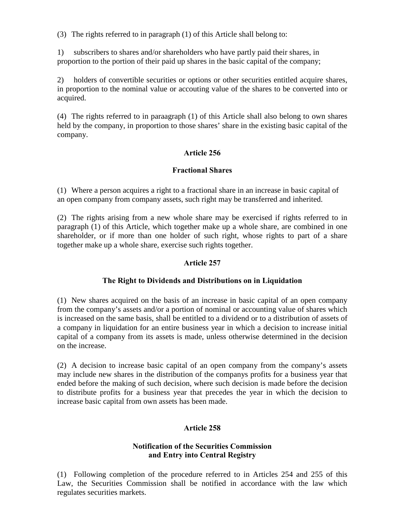(3) The rights referred to in paragraph (1) of this Article shall belong to:

1) subscribers to shares and/or shareholders who have partly paid their shares, in proportion to the portion of their paid up shares in the basic capital of the company;

2) holders of convertible securities or options or other securities entitled acquire shares, in proportion to the nominal value or accouting value of the shares to be converted into or acquired.

(4) The rights referred to in paraagraph (1) of this Article shall also belong to own shares held by the company, in proportion to those shares' share in the existing basic capital of the company.

#### Article 256

#### Fractional Shares

(1) Where a person acquires a right to a fractional share in an increase in basic capital of an open company from company assets, such right may be transferred and inherited.

(2) The rights arising from a new whole share may be exercised if rights referred to in paragraph (1) of this Article, which together make up a whole share, are combined in one shareholder, or if more than one holder of such right, whose rights to part of a share together make up a whole share, exercise such rights together.

### Article 257

#### The Right to Dividends and Distributions on in Liquidation

(1) New shares acquired on the basis of an increase in basic capital of an open company from the company's assets and/or a portion of nominal or accounting value of shares which is increased on the same basis, shall be entitled to a dividend or to a distribution of assets of a company in liquidation for an entire business year in which a decision to increase initial capital of a company from its assets is made, unless otherwise determined in the decision on the increase.

(2) A decision to increase basic capital of an open company from the company's assets may include new shares in the distribution of the companys profits for a business year that ended before the making of such decision, where such decision is made before the decision to distribute profits for a business year that precedes the year in which the decision to increase basic capital from own assets has been made.

## Article 258

#### Notification of the Securities Commission and Entry into Central Registry

(1) Following completion of the procedure referred to in Articles 254 and 255 of this Law, the Securities Commission shall be notified in accordance with the law which regulates securities markets.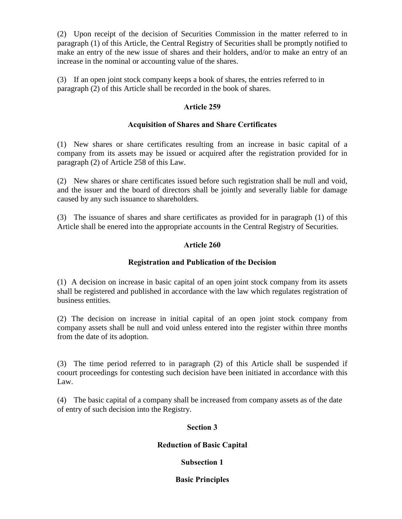(2) Upon receipt of the decision of Securities Commission in the matter referred to in paragraph (1) of this Article, the Central Registry of Securities shall be promptly notified to make an entry of the new issue of shares and their holders, and/or to make an entry of an increase in the nominal or accounting value of the shares.

(3) If an open joint stock company keeps a book of shares, the entries referred to in paragraph (2) of this Article shall be recorded in the book of shares.

### Article 259

### Acquisition of Shares and Share Certificates

(1) New shares or share certificates resulting from an increase in basic capital of a company from its assets may be issued or acquired after the registration provided for in paragraph (2) of Article 258 of this Law.

(2) New shares or share certificates issued before such registration shall be null and void, and the issuer and the board of directors shall be jointly and severally liable for damage caused by any such issuance to shareholders.

(3) The issuance of shares and share certificates as provided for in paragraph (1) of this Article shall be enered into the appropriate accounts in the Central Registry of Securities.

## Article 260

### Registration and Publication of the Decision

(1) A decision on increase in basic capital of an open joint stock company from its assets shall be registered and published in accordance with the law which regulates registration of business entities.

(2) The decision on increase in initial capital of an open joint stock company from company assets shall be null and void unless entered into the register within three months from the date of its adoption.

(3) The time period referred to in paragraph (2) of this Article shall be suspended if coourt proceedings for contesting such decision have been initiated in accordance with this Law.

(4) The basic capital of a company shall be increased from company assets as of the date of entry of such decision into the Registry.

#### Section 3

#### Reduction of Basic Capital

## Subsection 1

#### Basic Principles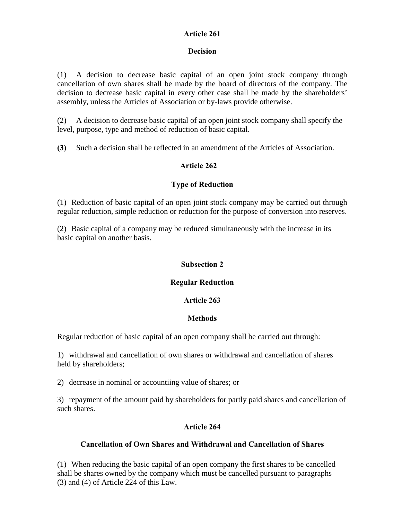### Article 261

### Decision

(1) A decision to decrease basic capital of an open joint stock company through cancellation of own shares shall be made by the board of directors of the company. The decision to decrease basic capital in every other case shall be made by the shareholders' assembly, unless the Articles of Association or by-laws provide otherwise.

(2) A decision to decrease basic capital of an open joint stock company shall specify the level, purpose, type and method of reduction of basic capital.

(3) Such a decision shall be reflected in an amendment of the Articles of Association.

### Article 262

### Type of Reduction

(1) Reduction of basic capital of an open joint stock company may be carried out through regular reduction, simple reduction or reduction for the purpose of conversion into reserves.

(2) Basic capital of a company may be reduced simultaneously with the increase in its basic capital on another basis.

### Subsection 2

### Regular Reduction

#### Article 263

#### **Methods**

Regular reduction of basic capital of an open company shall be carried out through:

1) withdrawal and cancellation of own shares or withdrawal and cancellation of shares held by shareholders;

2) decrease in nominal or accountiing value of shares; or

3) repayment of the amount paid by shareholders for partly paid shares and cancellation of such shares.

## Article 264

### Cancellation of Own Shares and Withdrawal and Cancellation of Shares

(1) When reducing the basic capital of an open company the first shares to be cancelled shall be shares owned by the company which must be cancelled pursuant to paragraphs (3) and (4) of Article 224 of this Law.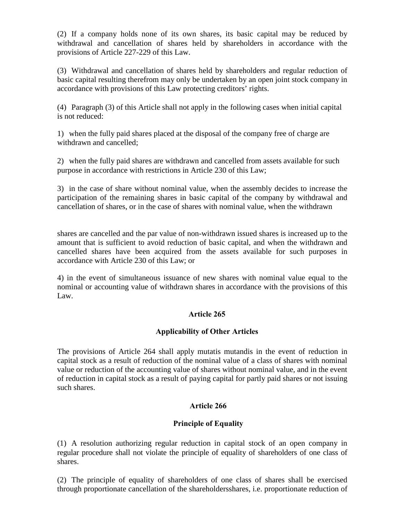(2) If a company holds none of its own shares, its basic capital may be reduced by withdrawal and cancellation of shares held by shareholders in accordance with the provisions of Article 227-229 of this Law.

(3) Withdrawal and cancellation of shares held by shareholders and regular reduction of basic capital resulting therefrom may only be undertaken by an open joint stock company in accordance with provisions of this Law protecting creditors' rights.

(4) Paragraph (3) of this Article shall not apply in the following cases when initial capital is not reduced:

1) when the fully paid shares placed at the disposal of the company free of charge are withdrawn and cancelled;

2) when the fully paid shares are withdrawn and cancelled from assets available for such purpose in accordance with restrictions in Article 230 of this Law;

3) in the case of share without nominal value, when the assembly decides to increase the participation of the remaining shares in basic capital of the company by withdrawal and cancellation of shares, or in the case of shares with nominal value, when the withdrawn

shares are cancelled and the par value of non-withdrawn issued shares is increased up to the amount that is sufficient to avoid reduction of basic capital, and when the withdrawn and cancelled shares have been acquired from the assets available for such purposes in accordance with Article 230 of this Law; or

4) in the event of simultaneous issuance of new shares with nominal value equal to the nominal or accounting value of withdrawn shares in accordance with the provisions of this Law.

#### Article 265

## Applicability of Other Articles

The provisions of Article 264 shall apply mutatis mutandis in the event of reduction in capital stock as a result of reduction of the nominal value of a class of shares with nominal value or reduction of the accounting value of shares without nominal value, and in the event of reduction in capital stock as a result of paying capital for partly paid shares or not issuing such shares.

## Article 266

## Principle of Equality

(1) A resolution authorizing regular reduction in capital stock of an open company in regular procedure shall not violate the principle of equality of shareholders of one class of shares.

(2) The principle of equality of shareholders of one class of shares shall be exercised through proportionate cancellation of the shareholdersshares, i.e. proportionate reduction of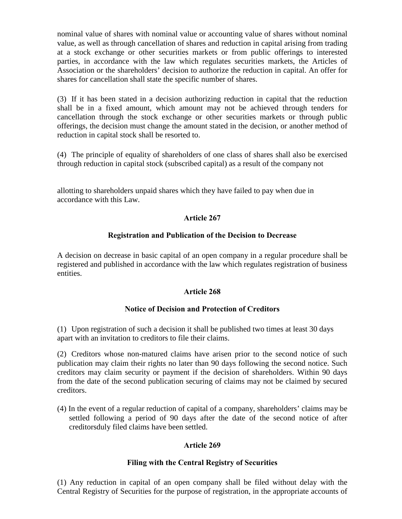nominal value of shares with nominal value or accounting value of shares without nominal value, as well as through cancellation of shares and reduction in capital arising from trading at a stock exchange or other securities markets or from public offerings to interested parties, in accordance with the law which regulates securities markets, the Articles of Association or the shareholders' decision to authorize the reduction in capital. An offer for shares for cancellation shall state the specific number of shares.

(3) If it has been stated in a decision authorizing reduction in capital that the reduction shall be in a fixed amount, which amount may not be achieved through tenders for cancellation through the stock exchange or other securities markets or through public offerings, the decision must change the amount stated in the decision, or another method of reduction in capital stock shall be resorted to.

(4) The principle of equality of shareholders of one class of shares shall also be exercised through reduction in capital stock (subscribed capital) as a result of the company not

allotting to shareholders unpaid shares which they have failed to pay when due in accordance with this Law.

### Article 267

#### Registration and Publication of the Decision to Decrease

A decision on decrease in basic capital of an open company in a regular procedure shall be registered and published in accordance with the law which regulates registration of business entities.

#### Article 268

#### Notice of Decision and Protection of Creditors

(1) Upon registration of such a decision it shall be published two times at least 30 days apart with an invitation to creditors to file their claims.

(2) Creditors whose non-matured claims have arisen prior to the second notice of such publication may claim their rights no later than 90 days following the second notice. Such creditors may claim security or payment if the decision of shareholders. Within 90 days from the date of the second publication securing of claims may not be claimed by secured creditors.

(4) In the event of a regular reduction of capital of a company, shareholders' claims may be settled following a period of 90 days after the date of the second notice of after creditorsduly filed claims have been settled.

## Article 269

#### Filing with the Central Registry of Securities

(1) Any reduction in capital of an open company shall be filed without delay with the Central Registry of Securities for the purpose of registration, in the appropriate accounts of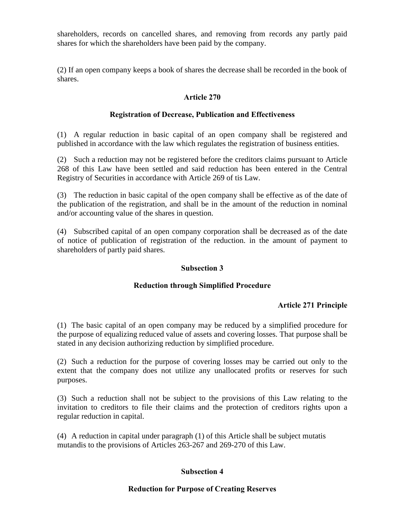shareholders, records on cancelled shares, and removing from records any partly paid shares for which the shareholders have been paid by the company.

(2) If an open company keeps a book of shares the decrease shall be recorded in the book of shares.

### Article 270

### Registration of Decrease, Publication and Effectiveness

(1) A regular reduction in basic capital of an open company shall be registered and published in accordance with the law which regulates the registration of business entities.

(2) Such a reduction may not be registered before the creditors claims pursuant to Article 268 of this Law have been settled and said reduction has been entered in the Central Registry of Securities in accordance with Article 269 of tis Law.

(3) The reduction in basic capital of the open company shall be effective as of the date of the publication of the registration, and shall be in the amount of the reduction in nominal and/or accounting value of the shares in question.

(4) Subscribed capital of an open company corporation shall be decreased as of the date of notice of publication of registration of the reduction. in the amount of payment to shareholders of partly paid shares.

#### Subsection 3

#### Reduction through Simplified Procedure

## Article 271 Principle

(1) The basic capital of an open company may be reduced by a simplified procedure for the purpose of equalizing reduced value of assets and covering losses. That purpose shall be stated in any decision authorizing reduction by simplified procedure.

(2) Such a reduction for the purpose of covering losses may be carried out only to the extent that the company does not utilize any unallocated profits or reserves for such purposes.

(3) Such a reduction shall not be subject to the provisions of this Law relating to the invitation to creditors to file their claims and the protection of creditors rights upon a regular reduction in capital.

(4) A reduction in capital under paragraph (1) of this Article shall be subject mutatis mutandis to the provisions of Articles 263-267 and 269-270 of this Law.

## Subsection 4

#### Reduction for Purpose of Creating Reserves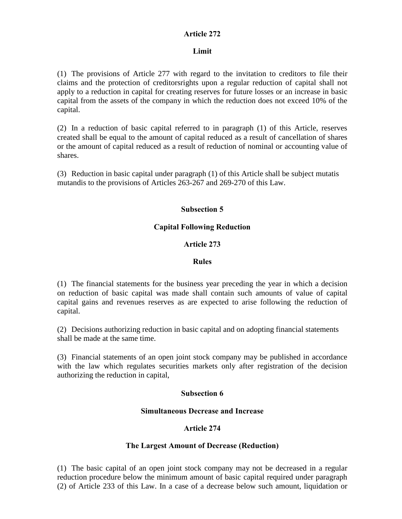## Article 272

## Limit

(1) The provisions of Article 277 with regard to the invitation to creditors to file their claims and the protection of creditorsrights upon a regular reduction of capital shall not apply to a reduction in capital for creating reserves for future losses or an increase in basic capital from the assets of the company in which the reduction does not exceed 10% of the capital.

(2) In a reduction of basic capital referred to in paragraph (1) of this Article, reserves created shall be equal to the amount of capital reduced as a result of cancellation of shares or the amount of capital reduced as a result of reduction of nominal or accounting value of shares.

(3) Reduction in basic capital under paragraph (1) of this Article shall be subject mutatis mutandis to the provisions of Articles 263-267 and 269-270 of this Law.

# Subsection 5

## Capital Following Reduction

## Article 273

## Rules

(1) The financial statements for the business year preceding the year in which a decision on reduction of basic capital was made shall contain such amounts of value of capital capital gains and revenues reserves as are expected to arise following the reduction of capital.

(2) Decisions authorizing reduction in basic capital and on adopting financial statements shall be made at the same time.

(3) Financial statements of an open joint stock company may be published in accordance with the law which regulates securities markets only after registration of the decision authorizing the reduction in capital,

## Subsection 6

## Simultaneous Decrease and Increase

## Article 274

## The Largest Amount of Decrease (Reduction)

(1) The basic capital of an open joint stock company may not be decreased in a regular reduction procedure below the minimum amount of basic capital required under paragraph (2) of Article 233 of this Law. In a case of a decrease below such amount, liquidation or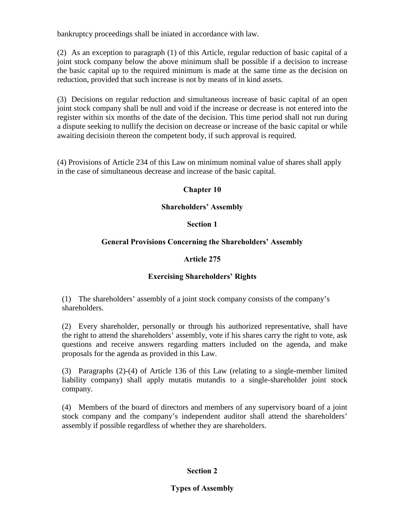bankruptcy proceedings shall be iniated in accordance with law.

(2) As an exception to paragraph (1) of this Article, regular reduction of basic capital of a joint stock company below the above minimum shall be possible if a decision to increase the basic capital up to the required minimum is made at the same time as the decision on reduction, provided that such increase is not by means of in kind assets.

(3) Decisions on regular reduction and simultaneous increase of basic capital of an open joint stock company shall be null and void if the increase or decrease is not entered into the register within six months of the date of the decision. This time period shall not run during a dispute seeking to nullify the decision on decrease or increase of the basic capital or while awaiting decisioin thereon the competent body, if such approval is required.

(4) Provisions of Article 234 of this Law on minimum nominal value of shares shall apply in the case of simultaneous decrease and increase of the basic capital.

## Chapter 10

## Shareholders' Assembly

## Section 1

## General Provisions Concerning the Shareholders' Assembly

## Article 275

## Exercising Shareholders' Rights

(1) The shareholders' assembly of a joint stock company consists of the company's shareholders.

(2) Every shareholder, personally or through his authorized representative, shall have the right to attend the shareholders' assembly, vote if his shares carry the right to vote, ask questions and receive answers regarding matters included on the agenda, and make proposals for the agenda as provided in this Law.

(3) Paragraphs (2)-(4) of Article 136 of this Law (relating to a single-member limited liability company) shall apply mutatis mutandis to a single-shareholder joint stock company.

(4) Members of the board of directors and members of any supervisory board of a joint stock company and the company's independent auditor shall attend the shareholders' assembly if possible regardless of whether they are shareholders.

## Section 2

## Types of Assembly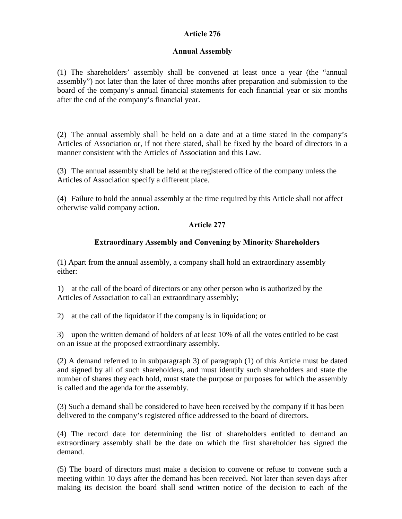## Article 276

## Annual Assembly

(1) The shareholders' assembly shall be convened at least once a year (the "annual assembly") not later than the later of three months after preparation and submission to the board of the company's annual financial statements for each financial year or six months after the end of the company's financial year.

(2) The annual assembly shall be held on a date and at a time stated in the company's Articles of Association or, if not there stated, shall be fixed by the board of directors in a manner consistent with the Articles of Association and this Law.

(3) The annual assembly shall be held at the registered office of the company unless the Articles of Association specify a different place.

(4) Failure to hold the annual assembly at the time required by this Article shall not affect otherwise valid company action.

## Article 277

## Extraordinary Assembly and Convening by Minority Shareholders

(1) Apart from the annual assembly, a company shall hold an extraordinary assembly either:

1) at the call of the board of directors or any other person who is authorized by the Articles of Association to call an extraordinary assembly;

2) at the call of the liquidator if the company is in liquidation; or

3) upon the written demand of holders of at least 10% of all the votes entitled to be cast on an issue at the proposed extraordinary assembly.

(2) A demand referred to in subparagraph 3) of paragraph (1) of this Article must be dated and signed by all of such shareholders, and must identify such shareholders and state the number of shares they each hold, must state the purpose or purposes for which the assembly is called and the agenda for the assembly.

(3) Such a demand shall be considered to have been received by the company if it has been delivered to the company's registered office addressed to the board of directors.

(4) The record date for determining the list of shareholders entitled to demand an extraordinary assembly shall be the date on which the first shareholder has signed the demand.

(5) The board of directors must make a decision to convene or refuse to convene such a meeting within 10 days after the demand has been received. Not later than seven days after making its decision the board shall send written notice of the decision to each of the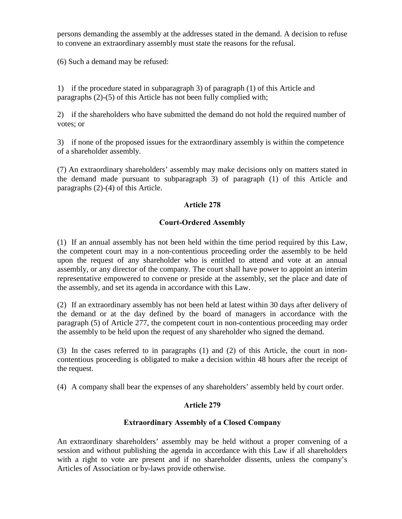persons demanding the assembly at the addresses stated in the demand. A decision to refuse to convene an extraordinary assembly must state the reasons for the refusal.

(6) Such a demand may be refused:

1) if the procedure stated in subparagraph 3) of paragraph (1) of this Article and paragraphs (2)-(5) of this Article has not been fully complied with;

2) if the shareholders who have submitted the demand do not hold the required number of votes; or

3) if none of the proposed issues for the extraordinary assembly is within the competence of a shareholder assembly.

(7) An extraordinary shareholders' assembly may make decisions only on matters stated in the demand made pursuant to subparagraph 3) of paragraph (1) of this Article and paragraphs (2)-(4) of this Article.

## Article 278

## Court-Ordered Assembly

(1) If an annual assembly has not been held within the time period required by this Law, the competent court may in a non-contentious proceeding order the assembly to be held upon the request of any shareholder who is entitled to attend and vote at an annual assembly, or any director of the company. The court shall have power to appoint an interim representative empowered to convene or preside at the assembly, set the place and date of the assembly, and set its agenda in accordance with this Law.

(2) If an extraordinary assembly has not been held at latest within 30 days after delivery of the demand or at the day defined by the board of managers in accordance with the paragraph (5) of Article 277, the competent court in non-contentious proceeding may order the assembly to be held upon the request of any shareholder who signed the demand.

(3) In the cases referred to in paragraphs (1) and (2) of this Article, the court in noncontentious proceeding is obligated to make a decision within 48 hours after the receipt of the request.

(4) A company shall bear the expenses of any shareholders' assembly held by court order.

## Article 279

## Extraordinary Assembly of a Closed Company

An extraordinary shareholders' assembly may be held without a proper convening of a session and without publishing the agenda in accordance with this Law if all shareholders with a right to vote are present and if no shareholder dissents, unless the company's Articles of Association or by-laws provide otherwise.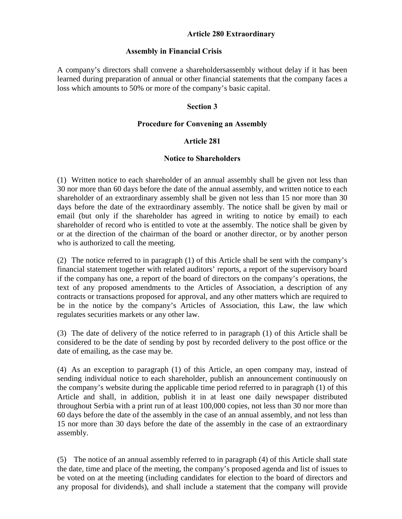## Article 280 Extraordinary

#### Assembly in Financial Crisis

A company's directors shall convene a shareholdersassembly without delay if it has been learned during preparation of annual or other financial statements that the company faces a loss which amounts to 50% or more of the company's basic capital.

#### Section 3

#### Procedure for Convening an Assembly

#### Article 281

## Notice to Shareholders

(1) Written notice to each shareholder of an annual assembly shall be given not less than 30 nor more than 60 days before the date of the annual assembly, and written notice to each shareholder of an extraordinary assembly shall be given not less than 15 nor more than 30 days before the date of the extraordinary assembly. The notice shall be given by mail or email (but only if the shareholder has agreed in writing to notice by email) to each shareholder of record who is entitled to vote at the assembly. The notice shall be given by or at the direction of the chairman of the board or another director, or by another person who is authorized to call the meeting.

(2) The notice referred to in paragraph (1) of this Article shall be sent with the company's financial statement together with related auditors' reports, a report of the supervisory board if the company has one, a report of the board of directors on the company's operations, the text of any proposed amendments to the Articles of Association, a description of any contracts or transactions proposed for approval, and any other matters which are required to be in the notice by the company's Articles of Association, this Law, the law which regulates securities markets or any other law.

(3) The date of delivery of the notice referred to in paragraph (1) of this Article shall be considered to be the date of sending by post by recorded delivery to the post office or the date of emailing, as the case may be.

(4) As an exception to paragraph (1) of this Article, an open company may, instead of sending individual notice to each shareholder, publish an announcement continuously on the company's website during the applicable time period referred to in paragraph (1) of this Article and shall, in addition, publish it in at least one daily newspaper distributed throughout Serbia with a print run of at least 100,000 copies, not less than 30 nor more than 60 days before the date of the assembly in the case of an annual assembly, and not less than 15 nor more than 30 days before the date of the assembly in the case of an extraordinary assembly.

(5) The notice of an annual assembly referred to in paragraph (4) of this Article shall state the date, time and place of the meeting, the company's proposed agenda and list of issues to be voted on at the meeting (including candidates for election to the board of directors and any proposal for dividends), and shall include a statement that the company will provide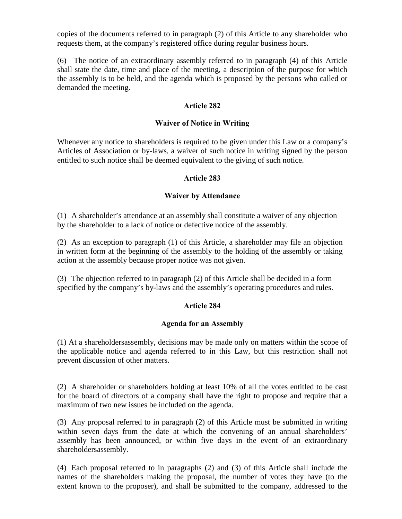copies of the documents referred to in paragraph (2) of this Article to any shareholder who requests them, at the company's registered office during regular business hours.

(6) The notice of an extraordinary assembly referred to in paragraph (4) of this Article shall state the date, time and place of the meeting, a description of the purpose for which the assembly is to be held, and the agenda which is proposed by the persons who called or demanded the meeting.

## Article 282

## Waiver of Notice in Writing

Whenever any notice to shareholders is required to be given under this Law or a company's Articles of Association or by-laws, a waiver of such notice in writing signed by the person entitled to such notice shall be deemed equivalent to the giving of such notice.

## Article 283

## Waiver by Attendance

(1) A shareholder's attendance at an assembly shall constitute a waiver of any objection by the shareholder to a lack of notice or defective notice of the assembly.

(2) As an exception to paragraph (1) of this Article, a shareholder may file an objection in written form at the beginning of the assembly to the holding of the assembly or taking action at the assembly because proper notice was not given.

(3) The objection referred to in paragraph (2) of this Article shall be decided in a form specified by the company's by-laws and the assembly's operating procedures and rules.

# Article 284

## Agenda for an Assembly

(1) At a shareholdersassembly, decisions may be made only on matters within the scope of the applicable notice and agenda referred to in this Law, but this restriction shall not prevent discussion of other matters.

(2) A shareholder or shareholders holding at least 10% of all the votes entitled to be cast for the board of directors of a company shall have the right to propose and require that a maximum of two new issues be included on the agenda.

(3) Any proposal referred to in paragraph (2) of this Article must be submitted in writing within seven days from the date at which the convening of an annual shareholders' assembly has been announced, or within five days in the event of an extraordinary shareholdersassembly.

(4) Each proposal referred to in paragraphs (2) and (3) of this Article shall include the names of the shareholders making the proposal, the number of votes they have (to the extent known to the proposer), and shall be submitted to the company, addressed to the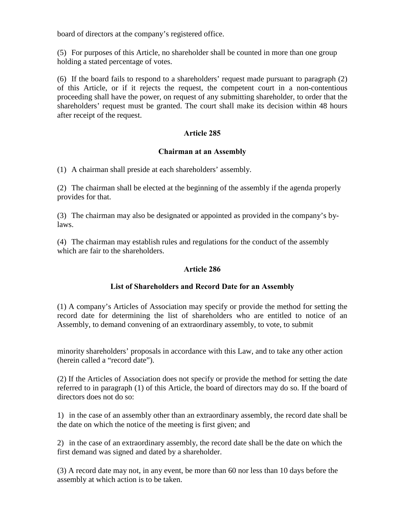board of directors at the company's registered office.

(5) For purposes of this Article, no shareholder shall be counted in more than one group holding a stated percentage of votes.

(6) If the board fails to respond to a shareholders' request made pursuant to paragraph (2) of this Article, or if it rejects the request, the competent court in a non-contentious proceeding shall have the power, on request of any submitting shareholder, to order that the shareholders' request must be granted. The court shall make its decision within 48 hours after receipt of the request.

# Article 285

## Chairman at an Assembly

(1) A chairman shall preside at each shareholders' assembly.

(2) The chairman shall be elected at the beginning of the assembly if the agenda properly provides for that.

(3) The chairman may also be designated or appointed as provided in the company's bylaws.

(4) The chairman may establish rules and regulations for the conduct of the assembly which are fair to the shareholders.

## Article 286

## List of Shareholders and Record Date for an Assembly

(1) A company's Articles of Association may specify or provide the method for setting the record date for determining the list of shareholders who are entitled to notice of an Assembly, to demand convening of an extraordinary assembly, to vote, to submit

minority shareholders' proposals in accordance with this Law, and to take any other action (herein called a "record date").

(2) If the Articles of Association does not specify or provide the method for setting the date referred to in paragraph (1) of this Article, the board of directors may do so. If the board of directors does not do so:

1) in the case of an assembly other than an extraordinary assembly, the record date shall be the date on which the notice of the meeting is first given; and

2) in the case of an extraordinary assembly, the record date shall be the date on which the first demand was signed and dated by a shareholder.

(3) A record date may not, in any event, be more than 60 nor less than 10 days before the assembly at which action is to be taken.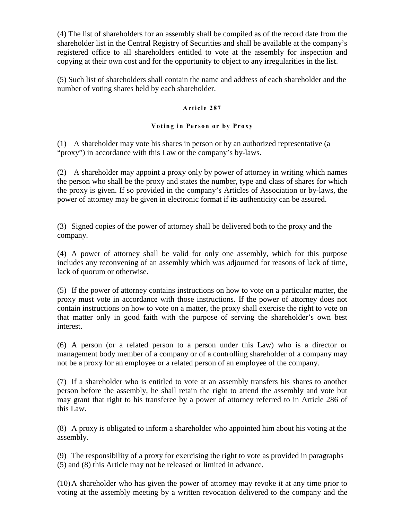(4) The list of shareholders for an assembly shall be compiled as of the record date from the shareholder list in the Central Registry of Securities and shall be available at the company's registered office to all shareholders entitled to vote at the assembly for inspection and copying at their own cost and for the opportunity to object to any irregularities in the list.

(5) Such list of shareholders shall contain the name and address of each shareholder and the number of voting shares held by each shareholder.

#### Article 287

#### Voting in Person or by Proxy

(1) A shareholder may vote his shares in person or by an authorized representative (a "proxy") in accordance with this Law or the company's by-laws.

(2) A shareholder may appoint a proxy only by power of attorney in writing which names the person who shall be the proxy and states the number, type and class of shares for which the proxy is given. If so provided in the company's Articles of Association or by-laws, the power of attorney may be given in electronic format if its authenticity can be assured.

(3) Signed copies of the power of attorney shall be delivered both to the proxy and the company.

(4) A power of attorney shall be valid for only one assembly, which for this purpose includes any reconvening of an assembly which was adjourned for reasons of lack of time, lack of quorum or otherwise.

(5) If the power of attorney contains instructions on how to vote on a particular matter, the proxy must vote in accordance with those instructions. If the power of attorney does not contain instructions on how to vote on a matter, the proxy shall exercise the right to vote on that matter only in good faith with the purpose of serving the shareholder's own best interest.

(6) A person (or a related person to a person under this Law) who is a director or management body member of a company or of a controlling shareholder of a company may not be a proxy for an employee or a related person of an employee of the company.

(7) If a shareholder who is entitled to vote at an assembly transfers his shares to another person before the assembly, he shall retain the right to attend the assembly and vote but may grant that right to his transferee by a power of attorney referred to in Article 286 of this Law.

(8) A proxy is obligated to inform a shareholder who appointed him about his voting at the assembly.

(9) The responsibility of a proxy for exercising the right to vote as provided in paragraphs (5) and (8) this Article may not be released or limited in advance.

(10)A shareholder who has given the power of attorney may revoke it at any time prior to voting at the assembly meeting by a written revocation delivered to the company and the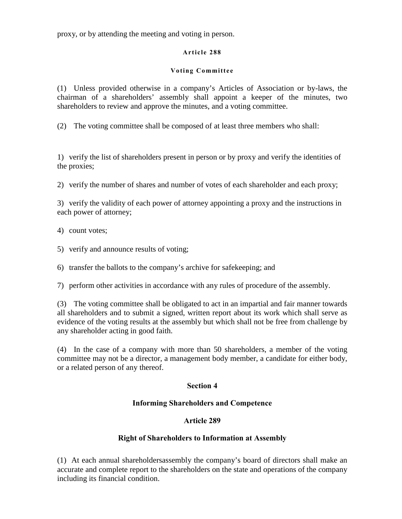proxy, or by attending the meeting and voting in person.

## Article 288

## Voting Committee

(1) Unless provided otherwise in a company's Articles of Association or by-laws, the chairman of a shareholders' assembly shall appoint a keeper of the minutes, two shareholders to review and approve the minutes, and a voting committee.

(2) The voting committee shall be composed of at least three members who shall:

1) verify the list of shareholders present in person or by proxy and verify the identities of the proxies;

2) verify the number of shares and number of votes of each shareholder and each proxy;

3) verify the validity of each power of attorney appointing a proxy and the instructions in each power of attorney;

- 4) count votes;
- 5) verify and announce results of voting;

6) transfer the ballots to the company's archive for safekeeping; and

7) perform other activities in accordance with any rules of procedure of the assembly.

(3) The voting committee shall be obligated to act in an impartial and fair manner towards all shareholders and to submit a signed, written report about its work which shall serve as evidence of the voting results at the assembly but which shall not be free from challenge by any shareholder acting in good faith.

(4) In the case of a company with more than 50 shareholders, a member of the voting committee may not be a director, a management body member, a candidate for either body, or a related person of any thereof.

# Section 4

# Informing Shareholders and Competence

# Article 289

# Right of Shareholders to Information at Assembly

(1) At each annual shareholdersassembly the company's board of directors shall make an accurate and complete report to the shareholders on the state and operations of the company including its financial condition.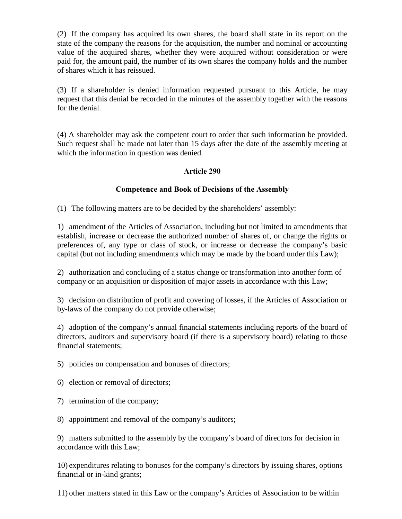(2) If the company has acquired its own shares, the board shall state in its report on the state of the company the reasons for the acquisition, the number and nominal or accounting value of the acquired shares, whether they were acquired without consideration or were paid for, the amount paid, the number of its own shares the company holds and the number of shares which it has reissued.

(3) If a shareholder is denied information requested pursuant to this Article, he may request that this denial be recorded in the minutes of the assembly together with the reasons for the denial.

(4) A shareholder may ask the competent court to order that such information be provided. Such request shall be made not later than 15 days after the date of the assembly meeting at which the information in question was denied.

## Article 290

# Competence and Book of Decisions of the Assembly

(1) The following matters are to be decided by the shareholders' assembly:

1) amendment of the Articles of Association, including but not limited to amendments that establish, increase or decrease the authorized number of shares of, or change the rights or preferences of, any type or class of stock, or increase or decrease the company's basic capital (but not including amendments which may be made by the board under this Law);

2) authorization and concluding of a status change or transformation into another form of company or an acquisition or disposition of major assets in accordance with this Law;

3) decision on distribution of profit and covering of losses, if the Articles of Association or by-laws of the company do not provide otherwise;

4) adoption of the company's annual financial statements including reports of the board of directors, auditors and supervisory board (if there is a supervisory board) relating to those financial statements;

5) policies on compensation and bonuses of directors;

6) election or removal of directors;

- 7) termination of the company;
- 8) appointment and removal of the company's auditors;

9) matters submitted to the assembly by the company's board of directors for decision in accordance with this Law;

10) expenditures relating to bonuses for the company's directors by issuing shares, options financial or in-kind grants;

11) other matters stated in this Law or the company's Articles of Association to be within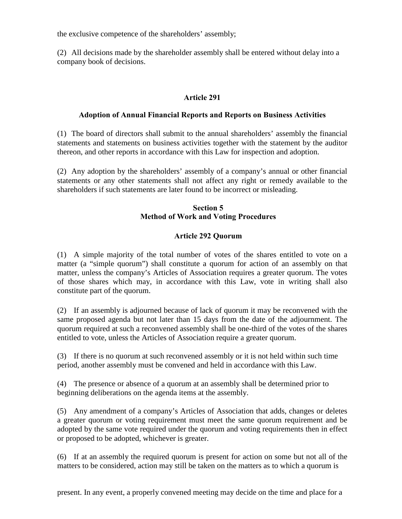the exclusive competence of the shareholders' assembly;

(2) All decisions made by the shareholder assembly shall be entered without delay into a company book of decisions.

## Article 291

#### Adoption of Annual Financial Reports and Reports on Business Activities

(1) The board of directors shall submit to the annual shareholders' assembly the financial statements and statements on business activities together with the statement by the auditor thereon, and other reports in accordance with this Law for inspection and adoption.

(2) Any adoption by the shareholders' assembly of a company's annual or other financial statements or any other statements shall not affect any right or remedy available to the shareholders if such statements are later found to be incorrect or misleading.

## Section 5 Method of Work and Voting Procedures

## Article 292 Quorum

(1) A simple majority of the total number of votes of the shares entitled to vote on a matter (a "simple quorum") shall constitute a quorum for action of an assembly on that matter, unless the company's Articles of Association requires a greater quorum. The votes of those shares which may, in accordance with this Law, vote in writing shall also constitute part of the quorum.

(2) If an assembly is adjourned because of lack of quorum it may be reconvened with the same proposed agenda but not later than 15 days from the date of the adjournment. The quorum required at such a reconvened assembly shall be one-third of the votes of the shares entitled to vote, unless the Articles of Association require a greater quorum.

(3) If there is no quorum at such reconvened assembly or it is not held within such time period, another assembly must be convened and held in accordance with this Law.

(4) The presence or absence of a quorum at an assembly shall be determined prior to beginning deliberations on the agenda items at the assembly.

(5) Any amendment of a company's Articles of Association that adds, changes or deletes a greater quorum or voting requirement must meet the same quorum requirement and be adopted by the same vote required under the quorum and voting requirements then in effect or proposed to be adopted, whichever is greater.

(6) If at an assembly the required quorum is present for action on some but not all of the matters to be considered, action may still be taken on the matters as to which a quorum is

present. In any event, a properly convened meeting may decide on the time and place for a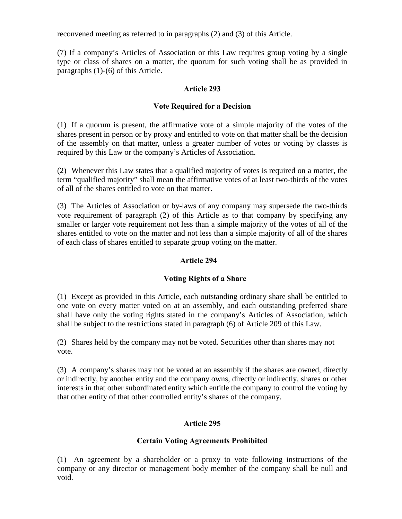reconvened meeting as referred to in paragraphs (2) and (3) of this Article.

(7) If a company's Articles of Association or this Law requires group voting by a single type or class of shares on a matter, the quorum for such voting shall be as provided in paragraphs (1)-(6) of this Article.

## Article 293

## Vote Required for a Decision

(1) If a quorum is present, the affirmative vote of a simple majority of the votes of the shares present in person or by proxy and entitled to vote on that matter shall be the decision of the assembly on that matter, unless a greater number of votes or voting by classes is required by this Law or the company's Articles of Association.

(2) Whenever this Law states that a qualified majority of votes is required on a matter, the term "qualified majority" shall mean the affirmative votes of at least two-thirds of the votes of all of the shares entitled to vote on that matter.

(3) The Articles of Association or by-laws of any company may supersede the two-thirds vote requirement of paragraph (2) of this Article as to that company by specifying any smaller or larger vote requirement not less than a simple majority of the votes of all of the shares entitled to vote on the matter and not less than a simple majority of all of the shares of each class of shares entitled to separate group voting on the matter.

## Article 294

## Voting Rights of a Share

(1) Except as provided in this Article, each outstanding ordinary share shall be entitled to one vote on every matter voted on at an assembly, and each outstanding preferred share shall have only the voting rights stated in the company's Articles of Association, which shall be subject to the restrictions stated in paragraph (6) of Article 209 of this Law.

(2) Shares held by the company may not be voted. Securities other than shares may not vote.

(3) A company's shares may not be voted at an assembly if the shares are owned, directly or indirectly, by another entity and the company owns, directly or indirectly, shares or other interests in that other subordinated entity which entitle the company to control the voting by that other entity of that other controlled entity's shares of the company.

# Article 295

## Certain Voting Agreements Prohibited

(1) An agreement by a shareholder or a proxy to vote following instructions of the company or any director or management body member of the company shall be null and void.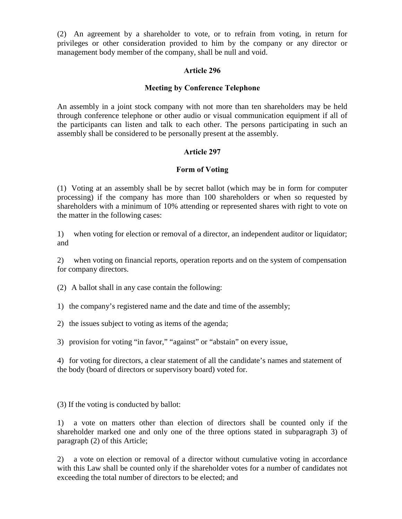(2) An agreement by a shareholder to vote, or to refrain from voting, in return for privileges or other consideration provided to him by the company or any director or management body member of the company, shall be null and void.

## Article 296

## Meeting by Conference Telephone

An assembly in a joint stock company with not more than ten shareholders may be held through conference telephone or other audio or visual communication equipment if all of the participants can listen and talk to each other. The persons participating in such an assembly shall be considered to be personally present at the assembly.

## Article 297

## Form of Voting

(1) Voting at an assembly shall be by secret ballot (which may be in form for computer processing) if the company has more than 100 shareholders or when so requested by shareholders with a minimum of 10% attending or represented shares with right to vote on the matter in the following cases:

1) when voting for election or removal of a director, an independent auditor or liquidator; and

2) when voting on financial reports, operation reports and on the system of compensation for company directors.

(2) A ballot shall in any case contain the following:

1) the company's registered name and the date and time of the assembly;

2) the issues subject to voting as items of the agenda;

3) provision for voting "in favor," "against" or "abstain" on every issue,

4) for voting for directors, a clear statement of all the candidate's names and statement of the body (board of directors or supervisory board) voted for.

(3) If the voting is conducted by ballot:

1) a vote on matters other than election of directors shall be counted only if the shareholder marked one and only one of the three options stated in subparagraph 3) of paragraph (2) of this Article;

2) a vote on election or removal of a director without cumulative voting in accordance with this Law shall be counted only if the shareholder votes for a number of candidates not exceeding the total number of directors to be elected; and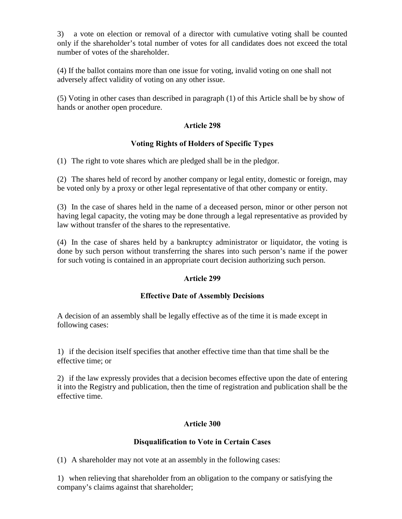3) a vote on election or removal of a director with cumulative voting shall be counted only if the shareholder's total number of votes for all candidates does not exceed the total number of votes of the shareholder.

(4) If the ballot contains more than one issue for voting, invalid voting on one shall not adversely affect validity of voting on any other issue.

(5) Voting in other cases than described in paragraph (1) of this Article shall be by show of hands or another open procedure.

# Article 298

## Voting Rights of Holders of Specific Types

(1) The right to vote shares which are pledged shall be in the pledgor.

(2) The shares held of record by another company or legal entity, domestic or foreign, may be voted only by a proxy or other legal representative of that other company or entity.

(3) In the case of shares held in the name of a deceased person, minor or other person not having legal capacity, the voting may be done through a legal representative as provided by law without transfer of the shares to the representative.

(4) In the case of shares held by a bankruptcy administrator or liquidator, the voting is done by such person without transferring the shares into such person's name if the power for such voting is contained in an appropriate court decision authorizing such person.

## Article 299

## Effective Date of Assembly Decisions

A decision of an assembly shall be legally effective as of the time it is made except in following cases:

1) if the decision itself specifies that another effective time than that time shall be the effective time; or

2) if the law expressly provides that a decision becomes effective upon the date of entering it into the Registry and publication, then the time of registration and publication shall be the effective time.

## Article 300

## Disqualification to Vote in Certain Cases

(1) A shareholder may not vote at an assembly in the following cases:

1) when relieving that shareholder from an obligation to the company or satisfying the company's claims against that shareholder;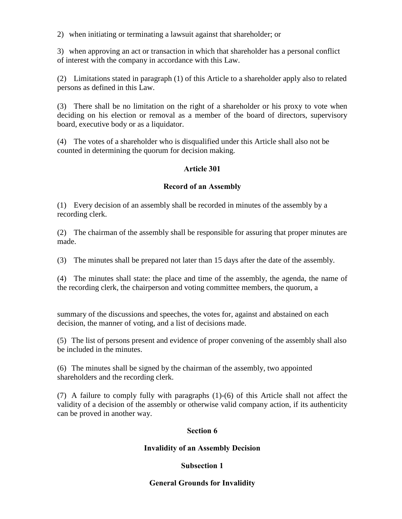2) when initiating or terminating a lawsuit against that shareholder; or

3) when approving an act or transaction in which that shareholder has a personal conflict of interest with the company in accordance with this Law.

(2) Limitations stated in paragraph (1) of this Article to a shareholder apply also to related persons as defined in this Law.

(3) There shall be no limitation on the right of a shareholder or his proxy to vote when deciding on his election or removal as a member of the board of directors, supervisory board, executive body or as a liquidator.

(4) The votes of a shareholder who is disqualified under this Article shall also not be counted in determining the quorum for decision making.

# Article 301

## Record of an Assembly

(1) Every decision of an assembly shall be recorded in minutes of the assembly by a recording clerk.

(2) The chairman of the assembly shall be responsible for assuring that proper minutes are made.

(3) The minutes shall be prepared not later than 15 days after the date of the assembly.

(4) The minutes shall state: the place and time of the assembly, the agenda, the name of the recording clerk, the chairperson and voting committee members, the quorum, a

summary of the discussions and speeches, the votes for, against and abstained on each decision, the manner of voting, and a list of decisions made.

(5) The list of persons present and evidence of proper convening of the assembly shall also be included in the minutes.

(6) The minutes shall be signed by the chairman of the assembly, two appointed shareholders and the recording clerk.

(7) A failure to comply fully with paragraphs (1)-(6) of this Article shall not affect the validity of a decision of the assembly or otherwise valid company action, if its authenticity can be proved in another way.

## Section 6

## Invalidity of an Assembly Decision

# Subsection 1

# General Grounds for Invalidity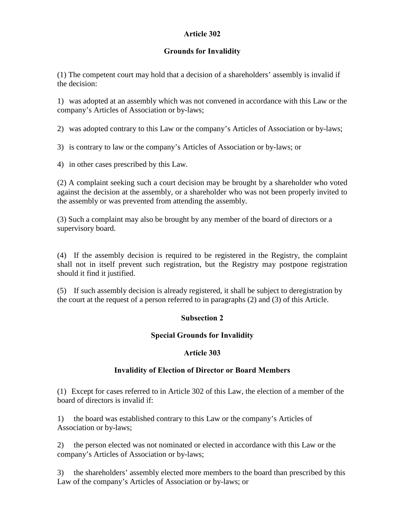# Article 302

# Grounds for Invalidity

(1) The competent court may hold that a decision of a shareholders' assembly is invalid if the decision:

1) was adopted at an assembly which was not convened in accordance with this Law or the company's Articles of Association or by-laws;

2) was adopted contrary to this Law or the company's Articles of Association or by-laws;

3) is contrary to law or the company's Articles of Association or by-laws; or

4) in other cases prescribed by this Law.

(2) A complaint seeking such a court decision may be brought by a shareholder who voted against the decision at the assembly, or a shareholder who was not been properly invited to the assembly or was prevented from attending the assembly.

(3) Such a complaint may also be brought by any member of the board of directors or a supervisory board.

(4) If the assembly decision is required to be registered in the Registry, the complaint shall not in itself prevent such registration, but the Registry may postpone registration should it find it justified.

(5) If such assembly decision is already registered, it shall be subject to deregistration by the court at the request of a person referred to in paragraphs (2) and (3) of this Article.

# Subsection 2

# Special Grounds for Invalidity

## Article 303

# Invalidity of Election of Director or Board Members

(1) Except for cases referred to in Article 302 of this Law, the election of a member of the board of directors is invalid if:

1) the board was established contrary to this Law or the company's Articles of Association or by-laws;

2) the person elected was not nominated or elected in accordance with this Law or the company's Articles of Association or by-laws;

3) the shareholders' assembly elected more members to the board than prescribed by this Law of the company's Articles of Association or by-laws; or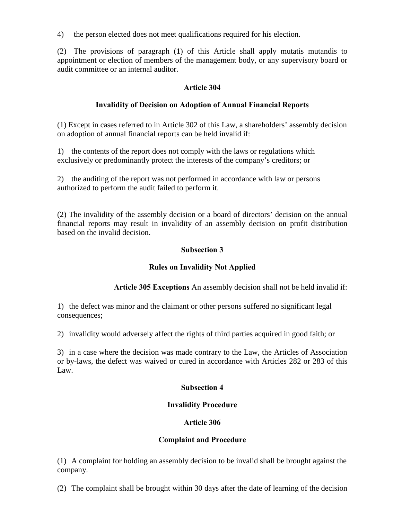4) the person elected does not meet qualifications required for his election.

(2) The provisions of paragraph (1) of this Article shall apply mutatis mutandis to appointment or election of members of the management body, or any supervisory board or audit committee or an internal auditor.

## Article 304

# Invalidity of Decision on Adoption of Annual Financial Reports

(1) Except in cases referred to in Article 302 of this Law, a shareholders' assembly decision on adoption of annual financial reports can be held invalid if:

1) the contents of the report does not comply with the laws or regulations which exclusively or predominantly protect the interests of the company's creditors; or

2) the auditing of the report was not performed in accordance with law or persons authorized to perform the audit failed to perform it.

(2) The invalidity of the assembly decision or a board of directors' decision on the annual financial reports may result in invalidity of an assembly decision on profit distribution based on the invalid decision.

# Subsection 3

# Rules on Invalidity Not Applied

Article 305 Exceptions An assembly decision shall not be held invalid if:

1) the defect was minor and the claimant or other persons suffered no significant legal consequences;

2) invalidity would adversely affect the rights of third parties acquired in good faith; or

3) in a case where the decision was made contrary to the Law, the Articles of Association or by-laws, the defect was waived or cured in accordance with Articles 282 or 283 of this Law.

## Subsection 4

## Invalidity Procedure

## Article 306

## Complaint and Procedure

(1) A complaint for holding an assembly decision to be invalid shall be brought against the company.

(2) The complaint shall be brought within 30 days after the date of learning of the decision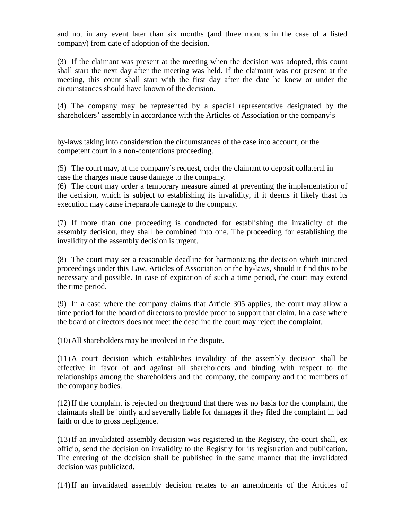and not in any event later than six months (and three months in the case of a listed company) from date of adoption of the decision.

(3) If the claimant was present at the meeting when the decision was adopted, this count shall start the next day after the meeting was held. If the claimant was not present at the meeting, this count shall start with the first day after the date he knew or under the circumstances should have known of the decision.

(4) The company may be represented by a special representative designated by the shareholders' assembly in accordance with the Articles of Association or the company's

by-laws taking into consideration the circumstances of the case into account, or the competent court in a non-contentious proceeding.

(5) The court may, at the company's request, order the claimant to deposit collateral in case the charges made cause damage to the company.

(6) The court may order a temporary measure aimed at preventing the implementation of the decision, which is subject to establishing its invalidity, if it deems it likely thast its execution may cause irreparable damage to the company.

(7) If more than one proceeding is conducted for establishing the invalidity of the assembly decision, they shall be combined into one. The proceeding for establishing the invalidity of the assembly decision is urgent.

(8) The court may set a reasonable deadline for harmonizing the decision which initiated proceedings under this Law, Articles of Association or the by-laws, should it find this to be necessary and possible. In case of expiration of such a time period, the court may extend the time period.

(9) In a case where the company claims that Article 305 applies, the court may allow a time period for the board of directors to provide proof to support that claim. In a case where the board of directors does not meet the deadline the court may reject the complaint.

(10)All shareholders may be involved in the dispute.

(11)A court decision which establishes invalidity of the assembly decision shall be effective in favor of and against all shareholders and binding with respect to the relationships among the shareholders and the company, the company and the members of the company bodies.

(12)If the complaint is rejected on theground that there was no basis for the complaint, the claimants shall be jointly and severally liable for damages if they filed the complaint in bad faith or due to gross negligence.

(13)If an invalidated assembly decision was registered in the Registry, the court shall, ex officio, send the decision on invalidity to the Registry for its registration and publication. The entering of the decision shall be published in the same manner that the invalidated decision was publicized.

(14)If an invalidated assembly decision relates to an amendments of the Articles of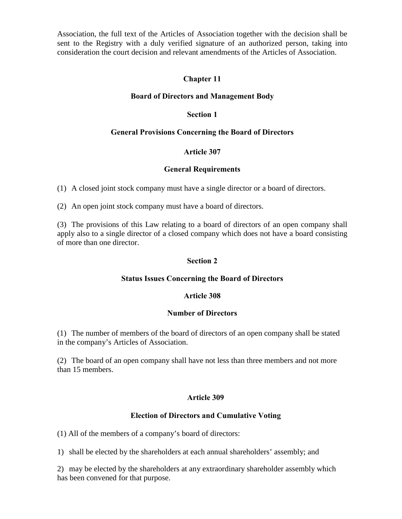Association, the full text of the Articles of Association together with the decision shall be sent to the Registry with a duly verified signature of an authorized person, taking into consideration the court decision and relevant amendments of the Articles of Association.

## Chapter 11

#### Board of Directors and Management Body

## Section 1

## General Provisions Concerning the Board of Directors

## Article 307

## General Requirements

(1) A closed joint stock company must have a single director or a board of directors.

(2) An open joint stock company must have a board of directors.

(3) The provisions of this Law relating to a board of directors of an open company shall apply also to a single director of a closed company which does not have a board consisting of more than one director.

## Section 2

## Status Issues Concerning the Board of Directors

## Article 308

## Number of Directors

(1) The number of members of the board of directors of an open company shall be stated in the company's Articles of Association.

(2) The board of an open company shall have not less than three members and not more than 15 members.

## Article 309

## Election of Directors and Cumulative Voting

(1) All of the members of a company's board of directors:

1) shall be elected by the shareholders at each annual shareholders' assembly; and

2) may be elected by the shareholders at any extraordinary shareholder assembly which has been convened for that purpose.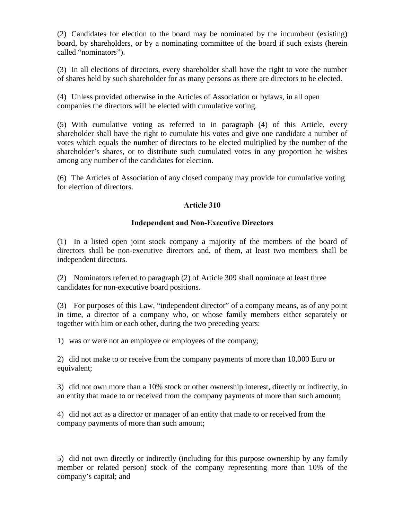(2) Candidates for election to the board may be nominated by the incumbent (existing) board, by shareholders, or by a nominating committee of the board if such exists (herein called "nominators").

(3) In all elections of directors, every shareholder shall have the right to vote the number of shares held by such shareholder for as many persons as there are directors to be elected.

(4) Unless provided otherwise in the Articles of Association or bylaws, in all open companies the directors will be elected with cumulative voting.

(5) With cumulative voting as referred to in paragraph (4) of this Article, every shareholder shall have the right to cumulate his votes and give one candidate a number of votes which equals the number of directors to be elected multiplied by the number of the shareholder's shares, or to distribute such cumulated votes in any proportion he wishes among any number of the candidates for election.

(6) The Articles of Association of any closed company may provide for cumulative voting for election of directors.

# Article 310

## Independent and Non-Executive Directors

(1) In a listed open joint stock company a majority of the members of the board of directors shall be non-executive directors and, of them, at least two members shall be independent directors.

(2) Nominators referred to paragraph (2) of Article 309 shall nominate at least three candidates for non-executive board positions.

(3) For purposes of this Law, "independent director" of a company means, as of any point in time, a director of a company who, or whose family members either separately or together with him or each other, during the two preceding years:

1) was or were not an employee or employees of the company;

2) did not make to or receive from the company payments of more than 10,000 Euro or equivalent;

3) did not own more than a 10% stock or other ownership interest, directly or indirectly, in an entity that made to or received from the company payments of more than such amount;

4) did not act as a director or manager of an entity that made to or received from the company payments of more than such amount;

5) did not own directly or indirectly (including for this purpose ownership by any family member or related person) stock of the company representing more than 10% of the company's capital; and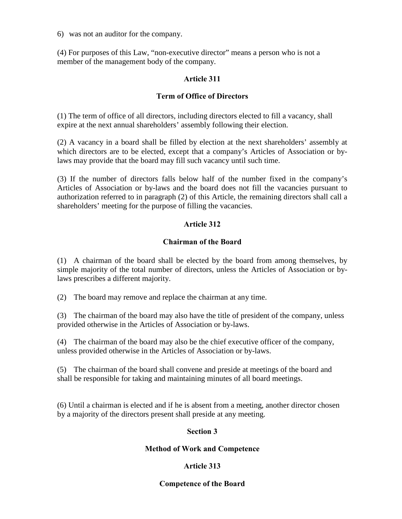6) was not an auditor for the company.

(4) For purposes of this Law, "non-executive director" means a person who is not a member of the management body of the company.

## Article 311

## Term of Office of Directors

(1) The term of office of all directors, including directors elected to fill a vacancy, shall expire at the next annual shareholders' assembly following their election.

(2) A vacancy in a board shall be filled by election at the next shareholders' assembly at which directors are to be elected, except that a company's Articles of Association or bylaws may provide that the board may fill such vacancy until such time.

(3) If the number of directors falls below half of the number fixed in the company's Articles of Association or by-laws and the board does not fill the vacancies pursuant to authorization referred to in paragraph (2) of this Article, the remaining directors shall call a shareholders' meeting for the purpose of filling the vacancies.

## Article 312

## Chairman of the Board

(1) A chairman of the board shall be elected by the board from among themselves, by simple majority of the total number of directors, unless the Articles of Association or bylaws prescribes a different majority.

(2) The board may remove and replace the chairman at any time.

(3) The chairman of the board may also have the title of president of the company, unless provided otherwise in the Articles of Association or by-laws.

(4) The chairman of the board may also be the chief executive officer of the company, unless provided otherwise in the Articles of Association or by-laws.

(5) The chairman of the board shall convene and preside at meetings of the board and shall be responsible for taking and maintaining minutes of all board meetings.

(6) Until a chairman is elected and if he is absent from a meeting, another director chosen by a majority of the directors present shall preside at any meeting.

## Section 3

## Method of Work and Competence

# Article 313

## Competence of the Board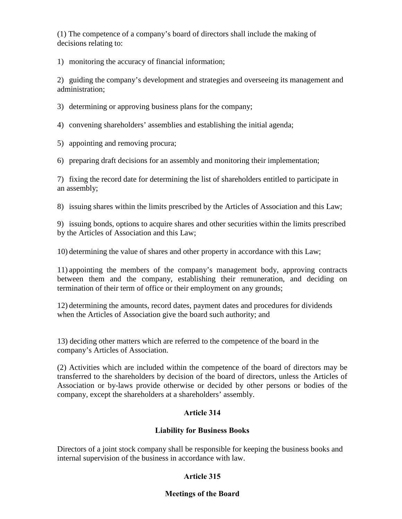(1) The competence of a company's board of directors shall include the making of decisions relating to:

1) monitoring the accuracy of financial information;

2) guiding the company's development and strategies and overseeing its management and administration;

3) determining or approving business plans for the company;

4) convening shareholders' assemblies and establishing the initial agenda;

5) appointing and removing procura;

6) preparing draft decisions for an assembly and monitoring their implementation;

7) fixing the record date for determining the list of shareholders entitled to participate in an assembly;

8) issuing shares within the limits prescribed by the Articles of Association and this Law;

9) issuing bonds, options to acquire shares and other securities within the limits prescribed by the Articles of Association and this Law;

10) determining the value of shares and other property in accordance with this Law;

11) appointing the members of the company's management body, approving contracts between them and the company, establishing their remuneration, and deciding on termination of their term of office or their employment on any grounds;

12) determining the amounts, record dates, payment dates and procedures for dividends when the Articles of Association give the board such authority; and

13) deciding other matters which are referred to the competence of the board in the company's Articles of Association.

(2) Activities which are included within the competence of the board of directors may be transferred to the shareholders by decision of the board of directors, unless the Articles of Association or by-laws provide otherwise or decided by other persons or bodies of the company, except the shareholders at a shareholders' assembly.

# Article 314

# Liability for Business Books

Directors of a joint stock company shall be responsible for keeping the business books and internal supervision of the business in accordance with law.

# Article 315

## Meetings of the Board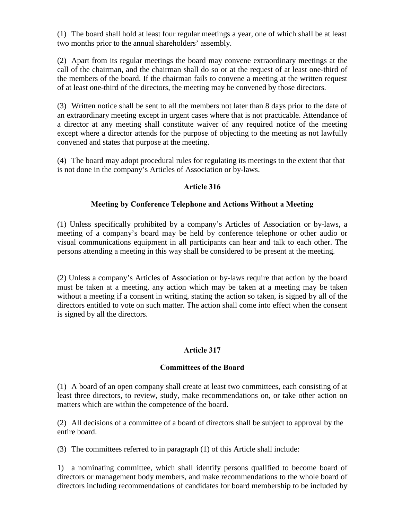(1) The board shall hold at least four regular meetings a year, one of which shall be at least two months prior to the annual shareholders' assembly.

(2) Apart from its regular meetings the board may convene extraordinary meetings at the call of the chairman, and the chairman shall do so or at the request of at least one-third of the members of the board. If the chairman fails to convene a meeting at the written request of at least one-third of the directors, the meeting may be convened by those directors.

(3) Written notice shall be sent to all the members not later than 8 days prior to the date of an extraordinary meeting except in urgent cases where that is not practicable. Attendance of a director at any meeting shall constitute waiver of any required notice of the meeting except where a director attends for the purpose of objecting to the meeting as not lawfully convened and states that purpose at the meeting.

(4) The board may adopt procedural rules for regulating its meetings to the extent that that is not done in the company's Articles of Association or by-laws.

## Article 316

## Meeting by Conference Telephone and Actions Without a Meeting

(1) Unless specifically prohibited by a company's Articles of Association or by-laws, a meeting of a company's board may be held by conference telephone or other audio or visual communications equipment in all participants can hear and talk to each other. The persons attending a meeting in this way shall be considered to be present at the meeting.

(2) Unless a company's Articles of Association or by-laws require that action by the board must be taken at a meeting, any action which may be taken at a meeting may be taken without a meeting if a consent in writing, stating the action so taken, is signed by all of the directors entitled to vote on such matter. The action shall come into effect when the consent is signed by all the directors.

## Article 317

## Committees of the Board

(1) A board of an open company shall create at least two committees, each consisting of at least three directors, to review, study, make recommendations on, or take other action on matters which are within the competence of the board.

(2) All decisions of a committee of a board of directors shall be subject to approval by the entire board.

(3) The committees referred to in paragraph (1) of this Article shall include:

1) a nominating committee, which shall identify persons qualified to become board of directors or management body members, and make recommendations to the whole board of directors including recommendations of candidates for board membership to be included by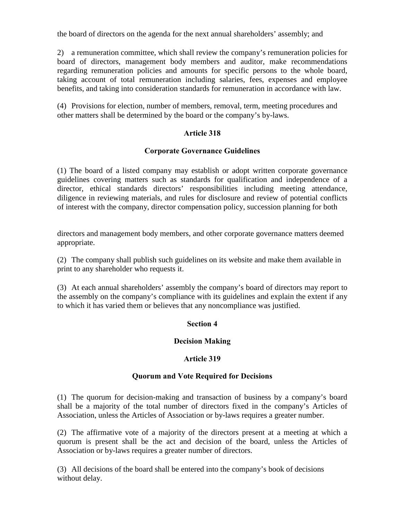the board of directors on the agenda for the next annual shareholders' assembly; and

2) a remuneration committee, which shall review the company's remuneration policies for board of directors, management body members and auditor, make recommendations regarding remuneration policies and amounts for specific persons to the whole board, taking account of total remuneration including salaries, fees, expenses and employee benefits, and taking into consideration standards for remuneration in accordance with law.

(4) Provisions for election, number of members, removal, term, meeting procedures and other matters shall be determined by the board or the company's by-laws.

# Article 318

## Corporate Governance Guidelines

(1) The board of a listed company may establish or adopt written corporate governance guidelines covering matters such as standards for qualification and independence of a director, ethical standards directors' responsibilities including meeting attendance, diligence in reviewing materials, and rules for disclosure and review of potential conflicts of interest with the company, director compensation policy, succession planning for both

directors and management body members, and other corporate governance matters deemed appropriate.

(2) The company shall publish such guidelines on its website and make them available in print to any shareholder who requests it.

(3) At each annual shareholders' assembly the company's board of directors may report to the assembly on the company's compliance with its guidelines and explain the extent if any to which it has varied them or believes that any noncompliance was justified.

## Section 4

## Decision Making

## Article 319

## Quorum and Vote Required for Decisions

(1) The quorum for decision-making and transaction of business by a company's board shall be a majority of the total number of directors fixed in the company's Articles of Association, unless the Articles of Association or by-laws requires a greater number.

(2) The affirmative vote of a majority of the directors present at a meeting at which a quorum is present shall be the act and decision of the board, unless the Articles of Association or by-laws requires a greater number of directors.

(3) All decisions of the board shall be entered into the company's book of decisions without delay.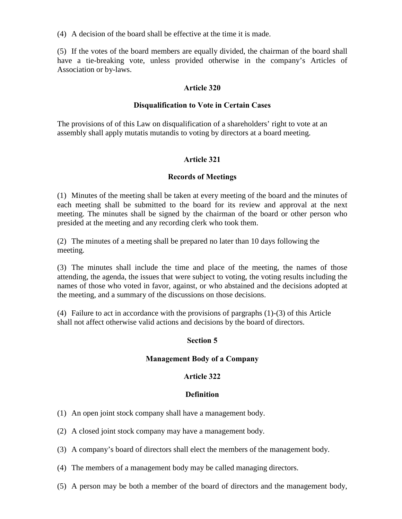(4) A decision of the board shall be effective at the time it is made.

(5) If the votes of the board members are equally divided, the chairman of the board shall have a tie-breaking vote, unless provided otherwise in the company's Articles of Association or by-laws.

## Article 320

## Disqualification to Vote in Certain Cases

The provisions of of this Law on disqualification of a shareholders' right to vote at an assembly shall apply mutatis mutandis to voting by directors at a board meeting.

## Article 321

## Records of Meetings

(1) Minutes of the meeting shall be taken at every meeting of the board and the minutes of each meeting shall be submitted to the board for its review and approval at the next meeting. The minutes shall be signed by the chairman of the board or other person who presided at the meeting and any recording clerk who took them.

(2) The minutes of a meeting shall be prepared no later than 10 days following the meeting.

(3) The minutes shall include the time and place of the meeting, the names of those attending, the agenda, the issues that were subject to voting, the voting results including the names of those who voted in favor, against, or who abstained and the decisions adopted at the meeting, and a summary of the discussions on those decisions.

(4) Failure to act in accordance with the provisions of pargraphs (1)-(3) of this Article shall not affect otherwise valid actions and decisions by the board of directors.

# Section 5

## Management Body of a Company

## Article 322

## Definition

- (1) An open joint stock company shall have a management body.
- (2) A closed joint stock company may have a management body.
- (3) A company's board of directors shall elect the members of the management body.
- (4) The members of a management body may be called managing directors.
- (5) A person may be both a member of the board of directors and the management body,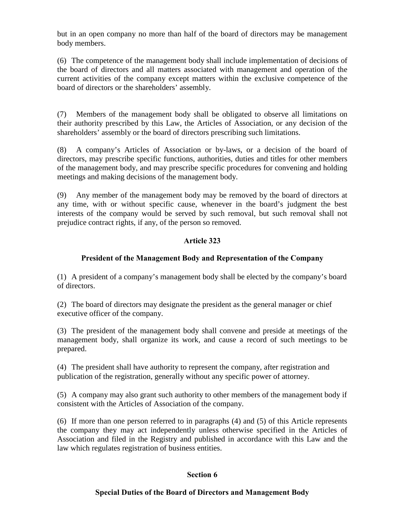but in an open company no more than half of the board of directors may be management body members.

(6) The competence of the management body shall include implementation of decisions of the board of directors and all matters associated with management and operation of the current activities of the company except matters within the exclusive competence of the board of directors or the shareholders' assembly.

(7) Members of the management body shall be obligated to observe all limitations on their authority prescribed by this Law, the Articles of Association, or any decision of the shareholders' assembly or the board of directors prescribing such limitations.

(8) A company's Articles of Association or by-laws, or a decision of the board of directors, may prescribe specific functions, authorities, duties and titles for other members of the management body, and may prescribe specific procedures for convening and holding meetings and making decisions of the management body.

(9) Any member of the management body may be removed by the board of directors at any time, with or without specific cause, whenever in the board's judgment the best interests of the company would be served by such removal, but such removal shall not prejudice contract rights, if any, of the person so removed.

# Article 323

# President of the Management Body and Representation of the Company

(1) A president of a company's management body shall be elected by the company's board of directors.

(2) The board of directors may designate the president as the general manager or chief executive officer of the company.

(3) The president of the management body shall convene and preside at meetings of the management body, shall organize its work, and cause a record of such meetings to be prepared.

(4) The president shall have authority to represent the company, after registration and publication of the registration, generally without any specific power of attorney.

(5) A company may also grant such authority to other members of the management body if consistent with the Articles of Association of the company.

(6) If more than one person referred to in paragraphs (4) and (5) of this Article represents the company they may act independently unless otherwise specified in the Articles of Association and filed in the Registry and published in accordance with this Law and the law which regulates registration of business entities.

## Section 6

## Special Duties of the Board of Directors and Management Body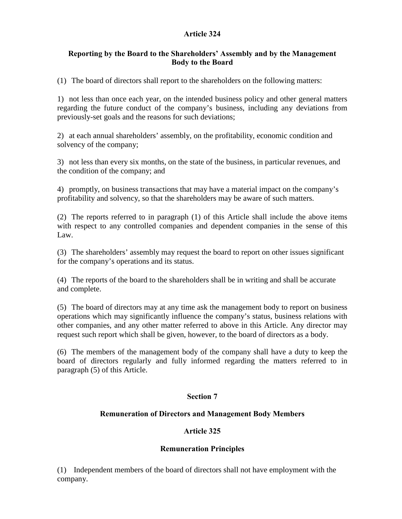# Article 324

## Reporting by the Board to the Shareholders' Assembly and by the Management Body to the Board

(1) The board of directors shall report to the shareholders on the following matters:

1) not less than once each year, on the intended business policy and other general matters regarding the future conduct of the company's business, including any deviations from previously-set goals and the reasons for such deviations;

2) at each annual shareholders' assembly, on the profitability, economic condition and solvency of the company;

3) not less than every six months, on the state of the business, in particular revenues, and the condition of the company; and

4) promptly, on business transactions that may have a material impact on the company's profitability and solvency, so that the shareholders may be aware of such matters.

(2) The reports referred to in paragraph (1) of this Article shall include the above items with respect to any controlled companies and dependent companies in the sense of this Law.

(3) The shareholders' assembly may request the board to report on other issues significant for the company's operations and its status.

(4) The reports of the board to the shareholders shall be in writing and shall be accurate and complete.

(5) The board of directors may at any time ask the management body to report on business operations which may significantly influence the company's status, business relations with other companies, and any other matter referred to above in this Article. Any director may request such report which shall be given, however, to the board of directors as a body.

(6) The members of the management body of the company shall have a duty to keep the board of directors regularly and fully informed regarding the matters referred to in paragraph (5) of this Article.

# Section 7

## Remuneration of Directors and Management Body Members

## Article 325

## Remuneration Principles

(1) Independent members of the board of directors shall not have employment with the company.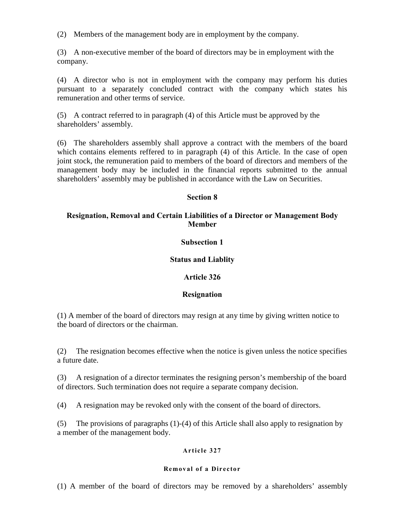(2) Members of the management body are in employment by the company.

(3) A non-executive member of the board of directors may be in employment with the company.

(4) A director who is not in employment with the company may perform his duties pursuant to a separately concluded contract with the company which states his remuneration and other terms of service.

(5) A contract referred to in paragraph (4) of this Article must be approved by the shareholders' assembly.

(6) The shareholders assembly shall approve a contract with the members of the board which contains elements reffered to in paragraph (4) of this Article. In the case of open joint stock, the remuneration paid to members of the board of directors and members of the management body may be included in the financial reports submitted to the annual shareholders' assembly may be published in accordance with the Law on Securities.

#### Section 8

#### Resignation, Removal and Certain Liabilities of a Director or Management Body Member

#### Subsection 1

#### Status and Liablity

#### Article 326

#### Resignation

(1) A member of the board of directors may resign at any time by giving written notice to the board of directors or the chairman.

(2) The resignation becomes effective when the notice is given unless the notice specifies a future date.

(3) A resignation of a director terminates the resigning person's membership of the board of directors. Such termination does not require a separate company decision.

(4) A resignation may be revoked only with the consent of the board of directors.

(5) The provisions of paragraphs (1)-(4) of this Article shall also apply to resignation by a member of the management body.

#### Article 327

#### Removal of a Director

(1) A member of the board of directors may be removed by a shareholders' assembly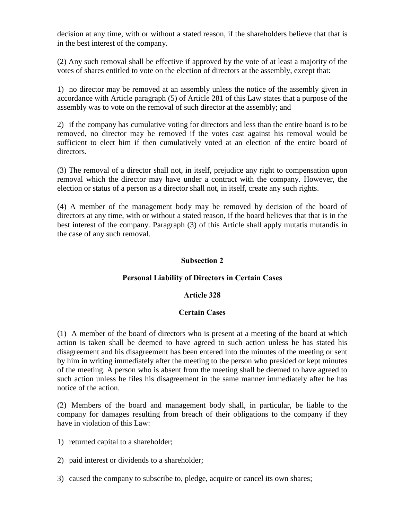decision at any time, with or without a stated reason, if the shareholders believe that that is in the best interest of the company.

(2) Any such removal shall be effective if approved by the vote of at least a majority of the votes of shares entitled to vote on the election of directors at the assembly, except that:

1) no director may be removed at an assembly unless the notice of the assembly given in accordance with Article paragraph (5) of Article 281 of this Law states that a purpose of the assembly was to vote on the removal of such director at the assembly; and

2) if the company has cumulative voting for directors and less than the entire board is to be removed, no director may be removed if the votes cast against his removal would be sufficient to elect him if then cumulatively voted at an election of the entire board of directors.

(3) The removal of a director shall not, in itself, prejudice any right to compensation upon removal which the director may have under a contract with the company. However, the election or status of a person as a director shall not, in itself, create any such rights.

(4) A member of the management body may be removed by decision of the board of directors at any time, with or without a stated reason, if the board believes that that is in the best interest of the company. Paragraph (3) of this Article shall apply mutatis mutandis in the case of any such removal.

## Subsection 2

## Personal Liability of Directors in Certain Cases

## Article 328

## Certain Cases

(1) A member of the board of directors who is present at a meeting of the board at which action is taken shall be deemed to have agreed to such action unless he has stated his disagreement and his disagreement has been entered into the minutes of the meeting or sent by him in writing immediately after the meeting to the person who presided or kept minutes of the meeting. A person who is absent from the meeting shall be deemed to have agreed to such action unless he files his disagreement in the same manner immediately after he has notice of the action.

(2) Members of the board and management body shall, in particular, be liable to the company for damages resulting from breach of their obligations to the company if they have in violation of this Law:

1) returned capital to a shareholder;

2) paid interest or dividends to a shareholder;

3) caused the company to subscribe to, pledge, acquire or cancel its own shares;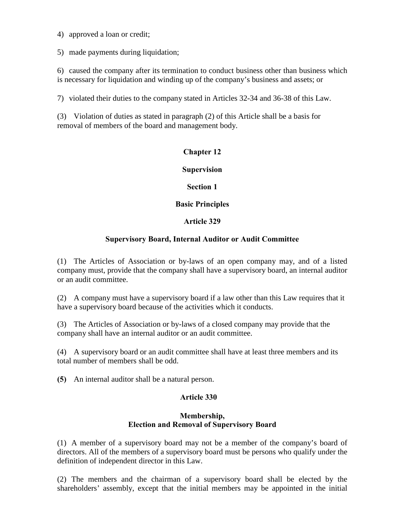4) approved a loan or credit;

5) made payments during liquidation;

6) caused the company after its termination to conduct business other than business which is necessary for liquidation and winding up of the company's business and assets; or

7) violated their duties to the company stated in Articles 32-34 and 36-38 of this Law.

(3) Violation of duties as stated in paragraph (2) of this Article shall be a basis for removal of members of the board and management body.

## Chapter 12

Supervision

Section 1

## Basic Principles

## Article 329

## Supervisory Board, Internal Auditor or Audit Committee

(1) The Articles of Association or by-laws of an open company may, and of a listed company must, provide that the company shall have a supervisory board, an internal auditor or an audit committee.

(2) A company must have a supervisory board if a law other than this Law requires that it have a supervisory board because of the activities which it conducts.

(3) The Articles of Association or by-laws of a closed company may provide that the company shall have an internal auditor or an audit committee.

(4) A supervisory board or an audit committee shall have at least three members and its total number of members shall be odd.

(5) An internal auditor shall be a natural person.

## Article 330

## Membership, Election and Removal of Supervisory Board

(1) A member of a supervisory board may not be a member of the company's board of directors. All of the members of a supervisory board must be persons who qualify under the definition of independent director in this Law.

(2) The members and the chairman of a supervisory board shall be elected by the shareholders' assembly, except that the initial members may be appointed in the initial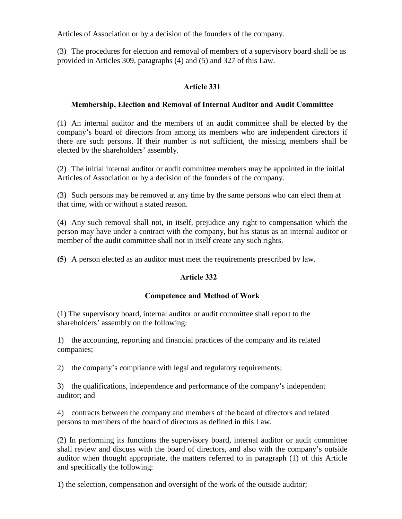Articles of Association or by a decision of the founders of the company.

(3) The procedures for election and removal of members of a supervisory board shall be as provided in Articles 309, paragraphs (4) and (5) and 327 of this Law.

# Article 331

# Membership, Election and Removal of Internal Auditor and Audit Committee

(1) An internal auditor and the members of an audit committee shall be elected by the company's board of directors from among its members who are independent directors if there are such persons. If their number is not sufficient, the missing members shall be elected by the shareholders' assembly.

(2) The initial internal auditor or audit committee members may be appointed in the initial Articles of Association or by a decision of the founders of the company.

(3) Such persons may be removed at any time by the same persons who can elect them at that time, with or without a stated reason.

(4) Any such removal shall not, in itself, prejudice any right to compensation which the person may have under a contract with the company, but his status as an internal auditor or member of the audit committee shall not in itself create any such rights.

(5) A person elected as an auditor must meet the requirements prescribed by law.

# Article 332

# Competence and Method of Work

(1) The supervisory board, internal auditor or audit committee shall report to the shareholders' assembly on the following:

1) the accounting, reporting and financial practices of the company and its related companies;

2) the company's compliance with legal and regulatory requirements;

3) the qualifications, independence and performance of the company's independent auditor; and

4) contracts between the company and members of the board of directors and related persons to members of the board of directors as defined in this Law.

(2) In performing its functions the supervisory board, internal auditor or audit committee shall review and discuss with the board of directors, and also with the company's outside auditor when thought appropriate, the matters referred to in paragraph (1) of this Article and specifically the following:

1) the selection, compensation and oversight of the work of the outside auditor;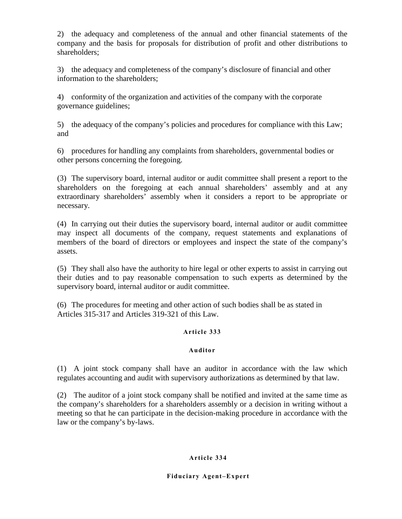2) the adequacy and completeness of the annual and other financial statements of the company and the basis for proposals for distribution of profit and other distributions to shareholders;

3) the adequacy and completeness of the company's disclosure of financial and other information to the shareholders;

4) conformity of the organization and activities of the company with the corporate governance guidelines;

5) the adequacy of the company's policies and procedures for compliance with this Law; and

6) procedures for handling any complaints from shareholders, governmental bodies or other persons concerning the foregoing.

(3) The supervisory board, internal auditor or audit committee shall present a report to the shareholders on the foregoing at each annual shareholders' assembly and at any extraordinary shareholders' assembly when it considers a report to be appropriate or necessary.

(4) In carrying out their duties the supervisory board, internal auditor or audit committee may inspect all documents of the company, request statements and explanations of members of the board of directors or employees and inspect the state of the company's assets.

(5) They shall also have the authority to hire legal or other experts to assist in carrying out their duties and to pay reasonable compensation to such experts as determined by the supervisory board, internal auditor or audit committee.

(6) The procedures for meeting and other action of such bodies shall be as stated in Articles 315-317 and Articles 319-321 of this Law.

## Article 333

#### Auditor

(1) A joint stock company shall have an auditor in accordance with the law which regulates accounting and audit with supervisory authorizations as determined by that law.

(2) The auditor of a joint stock company shall be notified and invited at the same time as the company's shareholders for a shareholders assembly or a decision in writing without a meeting so that he can participate in the decision-making procedure in accordance with the law or the company's by-laws.

#### Article 334

#### Fiduciary Agent–Expert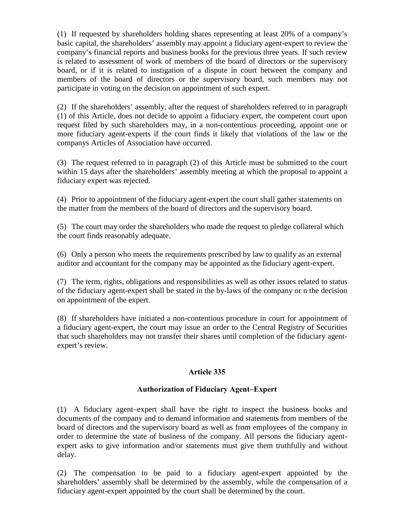(1) If requested by shareholders holding shares representing at least 20% of a company's basic capital, the shareholders' assembly may appoint a fiduciary agent-expert to review the company's financial reports and business books for the previous three years. If such review is related to assessment of work of members of the board of directors or the supervisory board, or if it is related to instigation of a dispute in court between the company and members of the board of directors or the supervisory board, such members may not participate in voting on the decision on appointment of such expert.

(2) If the shareholders' assembly, after the request of shareholders referred to in paragraph (1) of this Article, does not decide to appoint a fiduciary expert, the competent court upon request filed by such shareholders may, in a non-contentious proceeding, appoint one or more fiduciary agent-experts if the court finds it likely that violations of the law or the companys Articles of Association have occurred.

(3) The request referred to in paragraph (2) of this Article must be submitted to the court within 15 days after the shareholders' assembly meeting at which the proposal to appoint a fiduciary expert was rejected.

(4) Prior to appointment of the fiduciary agent-expert the court shall gather statements on the matter from the members of the board of directors and the supervisory board.

(5) The court may order the shareholders who made the request to pledge collateral which the court finds reasonably adequate.

(6) Only a person who meets the requirements prescribed by law to qualify as an external auditor and accountant for the company may be appointed as the fiduciary agent-expert.

(7) The term, rights, obligations and responsibilities as well as other issues related to status of the fiduciary agent-expert shall be stated in the by-laws of the company or n the decision on appointment of the expert.

(8) If shareholders have initiated a non-contentious procedure in court for appointment of a fiduciary agent-expert, the court may issue an order to the Central Registry of Securities that such shareholders may not transfer their shares until completion of the fiduciary agentexpert's review.

# Article 335

## Authorization of Fiduciary Agent–Expert

(1) A fiduciary agent–expert shall have the right to inspect the business books and documents of the company and to demand information and statements from members of the board of directors and the supervisory board as well as from employees of the company in order to determine the state of business of the company. All persons the fiduciary agentexpert asks to give information and/or statements must give them truthfully and without delay.

(2) The compensation to be paid to a fiduciary agent-expert appointed by the shareholders' assembly shall be determined by the assembly, while the compensation of a fiduciary agent-expert appointed by the court shall be determined by the court.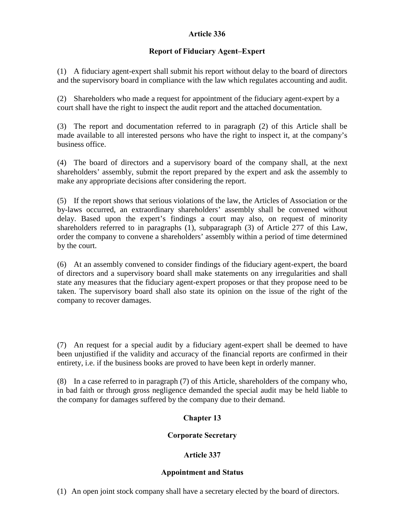## Article 336

# Report of Fiduciary Agent–Expert

(1) A fiduciary agent-expert shall submit his report without delay to the board of directors and the supervisory board in compliance with the law which regulates accounting and audit.

(2) Shareholders who made a request for appointment of the fiduciary agent-expert by a court shall have the right to inspect the audit report and the attached documentation.

(3) The report and documentation referred to in paragraph (2) of this Article shall be made available to all interested persons who have the right to inspect it, at the company's business office.

(4) The board of directors and a supervisory board of the company shall, at the next shareholders' assembly, submit the report prepared by the expert and ask the assembly to make any appropriate decisions after considering the report.

(5) If the report shows that serious violations of the law, the Articles of Association or the by-laws occurred, an extraordinary shareholders' assembly shall be convened without delay. Based upon the expert's findings a court may also, on request of minority shareholders referred to in paragraphs (1), subparagraph (3) of Article 277 of this Law, order the company to convene a shareholders' assembly within a period of time determined by the court.

(6) At an assembly convened to consider findings of the fiduciary agent-expert, the board of directors and a supervisory board shall make statements on any irregularities and shall state any measures that the fiduciary agent-expert proposes or that they propose need to be taken. The supervisory board shall also state its opinion on the issue of the right of the company to recover damages.

(7) An request for a special audit by a fiduciary agent-expert shall be deemed to have been unjustified if the validity and accuracy of the financial reports are confirmed in their entirety, i.e. if the business books are proved to have been kept in orderly manner.

(8) In a case referred to in paragraph (7) of this Article, shareholders of the company who, in bad faith or through gross negligence demanded the special audit may be held liable to the company for damages suffered by the company due to their demand.

# Chapter 13

# Corporate Secretary

# Article 337

# Appointment and Status

(1) An open joint stock company shall have a secretary elected by the board of directors.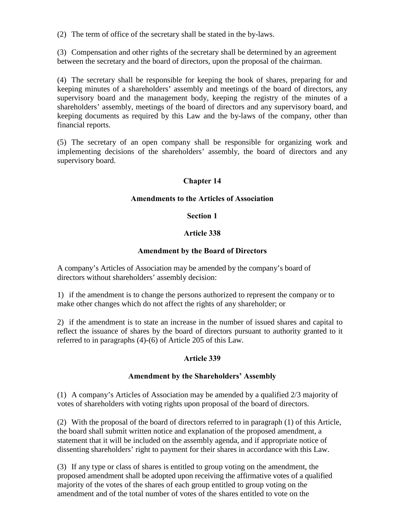(2) The term of office of the secretary shall be stated in the by-laws.

(3) Compensation and other rights of the secretary shall be determined by an agreement between the secretary and the board of directors, upon the proposal of the chairman.

(4) The secretary shall be responsible for keeping the book of shares, preparing for and keeping minutes of a shareholders' assembly and meetings of the board of directors, any supervisory board and the management body, keeping the registry of the minutes of a shareholders' assembly, meetings of the board of directors and any supervisory board, and keeping documents as required by this Law and the by-laws of the company, other than financial reports.

(5) The secretary of an open company shall be responsible for organizing work and implementing decisions of the shareholders' assembly, the board of directors and any supervisory board.

## Chapter 14

## Amendments to the Articles of Association

## Section 1

## Article 338

## Amendment by the Board of Directors

A company's Articles of Association may be amended by the company's board of directors without shareholders' assembly decision:

1) if the amendment is to change the persons authorized to represent the company or to make other changes which do not affect the rights of any shareholder; or

2) if the amendment is to state an increase in the number of issued shares and capital to reflect the issuance of shares by the board of directors pursuant to authority granted to it referred to in paragraphs (4)-(6) of Article 205 of this Law.

## Article 339

## Amendment by the Shareholders' Assembly

(1) A company's Articles of Association may be amended by a qualified 2/3 majority of votes of shareholders with voting rights upon proposal of the board of directors.

(2) With the proposal of the board of directors referred to in paragraph (1) of this Article, the board shall submit written notice and explanation of the proposed amendment, a statement that it will be included on the assembly agenda, and if appropriate notice of dissenting shareholders' right to payment for their shares in accordance with this Law.

(3) If any type or class of shares is entitled to group voting on the amendment, the proposed amendment shall be adopted upon receiving the affirmative votes of a qualified majority of the votes of the shares of each group entitled to group voting on the amendment and of the total number of votes of the shares entitled to vote on the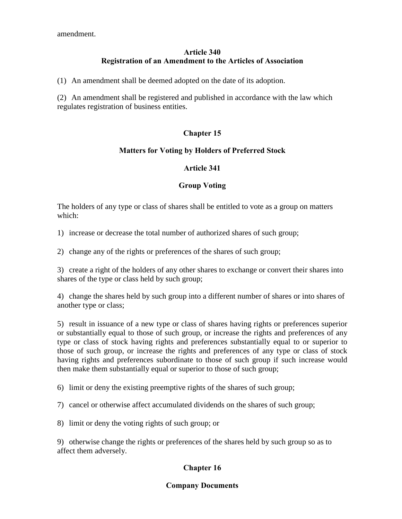amendment.

# Article 340 Registration of an Amendment to the Articles of Association

(1) An amendment shall be deemed adopted on the date of its adoption.

(2) An amendment shall be registered and published in accordance with the law which regulates registration of business entities.

# Chapter 15

## Matters for Voting by Holders of Preferred Stock

## Article 341

## Group Voting

The holders of any type or class of shares shall be entitled to vote as a group on matters which:

1) increase or decrease the total number of authorized shares of such group;

2) change any of the rights or preferences of the shares of such group;

3) create a right of the holders of any other shares to exchange or convert their shares into shares of the type or class held by such group;

4) change the shares held by such group into a different number of shares or into shares of another type or class;

5) result in issuance of a new type or class of shares having rights or preferences superior or substantially equal to those of such group, or increase the rights and preferences of any type or class of stock having rights and preferences substantially equal to or superior to those of such group, or increase the rights and preferences of any type or class of stock having rights and preferences subordinate to those of such group if such increase would then make them substantially equal or superior to those of such group;

6) limit or deny the existing preemptive rights of the shares of such group;

7) cancel or otherwise affect accumulated dividends on the shares of such group;

8) limit or deny the voting rights of such group; or

9) otherwise change the rights or preferences of the shares held by such group so as to affect them adversely.

# Chapter 16

# Company Documents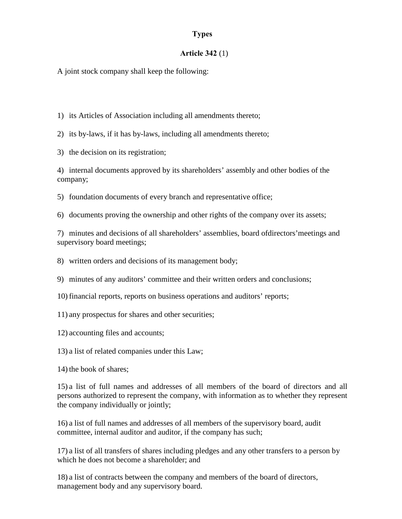## Types

#### Article 342 (1)

A joint stock company shall keep the following:

1) its Articles of Association including all amendments thereto;

2) its by-laws, if it has by-laws, including all amendments thereto;

3) the decision on its registration;

4) internal documents approved by its shareholders' assembly and other bodies of the company;

5) foundation documents of every branch and representative office;

6) documents proving the ownership and other rights of the company over its assets;

7) minutes and decisions of all shareholders' assemblies, board ofdirectors'meetings and supervisory board meetings;

- 8) written orders and decisions of its management body;
- 9) minutes of any auditors' committee and their written orders and conclusions;
- 10) financial reports, reports on business operations and auditors' reports;
- 11) any prospectus for shares and other securities;
- 12) accounting files and accounts;
- 13) a list of related companies under this Law;
- 14) the book of shares;

15) a list of full names and addresses of all members of the board of directors and all persons authorized to represent the company, with information as to whether they represent the company individually or jointly;

16) a list of full names and addresses of all members of the supervisory board, audit committee, internal auditor and auditor, if the company has such;

17) a list of all transfers of shares including pledges and any other transfers to a person by which he does not become a shareholder; and

18) a list of contracts between the company and members of the board of directors, management body and any supervisory board.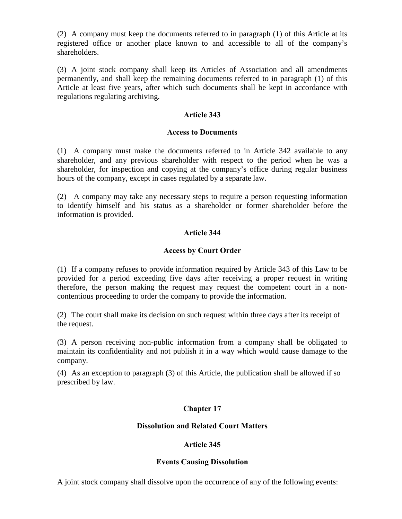(2) A company must keep the documents referred to in paragraph (1) of this Article at its registered office or another place known to and accessible to all of the company's shareholders.

(3) A joint stock company shall keep its Articles of Association and all amendments permanently, and shall keep the remaining documents referred to in paragraph (1) of this Article at least five years, after which such documents shall be kept in accordance with regulations regulating archiving.

## Article 343

#### Access to Documents

(1) A company must make the documents referred to in Article 342 available to any shareholder, and any previous shareholder with respect to the period when he was a shareholder, for inspection and copying at the company's office during regular business hours of the company, except in cases regulated by a separate law.

(2) A company may take any necessary steps to require a person requesting information to identify himself and his status as a shareholder or former shareholder before the information is provided.

## Article 344

## Access by Court Order

(1) If a company refuses to provide information required by Article 343 of this Law to be provided for a period exceeding five days after receiving a proper request in writing therefore, the person making the request may request the competent court in a noncontentious proceeding to order the company to provide the information.

(2) The court shall make its decision on such request within three days after its receipt of the request.

(3) A person receiving non-public information from a company shall be obligated to maintain its confidentiality and not publish it in a way which would cause damage to the company.

(4) As an exception to paragraph (3) of this Article, the publication shall be allowed if so prescribed by law.

## Chapter 17

## Dissolution and Related Court Matters

## Article 345

#### Events Causing Dissolution

A joint stock company shall dissolve upon the occurrence of any of the following events: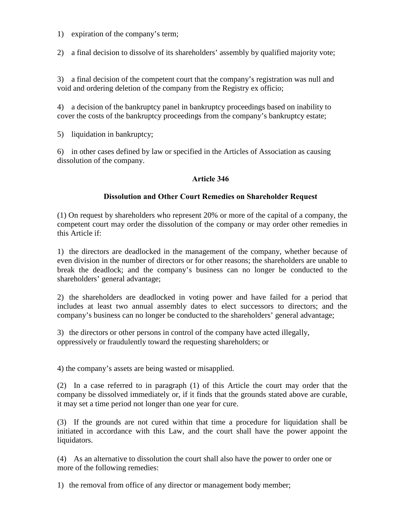- 1) expiration of the company's term;
- 2) a final decision to dissolve of its shareholders' assembly by qualified majority vote;

3) a final decision of the competent court that the company's registration was null and void and ordering deletion of the company from the Registry ex officio;

4) a decision of the bankruptcy panel in bankruptcy proceedings based on inability to cover the costs of the bankruptcy proceedings from the company's bankruptcy estate;

5) liquidation in bankruptcy;

6) in other cases defined by law or specified in the Articles of Association as causing dissolution of the company.

## Article 346

## Dissolution and Other Court Remedies on Shareholder Request

(1) On request by shareholders who represent 20% or more of the capital of a company, the competent court may order the dissolution of the company or may order other remedies in this Article if:

1) the directors are deadlocked in the management of the company, whether because of even division in the number of directors or for other reasons; the shareholders are unable to break the deadlock; and the company's business can no longer be conducted to the shareholders' general advantage;

2) the shareholders are deadlocked in voting power and have failed for a period that includes at least two annual assembly dates to elect successors to directors; and the company's business can no longer be conducted to the shareholders' general advantage;

3) the directors or other persons in control of the company have acted illegally, oppressively or fraudulently toward the requesting shareholders; or

4) the company's assets are being wasted or misapplied.

(2) In a case referred to in paragraph (1) of this Article the court may order that the company be dissolved immediately or, if it finds that the grounds stated above are curable, it may set a time period not longer than one year for cure.

(3) If the grounds are not cured within that time a procedure for liquidation shall be initiated in accordance with this Law, and the court shall have the power appoint the liquidators.

(4) As an alternative to dissolution the court shall also have the power to order one or more of the following remedies:

1) the removal from office of any director or management body member;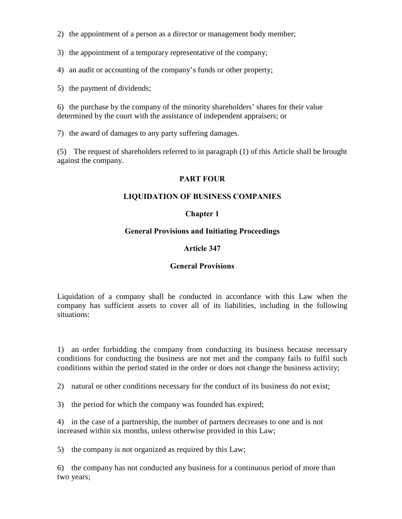- 2) the appointment of a person as a director or management body member;
- 3) the appointment of a temporary representative of the company;
- 4) an audit or accounting of the company's funds or other property;
- 5) the payment of dividends;

6) the purchase by the company of the minority shareholders' shares for their value determined by the court with the assistance of independent appraisers; or

7) the award of damages to any party suffering damages.

(5) The request of shareholders referred to in paragraph (1) of this Article shall be brought against the company.

## PART FOUR

## LIQUIDATION OF BUSINESS COMPANIES

## Chapter 1

## General Provisions and Initiating Proceedings

## Article 347

# General Provisions

Liquidation of a company shall be conducted in accordance with this Law when the company has sufficient assets to cover all of its liabilities, including in the following situations:

1) an order forbidding the company from conducting its business because necessary conditions for conducting the business are not met and the company fails to fulfil such conditions within the period stated in the order or does not change the business activity;

2) natural or other conditions necessary for the conduct of its business do not exist;

3) the period for which the company was founded has expired;

4) in the case of a partnership, the number of partners decreases to one and is not increased within six months, unless otherwise provided in this Law;

5) the company is not organized as required by this Law;

6) the company has not conducted any business for a continuous period of more than two years;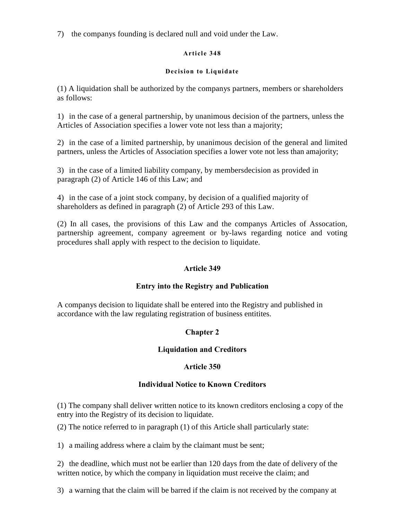7) the companys founding is declared null and void under the Law.

## Article 348

## Decision to Liquidate

(1) A liquidation shall be authorized by the companys partners, members or shareholders as follows:

1) in the case of a general partnership, by unanimous decision of the partners, unless the Articles of Association specifies a lower vote not less than a majority;

2) in the case of a limited partnership, by unanimous decision of the general and limited partners, unless the Articles of Association specifies a lower vote not less than amajority;

3) in the case of a limited liability company, by membersdecision as provided in paragraph (2) of Article 146 of this Law; and

4) in the case of a joint stock company, by decision of a qualified majority of shareholders as defined in paragraph (2) of Article 293 of this Law.

(2) In all cases, the provisions of this Law and the companys Articles of Assocation, partnership agreement, company agreement or by-laws regarding notice and voting procedures shall apply with respect to the decision to liquidate.

# Article 349

# Entry into the Registry and Publication

A companys decision to liquidate shall be entered into the Registry and published in accordance with the law regulating registration of business entitites.

# Chapter 2

# Liquidation and Creditors

# Article 350

# Individual Notice to Known Creditors

(1) The company shall deliver written notice to its known creditors enclosing a copy of the entry into the Registry of its decision to liquidate.

(2) The notice referred to in paragraph (1) of this Article shall particularly state:

1) a mailing address where a claim by the claimant must be sent;

2) the deadline, which must not be earlier than 120 days from the date of delivery of the written notice, by which the company in liquidation must receive the claim; and

3) a warning that the claim will be barred if the claim is not received by the company at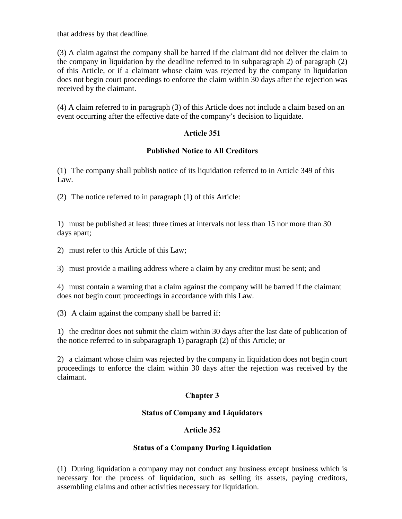that address by that deadline.

(3) A claim against the company shall be barred if the claimant did not deliver the claim to the company in liquidation by the deadline referred to in subparagraph 2) of paragraph (2) of this Article, or if a claimant whose claim was rejected by the company in liquidation does not begin court proceedings to enforce the claim within 30 days after the rejection was received by the claimant.

(4) A claim referred to in paragraph (3) of this Article does not include a claim based on an event occurring after the effective date of the company's decision to liquidate.

# Article 351

## Published Notice to All Creditors

(1) The company shall publish notice of its liquidation referred to in Article 349 of this Law.

(2) The notice referred to in paragraph (1) of this Article:

1) must be published at least three times at intervals not less than 15 nor more than 30 days apart;

2) must refer to this Article of this Law;

3) must provide a mailing address where a claim by any creditor must be sent; and

4) must contain a warning that a claim against the company will be barred if the claimant does not begin court proceedings in accordance with this Law.

(3) A claim against the company shall be barred if:

1) the creditor does not submit the claim within 30 days after the last date of publication of the notice referred to in subparagraph 1) paragraph (2) of this Article; or

2) a claimant whose claim was rejected by the company in liquidation does not begin court proceedings to enforce the claim within 30 days after the rejection was received by the claimant.

# Chapter 3

## Status of Company and Liquidators

## Article 352

## Status of a Company During Liquidation

(1) During liquidation a company may not conduct any business except business which is necessary for the process of liquidation, such as selling its assets, paying creditors, assembling claims and other activities necessary for liquidation.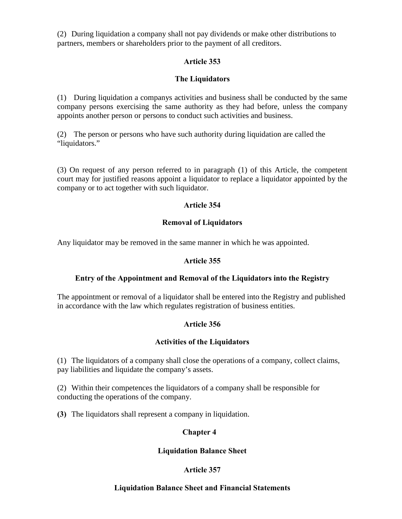(2) During liquidation a company shall not pay dividends or make other distributions to partners, members or shareholders prior to the payment of all creditors.

# Article 353

# The Liquidators

(1) During liquidation a companys activities and business shall be conducted by the same company persons exercising the same authority as they had before, unless the company appoints another person or persons to conduct such activities and business.

(2) The person or persons who have such authority during liquidation are called the "liquidators."

(3) On request of any person referred to in paragraph (1) of this Article, the competent court may for justified reasons appoint a liquidator to replace a liquidator appointed by the company or to act together with such liquidator.

# Article 354

# Removal of Liquidators

Any liquidator may be removed in the same manner in which he was appointed.

# Article 355

# Entry of the Appointment and Removal of the Liquidators into the Registry

The appointment or removal of a liquidator shall be entered into the Registry and published in accordance with the law which regulates registration of business entities.

# Article 356

# Activities of the Liquidators

(1) The liquidators of a company shall close the operations of a company, collect claims, pay liabilities and liquidate the company's assets.

(2) Within their competences the liquidators of a company shall be responsible for conducting the operations of the company.

(3) The liquidators shall represent a company in liquidation.

# Chapter 4

# Liquidation Balance Sheet

# Article 357

# Liquidation Balance Sheet and Financial Statements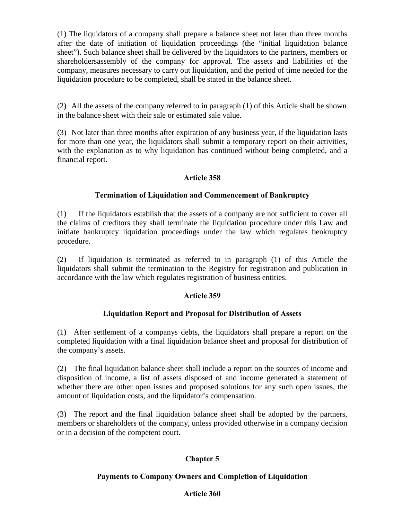(1) The liquidators of a company shall prepare a balance sheet not later than three months after the date of initiation of liquidation proceedings (the "initial liquidation balance sheet"). Such balance sheet shall be delivered by the liquidators to the partners, members or shareholdersassembly of the company for approval. The assets and liabilities of the company, measures necessary to carry out liquidation, and the period of time needed for the liquidation procedure to be completed, shall be stated in the balance sheet.

(2) All the assets of the company referred to in paragraph (1) of this Article shall be shown in the balance sheet with their sale or estimated sale value.

(3) Not later than three months after expiration of any business year, if the liquidation lasts for more than one year, the liquidators shall submit a temporary report on their activities, with the explanation as to why liquidation has continued without being completed, and a financial report.

# Article 358

## Termination of Liquidation and Commencement of Bankruptcy

(1) If the liquidators establish that the assets of a company are not sufficient to cover all the claims of creditors they shall terminate the liquidation procedure under this Law and initiate bankruptcy liquidation proceedings under the law which regulates benkruptcy procedure.

(2) If liquidation is terminated as referred to in paragraph (1) of this Article the liquidators shall submit the termination to the Registry for registration and publication in accordance with the law which regulates registration of business entities.

## Article 359

## Liquidation Report and Proposal for Distribution of Assets

(1) After settlement of a companys debts, the liquidators shall prepare a report on the completed liquidation with a final liquidation balance sheet and proposal for distribution of the company's assets.

(2) The final liquidation balance sheet shall include a report on the sources of income and disposition of income, a list of assets disposed of and income generated a statement of whether there are other open issues and proposed solutions for any such open issues, the amount of liquidation costs, and the liquidator's compensation.

(3) The report and the final liquidation balance sheet shall be adopted by the partners, members or shareholders of the company, unless provided otherwise in a company decision or in a decision of the competent court.

# Chapter 5

## Payments to Company Owners and Completion of Liquidation

## Article 360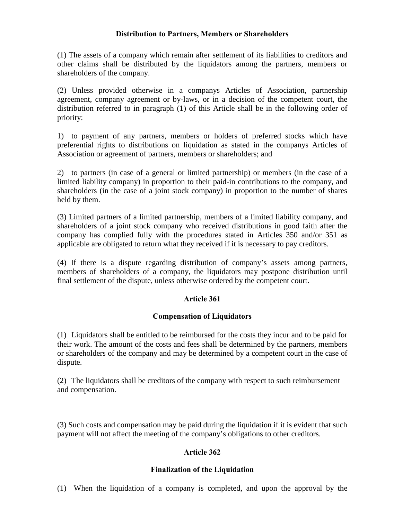## Distribution to Partners, Members or Shareholders

(1) The assets of a company which remain after settlement of its liabilities to creditors and other claims shall be distributed by the liquidators among the partners, members or shareholders of the company.

(2) Unless provided otherwise in a companys Articles of Association, partnership agreement, company agreement or by-laws, or in a decision of the competent court, the distribution referred to in paragraph (1) of this Article shall be in the following order of priority:

1) to payment of any partners, members or holders of preferred stocks which have preferential rights to distributions on liquidation as stated in the companys Articles of Association or agreement of partners, members or shareholders; and

2) to partners (in case of a general or limited partnership) or members (in the case of a limited liability company) in proportion to their paid-in contributions to the company, and shareholders (in the case of a joint stock company) in proportion to the number of shares held by them.

(3) Limited partners of a limited partnership, members of a limited liability company, and shareholders of a joint stock company who received distributions in good faith after the company has complied fully with the procedures stated in Articles 350 and/or 351 as applicable are obligated to return what they received if it is necessary to pay creditors.

(4) If there is a dispute regarding distribution of company's assets among partners, members of shareholders of a company, the liquidators may postpone distribution until final settlement of the dispute, unless otherwise ordered by the competent court.

# Article 361

## Compensation of Liquidators

(1) Liquidators shall be entitled to be reimbursed for the costs they incur and to be paid for their work. The amount of the costs and fees shall be determined by the partners, members or shareholders of the company and may be determined by a competent court in the case of dispute.

(2) The liquidators shall be creditors of the company with respect to such reimbursement and compensation.

(3) Such costs and compensation may be paid during the liquidation if it is evident that such payment will not affect the meeting of the company's obligations to other creditors.

# Article 362

## Finalization of the Liquidation

(1) When the liquidation of a company is completed, and upon the approval by the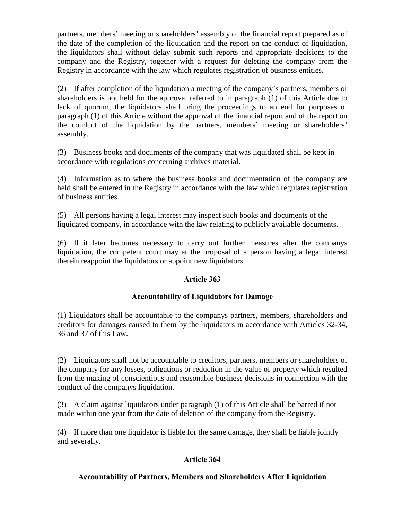partners, members' meeting or shareholders' assembly of the financial report prepared as of the date of the completion of the liquidation and the report on the conduct of liquidation, the liquidators shall without delay submit such reports and appropriate decisions to the company and the Registry, together with a request for deleting the company from the Registry in accordance with the law which regulates registration of business entities.

(2) If after completion of the liquidation a meeting of the company's partners, members or shareholders is not held for the approval referred to in paragraph (1) of this Article due to lack of quorum, the liquidators shall bring the proceedings to an end for purposes of paragraph (1) of this Article without the approval of the financial report and of the report on the conduct of the liquidation by the partners, members' meeting or shareholders' assembly.

(3) Business books and documents of the company that was liquidated shall be kept in accordance with regulations concerning archives material.

(4) Information as to where the business books and documentation of the company are held shall be entered in the Registry in accordance with the law which regulates registration of business entities.

(5) All persons having a legal interest may inspect such books and documents of the liquidated company, in accordance with the law relating to publicly available documents.

(6) If it later becomes necessary to carry out further measures after the companys liquidation, the competent court may at the proposal of a person having a legal interest therein reappoint the liquidators or appoint new liquidators.

# Article 363

# Accountability of Liquidators for Damage

(1) Liquidators shall be accountable to the companys partners, members, shareholders and creditors for damages caused to them by the liquidators in accordance with Articles 32-34, 36 and 37 of this Law.

(2) Liquidators shall not be accountable to creditors, partners, members or shareholders of the company for any losses, obligations or reduction in the value of property which resulted from the making of conscientious and reasonable business decisions in connection with the conduct of the companys liquidation.

(3) A claim against liquidators under paragraph (1) of this Article shall be barred if not made within one year from the date of deletion of the company from the Registry.

(4) If more than one liquidator is liable for the same damage, they shall be liable jointly and severally.

# Article 364

# Accountability of Partners, Members and Shareholders After Liquidation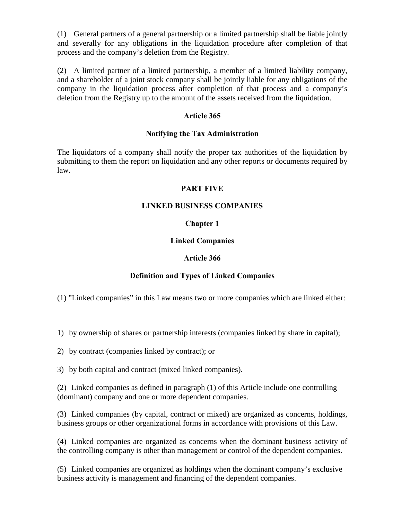(1) General partners of a general partnership or a limited partnership shall be liable jointly and severally for any obligations in the liquidation procedure after completion of that process and the company's deletion from the Registry.

(2) A limited partner of a limited partnership, a member of a limited liability company, and a shareholder of a joint stock company shall be jointly liable for any obligations of the company in the liquidation process after completion of that process and a company's deletion from the Registry up to the amount of the assets received from the liquidation.

## Article 365

#### Notifying the Tax Administration

The liquidators of a company shall notify the proper tax authorities of the liquidation by submitting to them the report on liquidation and any other reports or documents required by law.

#### PART FIVE

## LINKED BUSINESS COMPANIES

## Chapter 1

#### Linked Companies

#### Article 366

## Definition and Types of Linked Companies

(1) "Linked companies" in this Law means two or more companies which are linked either:

1) by ownership of shares or partnership interests (companies linked by share in capital);

2) by contract (companies linked by contract); or

3) by both capital and contract (mixed linked companies).

(2) Linked companies as defined in paragraph (1) of this Article include one controlling (dominant) company and one or more dependent companies.

(3) Linked companies (by capital, contract or mixed) are organized as concerns, holdings, business groups or other organizational forms in accordance with provisions of this Law.

(4) Linked companies are organized as concerns when the dominant business activity of the controlling company is other than management or control of the dependent companies.

(5) Linked companies are organized as holdings when the dominant company's exclusive business activity is management and financing of the dependent companies.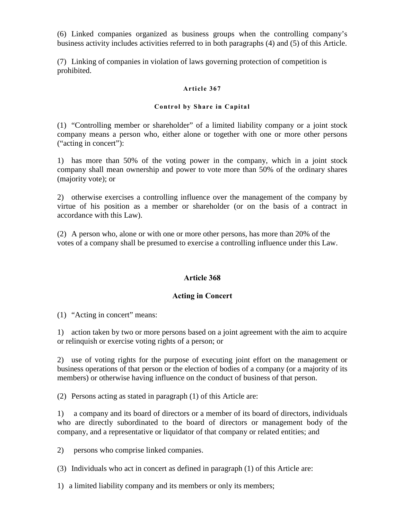(6) Linked companies organized as business groups when the controlling company's business activity includes activities referred to in both paragraphs (4) and (5) of this Article.

(7) Linking of companies in violation of laws governing protection of competition is prohibited.

#### Article 367

#### Control by Share in Capital

(1) "Controlling member or shareholder" of a limited liability company or a joint stock company means a person who, either alone or together with one or more other persons ("acting in concert"):

1) has more than 50% of the voting power in the company, which in a joint stock company shall mean ownership and power to vote more than 50% of the ordinary shares (majority vote); or

2) otherwise exercises a controlling influence over the management of the company by virtue of his position as a member or shareholder (or on the basis of a contract in accordance with this Law).

(2) A person who, alone or with one or more other persons, has more than 20% of the votes of a company shall be presumed to exercise a controlling influence under this Law.

## Article 368

## Acting in Concert

(1) "Acting in concert" means:

1) action taken by two or more persons based on a joint agreement with the aim to acquire or relinquish or exercise voting rights of a person; or

2) use of voting rights for the purpose of executing joint effort on the management or business operations of that person or the election of bodies of a company (or a majority of its members) or otherwise having influence on the conduct of business of that person.

(2) Persons acting as stated in paragraph (1) of this Article are:

1) a company and its board of directors or a member of its board of directors, individuals who are directly subordinated to the board of directors or management body of the company, and a representative or liquidator of that company or related entities; and

2) persons who comprise linked companies.

(3) Individuals who act in concert as defined in paragraph (1) of this Article are:

1) a limited liability company and its members or only its members;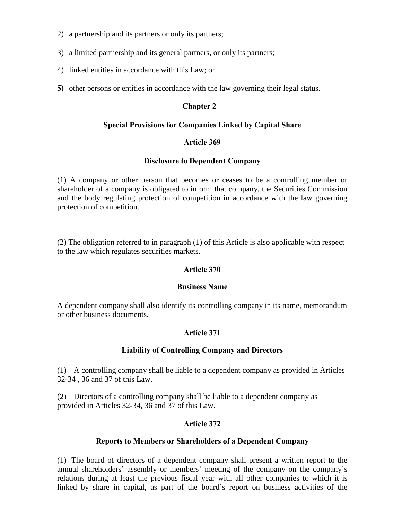- 2) a partnership and its partners or only its partners;
- 3) a limited partnership and its general partners, or only its partners;
- 4) linked entities in accordance with this Law; or
- 5) other persons or entities in accordance with the law governing their legal status.

## Chapter 2

## Special Provisions for Companies Linked by Capital Share

## Article 369

## Disclosure to Dependent Company

(1) A company or other person that becomes or ceases to be a controlling member or shareholder of a company is obligated to inform that company, the Securities Commission and the body regulating protection of competition in accordance with the law governing protection of competition.

(2) The obligation referred to in paragraph (1) of this Article is also applicable with respect to the law which regulates securities markets.

## Article 370

## Business Name

A dependent company shall also identify its controlling company in its name, memorandum or other business documents.

# Article 371

## Liability of Controlling Company and Directors

(1) A controlling company shall be liable to a dependent company as provided in Articles 32-34 , 36 and 37 of this Law.

(2) Directors of a controlling company shall be liable to a dependent company as provided in Articles 32-34, 36 and 37 of this Law.

# Article 372

## Reports to Members or Shareholders of a Dependent Company

(1) The board of directors of a dependent company shall present a written report to the annual shareholders' assembly or members' meeting of the company on the company's relations during at least the previous fiscal year with all other companies to which it is linked by share in capital, as part of the board's report on business activities of the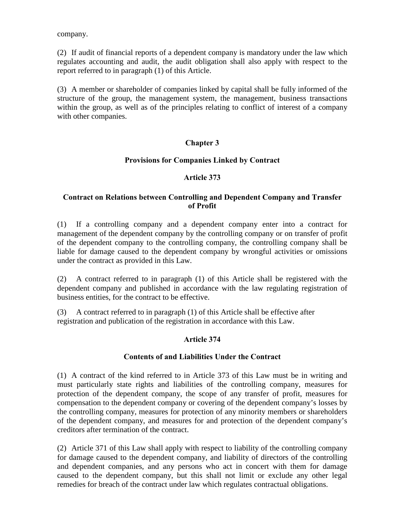company.

(2) If audit of financial reports of a dependent company is mandatory under the law which regulates accounting and audit, the audit obligation shall also apply with respect to the report referred to in paragraph (1) of this Article.

(3) A member or shareholder of companies linked by capital shall be fully informed of the structure of the group, the management system, the management, business transactions within the group, as well as of the principles relating to conflict of interest of a company with other companies.

# Chapter 3

## Provisions for Companies Linked by Contract

## Article 373

## Contract on Relations between Controlling and Dependent Company and Transfer of Profit

(1) If a controlling company and a dependent company enter into a contract for management of the dependent company by the controlling company or on transfer of profit of the dependent company to the controlling company, the controlling company shall be liable for damage caused to the dependent company by wrongful activities or omissions under the contract as provided in this Law.

(2) A contract referred to in paragraph (1) of this Article shall be registered with the dependent company and published in accordance with the law regulating registration of business entities, for the contract to be effective.

(3) A contract referred to in paragraph (1) of this Article shall be effective after registration and publication of the registration in accordance with this Law.

## Article 374

## Contents of and Liabilities Under the Contract

(1) A contract of the kind referred to in Article 373 of this Law must be in writing and must particularly state rights and liabilities of the controlling company, measures for protection of the dependent company, the scope of any transfer of profit, measures for compensation to the dependent company or covering of the dependent company's losses by the controlling company, measures for protection of any minority members or shareholders of the dependent company, and measures for and protection of the dependent company's creditors after termination of the contract.

(2) Article 371 of this Law shall apply with respect to liability of the controlling company for damage caused to the dependent company, and liability of directors of the controlling and dependent companies, and any persons who act in concert with them for damage caused to the dependent company, but this shall not limit or exclude any other legal remedies for breach of the contract under law which regulates contractual obligations.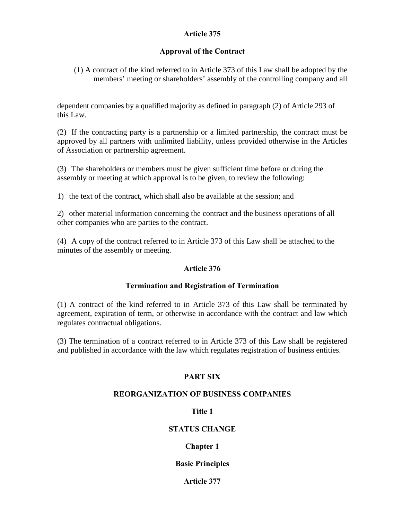## Article 375

## Approval of the Contract

(1) A contract of the kind referred to in Article 373 of this Law shall be adopted by the members' meeting or shareholders' assembly of the controlling company and all

dependent companies by a qualified majority as defined in paragraph (2) of Article 293 of this Law.

(2) If the contracting party is a partnership or a limited partnership, the contract must be approved by all partners with unlimited liability, unless provided otherwise in the Articles of Association or partnership agreement.

(3) The shareholders or members must be given sufficient time before or during the assembly or meeting at which approval is to be given, to review the following:

1) the text of the contract, which shall also be available at the session; and

2) other material information concerning the contract and the business operations of all other companies who are parties to the contract.

(4) A copy of the contract referred to in Article 373 of this Law shall be attached to the minutes of the assembly or meeting.

## Article 376

## Termination and Registration of Termination

(1) A contract of the kind referred to in Article 373 of this Law shall be terminated by agreement, expiration of term, or otherwise in accordance with the contract and law which regulates contractual obligations.

(3) The termination of a contract referred to in Article 373 of this Law shall be registered and published in accordance with the law which regulates registration of business entities.

## PART SIX

## REORGANIZATION OF BUSINESS COMPANIES

## Title 1

## STATUS CHANGE

# Chapter 1

## Basie Principles

## Article 377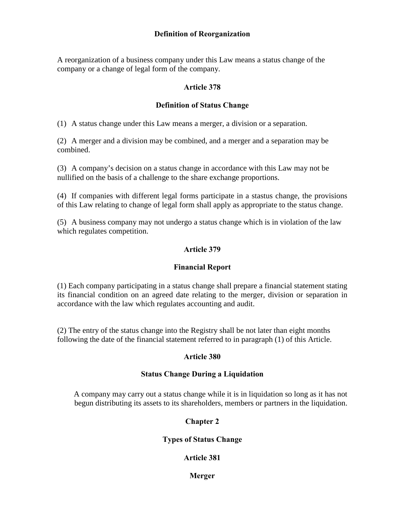## Definition of Reorganization

A reorganization of a business company under this Law means a status change of the company or a change of legal form of the company.

## Article 378

## Definition of Status Change

(1) A status change under this Law means a merger, a division or a separation.

(2) A merger and a division may be combined, and a merger and a separation may be combined.

(3) A company's decision on a status change in accordance with this Law may not be nullified on the basis of a challenge to the share exchange proportions.

(4) If companies with different legal forms participate in a stastus change, the provisions of this Law relating to change of legal form shall apply as appropriate to the status change.

(5) A business company may not undergo a status change which is in violation of the law which regulates competition.

## Article 379

## Financial Report

(1) Each company participating in a status change shall prepare a financial statement stating its financial condition on an agreed date relating to the merger, division or separation in accordance with the law which regulates accounting and audit.

(2) The entry of the status change into the Registry shall be not later than eight months following the date of the financial statement referred to in paragraph (1) of this Article.

#### Article 380

#### Status Change During a Liquidation

A company may carry out a status change while it is in liquidation so long as it has not begun distributing its assets to its shareholders, members or partners in the liquidation.

## Chapter 2

#### Types of Status Change

## Article 381

Merger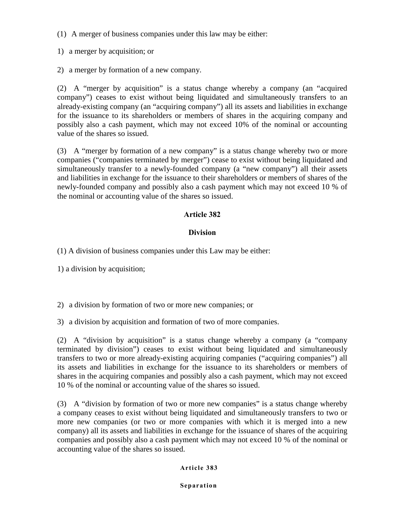(1) A merger of business companies under this law may be either:

1) a merger by acquisition; or

2) a merger by formation of a new company.

(2) A "merger by acquisition" is a status change whereby a company (an "acquired company") ceases to exist without being liquidated and simultaneously transfers to an already-existing company (an "acquiring company") all its assets and liabilities in exchange for the issuance to its shareholders or members of shares in the acquiring company and possibly also a cash payment, which may not exceed 10% of the nominal or accounting value of the shares so issued.

(3) A "merger by formation of a new company" is a status change whereby two or more companies ("companies terminated by merger") cease to exist without being liquidated and simultaneously transfer to a newly-founded company (a "new company") all their assets and liabilities in exchange for the issuance to their shareholders or members of shares of the newly-founded company and possibly also a cash payment which may not exceed 10 % of the nominal or accounting value of the shares so issued.

# Article 382

# **Division**

(1) A division of business companies under this Law may be either:

1) a division by acquisition;

2) a division by formation of two or more new companies; or

3) a division by acquisition and formation of two of more companies.

(2) A "division by acquisition" is a status change whereby a company (a "company terminated by division") ceases to exist without being liquidated and simultaneously transfers to two or more already-existing acquiring companies ("acquiring companies") all its assets and liabilities in exchange for the issuance to its shareholders or members of shares in the acquiring companies and possibly also a cash payment, which may not exceed 10 % of the nominal or accounting value of the shares so issued.

(3) A "division by formation of two or more new companies" is a status change whereby a company ceases to exist without being liquidated and simultaneously transfers to two or more new companies (or two or more companies with which it is merged into a new company) all its assets and liabilities in exchange for the issuance of shares of the acquiring companies and possibly also a cash payment which may not exceed 10 % of the nominal or accounting value of the shares so issued.

## Article 383

Separation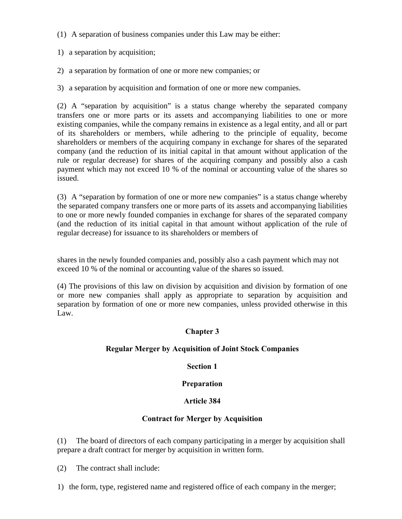(1) A separation of business companies under this Law may be either:

1) a separation by acquisition;

2) a separation by formation of one or more new companies; or

3) a separation by acquisition and formation of one or more new companies.

(2) A "separation by acquisition" is a status change whereby the separated company transfers one or more parts or its assets and accompanying liabilities to one or more existing companies, while the company remains in existence as a legal entity, and all or part of its shareholders or members, while adhering to the principle of equality, become shareholders or members of the acquiring company in exchange for shares of the separated company (and the reduction of its initial capital in that amount without application of the rule or regular decrease) for shares of the acquiring company and possibly also a cash payment which may not exceed 10 % of the nominal or accounting value of the shares so issued.

(3) A "separation by formation of one or more new companies" is a status change whereby the separated company transfers one or more parts of its assets and accompanying liabilities to one or more newly founded companies in exchange for shares of the separated company (and the reduction of its initial capital in that amount without application of the rule of regular decrease) for issuance to its shareholders or members of

shares in the newly founded companies and, possibly also a cash payment which may not exceed 10 % of the nominal or accounting value of the shares so issued.

(4) The provisions of this law on division by acquisition and division by formation of one or more new companies shall apply as appropriate to separation by acquisition and separation by formation of one or more new companies, unless provided otherwise in this Law.

# Chapter 3

# Regular Merger by Acquisition of Joint Stock Companies

# Section 1

# Preparation

# Article 384

# Contract for Merger by Acquisition

(1) The board of directors of each company participating in a merger by acquisition shall prepare a draft contract for merger by acquisition in written form.

(2) The contract shall include:

1) the form, type, registered name and registered office of each company in the merger;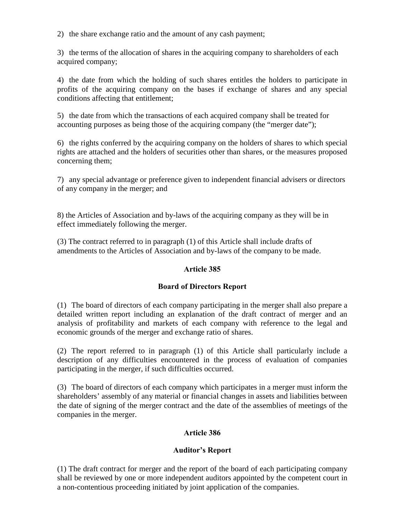2) the share exchange ratio and the amount of any cash payment;

3) the terms of the allocation of shares in the acquiring company to shareholders of each acquired company;

4) the date from which the holding of such shares entitles the holders to participate in profits of the acquiring company on the bases if exchange of shares and any special conditions affecting that entitlement;

5) the date from which the transactions of each acquired company shall be treated for accounting purposes as being those of the acquiring company (the "merger date");

6) the rights conferred by the acquiring company on the holders of shares to which special rights are attached and the holders of securities other than shares, or the measures proposed concerning them;

7) any special advantage or preference given to independent financial advisers or directors of any company in the merger; and

8) the Articles of Association and by-laws of the acquiring company as they will be in effect immediately following the merger.

(3) The contract referred to in paragraph (1) of this Article shall include drafts of amendments to the Articles of Association and by-laws of the company to be made.

# Article 385

# Board of Directors Report

(1) The board of directors of each company participating in the merger shall also prepare a detailed written report including an explanation of the draft contract of merger and an analysis of profitability and markets of each company with reference to the legal and economic grounds of the merger and exchange ratio of shares.

(2) The report referred to in paragraph (1) of this Article shall particularly include a description of any difficulties encountered in the process of evaluation of companies participating in the merger, if such difficulties occurred.

(3) The board of directors of each company which participates in a merger must inform the shareholders' assembly of any material or financial changes in assets and liabilities between the date of signing of the merger contract and the date of the assemblies of meetings of the companies in the merger.

# Article 386

# Auditor's Report

(1) The draft contract for merger and the report of the board of each participating company shall be reviewed by one or more independent auditors appointed by the competent court in a non-contentious proceeding initiated by joint application of the companies.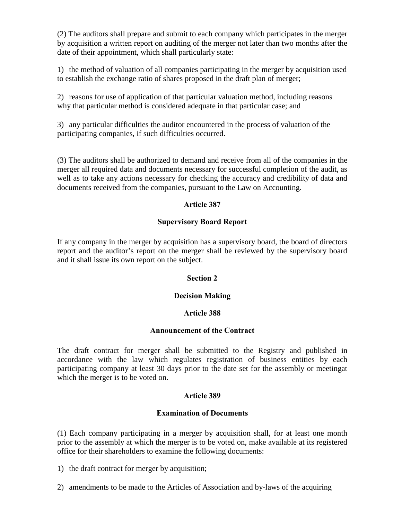(2) The auditors shall prepare and submit to each company which participates in the merger by acquisition a written report on auditing of the merger not later than two months after the date of their appointment, which shall particularly state:

1) the method of valuation of all companies participating in the merger by acquisition used to establish the exchange ratio of shares proposed in the draft plan of merger;

2) reasons for use of application of that particular valuation method, including reasons why that particular method is considered adequate in that particular case; and

3) any particular difficulties the auditor encountered in the process of valuation of the participating companies, if such difficulties occurred.

(3) The auditors shall be authorized to demand and receive from all of the companies in the merger all required data and documents necessary for successful completion of the audit, as well as to take any actions necessary for checking the accuracy and credibility of data and documents received from the companies, pursuant to the Law on Accounting.

## Article 387

## Supervisory Board Report

If any company in the merger by acquisition has a supervisory board, the board of directors report and the auditor's report on the merger shall be reviewed by the supervisory board and it shall issue its own report on the subject.

## Section 2

# Decision Making

## Article 388

## Announcement of the Contract

The draft contract for merger shall be submitted to the Registry and published in accordance with the law which regulates registration of business entities by each participating company at least 30 days prior to the date set for the assembly or meetingat which the merger is to be voted on.

# Article 389

## Examination of Documents

(1) Each company participating in a merger by acquisition shall, for at least one month prior to the assembly at which the merger is to be voted on, make available at its registered office for their shareholders to examine the following documents:

- 1) the draft contract for merger by acquisition;
- 2) amendments to be made to the Articles of Association and by-laws of the acquiring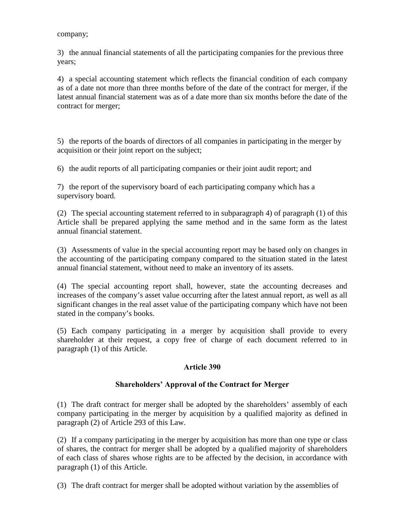company;

3) the annual financial statements of all the participating companies for the previous three years;

4) a special accounting statement which reflects the financial condition of each company as of a date not more than three months before of the date of the contract for merger, if the latest annual financial statement was as of a date more than six months before the date of the contract for merger;

5) the reports of the boards of directors of all companies in participating in the merger by acquisition or their joint report on the subject;

6) the audit reports of all participating companies or their joint audit report; and

7) the report of the supervisory board of each participating company which has a supervisory board.

(2) The special accounting statement referred to in subparagraph 4) of paragraph (1) of this Article shall be prepared applying the same method and in the same form as the latest annual financial statement.

(3) Assessments of value in the special accounting report may be based only on changes in the accounting of the participating company compared to the situation stated in the latest annual financial statement, without need to make an inventory of its assets.

(4) The special accounting report shall, however, state the accounting decreases and increases of the company's asset value occurring after the latest annual report, as well as all significant changes in the real asset value of the participating company which have not been stated in the company's books.

(5) Each company participating in a merger by acquisition shall provide to every shareholder at their request, a copy free of charge of each document referred to in paragraph (1) of this Article.

## Article 390

## Shareholders' Approval of the Contract for Merger

(1) The draft contract for merger shall be adopted by the shareholders' assembly of each company participating in the merger by acquisition by a qualified majority as defined in paragraph (2) of Article 293 of this Law.

(2) If a company participating in the merger by acquisition has more than one type or class of shares, the contract for merger shall be adopted by a qualified majority of shareholders of each class of shares whose rights are to be affected by the decision, in accordance with paragraph (1) of this Article.

(3) The draft contract for merger shall be adopted without variation by the assemblies of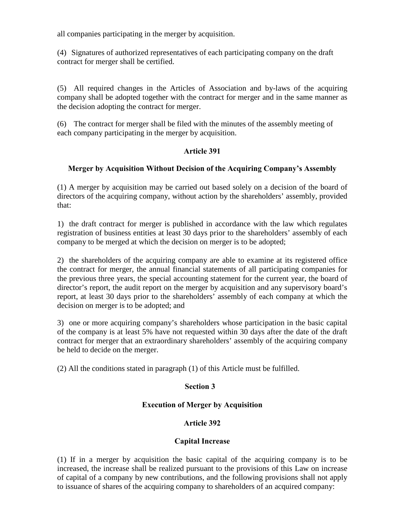all companies participating in the merger by acquisition.

(4) Signatures of authorized representatives of each participating company on the draft contract for merger shall be certified.

(5) All required changes in the Articles of Association and by-laws of the acquiring company shall be adopted together with the contract for merger and in the same manner as the decision adopting the contract for merger.

(6) The contract for merger shall be filed with the minutes of the assembly meeting of each company participating in the merger by acquisition.

## Article 391

## Merger by Acquisition Without Decision of the Acquiring Company's Assembly

(1) A merger by acquisition may be carried out based solely on a decision of the board of directors of the acquiring company, without action by the shareholders' assembly, provided that:

1) the draft contract for merger is published in accordance with the law which regulates registration of business entities at least 30 days prior to the shareholders' assembly of each company to be merged at which the decision on merger is to be adopted;

2) the shareholders of the acquiring company are able to examine at its registered office the contract for merger, the annual financial statements of all participating companies for the previous three years, the special accounting statement for the current year, the board of director's report, the audit report on the merger by acquisition and any supervisory board's report, at least 30 days prior to the shareholders' assembly of each company at which the decision on merger is to be adopted; and

3) one or more acquiring company's shareholders whose participation in the basic capital of the company is at least 5% have not requested within 30 days after the date of the draft contract for merger that an extraordinary shareholders' assembly of the acquiring company be held to decide on the merger.

(2) All the conditions stated in paragraph (1) of this Article must be fulfilled.

## Section 3

## Execution of Merger by Acquisition

# Article 392

## Capital Increase

(1) If in a merger by acquisition the basic capital of the acquiring company is to be increased, the increase shall be realized pursuant to the provisions of this Law on increase of capital of a company by new contributions, and the following provisions shall not apply to issuance of shares of the acquiring company to shareholders of an acquired company: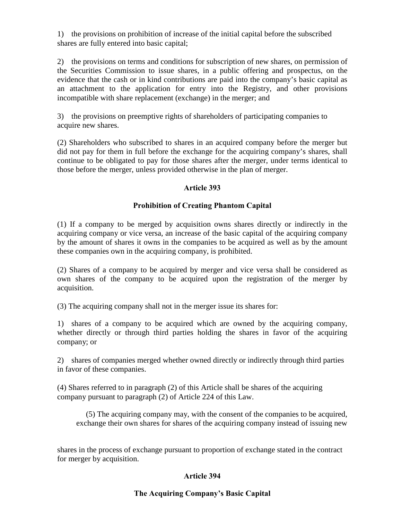1) the provisions on prohibition of increase of the initial capital before the subscribed shares are fully entered into basic capital;

2) the provisions on terms and conditions for subscription of new shares, on permission of the Securities Commission to issue shares, in a public offering and prospectus, on the evidence that the cash or in kind contributions are paid into the company's basic capital as an attachment to the application for entry into the Registry, and other provisions incompatible with share replacement (exchange) in the merger; and

3) the provisions on preemptive rights of shareholders of participating companies to acquire new shares.

(2) Shareholders who subscribed to shares in an acquired company before the merger but did not pay for them in full before the exchange for the acquiring company's shares, shall continue to be obligated to pay for those shares after the merger, under terms identical to those before the merger, unless provided otherwise in the plan of merger.

## Article 393

## Prohibition of Creating Phantom Capital

(1) If a company to be merged by acquisition owns shares directly or indirectly in the acquiring company or vice versa, an increase of the basic capital of the acquiring company by the amount of shares it owns in the companies to be acquired as well as by the amount these companies own in the acquiring company, is prohibited.

(2) Shares of a company to be acquired by merger and vice versa shall be considered as own shares of the company to be acquired upon the registration of the merger by acquisition.

(3) The acquiring company shall not in the merger issue its shares for:

1) shares of a company to be acquired which are owned by the acquiring company, whether directly or through third parties holding the shares in favor of the acquiring company; or

2) shares of companies merged whether owned directly or indirectly through third parties in favor of these companies.

(4) Shares referred to in paragraph (2) of this Article shall be shares of the acquiring company pursuant to paragraph (2) of Article 224 of this Law.

(5) The acquiring company may, with the consent of the companies to be acquired, exchange their own shares for shares of the acquiring company instead of issuing new

shares in the process of exchange pursuant to proportion of exchange stated in the contract for merger by acquisition.

## Article 394

## The Acquiring Company's Basic Capital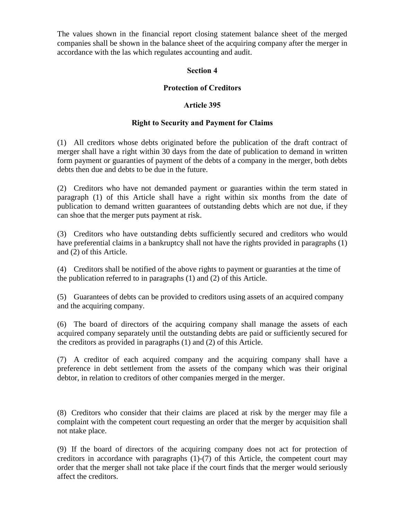The values shown in the financial report closing statement balance sheet of the merged companies shall be shown in the balance sheet of the acquiring company after the merger in accordance with the las which regulates accounting and audit.

## Section 4

## Protection of Creditors

## Article 395

## Right to Security and Payment for Claims

(1) All creditors whose debts originated before the publication of the draft contract of merger shall have a right within 30 days from the date of publication to demand in written form payment or guaranties of payment of the debts of a company in the merger, both debts debts then due and debts to be due in the future.

(2) Creditors who have not demanded payment or guaranties within the term stated in paragraph (1) of this Article shall have a right within six months from the date of publication to demand written guarantees of outstanding debts which are not due, if they can shoe that the merger puts payment at risk.

(3) Creditors who have outstanding debts sufficiently secured and creditors who would have preferential claims in a bankruptcy shall not have the rights provided in paragraphs (1) and (2) of this Article.

(4) Creditors shall be notified of the above rights to payment or guaranties at the time of the publication referred to in paragraphs (1) and (2) of this Article.

(5) Guarantees of debts can be provided to creditors using assets of an acquired company and the acquiring company.

(6) The board of directors of the acquiring company shall manage the assets of each acquired company separately until the outstanding debts are paid or sufficiently secured for the creditors as provided in paragraphs (1) and (2) of this Article.

(7) A creditor of each acquired company and the acquiring company shall have a preference in debt settlement from the assets of the company which was their original debtor, in relation to creditors of other companies merged in the merger.

(8) Creditors who consider that their claims are placed at risk by the merger may file a complaint with the competent court requesting an order that the merger by acquisition shall not ntake place.

(9) If the board of directors of the acquiring company does not act for protection of creditors in accordance with paragraphs (1)-(7) of this Article, the competent court may order that the merger shall not take place if the court finds that the merger would seriously affect the creditors.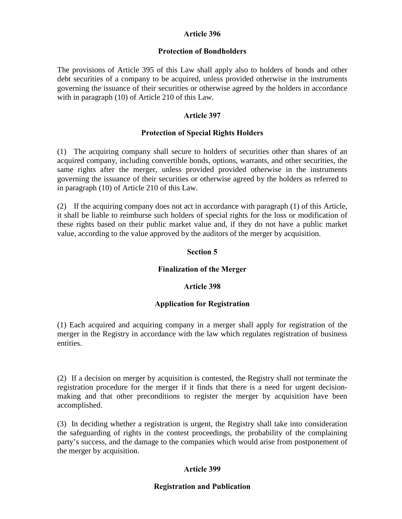## Article 396

#### Protection of Bondholders

The provisions of Article 395 of this Law shall apply also to holders of bonds and other debt securities of a company to be acquired, unless provided otherwise in the instruments governing the issuance of their securities or otherwise agreed by the holders in accordance with in paragraph (10) of Article 210 of this Law.

## Article 397

## Protection of Special Rights Holders

(1) The acquiring company shall secure to holders of securities other than shares of an acquired company, including convertible bonds, options, warrants, and other securities, the same rights after the merger, unless provided provided otherwise in the instruments governing the issuance of their securities or otherwise agreed by the holders as referred to in paragraph (10) of Article 210 of this Law.

(2) If the acquiring company does not act in accordance with paragraph (1) of this Article, it shall be liable to reimburse such holders of special rights for the loss or modification of these rights based on their public market value and, if they do not have a public market value, according to the value approved by the auditors of the merger by acquisition.

## Section 5

## Finalization of the Merger

## Article 398

## Application for Registration

(1) Each acquired and acquiring company in a merger shall apply for registration of the merger in the Registry in accordance with the law which regulates registration of business entities.

(2) If a decision on merger by acquisition is contested, the Registry shall not terminate the registration procedure for the merger if it finds that there is a need for urgent decisionmaking and that other preconditions to register the merger by acquisition have been accomplished.

(3) In deciding whether a registration is urgent, the Registry shall take into consideration the safeguarding of rights in the contest proceedings, the probability of the complaining party's success, and the damage to the companies which would arise from postponement of the merger by acquisition.

## Article 399

## Registration and Publication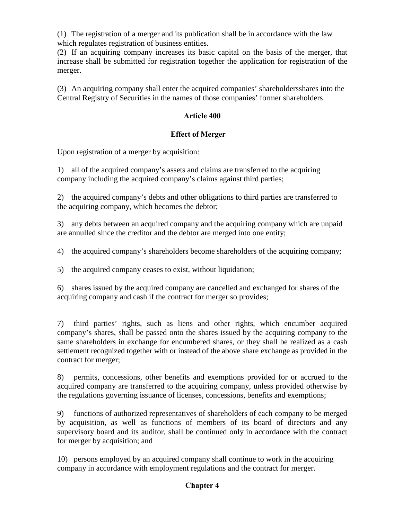(1) The registration of a merger and its publication shall be in accordance with the law which regulates registration of business entities.

(2) If an acquiring company increases its basic capital on the basis of the merger, that increase shall be submitted for registration together the application for registration of the merger.

(3) An acquiring company shall enter the acquired companies' shareholdersshares into the Central Registry of Securities in the names of those companies' former shareholders.

# Article 400

# Effect of Merger

Upon registration of a merger by acquisition:

1) all of the acquired company's assets and claims are transferred to the acquiring company including the acquired company's claims against third parties;

2) the acquired company's debts and other obligations to third parties are transferred to the acquiring company, which becomes the debtor;

3) any debts between an acquired company and the acquiring company which are unpaid are annulled since the creditor and the debtor are merged into one entity;

4) the acquired company's shareholders become shareholders of the acquiring company;

5) the acquired company ceases to exist, without liquidation;

6) shares issued by the acquired company are cancelled and exchanged for shares of the acquiring company and cash if the contract for merger so provides;

7) third parties' rights, such as liens and other rights, which encumber acquired company's shares, shall be passed onto the shares issued by the acquiring company to the same shareholders in exchange for encumbered shares, or they shall be realized as a cash settlement recognized together with or instead of the above share exchange as provided in the contract for merger;

8) permits, concessions, other benefits and exemptions provided for or accrued to the acquired company are transferred to the acquiring company, unless provided otherwise by the regulations governing issuance of licenses, concessions, benefits and exemptions;

9) functions of authorized representatives of shareholders of each company to be merged by acquisition, as well as functions of members of its board of directors and any supervisory board and its auditor, shall be continued only in accordance with the contract for merger by acquisition; and

10) persons employed by an acquired company shall continue to work in the acquiring company in accordance with employment regulations and the contract for merger.

# Chapter 4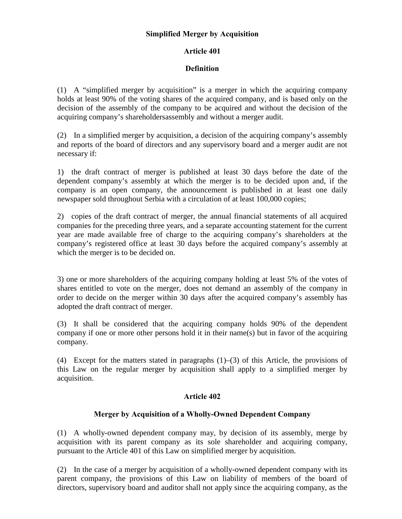## Simplified Merger by Acquisition

## Article 401

## Definition

(1) A "simplified merger by acquisition" is a merger in which the acquiring company holds at least 90% of the voting shares of the acquired company, and is based only on the decision of the assembly of the company to be acquired and without the decision of the acquiring company's shareholdersassembly and without a merger audit.

(2) In a simplified merger by acquisition, a decision of the acquiring company's assembly and reports of the board of directors and any supervisory board and a merger audit are not necessary if:

1) the draft contract of merger is published at least 30 days before the date of the dependent company's assembly at which the merger is to be decided upon and, if the company is an open company, the announcement is published in at least one daily newspaper sold throughout Serbia with a circulation of at least 100,000 copies;

2) copies of the draft contract of merger, the annual financial statements of all acquired companies for the preceding three years, and a separate accounting statement for the current year are made available free of charge to the acquiring company's shareholders at the company's registered office at least 30 days before the acquired company's assembly at which the merger is to be decided on.

3) one or more shareholders of the acquiring company holding at least 5% of the votes of shares entitled to vote on the merger, does not demand an assembly of the company in order to decide on the merger within 30 days after the acquired company's assembly has adopted the draft contract of merger.

(3) It shall be considered that the acquiring company holds 90% of the dependent company if one or more other persons hold it in their name(s) but in favor of the acquiring company.

(4) Except for the matters stated in paragraphs (1)–(3) of this Article, the provisions of this Law on the regular merger by acquisition shall apply to a simplified merger by acquisition.

## Article 402

# Merger by Acquisition of a Wholly-Owned Dependent Company

(1) A wholly-owned dependent company may, by decision of its assembly, merge by acquisition with its parent company as its sole shareholder and acquiring company, pursuant to the Article 401 of this Law on simplified merger by acquisition.

(2) In the case of a merger by acquisition of a wholly-owned dependent company with its parent company, the provisions of this Law on liability of members of the board of directors, supervisory board and auditor shall not apply since the acquiring company, as the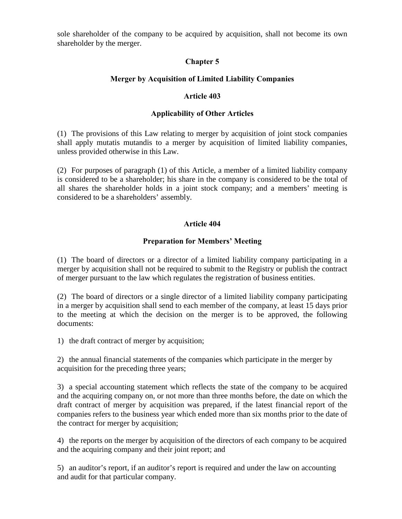sole shareholder of the company to be acquired by acquisition, shall not become its own shareholder by the merger.

# Chapter 5

# Merger by Acquisition of Limited Liability Companies

## Article 403

## Applicability of Other Articles

(1) The provisions of this Law relating to merger by acquisition of joint stock companies shall apply mutatis mutandis to a merger by acquisition of limited liability companies, unless provided otherwise in this Law.

(2) For purposes of paragraph (1) of this Article, a member of a limited liability company is considered to be a shareholder; his share in the company is considered to be the total of all shares the shareholder holds in a joint stock company; and a members' meeting is considered to be a shareholders' assembly.

# Article 404

## Preparation for Members' Meeting

(1) The board of directors or a director of a limited liability company participating in a merger by acquisition shall not be required to submit to the Registry or publish the contract of merger pursuant to the law which regulates the registration of business entities.

(2) The board of directors or a single director of a limited liability company participating in a merger by acquisition shall send to each member of the company, at least 15 days prior to the meeting at which the decision on the merger is to be approved, the following documents:

1) the draft contract of merger by acquisition;

2) the annual financial statements of the companies which participate in the merger by acquisition for the preceding three years;

3) a special accounting statement which reflects the state of the company to be acquired and the acquiring company on, or not more than three months before, the date on which the draft contract of merger by acquisition was prepared, if the latest financial report of the companies refers to the business year which ended more than six months prior to the date of the contract for merger by acquisition;

4) the reports on the merger by acquisition of the directors of each company to be acquired and the acquiring company and their joint report; and

5) an auditor's report, if an auditor's report is required and under the law on accounting and audit for that particular company.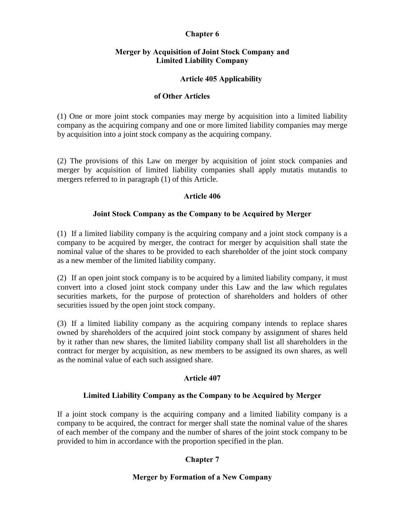## Chapter 6

## Merger by Acquisition of Joint Stock Company and Limited Liability Company

## Article 405 Applicability

#### of Other Articles

(1) One or more joint stock companies may merge by acquisition into a limited liability company as the acquiring company and one or more limited liability companies may merge by acquisition into a joint stock company as the acquiring company.

(2) The provisions of this Law on merger by acquisition of joint stock companies and merger by acquisition of limited liability companies shall apply mutatis mutandis to mergers referred to in paragraph (1) of this Article.

#### Article 406

#### Joint Stock Company as the Company to be Acquired by Merger

(1) If a limited liability company is the acquiring company and a joint stock company is a company to be acquired by merger, the contract for merger by acquisition shall state the nominal value of the shares to be provided to each shareholder of the joint stock company as a new member of the limited liability company.

(2) If an open joint stock company is to be acquired by a limited liability company, it must convert into a closed joint stock company under this Law and the law which regulates securities markets, for the purpose of protection of shareholders and holders of other securities issued by the open joint stock company.

(3) If a limited liability company as the acquiring company intends to replace shares owned by shareholders of the acquired joint stock company by assignment of shares held by it rather than new shares, the limited liability company shall list all shareholders in the contract for merger by acquisition, as new members to be assigned its own shares, as well as the nominal value of each such assigned share.

## Article 407

## Limited Liability Company as the Company to be Acquired by Merger

If a joint stock company is the acquiring company and a limited liability company is a company to be acquired, the contract for merger shall state the nominal value of the shares of each member of the company and the number of shares of the joint stock company to be provided to him in accordance with the proportion specified in the plan.

# Chapter 7

## Merger by Formation of a New Company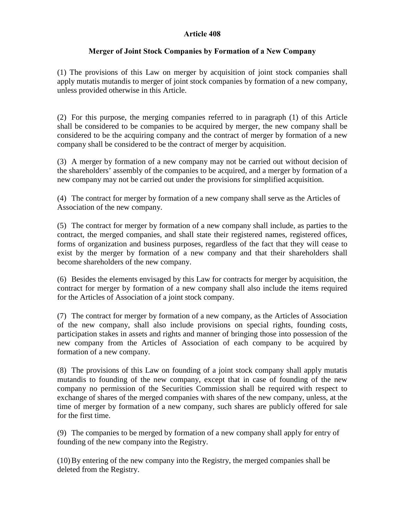## Article 408

# Merger of Joint Stock Companies by Formation of a New Company

(1) The provisions of this Law on merger by acquisition of joint stock companies shall apply mutatis mutandis to merger of joint stock companies by formation of a new company, unless provided otherwise in this Article.

(2) For this purpose, the merging companies referred to in paragraph (1) of this Article shall be considered to be companies to be acquired by merger, the new company shall be considered to be the acquiring company and the contract of merger by formation of a new company shall be considered to be the contract of merger by acquisition.

(3) A merger by formation of a new company may not be carried out without decision of the shareholders' assembly of the companies to be acquired, and a merger by formation of a new company may not be carried out under the provisions for simplified acquisition.

(4) The contract for merger by formation of a new company shall serve as the Articles of Association of the new company.

(5) The contract for merger by formation of a new company shall include, as parties to the contract, the merged companies, and shall state their registered names, registered offices, forms of organization and business purposes, regardless of the fact that they will cease to exist by the merger by formation of a new company and that their shareholders shall become shareholders of the new company.

(6) Besides the elements envisaged by this Law for contracts for merger by acquisition, the contract for merger by formation of a new company shall also include the items required for the Articles of Association of a joint stock company.

(7) The contract for merger by formation of a new company, as the Articles of Association of the new company, shall also include provisions on special rights, founding costs, participation stakes in assets and rights and manner of bringing those into possession of the new company from the Articles of Association of each company to be acquired by formation of a new company.

(8) The provisions of this Law on founding of a joint stock company shall apply mutatis mutandis to founding of the new company, except that in case of founding of the new company no permission of the Securities Commission shall be required with respect to exchange of shares of the merged companies with shares of the new company, unless, at the time of merger by formation of a new company, such shares are publicly offered for sale for the first time.

(9) The companies to be merged by formation of a new company shall apply for entry of founding of the new company into the Registry.

(10)By entering of the new company into the Registry, the merged companies shall be deleted from the Registry.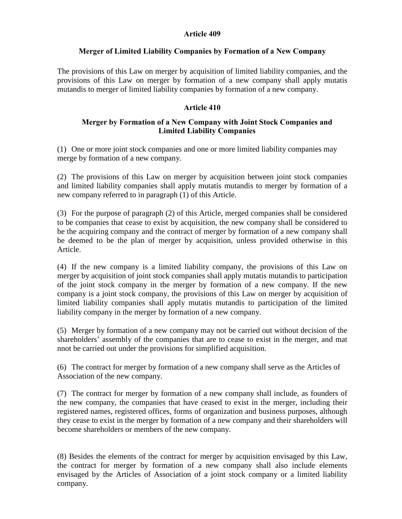## Article 409

## Merger of Limited Liability Companies by Formation of a New Company

The provisions of this Law on merger by acquisition of limited liability companies, and the provisions of this Law on merger by formation of a new company shall apply mutatis mutandis to merger of limited liability companies by formation of a new company.

## Article 410

## Merger by Formation of a New Company with Joint Stock Companies and Limited Liability Companies

(1) One or more joint stock companies and one or more limited liability companies may merge by formation of a new company.

(2) The provisions of this Law on merger by acquisition between joint stock companies and limited liability companies shall apply mutatis mutandis to merger by formation of a new company referred to in paragraph (1) of this Article.

(3) For the purpose of paragraph (2) of this Article, merged companies shall be considered to be companies that cease to exist by acquisition, the new company shall be considered to be the acquiring company and the contract of merger by formation of a new company shall be deemed to be the plan of merger by acquisition, unless provided otherwise in this Article.

(4) If the new company is a limited liability company, the provisions of this Law on merger by acquisition of joint stock companies shall apply mutatis mutandis to participation of the joint stock company in the merger by formation of a new company. If the new company is a joint stock company, the provisions of this Law on merger by acquisition of limited liability companies shall apply mutatis mutandis to participation of the limited liability company in the merger by formation of a new company.

(5) Merger by formation of a new company may not be carried out without decision of the shareholders' assembly of the companies that are to cease to exist in the merger, and mat nnot be carried out under the provisions for simplified acquisition.

(6) The contract for merger by formation of a new company shall serve as the Articles of Association of the new company.

(7) The contract for merger by formation of a new company shall include, as founders of the new company, the companies that have ceased to exist in the merger, including their registered names, registered offices, forms of organization and business purposes, although they cease to exist in the merger by formation of a new company and their shareholders will become shareholders or members of the new company.

(8) Besides the elements of the contract for merger by acquisition envisaged by this Law, the contract for merger by formation of a new company shall also include elements envisaged by the Articles of Association of a joint stock company or a limited liability company.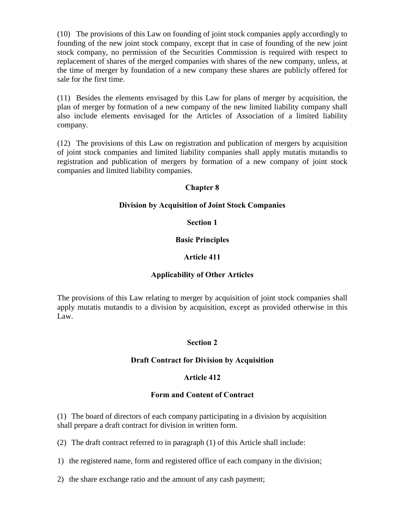(10) The provisions of this Law on founding of joint stock companies apply accordingly to founding of the new joint stock company, except that in case of founding of the new joint stock company, no permission of the Securities Commission is required with respect to replacement of shares of the merged companies with shares of the new company, unless, at the time of merger by foundation of a new company these shares are publicly offered for sale for the first time.

(11) Besides the elements envisaged by this Law for plans of merger by acquisition, the plan of merger by fotmation of a new company of the new limited liability company shall also include elements envisaged for the Articles of Association of a limited liability company.

(12) The provisions of this Law on registration and publication of mergers by acquisition of joint stock companies and limited liability companies shall apply mutatis mutandis to registration and publication of mergers by formation of a new company of joint stock companies and limited liability companies.

## Chapter 8

## Division by Acquisition of Joint Stock Companies

## Section 1

## Basic Principles

## Article 411

# Applicability of Other Articles

The provisions of this Law relating to merger by acquisition of joint stock companies shall apply mutatis mutandis to a division by acquisition, except as provided otherwise in this Law.

## Section 2

## Draft Contract for Division by Acquisition

## Article 412

## Form and Content of Contract

(1) The board of directors of each company participating in a division by acquisition shall prepare a draft contract for division in written form.

(2) The draft contract referred to in paragraph (1) of this Article shall include:

1) the registered name, form and registered office of each company in the division;

2) the share exchange ratio and the amount of any cash payment;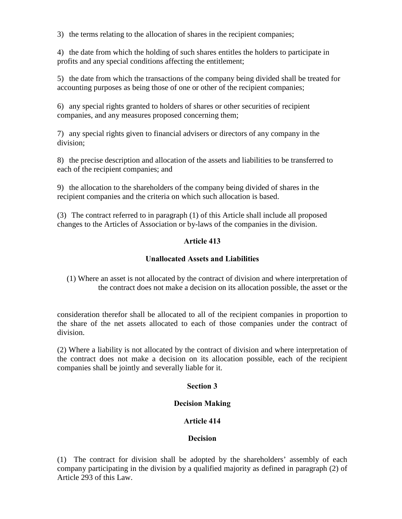3) the terms relating to the allocation of shares in the recipient companies;

4) the date from which the holding of such shares entitles the holders to participate in profits and any special conditions affecting the entitlement;

5) the date from which the transactions of the company being divided shall be treated for accounting purposes as being those of one or other of the recipient companies;

6) any special rights granted to holders of shares or other securities of recipient companies, and any measures proposed concerning them;

7) any special rights given to financial advisers or directors of any company in the division;

8) the precise description and allocation of the assets and liabilities to be transferred to each of the recipient companies; and

9) the allocation to the shareholders of the company being divided of shares in the recipient companies and the criteria on which such allocation is based.

(3) The contract referred to in paragraph (1) of this Article shall include all proposed changes to the Articles of Association or by-laws of the companies in the division.

# Article 413

# Unallocated Assets and Liabilities

(1) Where an asset is not allocated by the contract of division and where interpretation of the contract does not make a decision on its allocation possible, the asset or the

consideration therefor shall be allocated to all of the recipient companies in proportion to the share of the net assets allocated to each of those companies under the contract of division.

(2) Where a liability is not allocated by the contract of division and where interpretation of the contract does not make a decision on its allocation possible, each of the recipient companies shall be jointly and severally liable for it.

## Section 3

## Decision Making

# Article 414

## **Decision**

(1) The contract for division shall be adopted by the shareholders' assembly of each company participating in the division by a qualified majority as defined in paragraph (2) of Article 293 of this Law.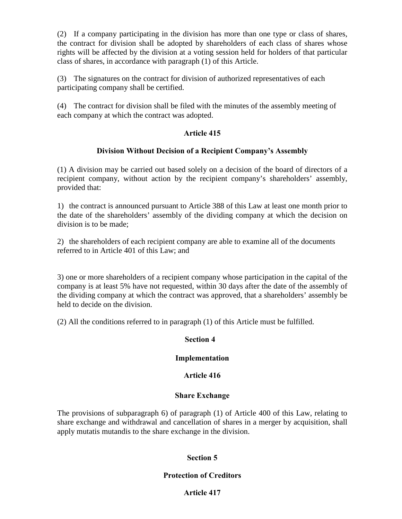(2) If a company participating in the division has more than one type or class of shares, the contract for division shall be adopted by shareholders of each class of shares whose rights will be affected by the division at a voting session held for holders of that particular class of shares, in accordance with paragraph (1) of this Article.

(3) The signatures on the contract for division of authorized representatives of each participating company shall be certified.

(4) The contract for division shall be filed with the minutes of the assembly meeting of each company at which the contract was adopted.

# Article 415

## Division Without Decision of a Recipient Company's Assembly

(1) A division may be carried out based solely on a decision of the board of directors of a recipient company, without action by the recipient company's shareholders' assembly, provided that:

1) the contract is announced pursuant to Article 388 of this Law at least one month prior to the date of the shareholders' assembly of the dividing company at which the decision on division is to be made;

2) the shareholders of each recipient company are able to examine all of the documents referred to in Article 401 of this Law; and

3) one or more shareholders of a recipient company whose participation in the capital of the company is at least 5% have not requested, within 30 days after the date of the assembly of the dividing company at which the contract was approved, that a shareholders' assembly be held to decide on the division.

(2) All the conditions referred to in paragraph (1) of this Article must be fulfilled.

## Section 4

## Implementation

# Article 416

## Share Exchange

The provisions of subparagraph 6) of paragraph (1) of Article 400 of this Law, relating to share exchange and withdrawal and cancellation of shares in a merger by acquisition, shall apply mutatis mutandis to the share exchange in the division.

# Section 5

## Protection of Creditors

## Article 417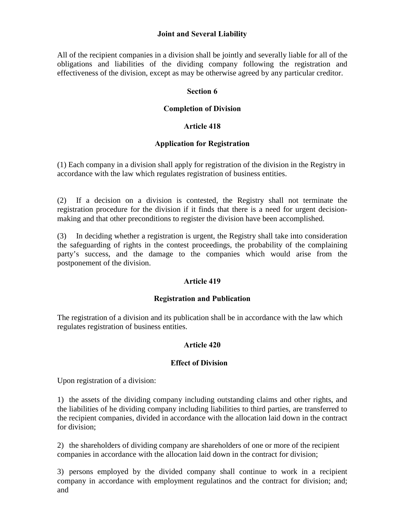## Joint and Several Liability

All of the recipient companies in a division shall be jointly and severally liable for all of the obligations and liabilities of the dividing company following the registration and effectiveness of the division, except as may be otherwise agreed by any particular creditor.

## Section 6

## Completion of Division

## Article 418

## Application for Registration

(1) Each company in a division shall apply for registration of the division in the Registry in accordance with the law which regulates registration of business entities.

(2) If a decision on a division is contested, the Registry shall not terminate the registration procedure for the division if it finds that there is a need for urgent decisionmaking and that other preconditions to register the division have been accomplished.

(3) In deciding whether a registration is urgent, the Registry shall take into consideration the safeguarding of rights in the contest proceedings, the probability of the complaining party's success, and the damage to the companies which would arise from the postponement of the division.

## Article 419

## Registration and Publication

The registration of a division and its publication shall be in accordance with the law which regulates registration of business entities.

## Article 420

## Effect of Division

Upon registration of a division:

1) the assets of the dividing company including outstanding claims and other rights, and the liabilities of he dividing company including liabilities to third parties, are transferred to the recipient companies, divided in accordance with the allocation laid down in the contract for division;

2) the shareholders of dividing company are shareholders of one or more of the recipient companies in accordance with the allocation laid down in the contract for division;

3) persons employed by the divided company shall continue to work in a recipient company in accordance with employment regulatinos and the contract for division; and; and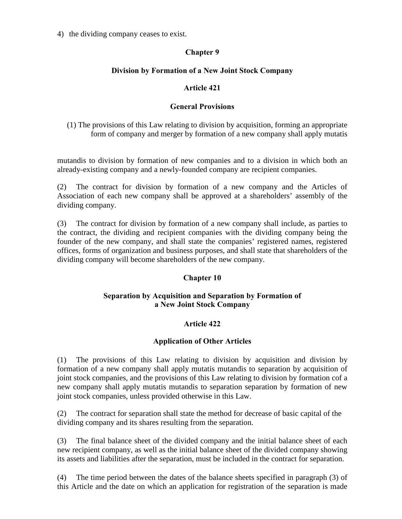4) the dividing company ceases to exist.

# Chapter 9

# Division by Formation of a New Joint Stock Company

# Article 421

## General Provisions

(1) The provisions of this Law relating to division by acquisition, forming an appropriate form of company and merger by formation of a new company shall apply mutatis

mutandis to division by formation of new companies and to a division in which both an already-existing company and a newly-founded company are recipient companies.

(2) The contract for division by formation of a new company and the Articles of Association of each new company shall be approved at a shareholders' assembly of the dividing company.

(3) The contract for division by formation of a new company shall include, as parties to the contract, the dividing and recipient companies with the dividing company being the founder of the new company, and shall state the companies' registered names, registered offices, forms of organization and business purposes, and shall state that shareholders of the dividing company will become shareholders of the new company.

# Chapter 10

## Separation by Acquisition and Separation by Formation of a New Joint Stock Company

# Article 422

# Application of Other Articles

(1) The provisions of this Law relating to division by acquisition and division by formation of a new company shall apply mutatis mutandis to separation by acquisition of joint stock companies, and the provisions of this Law relating to division by formation cof a new company shall apply mutatis mutandis to separation separation by formation of new joint stock companies, unless provided otherwise in this Law.

(2) The contract for separation shall state the method for decrease of basic capital of the dividing company and its shares resulting from the separation.

(3) The final balance sheet of the divided company and the initial balance sheet of each new recipient company, as well as the initial balance sheet of the divided company showing its assets and liabilities after the separation, must be included in the contract for separation.

(4) The time period between the dates of the balance sheets specified in paragraph (3) of this Article and the date on which an application for registration of the separation is made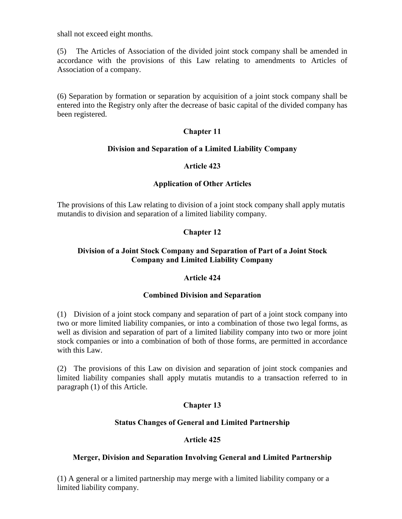shall not exceed eight months.

(5) The Articles of Association of the divided joint stock company shall be amended in accordance with the provisions of this Law relating to amendments to Articles of Association of a company.

(6) Separation by formation or separation by acquisition of a joint stock company shall be entered into the Registry only after the decrease of basic capital of the divided company has been registered.

## Chapter 11

#### Division and Separation of a Limited Liability Company

#### Article 423

#### Application of Other Articles

The provisions of this Law relating to division of a joint stock company shall apply mutatis mutandis to division and separation of a limited liability company.

#### Chapter 12

## Division of a Joint Stock Company and Separation of Part of a Joint Stock Company and Limited Liability Company

#### Article 424

#### Combined Division and Separation

(1) Division of a joint stock company and separation of part of a joint stock company into two or more limited liability companies, or into a combination of those two legal forms, as well as division and separation of part of a limited liability company into two or more joint stock companies or into a combination of both of those forms, are permitted in accordance with this Law.

(2) The provisions of this Law on division and separation of joint stock companies and limited liability companies shall apply mutatis mutandis to a transaction referred to in paragraph (1) of this Article.

#### Chapter 13

#### Status Changes of General and Limited Partnership

#### Article 425

#### Merger, Division and Separation Involving General and Limited Partnership

(1) A general or a limited partnership may merge with a limited liability company or a limited liability company.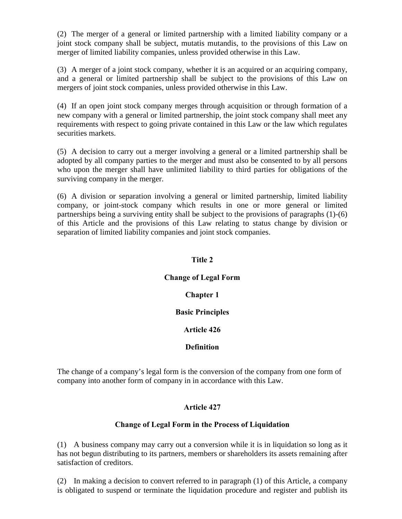(2) The merger of a general or limited partnership with a limited liability company or a joint stock company shall be subject, mutatis mutandis, to the provisions of this Law on merger of limited liability companies, unless provided otherwise in this Law.

(3) A merger of a joint stock company, whether it is an acquired or an acquiring company, and a general or limited partnership shall be subject to the provisions of this Law on mergers of joint stock companies, unless provided otherwise in this Law.

(4) If an open joint stock company merges through acquisition or through formation of a new company with a general or limited partnership, the joint stock company shall meet any requirements with respect to going private contained in this Law or the law which regulates securities markets.

(5) A decision to carry out a merger involving a general or a limited partnership shall be adopted by all company parties to the merger and must also be consented to by all persons who upon the merger shall have unlimited liability to third parties for obligations of the surviving company in the merger.

(6) A division or separation involving a general or limited partnership, limited liability company, or joint-stock company which results in one or more general or limited partnerships being a surviving entity shall be subject to the provisions of paragraphs (1)-(6) of this Article and the provisions of this Law relating to status change by division or separation of limited liability companies and joint stock companies.

#### Title 2

# Change of Legal Form

#### Chapter 1

#### Basic Principles

#### Article 426

#### Definition

The change of a company's legal form is the conversion of the company from one form of company into another form of company in in accordance with this Law.

#### Article 427

#### Change of Legal Form in the Process of Liquidation

(1) A business company may carry out a conversion while it is in liquidation so long as it has not begun distributing to its partners, members or shareholders its assets remaining after satisfaction of creditors.

(2) In making a decision to convert referred to in paragraph (1) of this Article, a company is obligated to suspend or terminate the liquidation procedure and register and publish its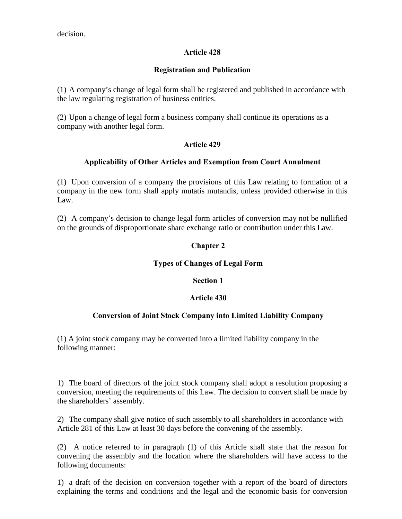decision.

# Article 428

## Registration and Publication

(1) A company's change of legal form shall be registered and published in accordance with the law regulating registration of business entities.

(2) Upon a change of legal form a business company shall continue its operations as a company with another legal form.

## Article 429

## Applicability of Other Articles and Exemption from Court Annulment

(1) Upon conversion of a company the provisions of this Law relating to formation of a company in the new form shall apply mutatis mutandis, unless provided otherwise in this Law.

(2) A company's decision to change legal form articles of conversion may not be nullified on the grounds of disproportionate share exchange ratio or contribution under this Law.

# Chapter 2

#### Types of Changes of Legal Form

#### Section 1

# Article 430

# Conversion of Joint Stock Company into Limited Liability Company

(1) A joint stock company may be converted into a limited liability company in the following manner:

1) The board of directors of the joint stock company shall adopt a resolution proposing a conversion, meeting the requirements of this Law. The decision to convert shall be made by the shareholders' assembly.

2) The company shall give notice of such assembly to all shareholders in accordance with Article 281 of this Law at least 30 days before the convening of the assembly.

(2) A notice referred to in paragraph (1) of this Article shall state that the reason for convening the assembly and the location where the shareholders will have access to the following documents:

1) a draft of the decision on conversion together with a report of the board of directors explaining the terms and conditions and the legal and the economic basis for conversion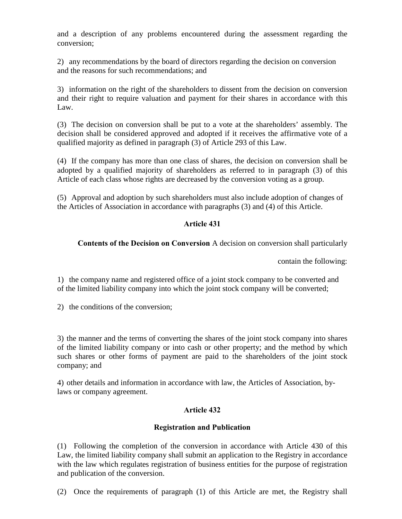and a description of any problems encountered during the assessment regarding the conversion;

2) any recommendations by the board of directors regarding the decision on conversion and the reasons for such recommendations; and

3) information on the right of the shareholders to dissent from the decision on conversion and their right to require valuation and payment for their shares in accordance with this Law.

(3) The decision on conversion shall be put to a vote at the shareholders' assembly. The decision shall be considered approved and adopted if it receives the affirmative vote of a qualified majority as defined in paragraph (3) of Article 293 of this Law.

(4) If the company has more than one class of shares, the decision on conversion shall be adopted by a qualified majority of shareholders as referred to in paragraph (3) of this Article of each class whose rights are decreased by the conversion voting as a group.

(5) Approval and adoption by such shareholders must also include adoption of changes of the Articles of Association in accordance with paragraphs (3) and (4) of this Article.

# Article 431

# Contents of the Decision on Conversion A decision on conversion shall particularly

contain the following:

1) the company name and registered office of a joint stock company to be converted and of the limited liability company into which the joint stock company will be converted;

2) the conditions of the conversion;

3) the manner and the terms of converting the shares of the joint stock company into shares of the limited liability company or into cash or other property; and the method by which such shares or other forms of payment are paid to the shareholders of the joint stock company; and

4) other details and information in accordance with law, the Articles of Association, bylaws or company agreement.

# Article 432

# Registration and Publication

(1) Following the completion of the conversion in accordance with Article 430 of this Law, the limited liability company shall submit an application to the Registry in accordance with the law which regulates registration of business entities for the purpose of registration and publication of the conversion.

(2) Once the requirements of paragraph (1) of this Article are met, the Registry shall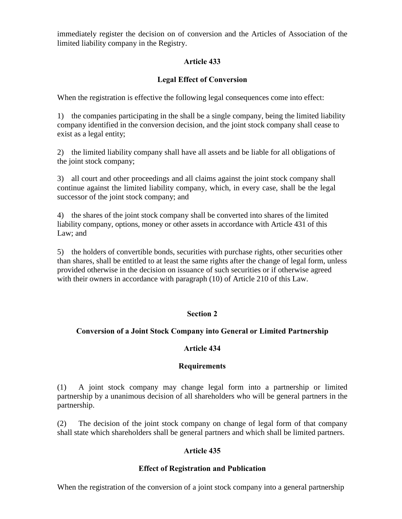immediately register the decision on of conversion and the Articles of Association of the limited liability company in the Registry.

## Article 433

# Legal Effect of Conversion

When the registration is effective the following legal consequences come into effect:

1) the companies participating in the shall be a single company, being the limited liability company identified in the conversion decision, and the joint stock company shall cease to exist as a legal entity;

2) the limited liability company shall have all assets and be liable for all obligations of the joint stock company;

3) all court and other proceedings and all claims against the joint stock company shall continue against the limited liability company, which, in every case, shall be the legal successor of the joint stock company; and

4) the shares of the joint stock company shall be converted into shares of the limited liability company, options, money or other assets in accordance with Article 431 of this Law; and

5) the holders of convertible bonds, securities with purchase rights, other securities other than shares, shall be entitled to at least the same rights after the change of legal form, unless provided otherwise in the decision on issuance of such securities or if otherwise agreed with their owners in accordance with paragraph (10) of Article 210 of this Law.

# Section 2

#### Conversion of a Joint Stock Company into General or Limited Partnership

#### Article 434

#### **Requirements**

(1) A joint stock company may change legal form into a partnership or limited partnership by a unanimous decision of all shareholders who will be general partners in the partnership.

(2) The decision of the joint stock company on change of legal form of that company shall state which shareholders shall be general partners and which shall be limited partners.

#### Article 435

#### Effect of Registration and Publication

When the registration of the conversion of a joint stock company into a general partnership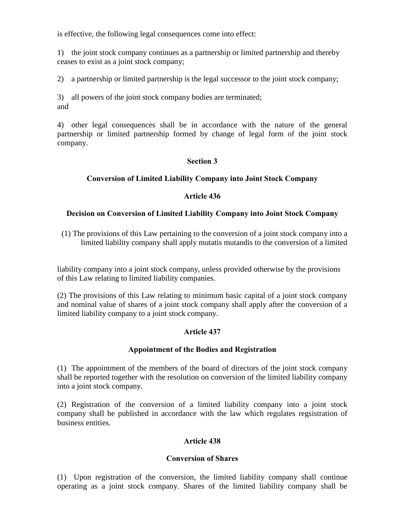is effective, the following legal consequences come into effect:

1) the joint stock company continues as a partnership or limited partnership and thereby ceases to exist as a joint stock company;

2) a partnership or limited partnership is the legal successor to the joint stock company;

3) all powers of the joint stock company bodies are terminated; and

4) other legal consequences shall be in accordance with the nature of the general partnership or limited partnership formed by change of legal form of the joint stock company.

## Section 3

## Conversion of Limited Liability Company into Joint Stock Company

#### Article 436

#### Decision on Conversion of Limited Liability Company into Joint Stock Company

(1) The provisions of this Law pertaining to the conversion of a joint stock company into a limited liability company shall apply mutatis mutandis to the conversion of a limited

liability company into a joint stock company, unless provided otherwise by the provisions of this Law relating to limited liability companies.

(2) The provisions of this Law relating to minimum basic capital of a joint stock company and nominal value of shares of a joint stock company shall apply after the conversion of a limited liability company to a joint stock company.

# Article 437

#### Appointment of the Bodies and Registration

(1) The appointment of the members of the board of directors of the joint stock company shall be reported together with the resolution on conversion of the limited liability company into a joint stock company.

(2) Registration of the conversion of a limited liability company into a joint stock company shall be published in accordance with the law which regulates regsistration of business entities.

# Article 438

#### Conversion of Shares

(1) Upon registration of the conversion, the limited liability company shall continue operating as a joint stock company. Shares of the limited liability company shall be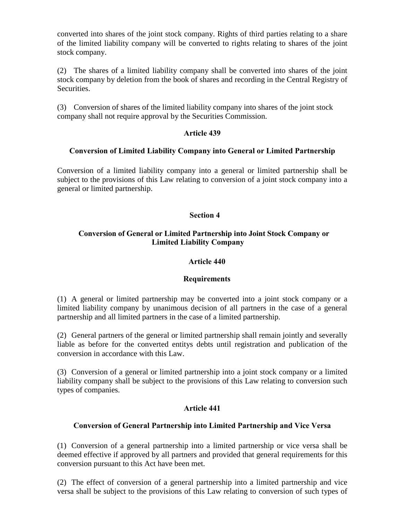converted into shares of the joint stock company. Rights of third parties relating to a share of the limited liability company will be converted to rights relating to shares of the joint stock company.

(2) The shares of a limited liability company shall be converted into shares of the joint stock company by deletion from the book of shares and recording in the Central Registry of Securities.

(3) Conversion of shares of the limited liability company into shares of the joint stock company shall not require approval by the Securities Commission.

# Article 439

## Conversion of Limited Liability Company into General or Limited Partnership

Conversion of a limited liability company into a general or limited partnership shall be subject to the provisions of this Law relating to conversion of a joint stock company into a general or limited partnership.

## Section 4

# Conversion of General or Limited Partnership into Joint Stock Company or Limited Liability Company

#### Article 440

# **Requirements**

(1) A general or limited partnership may be converted into a joint stock company or a limited liability company by unanimous decision of all partners in the case of a general partnership and all limited partners in the case of a limited partnership.

(2) General partners of the general or limited partnership shall remain jointly and severally liable as before for the converted entitys debts until registration and publication of the conversion in accordance with this Law.

(3) Conversion of a general or limited partnership into a joint stock company or a limited liability company shall be subject to the provisions of this Law relating to conversion such types of companies.

# Article 441

# Conversion of General Partnership into Limited Partnership and Vice Versa

(1) Conversion of a general partnership into a limited partnership or vice versa shall be deemed effective if approved by all partners and provided that general requirements for this conversion pursuant to this Act have been met.

(2) The effect of conversion of a general partnership into a limited partnership and vice versa shall be subject to the provisions of this Law relating to conversion of such types of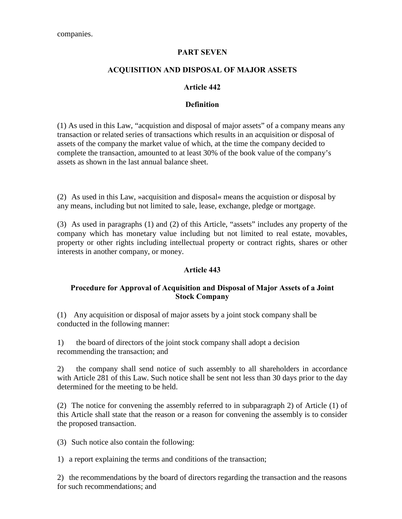#### PART SEVEN

#### ACQUISITION AND DISPOSAL OF MAJOR ASSETS

#### Article 442

#### **Definition**

(1) As used in this Law, "acquistion and disposal of major assets" of a company means any transaction or related series of transactions which results in an acquisition or disposal of assets of the company the market value of which, at the time the company decided to complete the transaction, amounted to at least 30% of the book value of the company's assets as shown in the last annual balance sheet.

(2) As used in this Law, »acquisition and disposal« means the acquistion or disposal by any means, including but not limited to sale, lease, exchange, pledge or mortgage.

(3) As used in paragraphs (1) and (2) of this Article, "assets" includes any property of the company which has monetary value including but not limited to real estate, movables, property or other rights including intellectual property or contract rights, shares or other interests in another company, or money.

#### Article 443

#### Procedure for Approval of Acquisition and Disposal of Major Assets of a Joint Stock Company

(1) Any acquisition or disposal of major assets by a joint stock company shall be conducted in the following manner:

1) the board of directors of the joint stock company shall adopt a decision recommending the transaction; and

2) the company shall send notice of such assembly to all shareholders in accordance with Article 281 of this Law. Such notice shall be sent not less than 30 days prior to the day determined for the meeting to be held.

(2) The notice for convening the assembly referred to in subparagraph 2) of Article (1) of this Article shall state that the reason or a reason for convening the assembly is to consider the proposed transaction.

(3) Such notice also contain the following:

1) a report explaining the terms and conditions of the transaction;

2) the recommendations by the board of directors regarding the transaction and the reasons for such recommendations; and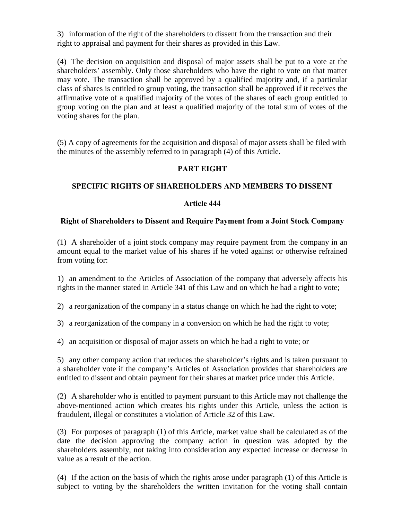3) information of the right of the shareholders to dissent from the transaction and their right to appraisal and payment for their shares as provided in this Law.

(4) The decision on acquisition and disposal of major assets shall be put to a vote at the shareholders' assembly. Only those shareholders who have the right to vote on that matter may vote. The transaction shall be approved by a qualified majority and, if a particular class of shares is entitled to group voting, the transaction shall be approved if it receives the affirmative vote of a qualified majority of the votes of the shares of each group entitled to group voting on the plan and at least a qualified majority of the total sum of votes of the voting shares for the plan.

(5) A copy of agreements for the acquisition and disposal of major assets shall be filed with the minutes of the assembly referred to in paragraph (4) of this Article.

# PART EIGHT

# SPECIFIC RIGHTS OF SHAREHOLDERS AND MEMBERS TO DISSENT

## Article 444

#### Right of Shareholders to Dissent and Require Payment from a Joint Stock Company

(1) A shareholder of a joint stock company may require payment from the company in an amount equal to the market value of his shares if he voted against or otherwise refrained from voting for:

1) an amendment to the Articles of Association of the company that adversely affects his rights in the manner stated in Article 341 of this Law and on which he had a right to vote;

2) a reorganization of the company in a status change on which he had the right to vote;

3) a reorganization of the company in a conversion on which he had the right to vote;

4) an acquisition or disposal of major assets on which he had a right to vote; or

5) any other company action that reduces the shareholder's rights and is taken pursuant to a shareholder vote if the company's Articles of Association provides that shareholders are entitled to dissent and obtain payment for their shares at market price under this Article.

(2) A shareholder who is entitled to payment pursuant to this Article may not challenge the above-mentioned action which creates his rights under this Article, unless the action is fraudulent, illegal or constitutes a violation of Article 32 of this Law.

(3) For purposes of paragraph (1) of this Article, market value shall be calculated as of the date the decision approving the company action in question was adopted by the shareholders assembly, not taking into consideration any expected increase or decrease in value as a result of the action.

(4) If the action on the basis of which the rights arose under paragraph (1) of this Article is subject to voting by the shareholders the written invitation for the voting shall contain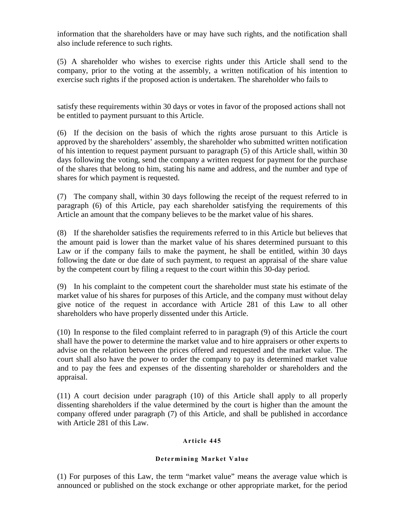information that the shareholders have or may have such rights, and the notification shall also include reference to such rights.

(5) A shareholder who wishes to exercise rights under this Article shall send to the company, prior to the voting at the assembly, a written notification of his intention to exercise such rights if the proposed action is undertaken. The shareholder who fails to

satisfy these requirements within 30 days or votes in favor of the proposed actions shall not be entitled to payment pursuant to this Article.

(6) If the decision on the basis of which the rights arose pursuant to this Article is approved by the shareholders' assembly, the shareholder who submitted written notification of his intention to request payment pursuant to paragraph (5) of this Article shall, within 30 days following the voting, send the company a written request for payment for the purchase of the shares that belong to him, stating his name and address, and the number and type of shares for which payment is requested.

(7) The company shall, within 30 days following the receipt of the request referred to in paragraph (6) of this Article, pay each shareholder satisfying the requirements of this Article an amount that the company believes to be the market value of his shares.

(8) If the shareholder satisfies the requirements referred to in this Article but believes that the amount paid is lower than the market value of his shares determined pursuant to this Law or if the company fails to make the payment, he shall be entitled, within 30 days following the date or due date of such payment, to request an appraisal of the share value by the competent court by filing a request to the court within this 30-day period.

(9) In his complaint to the competent court the shareholder must state his estimate of the market value of his shares for purposes of this Article, and the company must without delay give notice of the request in accordance with Article 281 of this Law to all other shareholders who have properly dissented under this Article.

(10) In response to the filed complaint referred to in paragraph (9) of this Article the court shall have the power to determine the market value and to hire appraisers or other experts to advise on the relation between the prices offered and requested and the market value. The court shall also have the power to order the company to pay its determined market value and to pay the fees and expenses of the dissenting shareholder or shareholders and the appraisal.

(11) A court decision under paragraph (10) of this Article shall apply to all properly dissenting shareholders if the value determined by the court is higher than the amount the company offered under paragraph (7) of this Article, and shall be published in accordance with Article 281 of this Law.

#### Article 445

#### Determining Market Value

(1) For purposes of this Law, the term "market value" means the average value which is announced or published on the stock exchange or other appropriate market, for the period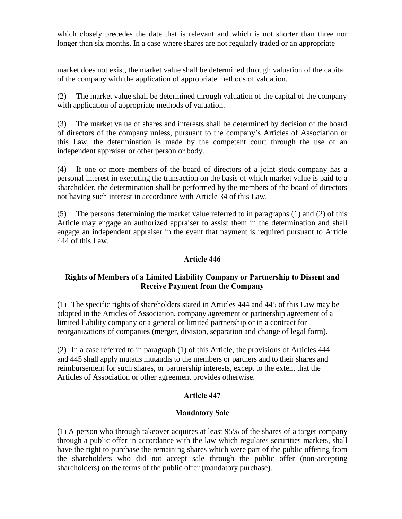which closely precedes the date that is relevant and which is not shorter than three nor longer than six months. In a case where shares are not regularly traded or an appropriate

market does not exist, the market value shall be determined through valuation of the capital of the company with the application of appropriate methods of valuation.

(2) The market value shall be determined through valuation of the capital of the company with application of appropriate methods of valuation.

(3) The market value of shares and interests shall be determined by decision of the board of directors of the company unless, pursuant to the company's Articles of Association or this Law, the determination is made by the competent court through the use of an independent appraiser or other person or body.

(4) If one or more members of the board of directors of a joint stock company has a personal interest in executing the transaction on the basis of which market value is paid to a shareholder, the determination shall be performed by the members of the board of directors not having such interest in accordance with Article 34 of this Law.

(5) The persons determining the market value referred to in paragraphs (1) and (2) of this Article may engage an authorized appraiser to assist them in the determination and shall engage an independent appraiser in the event that payment is required pursuant to Article 444 of this Law.

## Article 446

# Rights of Members of a Limited Liability Company or Partnership to Dissent and Receive Payment from the Company

(1) The specific rights of shareholders stated in Articles 444 and 445 of this Law may be adopted in the Articles of Association, company agreement or partnership agreement of a limited liability company or a general or limited partnership or in a contract for reorganizations of companies (merger, division, separation and change of legal form).

(2) In a case referred to in paragraph (1) of this Article, the provisions of Articles 444 and 445 shall apply mutatis mutandis to the members or partners and to their shares and reimbursement for such shares, or partnership interests, except to the extent that the Articles of Association or other agreement provides otherwise.

#### Article 447

#### Mandatory Sale

(1) A person who through takeover acquires at least 95% of the shares of a target company through a public offer in accordance with the law which regulates securities markets, shall have the right to purchase the remaining shares which were part of the public offering from the shareholders who did not accept sale through the public offer (non-accepting shareholders) on the terms of the public offer (mandatory purchase).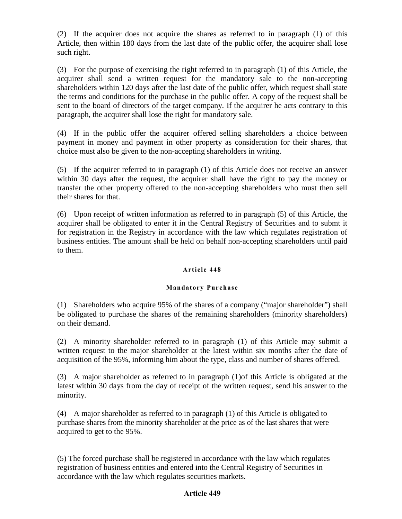(2) If the acquirer does not acquire the shares as referred to in paragraph (1) of this Article, then within 180 days from the last date of the public offer, the acquirer shall lose such right.

(3) For the purpose of exercising the right referred to in paragraph (1) of this Article, the acquirer shall send a written request for the mandatory sale to the non-accepting shareholders within 120 days after the last date of the public offer, which request shall state the terms and conditions for the purchase in the public offer. A copy of the request shall be sent to the board of directors of the target company. If the acquirer he acts contrary to this paragraph, the acquirer shall lose the right for mandatory sale.

(4) If in the public offer the acquirer offered selling shareholders a choice between payment in money and payment in other property as consideration for their shares, that choice must also be given to the non-accepting shareholders in writing.

(5) If the acquirer referred to in paragraph (1) of this Article does not receive an answer within 30 days after the request, the acquirer shall have the right to pay the money or transfer the other property offered to the non-accepting shareholders who must then sell their shares for that.

(6) Upon receipt of written information as referred to in paragraph (5) of this Article, the acquirer shall be obligated to enter it in the Central Registry of Securities and to submt it for registration in the Registry in accordance with the law which regulates registration of business entities. The amount shall be held on behalf non-accepting shareholders until paid to them.

#### Article 448

#### Mandatory Purchase

(1) Shareholders who acquire 95% of the shares of a company ("major shareholder") shall be obligated to purchase the shares of the remaining shareholders (minority shareholders) on their demand.

(2) A minority shareholder referred to in paragraph (1) of this Article may submit a written request to the major shareholder at the latest within six months after the date of acquisition of the 95%, informing him about the type, class and number of shares offered.

(3) A major shareholder as referred to in paragraph (1)of this Article is obligated at the latest within 30 days from the day of receipt of the written request, send his answer to the minority.

(4) A major shareholder as referred to in paragraph (1) of this Article is obligated to purchase shares from the minority shareholder at the price as of the last shares that were acquired to get to the 95%.

(5) The forced purchase shall be registered in accordance with the law which regulates registration of business entities and entered into the Central Registry of Securities in accordance with the law which regulates securities markets.

#### Article 449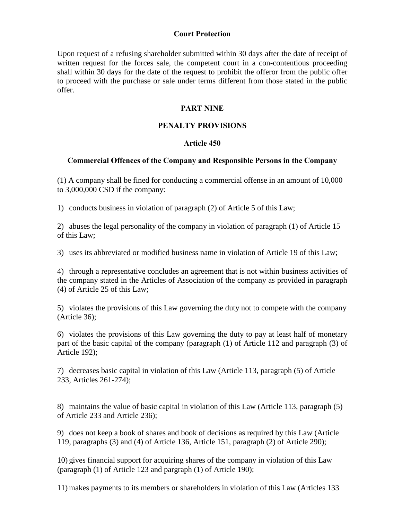## Court Protection

Upon request of a refusing shareholder submitted within 30 days after the date of receipt of written request for the forces sale, the competent court in a con-contentious proceeding shall within 30 days for the date of the request to prohibit the offeror from the public offer to proceed with the purchase or sale under terms different from those stated in the public offer.

## PART NINE

## PENALTY PROVISIONS

#### Article 450

#### Commercial Offences of the Company and Responsible Persons in the Company

(1) A company shall be fined for conducting a commercial offense in an amount of 10,000 to 3,000,000 CSD if the company:

1) conducts business in violation of paragraph (2) of Article 5 of this Law;

2) abuses the legal personality of the company in violation of paragraph (1) of Article 15 of this Law;

3) uses its abbreviated or modified business name in violation of Article 19 of this Law;

4) through a representative concludes an agreement that is not within business activities of the company stated in the Articles of Association of the company as provided in paragraph (4) of Article 25 of this Law;

5) violates the provisions of this Law governing the duty not to compete with the company (Article 36);

6) violates the provisions of this Law governing the duty to pay at least half of monetary part of the basic capital of the company (paragraph (1) of Article 112 and paragraph (3) of Article 192);

7) decreases basic capital in violation of this Law (Article 113, paragraph (5) of Article 233, Articles 261-274);

8) maintains the value of basic capital in violation of this Law (Article 113, paragraph (5) of Article 233 and Article 236);

9) does not keep a book of shares and book of decisions as required by this Law (Article 119, paragraphs (3) and (4) of Article 136, Article 151, paragraph (2) of Article 290);

10) gives financial support for acquiring shares of the company in violation of this Law (paragraph (1) of Article 123 and pargraph (1) of Article 190);

11) makes payments to its members or shareholders in violation of this Law (Articles 133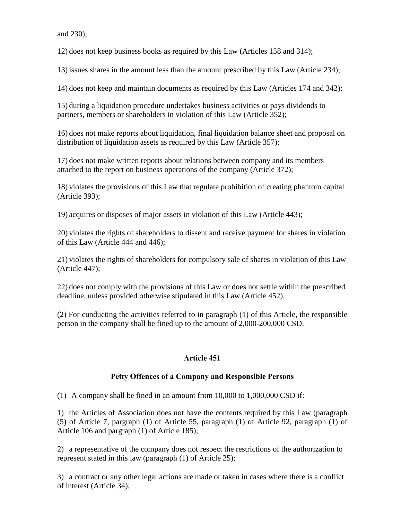and 230);

12) does not keep business books as required by this Law (Articles 158 and 314);

13) issues shares in the amount less than the amount prescribed by this Law (Article 234);

14) does not keep and maintain documents as required by this Law (Articles 174 and 342);

15) during a liquidation procedure undertakes business activities or pays dividends to partners, members or shareholders in violation of this Law (Article 352);

16) does not make reports about liquidation, final liquidation balance sheet and proposal on distribution of liquidation assets as required by this Law (Article 357);

17) does not make written reports about relations between company and its members attached to the report on business operations of the company (Article 372);

18) violates the provisions of this Law that regulate prohibition of creating phantom capital (Article 393);

19) acquires or disposes of major assets in violation of this Law (Article 443);

20) violates the rights of shareholders to dissent and receive payment for shares in violation of this Law (Article 444 and 446);

21) violates the rights of shareholders for compulsory sale of shares in violation of this Law (Article 447);

22) does not comply with the provisions of this Law or does not settle within the prescribed deadline, unless provided otherwise stipulated in this Law (Article 452).

(2) For cunducting the activities referred to in paragraph (1) of this Article, the responsible person in the company shall be fined up to the amount of 2,000-200,000 CSD.

# Article 451

# Petty Offences of a Company and Responsible Persons

(1) A company shall be fined in an amount from 10,000 to 1,000,000 CSD if:

1) the Articles of Association does not have the contents required by this Law (paragraph (5) of Article 7, pargraph (1) of Article 55, paragraph (1) of Article 92, paragraph (1) of Article 106 and pargraph (1) of Article 185);

2) a representative of the company does not respect the restrictions of the authorization to represent stated in this law (paragraph (1) of Article 25);

3) a contract or any other legal actions are made or taken in cases where there is a conflict of interest (Article 34);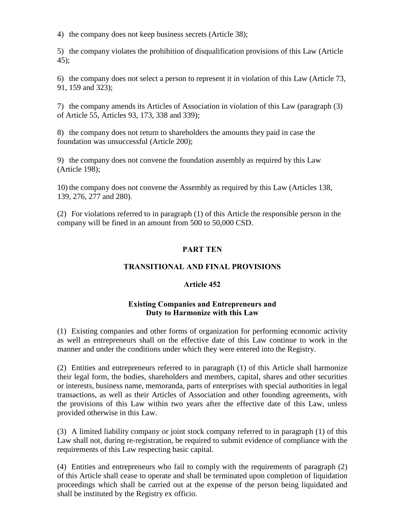4) the company does not keep business secrets (Article 38);

5) the company violates the prohibition of disqualification provisions of this Law (Article 45);

6) the company does not select a person to represent it in violation of this Law (Article 73, 91, 159 and 323);

7) the company amends its Articles of Association in violation of this Law (paragraph (3) of Article 55, Articles 93, 173, 338 and 339);

8) the company does not return to shareholders the amounts they paid in case the foundation was unsuccessful (Article 200);

9) the company does not convene the foundation assembly as required by this Law (Article 198);

10) the company does not convene the Assembly as required by this Law (Articles 138, 139, 276, 277 and 280).

(2) For violations referred to in paragraph (1) of this Article the responsible person in the company will be fined in an amount from 500 to 50,000 CSD.

# PART TEN

# TRANSITIONAL AND FINAL PROVISIONS

# Article 452

## Existing Companies and Entrepreneurs and Duty to Harmonize with this Law

(1) Existing companies and other forms of organization for performing economic activity as well as entrepreneurs shall on the effective date of this Law continue to work in the manner and under the conditions under which they were entered into the Registry.

(2) Entities and entrepreneurs referred to in paragraph (1) of this Article shall harmonize their legal form, the bodies, shareholders and members, capital, shares and other securities or interests, business name, memoranda, parts of enterprises with special authorities in legal transactions, as well as their Articles of Association and other founding agreements, with the provisions of this Law within two years after the effective date of this Law, unless provided otherwise in this Law.

(3) A limited liability company or joint stock company referred to in paragraph (1) of this Law shall not, during re-registration, be required to submit evidence of compliance with the requirements of this Law respecting basic capital.

(4) Entities and entrepreneurs who fail to comply with the requirements of paragraph (2) of this Article shall cease to operate and shall be terminated upon completion of liquidation proceedings which shall be carried out at the expense of the person being liquidated and shall be instituted by the Registry ex officio.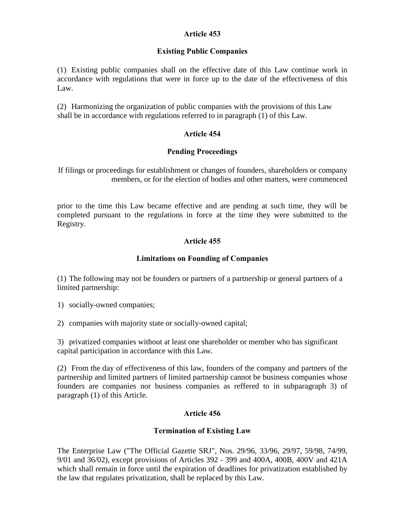## Article 453

## Existing Public Companies

(1) Existing public companies shall on the effective date of this Law continue work in accordance with regulations that were in force up to the date of the effectiveness of this Law.

(2) Harmonizing the organization of public companies with the provisions of this Law shall be in accordance with regulations referred to in paragraph (1) of this Law.

## Article 454

#### Pending Proceedings

If filings or proceedings for establishment or changes of founders, shareholders or company members, or for the election of bodies and other matters, were commenced

prior to the time this Law became effective and are pending at such time, they will be completed pursuant to the regulations in force at the time they were submitted to the Registry.

## Article 455

## Limitations on Founding of Companies

(1) The following may not be founders or partners of a partnership or general partners of a limited partnership:

1) socially-owned companies;

2) companies with majority state or socially-owned capital;

3) privatized companies without at least one shareholder or member who has significant capital participation in accordance with this Law.

(2) From the day of effectiveness of this law, founders of the company and partners of the partnership and limited partners of limited partnership cannot be business companies whose founders are companies nor business companies as reffered to in subparagraph 3) of paragraph (1) of this Article.

#### Article 456

#### Termination of Existing Law

The Enterprise Law ("The Official Gazette SRJ", Nos. 29/96, 33/96, 29/97, 59/98, 74/99, 9/01 and 36/02), except provisions of Articles 392 - 399 and 400A, 400B, 400V and 421A which shall remain in force until the expiration of deadlines for privatization established by the law that regulates privatization, shall be replaced by this Law.